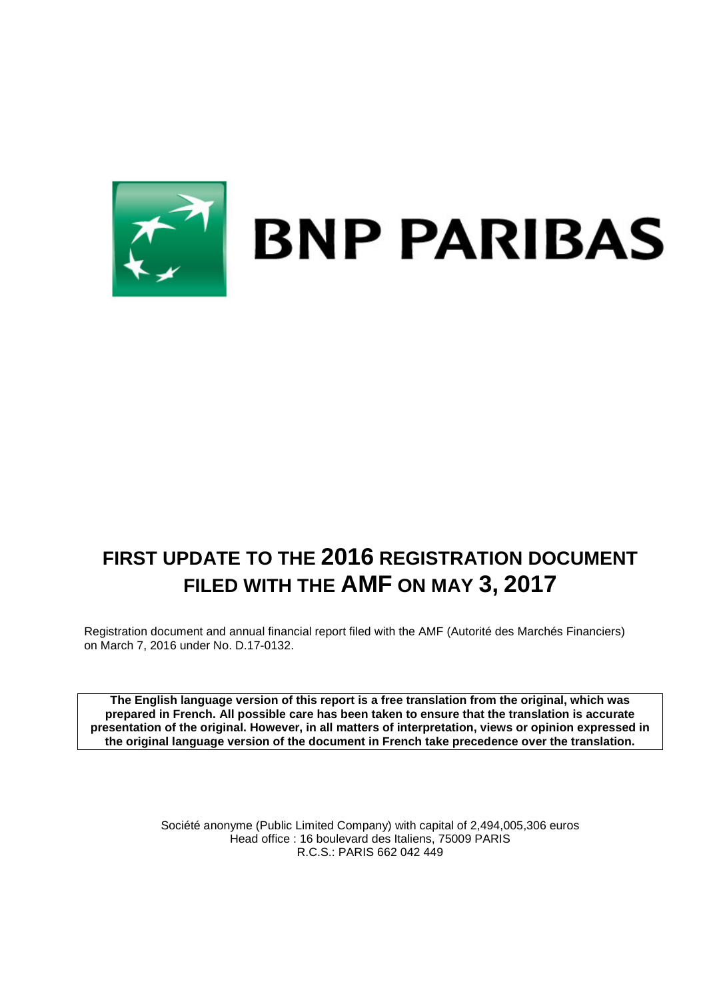

# **FIRST UPDATE TO THE 2016 REGISTRATION DOCUMENT FILED WITH THE AMF ON MAY 3, 2017**

Registration document and annual financial report filed with the AMF (Autorité des Marchés Financiers) on March 7, 2016 under No. D.17-0132.

**The English language version of this report is a free translation from the original, which was prepared in French. All possible care has been taken to ensure that the translation is accurate presentation of the original. However, in all matters of interpretation, views or opinion expressed in the original language version of the document in French take precedence over the translation.**

> Société anonyme (Public Limited Company) with capital of 2,494,005,306 euros Head office : 16 boulevard des Italiens, 75009 PARIS R.C.S.: PARIS 662 042 449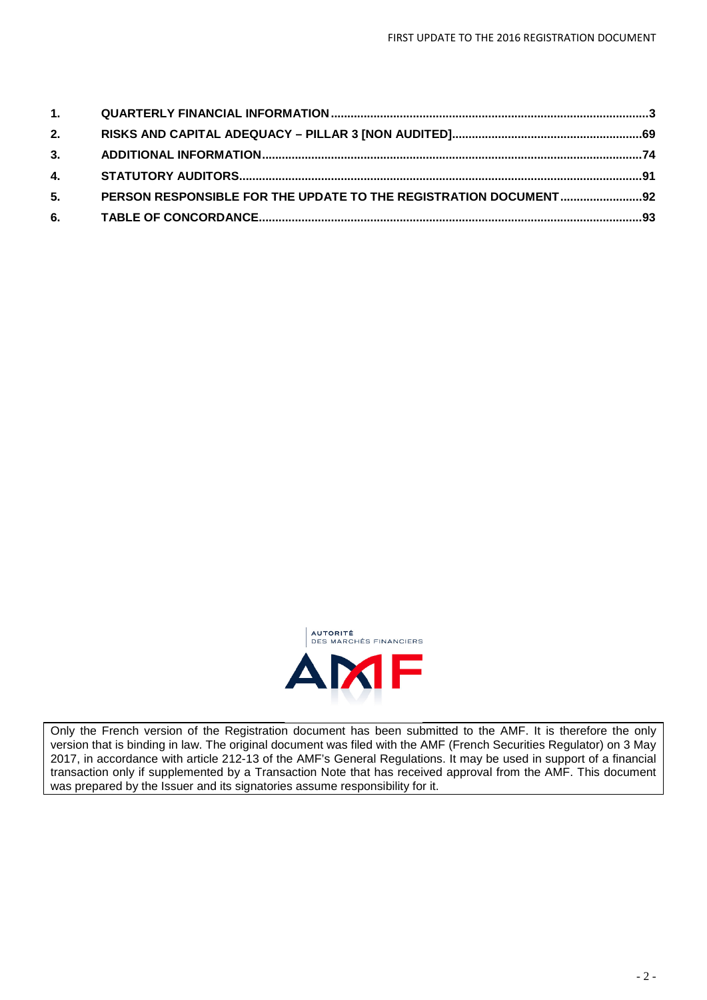| 2. |  |
|----|--|
|    |  |
|    |  |
| 5. |  |
|    |  |



Only the French version of the Registration document has been submitted to the AMF. It is therefore the only version that is binding in law. The original document was filed with the AMF (French Securities Regulator) on 3 May 2017, in accordance with article 212-13 of the AMF's General Regulations. It may be used in support of a financial transaction only if supplemented by a Transaction Note that has received approval from the AMF. This document was prepared by the Issuer and its signatories assume responsibility for it.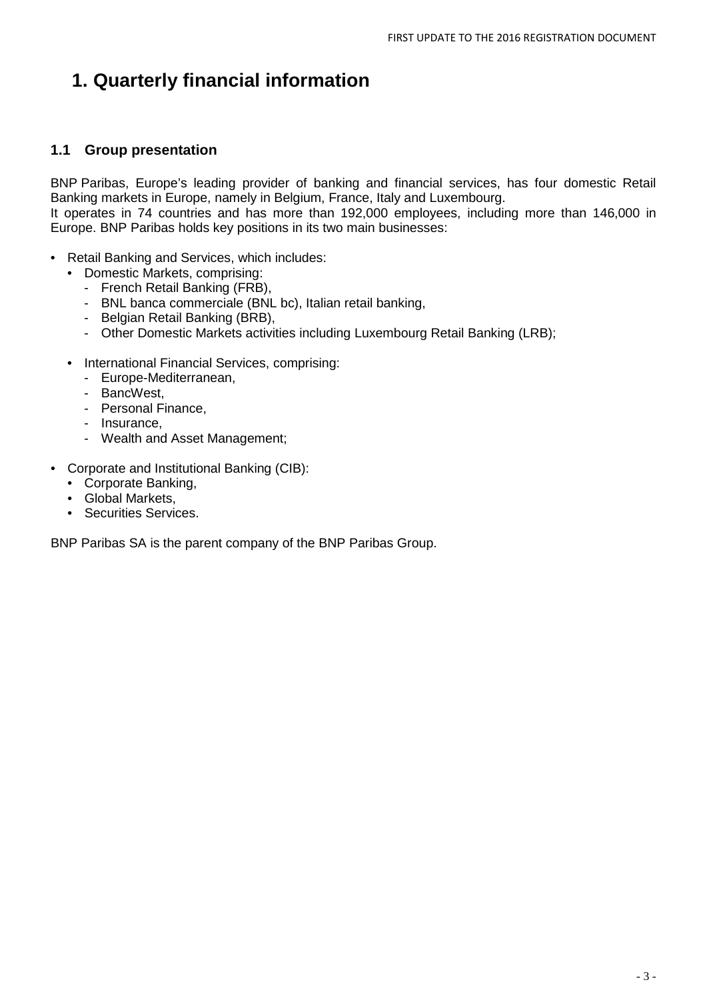# <span id="page-2-0"></span>**1. Quarterly financial information**

### **1.1 Group presentation**

BNP Paribas, Europe's leading provider of banking and financial services, has four domestic Retail Banking markets in Europe, namely in Belgium, France, Italy and Luxembourg.

It operates in 74 countries and has more than 192,000 employees, including more than 146,000 in Europe. BNP Paribas holds key positions in its two main businesses:

- Retail Banking and Services, which includes:
	- Domestic Markets, comprising:
		- French Retail Banking (FRB),
		- BNL banca commerciale (BNL bc), Italian retail banking,
		- Belgian Retail Banking (BRB),
		- Other Domestic Markets activities including Luxembourg Retail Banking (LRB);
	- International Financial Services, comprising:
		- Europe-Mediterranean,
		- BancWest,
		- Personal Finance,
		- Insurance,
		- Wealth and Asset Management;
- Corporate and Institutional Banking (CIB):
	- Corporate Banking,
	- Global Markets,
	- Securities Services.

<span id="page-2-1"></span>BNP Paribas SA is the parent company of the BNP Paribas Group.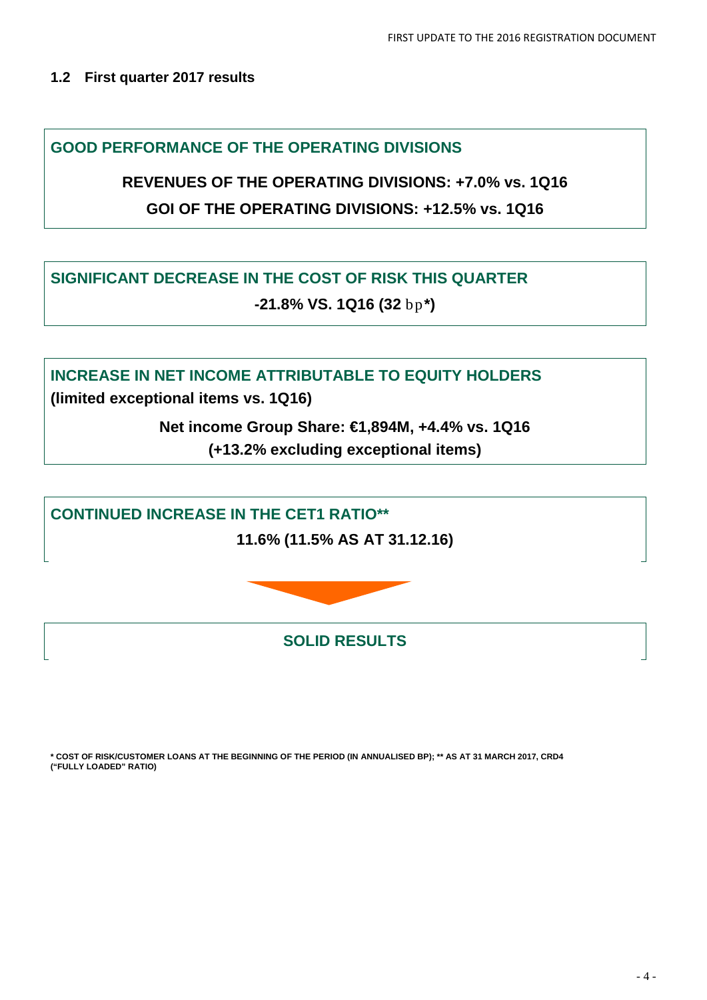### **1.2 First quarter 2017 results**

**GOOD PERFORMANCE OF THE OPERATING DIVISIONS** 

**REVENUES OF THE OPERATING DIVISIONS: +7.0% vs. 1Q16 GOI OF THE OPERATING DIVISIONS: +12.5% vs. 1Q16**

**SIGNIFICANT DECREASE IN THE COST OF RISK THIS QUARTER -21.8% VS. 1Q16 (32** bp**\*)**

**INCREASE IN NET INCOME ATTRIBUTABLE TO EQUITY HOLDERS**

**(limited exceptional items vs. 1Q16)** 

**Net income Group Share: €1,894M, +4.4% vs. 1Q16 (+13.2% excluding exceptional items)**

**CONTINUED INCREASE IN THE CET1 RATIO\*\***

**11.6% (11.5% AS AT 31.12.16)**



**SOLID RESULTS**

**\* COST OF RISK/CUSTOMER LOANS AT THE BEGINNING OF THE PERIOD (IN ANNUALISED BP); \*\* AS AT 31 MARCH 2017, CRD4 ("FULLY LOADED" RATIO)**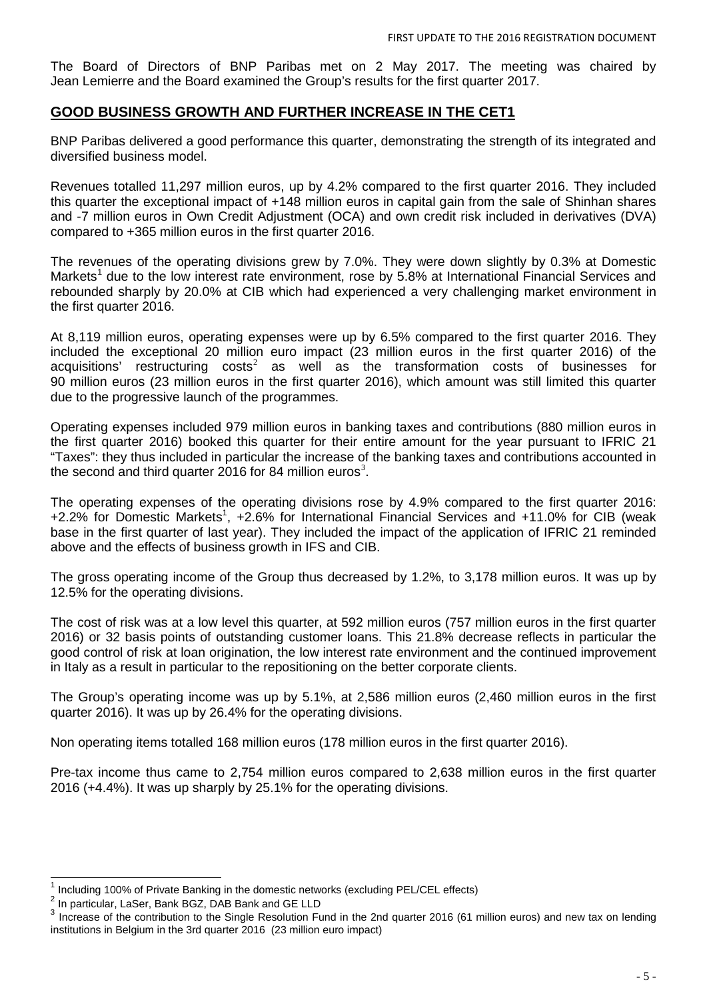The Board of Directors of BNP Paribas met on 2 May 2017. The meeting was chaired by Jean Lemierre and the Board examined the Group's results for the first quarter 2017.

### **GOOD BUSINESS GROWTH AND FURTHER INCREASE IN THE CET1**

BNP Paribas delivered a good performance this quarter, demonstrating the strength of its integrated and diversified business model.

Revenues totalled 11,297 million euros, up by 4.2% compared to the first quarter 2016. They included this quarter the exceptional impact of +148 million euros in capital gain from the sale of Shinhan shares and -7 million euros in Own Credit Adjustment (OCA) and own credit risk included in derivatives (DVA) compared to +365 million euros in the first quarter 2016.

The revenues of the operating divisions grew by 7.0%. They were down slightly by 0.3% at Domestic Markets<sup>[1](#page-2-1)</sup> due to the low interest rate environment, rose by 5.8% at International Financial Services and rebounded sharply by 20.0% at CIB which had experienced a very challenging market environment in the first quarter 2016.

At 8,119 million euros, operating expenses were up by 6.5% compared to the first quarter 2016. They included the exceptional 20 million euro impact (23 million euros in the first quarter 2016) of the acquisitions' restructuring  $costs<sup>2</sup>$  $costs<sup>2</sup>$  $costs<sup>2</sup>$  as well as the transformation costs of businesses for 90 million euros (23 million euros in the first quarter 2016), which amount was still limited this quarter due to the progressive launch of the programmes.

Operating expenses included 979 million euros in banking taxes and contributions (880 million euros in the first quarter 2016) booked this quarter for their entire amount for the year pursuant to IFRIC 21 "Taxes": they thus included in particular the increase of the banking taxes and contributions accounted in the second and third quarter 2016 for 84 million euros<sup>[3](#page-4-1)</sup>.

The operating expenses of the operating divisions rose by 4.9% compared to the first quarter 2016: +2.2% for Domestic Markets<sup>1</sup>, +2.6% for International Financial Services and +11.0% for CIB (weak base in the first quarter of last year). They included the impact of the application of IFRIC 21 reminded above and the effects of business growth in IFS and CIB.

The gross operating income of the Group thus decreased by 1.2%, to 3,178 million euros. It was up by 12.5% for the operating divisions.

The cost of risk was at a low level this quarter, at 592 million euros (757 million euros in the first quarter 2016) or 32 basis points of outstanding customer loans. This 21.8% decrease reflects in particular the good control of risk at loan origination, the low interest rate environment and the continued improvement in Italy as a result in particular to the repositioning on the better corporate clients.

The Group's operating income was up by 5.1%, at 2,586 million euros (2,460 million euros in the first quarter 2016). It was up by 26.4% for the operating divisions.

Non operating items totalled 168 million euros (178 million euros in the first quarter 2016).

Pre-tax income thus came to 2,754 million euros compared to 2,638 million euros in the first quarter 2016 (+4.4%). It was up sharply by 25.1% for the operating divisions.

<span id="page-4-2"></span> $^1$  Including 100% of Private Banking in the domestic networks (excluding PEL/CEL effects)  $^2$  In particular, LaSer, Bank BGZ, DAB Bank and GE LLD

<span id="page-4-0"></span>

<span id="page-4-1"></span> $3$  Increase of the contribution to the Single Resolution Fund in the 2nd quarter 2016 (61 million euros) and new tax on lending institutions in Belgium in the 3rd quarter 2016 (23 million euro impact)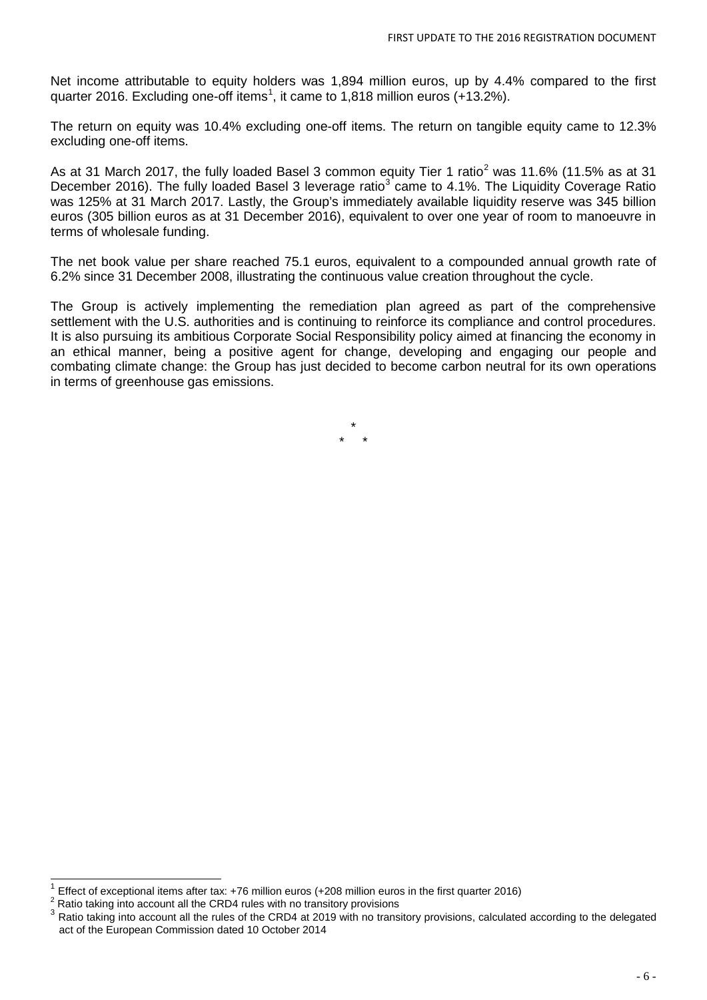Net income attributable to equity holders was 1,894 million euros, up by 4.4% compared to the first quarter 20[1](#page-4-2)6. Excluding one-off items<sup>1</sup>, it came to 1,818 million euros (+13.2%).

The return on equity was 10.4% excluding one-off items. The return on tangible equity came to 12.3% excluding one-off items.

As at 31 March [2](#page-5-0)017, the fully loaded Basel 3 common equity Tier 1 ratio<sup>2</sup> was 11.6% (11.5% as at 31 December 2016). The fully loaded Basel [3](#page-5-1) leverage ratio<sup>3</sup> came to 4.1%. The Liquidity Coverage Ratio was 125% at 31 March 2017. Lastly, the Group's immediately available liquidity reserve was 345 billion euros (305 billion euros as at 31 December 2016), equivalent to over one year of room to manoeuvre in terms of wholesale funding.

The net book value per share reached 75.1 euros, equivalent to a compounded annual growth rate of 6.2% since 31 December 2008, illustrating the continuous value creation throughout the cycle.

The Group is actively implementing the remediation plan agreed as part of the comprehensive settlement with the U.S. authorities and is continuing to reinforce its compliance and control procedures. It is also pursuing its ambitious Corporate Social Responsibility policy aimed at financing the economy in an ethical manner, being a positive agent for change, developing and engaging our people and combating climate change: the Group has just decided to become carbon neutral for its own operations in terms of greenhouse gas emissions.

> \* \* \*

<span id="page-5-2"></span><sup>&</sup>lt;sup>1</sup> Effect of exceptional items after tax: +76 million euros (+208 million euros in the first quarter 2016) <sup>2</sup> Ratio taking into account all the CRD4 rules with no transitory provisions

<span id="page-5-0"></span>

<span id="page-5-1"></span><sup>&</sup>lt;sup>3</sup> Ratio taking into account all the rules of the CRD4 at 2019 with no transitory provisions, calculated according to the delegated act of the European Commission dated 10 October 2014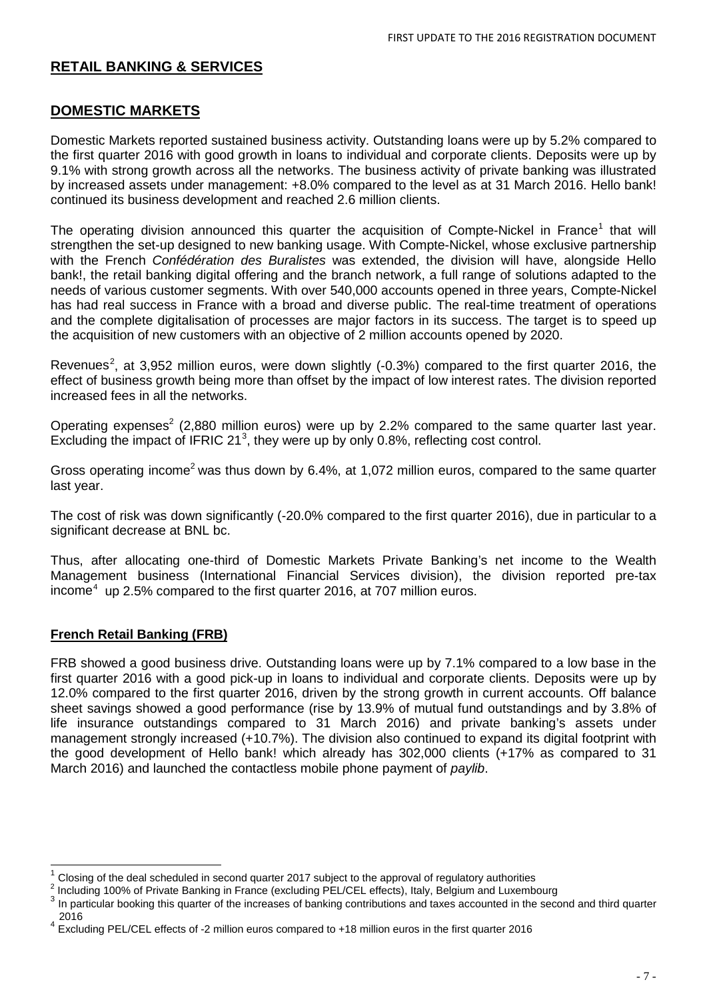### **RETAIL BANKING & SERVICES**

### **DOMESTIC MARKETS**

Domestic Markets reported sustained business activity. Outstanding loans were up by 5.2% compared to the first quarter 2016 with good growth in loans to individual and corporate clients. Deposits were up by 9.1% with strong growth across all the networks. The business activity of private banking was illustrated by increased assets under management: +8.0% compared to the level as at 31 March 2016. Hello bank! continued its business development and reached 2.6 million clients.

The operating division announced this quarter the acquisition of Compte-Nickel in France<sup>[1](#page-5-2)</sup> that will strengthen the set-up designed to new banking usage. With Compte-Nickel, whose exclusive partnership with the French *Confédération des Buralistes* was extended, the division will have, alongside Hello bank!, the retail banking digital offering and the branch network, a full range of solutions adapted to the needs of various customer segments. With over 540,000 accounts opened in three years, Compte-Nickel has had real success in France with a broad and diverse public. The real-time treatment of operations and the complete digitalisation of processes are major factors in its success. The target is to speed up the acquisition of new customers with an objective of 2 million accounts opened by 2020.

Revenues<sup>[2](#page-6-0)</sup>, at 3,952 million euros, were down slightly (-0.3%) compared to the first quarter 2016, the effect of business growth being more than offset by the impact of low interest rates. The division reported increased fees in all the networks.

Operating expenses<sup>2</sup> (2,880 million euros) were up by 2.2% compared to the same quarter last year. Excluding the impact of IFRIC 21 $3$ , they were up by only 0.8%, reflecting cost control.

Gross operating income<sup>2</sup> was thus down by 6.4%, at 1,072 million euros, compared to the same quarter last year.

The cost of risk was down significantly (-20.0% compared to the first quarter 2016), due in particular to a significant decrease at BNL bc.

Thus, after allocating one-third of Domestic Markets Private Banking's net income to the Wealth Management business (International Financial Services division), the division reported pre-tax income<sup>[4](#page-6-2)</sup> up 2.5% compared to the first quarter 2016, at 707 million euros.

### **French Retail Banking (FRB)**

FRB showed a good business drive. Outstanding loans were up by 7.1% compared to a low base in the first quarter 2016 with a good pick-up in loans to individual and corporate clients. Deposits were up by 12.0% compared to the first quarter 2016, driven by the strong growth in current accounts. Off balance sheet savings showed a good performance (rise by 13.9% of mutual fund outstandings and by 3.8% of life insurance outstandings compared to 31 March 2016) and private banking's assets under management strongly increased (+10.7%). The division also continued to expand its digital footprint with the good development of Hello bank! which already has 302,000 clients (+17% as compared to 31 March 2016) and launched the contactless mobile phone payment of *paylib*.

<span id="page-6-3"></span><sup>&</sup>lt;sup>1</sup> Closing of the deal scheduled in second quarter 2017 subject to the approval of regulatory authorities  $^2$  Including 100% of Private Banking in France (excluding PEL/CEL effects), Italy, Belgium and Luxembourg

<span id="page-6-1"></span><span id="page-6-0"></span><sup>3</sup> In particular booking this quarter of the increases of banking contributions and taxes accounted in the second and third quarter 2016

<span id="page-6-2"></span> $4$  Excluding PEL/CEL effects of -2 million euros compared to +18 million euros in the first quarter 2016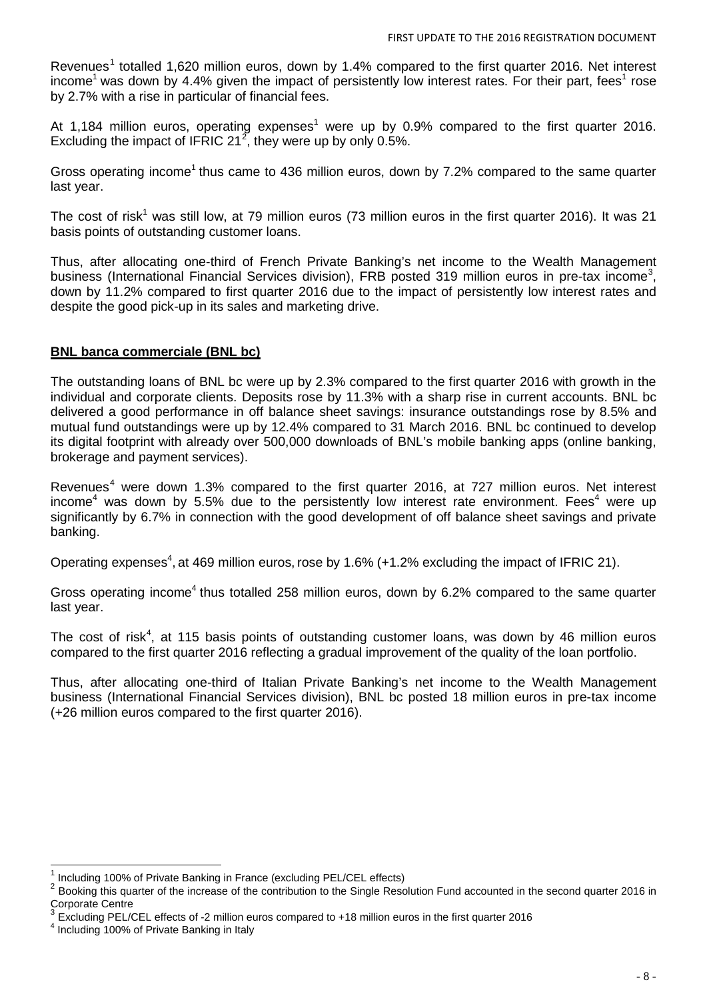Revenues<sup>[1](#page-6-3)</sup> totalled 1,620 million euros, down by 1.4% compared to the first quarter 2016. Net interest income<sup>1</sup> was down by 4.4% given the impact of persistently low interest rates. For their part, fees<sup>1</sup> rose by 2.7% with a rise in particular of financial fees.

At 1,184 million euros, operating expenses<sup>1</sup> were up by 0.9% compared to the first quarter 2016. Excluding the impact of IFRIC [2](#page-7-0)1<sup>2</sup>, they were up by only 0.5%.

Gross operating income<sup>1</sup> thus came to 436 million euros, down by 7.2% compared to the same quarter last year.

The cost of risk<sup>1</sup> was still low, at 79 million euros (73 million euros in the first quarter 2016). It was 21 basis points of outstanding customer loans.

Thus, after allocating one-third of French Private Banking's net income to the Wealth Management business (International Financial Services division), FRB posted [3](#page-7-1)19 million euros in pre-tax income<sup>3</sup>, down by 11.2% compared to first quarter 2016 due to the impact of persistently low interest rates and despite the good pick-up in its sales and marketing drive.

### **BNL banca commerciale (BNL bc)**

The outstanding loans of BNL bc were up by 2.3% compared to the first quarter 2016 with growth in the individual and corporate clients. Deposits rose by 11.3% with a sharp rise in current accounts. BNL bc delivered a good performance in off balance sheet savings: insurance outstandings rose by 8.5% and mutual fund outstandings were up by 12.4% compared to 31 March 2016. BNL bc continued to develop its digital footprint with already over 500,000 downloads of BNL's mobile banking apps (online banking, brokerage and payment services).

Revenues<sup>[4](#page-7-2)</sup> were down 1.3% compared to the first quarter 2016, at 727 million euros. Net interest income<sup>4</sup> was down by 5.5% due to the persistently low interest rate environment. Fees<sup>4</sup> were up significantly by 6.7% in connection with the good development of off balance sheet savings and private banking.

Operating expenses<sup>4</sup>, at 469 million euros, rose by 1.6% (+1.2% excluding the impact of IFRIC 21).

Gross operating income<sup>4</sup> thus totalled 258 million euros, down by 6.2% compared to the same quarter last year.

The cost of risk<sup>4</sup>, at 115 basis points of outstanding customer loans, was down by 46 million euros compared to the first quarter 2016 reflecting a gradual improvement of the quality of the loan portfolio.

Thus, after allocating one-third of Italian Private Banking's net income to the Wealth Management business (International Financial Services division), BNL bc posted 18 million euros in pre-tax income (+26 million euros compared to the first quarter 2016).

<span id="page-7-3"></span> <sup>1</sup> Including 100% of Private Banking in France (excluding PEL/CEL effects)

<span id="page-7-0"></span><sup>&</sup>lt;sup>2</sup> Booking this quarter of the increase of the contribution to the Single Resolution Fund accounted in the second quarter 2016 in Corporate Centre

<span id="page-7-1"></span> $\frac{3}{3}$  Excluding PEL/CEL effects of -2 million euros compared to +18 million euros in the first quarter 2016  $^4$  Including 100% of Private Banking in Italy

<span id="page-7-2"></span>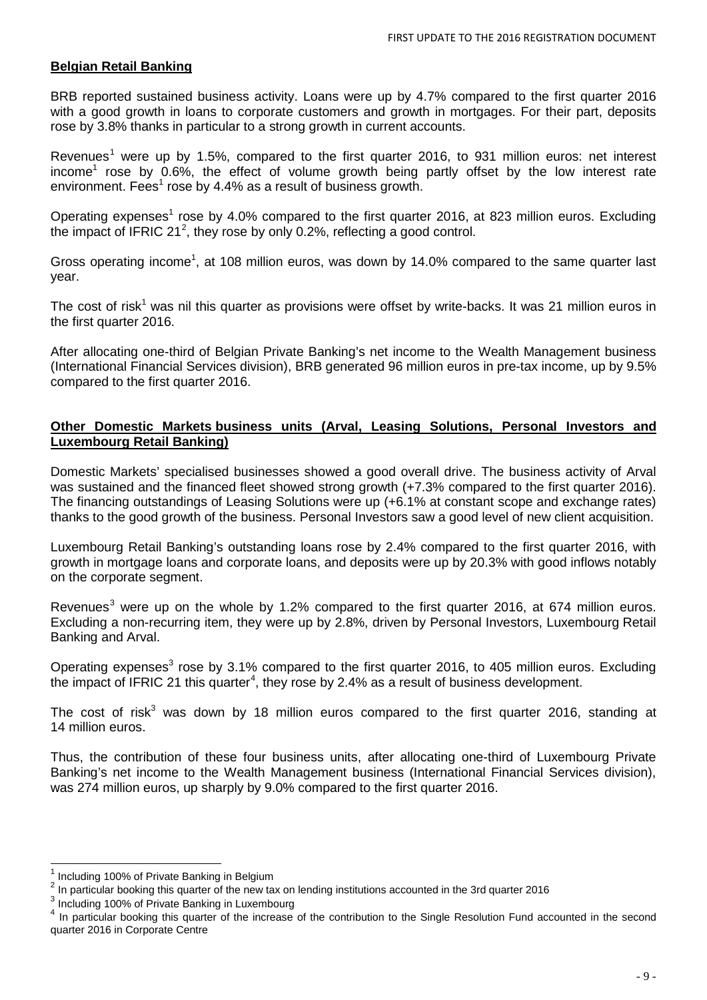### **Belgian Retail Banking**

BRB reported sustained business activity. Loans were up by 4.7% compared to the first quarter 2016 with a good growth in loans to corporate customers and growth in mortgages. For their part, deposits rose by 3.8% thanks in particular to a strong growth in current accounts.

Revenues<sup>[1](#page-7-3)</sup> were up by 1.5%, compared to the first quarter 2016, to 931 million euros: net interest income<sup>1</sup> rose by 0.6%, the effect of volume growth being partly offset by the low interest rate environment. Fees<sup>1</sup> rose by 4.4% as a result of business growth.

Operating expenses<sup>1</sup> rose by 4.0% compared to the first quarter 2016, at 823 million euros. Excluding the impact of IFRIC [2](#page-8-0)1<sup>2</sup>, they rose by only 0.2%, reflecting a good control.

Gross operating income<sup>1</sup>, at 108 million euros, was down by 14.0% compared to the same quarter last year.

The cost of risk<sup>1</sup> was nil this quarter as provisions were offset by write-backs. It was 21 million euros in the first quarter 2016.

After allocating one-third of Belgian Private Banking's net income to the Wealth Management business (International Financial Services division), BRB generated 96 million euros in pre-tax income, up by 9.5% compared to the first quarter 2016.

### **Other Domestic Markets business units (Arval, Leasing Solutions, Personal Investors and Luxembourg Retail Banking)**

Domestic Markets' specialised businesses showed a good overall drive. The business activity of Arval was sustained and the financed fleet showed strong growth (+7.3% compared to the first quarter 2016). The financing outstandings of Leasing Solutions were up (+6.1% at constant scope and exchange rates) thanks to the good growth of the business. Personal Investors saw a good level of new client acquisition.

Luxembourg Retail Banking's outstanding loans rose by 2.4% compared to the first quarter 2016, with growth in mortgage loans and corporate loans, and deposits were up by 20.3% with good inflows notably on the corporate segment.

Revenues<sup>[3](#page-8-1)</sup> were up on the whole by 1.2% compared to the first quarter 2016, at 674 million euros. Excluding a non-recurring item, they were up by 2.8%, driven by Personal Investors, Luxembourg Retail Banking and Arval.

Operating expenses<sup>3</sup> rose by 3.1% compared to the first quarter 2016, to 405 million euros. Excluding the impact of IFRIC 21 this quarter<sup>[4](#page-8-2)</sup>, they rose by 2.4% as a result of business development.

The cost of risk<sup>3</sup> was down by 18 million euros compared to the first quarter 2016, standing at 14 million euros.

Thus, the contribution of these four business units, after allocating one-third of Luxembourg Private Banking's net income to the Wealth Management business (International Financial Services division), was 274 million euros, up sharply by 9.0% compared to the first quarter 2016.

<sup>&</sup>lt;sup>1</sup> Including 100% of Private Banking in Belgium<br><sup>2</sup> In particular booking this quarter of the new tax on lending institutions accounted in the 3rd quarter 2016

<span id="page-8-1"></span><span id="page-8-0"></span><sup>3</sup> Including 100% of Private Banking in Luxembourg

<span id="page-8-3"></span><span id="page-8-2"></span><sup>&</sup>lt;sup>4</sup> In particular booking this quarter of the increase of the contribution to the Single Resolution Fund accounted in the second quarter 2016 in Corporate Centre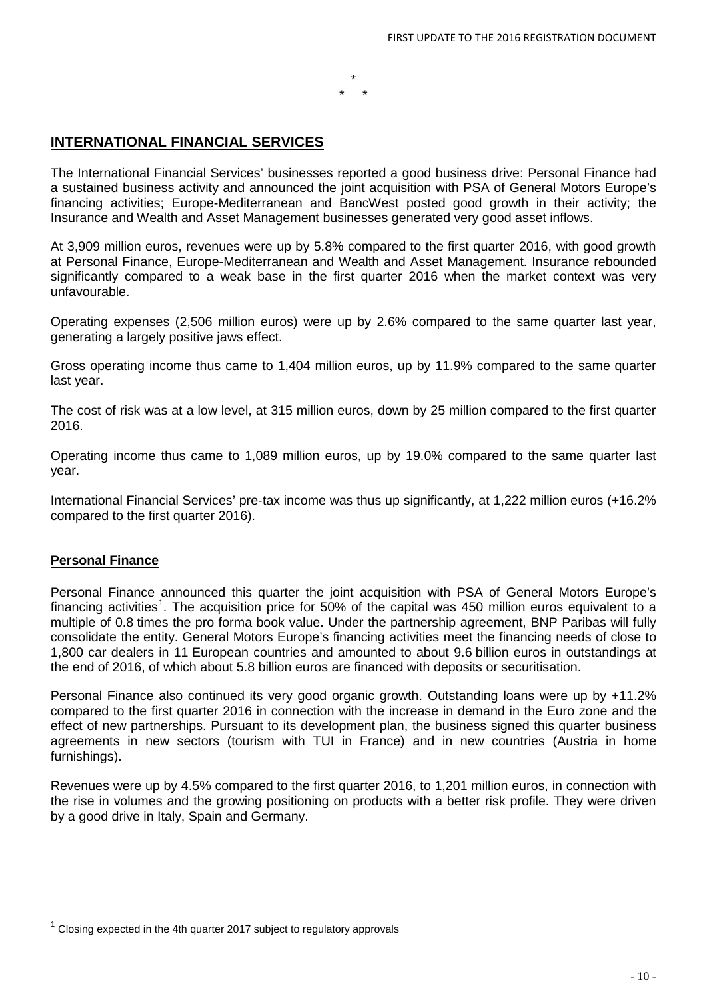### **INTERNATIONAL FINANCIAL SERVICES**

The International Financial Services' businesses reported a good business drive: Personal Finance had a sustained business activity and announced the joint acquisition with PSA of General Motors Europe's financing activities; Europe-Mediterranean and BancWest posted good growth in their activity; the Insurance and Wealth and Asset Management businesses generated very good asset inflows.

\* \* \*

At 3,909 million euros, revenues were up by 5.8% compared to the first quarter 2016, with good growth at Personal Finance, Europe-Mediterranean and Wealth and Asset Management. Insurance rebounded significantly compared to a weak base in the first quarter 2016 when the market context was very unfavourable.

Operating expenses (2,506 million euros) were up by 2.6% compared to the same quarter last year, generating a largely positive jaws effect.

Gross operating income thus came to 1,404 million euros, up by 11.9% compared to the same quarter last year.

The cost of risk was at a low level, at 315 million euros, down by 25 million compared to the first quarter 2016.

Operating income thus came to 1,089 million euros, up by 19.0% compared to the same quarter last year.

International Financial Services' pre-tax income was thus up significantly, at 1,222 million euros (+16.2%) compared to the first quarter 2016).

#### **Personal Finance**

Personal Finance announced this quarter the joint acquisition with PSA of General Motors Europe's financing activities<sup>[1](#page-8-3)</sup>. The acquisition price for 50% of the capital was 450 million euros equivalent to a multiple of 0.8 times the pro forma book value. Under the partnership agreement, BNP Paribas will fully consolidate the entity. General Motors Europe's financing activities meet the financing needs of close to 1,800 car dealers in 11 European countries and amounted to about 9.6 billion euros in outstandings at the end of 2016, of which about 5.8 billion euros are financed with deposits or securitisation.

Personal Finance also continued its very good organic growth. Outstanding loans were up by +11.2% compared to the first quarter 2016 in connection with the increase in demand in the Euro zone and the effect of new partnerships. Pursuant to its development plan, the business signed this quarter business agreements in new sectors (tourism with TUI in France) and in new countries (Austria in home furnishings).

<span id="page-9-0"></span>Revenues were up by 4.5% compared to the first quarter 2016, to 1,201 million euros, in connection with the rise in volumes and the growing positioning on products with a better risk profile. They were driven by a good drive in Italy, Spain and Germany.

 <sup>1</sup> Closing expected in the 4th quarter 2017 subject to regulatory approvals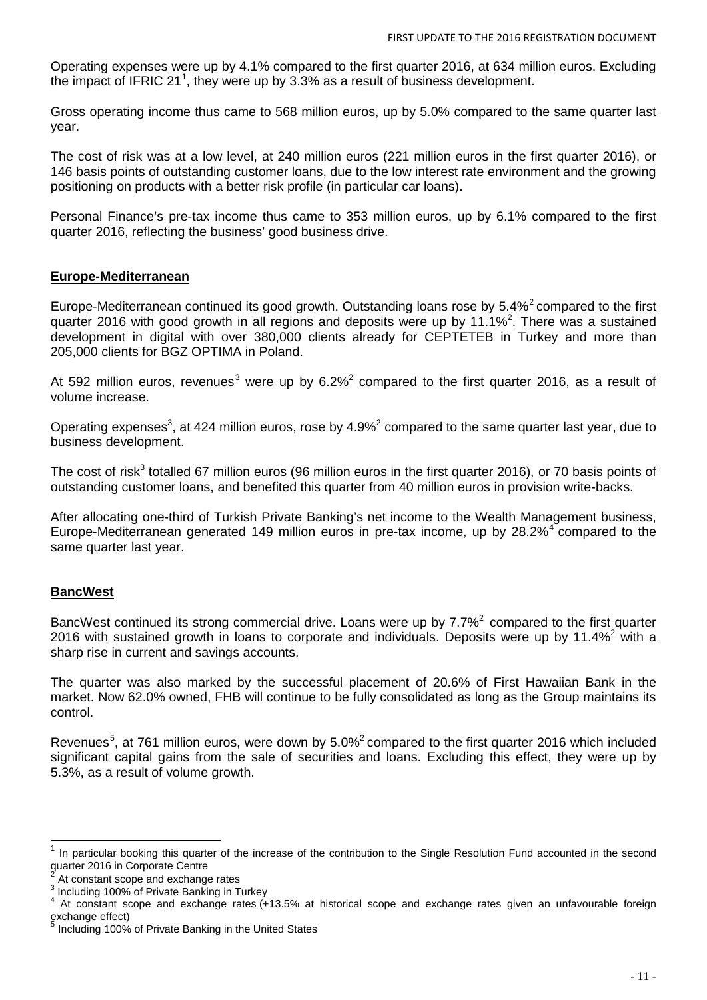Operating expenses were up by 4.1% compared to the first quarter 2016, at 634 million euros. Excluding the impact of IFRIC 2[1](#page-9-0)<sup>1</sup>, they were up by 3.3% as a result of business development.

Gross operating income thus came to 568 million euros, up by 5.0% compared to the same quarter last year.

The cost of risk was at a low level, at 240 million euros (221 million euros in the first quarter 2016), or 146 basis points of outstanding customer loans, due to the low interest rate environment and the growing positioning on products with a better risk profile (in particular car loans).

Personal Finance's pre-tax income thus came to 353 million euros, up by 6.1% compared to the first quarter 2016, reflecting the business' good business drive.

#### **Europe-Mediterranean**

Europe-Mediterranean continued its good growth. Outstanding loans rose by 5.4%<sup>[2](#page-10-0)</sup> compared to the first quarter 2016 with good growth in all regions and deposits were up by 11.1%<sup>2</sup>. There was a sustained development in digital with over 380,000 clients already for CEPTETEB in Turkey and more than 205,000 clients for BGZ OPTIMA in Poland.

At 592 million euros, revenues<sup>[3](#page-10-1)</sup> were up by  $6.2\%$ <sup>2</sup> compared to the first quarter 2016, as a result of volume increase.

Operating expenses<sup>3</sup>, at 424 million euros, rose by 4.9%<sup>2</sup> compared to the same quarter last year, due to business development.

The cost of risk<sup>3</sup> totalled 67 million euros (96 million euros in the first quarter 2016), or 70 basis points of outstanding customer loans, and benefited this quarter from 40 million euros in provision write-backs.

After allocating one-third of Turkish Private Banking's net income to the Wealth Management business, Europe-Mediterranean generated 1[4](#page-10-2)9 million euros in pre-tax income, up by  $28.2\%$ <sup>4</sup> compared to the same quarter last year.

### **BancWest**

BancWest continued its strong commercial drive. Loans were up by  $7.7\%$ <sup>2</sup> compared to the first quarter 2016 with sustained growth in loans to corporate and individuals. Deposits were up by 11.4% $^2$  with a sharp rise in current and savings accounts.

The quarter was also marked by the successful placement of 20.6% of First Hawaiian Bank in the market. Now 62.0% owned, FHB will continue to be fully consolidated as long as the Group maintains its control.

Revenues<sup>[5](#page-10-3)</sup>, at 761 million euros, were down by 5.0%<sup>2</sup> compared to the first quarter 2016 which included significant capital gains from the sale of securities and loans. Excluding this effect, they were up by 5.3%, as a result of volume growth.

<span id="page-10-4"></span>In particular booking this quarter of the increase of the contribution to the Single Resolution Fund accounted in the second quarter 2016 in Corporate Centre<br>
<sup>2</sup> At constant scope and exchange rates

<span id="page-10-2"></span>

<span id="page-10-1"></span><span id="page-10-0"></span><sup>2</sup> At constant scope and exchange rates<br>3 Including 100% of Private Banking in Turkey<br>4 At constant scope and exchange rates (+13.5% at historical scope and exchange rates given an unfavourable foreign exchange effect)

<span id="page-10-3"></span><sup>5</sup> Including 100% of Private Banking in the United States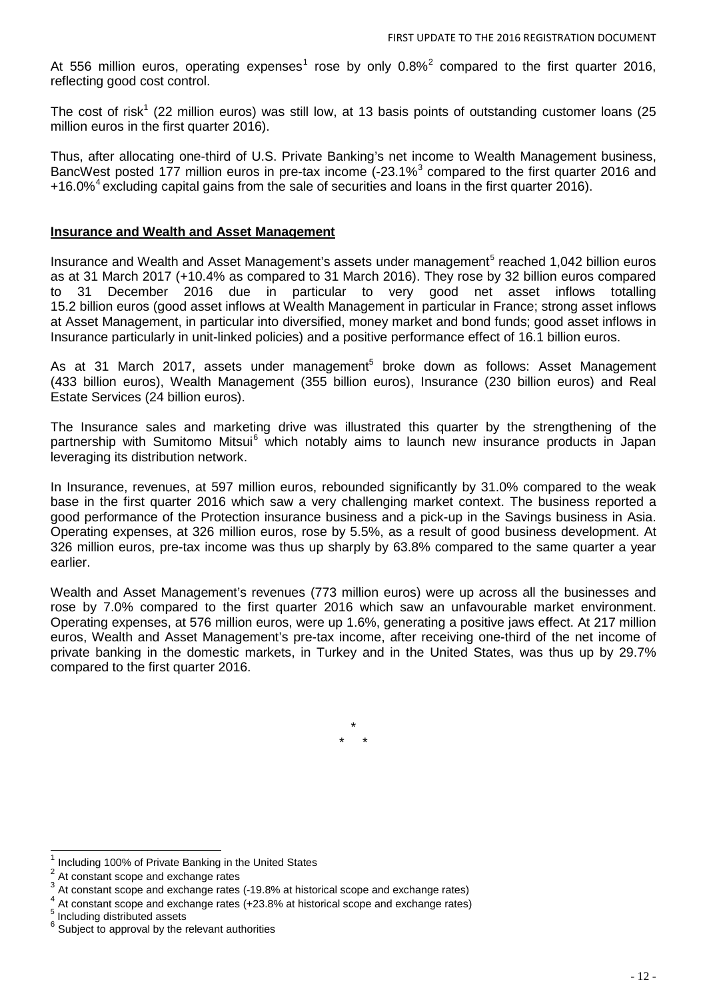At 556 million euros, operating expenses<sup>[1](#page-10-4)</sup> rose by only  $0.8\%$ <sup>[2](#page-11-0)</sup> compared to the first quarter 2016, reflecting good cost control.

The cost of risk<sup>1</sup> (22 million euros) was still low, at 13 basis points of outstanding customer loans (25 million euros in the first quarter 2016).

Thus, after allocating one-third of U.S. Private Banking's net income to Wealth Management business, BancWest posted 177 million euros in pre-tax income (-2[3](#page-11-1).1%<sup>3</sup> compared to the first quarter 2016 and +16.0%<sup>[4](#page-11-2)</sup> excluding capital gains from the sale of securities and loans in the first quarter 2016).

#### **Insurance and Wealth and Asset Management**

Insurance and Wealth and Asset Management's assets under management<sup>[5](#page-11-3)</sup> reached 1,042 billion euros as at 31 March 2017 (+10.4% as compared to 31 March 2016). They rose by 32 billion euros compared to 31 December 2016 due in particular to very good net asset inflows totalling 15.2 billion euros (good asset inflows at Wealth Management in particular in France; strong asset inflows at Asset Management, in particular into diversified, money market and bond funds; good asset inflows in Insurance particularly in unit-linked policies) and a positive performance effect of 16.1 billion euros.

As at 31 March 2017, assets under management<sup>5</sup> broke down as follows: Asset Management (433 billion euros), Wealth Management (355 billion euros), Insurance (230 billion euros) and Real Estate Services (24 billion euros).

The Insurance sales and marketing drive was illustrated this quarter by the strengthening of the partnership with Sumitomo Mitsui<sup>[6](#page-11-4)</sup> which notably aims to launch new insurance products in Japan leveraging its distribution network.

In Insurance, revenues, at 597 million euros, rebounded significantly by 31.0% compared to the weak base in the first quarter 2016 which saw a very challenging market context. The business reported a good performance of the Protection insurance business and a pick-up in the Savings business in Asia. Operating expenses, at 326 million euros, rose by 5.5%, as a result of good business development. At 326 million euros, pre-tax income was thus up sharply by 63.8% compared to the same quarter a year earlier.

Wealth and Asset Management's revenues (773 million euros) were up across all the businesses and rose by 7.0% compared to the first quarter 2016 which saw an unfavourable market environment. Operating expenses, at 576 million euros, were up 1.6%, generating a positive jaws effect. At 217 million euros, Wealth and Asset Management's pre-tax income, after receiving one-third of the net income of private banking in the domestic markets, in Turkey and in the United States, was thus up by 29.7% compared to the first quarter 2016.

> \* \* \*

 $\frac{1}{2}$  Including 100% of Private Banking in the United States  $\frac{2}{2}$  At constant scope and exchange rates

<span id="page-11-2"></span>

<span id="page-11-1"></span><span id="page-11-0"></span><sup>&</sup>lt;sup>3</sup> At constant scope and exchange rates (-19.8% at historical scope and exchange rates)<br>  $^{4}$  At constant scope and exchange rates (+23.8% at historical scope and exchange rates)<br>  $^{5}$  Including distributed assets

<span id="page-11-3"></span>

<span id="page-11-4"></span> $6$  Subject to approval by the relevant authorities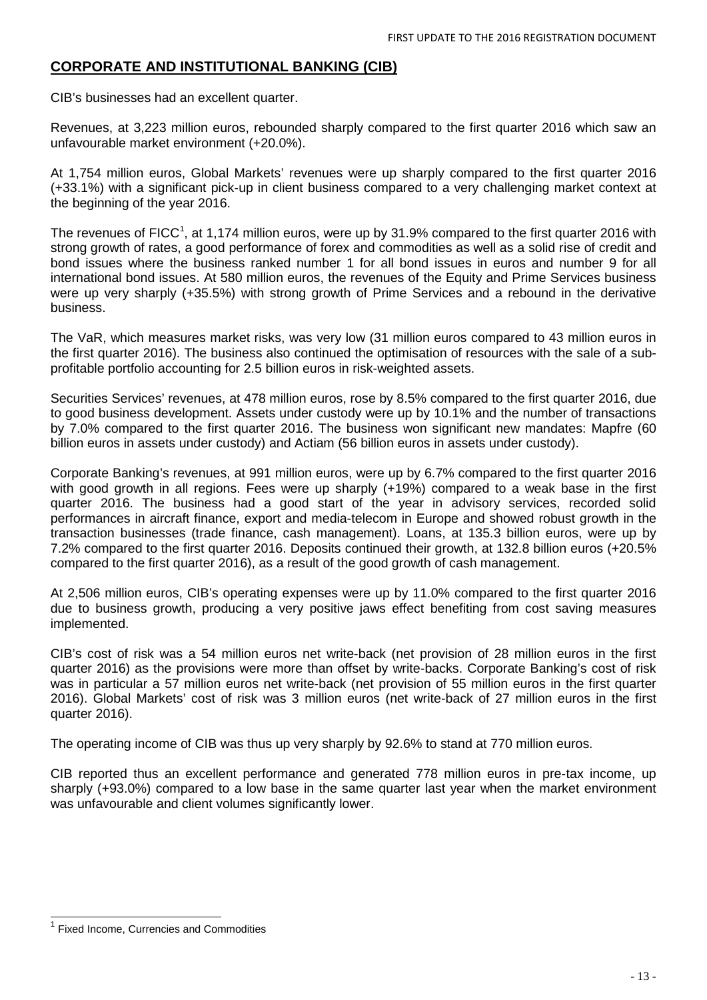### **CORPORATE AND INSTITUTIONAL BANKING (CIB)**

CIB's businesses had an excellent quarter.

Revenues, at 3,223 million euros, rebounded sharply compared to the first quarter 2016 which saw an unfavourable market environment (+20.0%).

At 1,754 million euros, Global Markets' revenues were up sharply compared to the first quarter 2016 (+33.1%) with a significant pick-up in client business compared to a very challenging market context at the beginning of the year 2016.

The revenues of FICC<sup>[1](#page-11-4)</sup>, at 1,174 million euros, were up by 31.9% compared to the first quarter 2016 with strong growth of rates, a good performance of forex and commodities as well as a solid rise of credit and bond issues where the business ranked number 1 for all bond issues in euros and number 9 for all international bond issues. At 580 million euros, the revenues of the Equity and Prime Services business were up very sharply (+35.5%) with strong growth of Prime Services and a rebound in the derivative business.

The VaR, which measures market risks, was very low (31 million euros compared to 43 million euros in the first quarter 2016). The business also continued the optimisation of resources with the sale of a subprofitable portfolio accounting for 2.5 billion euros in risk-weighted assets.

Securities Services' revenues, at 478 million euros, rose by 8.5% compared to the first quarter 2016, due to good business development. Assets under custody were up by 10.1% and the number of transactions by 7.0% compared to the first quarter 2016. The business won significant new mandates: Mapfre (60 billion euros in assets under custody) and Actiam (56 billion euros in assets under custody).

Corporate Banking's revenues, at 991 million euros, were up by 6.7% compared to the first quarter 2016 with good growth in all regions. Fees were up sharply (+19%) compared to a weak base in the first quarter 2016. The business had a good start of the year in advisory services, recorded solid performances in aircraft finance, export and media-telecom in Europe and showed robust growth in the transaction businesses (trade finance, cash management). Loans, at 135.3 billion euros, were up by 7.2% compared to the first quarter 2016. Deposits continued their growth, at 132.8 billion euros (+20.5% compared to the first quarter 2016), as a result of the good growth of cash management.

At 2,506 million euros, CIB's operating expenses were up by 11.0% compared to the first quarter 2016 due to business growth, producing a very positive jaws effect benefiting from cost saving measures implemented.

CIB's cost of risk was a 54 million euros net write-back (net provision of 28 million euros in the first quarter 2016) as the provisions were more than offset by write-backs. Corporate Banking's cost of risk was in particular a 57 million euros net write-back (net provision of 55 million euros in the first quarter 2016). Global Markets' cost of risk was 3 million euros (net write-back of 27 million euros in the first quarter 2016).

The operating income of CIB was thus up very sharply by 92.6% to stand at 770 million euros.

CIB reported thus an excellent performance and generated 778 million euros in pre-tax income, up sharply (+93.0%) compared to a low base in the same quarter last year when the market environment was unfavourable and client volumes significantly lower.

<span id="page-12-0"></span> $1$  Fixed Income, Currencies and Commodities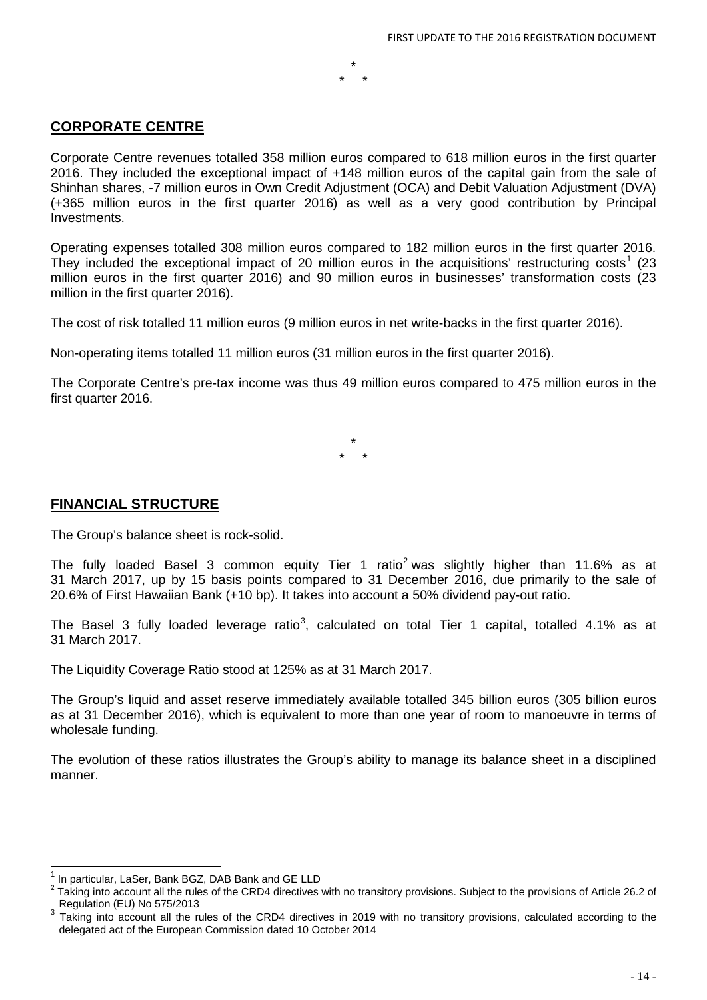### **CORPORATE CENTRE**

Corporate Centre revenues totalled 358 million euros compared to 618 million euros in the first quarter 2016. They included the exceptional impact of +148 million euros of the capital gain from the sale of Shinhan shares, -7 million euros in Own Credit Adjustment (OCA) and Debit Valuation Adjustment (DVA) (+365 million euros in the first quarter 2016) as well as a very good contribution by Principal Investments.

\* \* \*

Operating expenses totalled 308 million euros compared to 182 million euros in the first quarter 2016. They included the exceptional impact of 20 million euros in the acquisitions' restructuring costs<sup>[1](#page-12-0)</sup> (23 million euros in the first quarter 2016) and 90 million euros in businesses' transformation costs (23 million in the first quarter 2016).

The cost of risk totalled 11 million euros (9 million euros in net write-backs in the first quarter 2016).

Non-operating items totalled 11 million euros (31 million euros in the first quarter 2016).

The Corporate Centre's pre-tax income was thus 49 million euros compared to 475 million euros in the first quarter 2016.

> \* \* \*

### **FINANCIAL STRUCTURE**

The Group's balance sheet is rock-solid.

The fully loaded Basel 3 common equity Tier 1 ratio<sup>[2](#page-13-0)</sup> was slightly higher than 11.6% as at 31 March 2017, up by 15 basis points compared to 31 December 2016, due primarily to the sale of 20.6% of First Hawaiian Bank (+10 bp). It takes into account a 50% dividend pay-out ratio.

The Basel [3](#page-13-1) fully loaded leverage ratio<sup>3</sup>, calculated on total Tier 1 capital, totalled 4.1% as at 31 March 2017.

The Liquidity Coverage Ratio stood at 125% as at 31 March 2017.

The Group's liquid and asset reserve immediately available totalled 345 billion euros (305 billion euros as at 31 December 2016), which is equivalent to more than one year of room to manoeuvre in terms of wholesale funding.

The evolution of these ratios illustrates the Group's ability to manage its balance sheet in a disciplined manner.

<span id="page-13-0"></span>

<sup>&</sup>lt;sup>1</sup> In particular, LaSer, Bank BGZ, DAB Bank and GE LLD<br><sup>2</sup> Taking into account all the rules of the CRD4 directives with no transitory provisions. Subject to the provisions of Article 26.2 of<br>Regulation (EU) No 575/2013

<span id="page-13-1"></span>Taking into account all the rules of the CRD4 directives in 2019 with no transitory provisions, calculated according to the delegated act of the European Commission dated 10 October 2014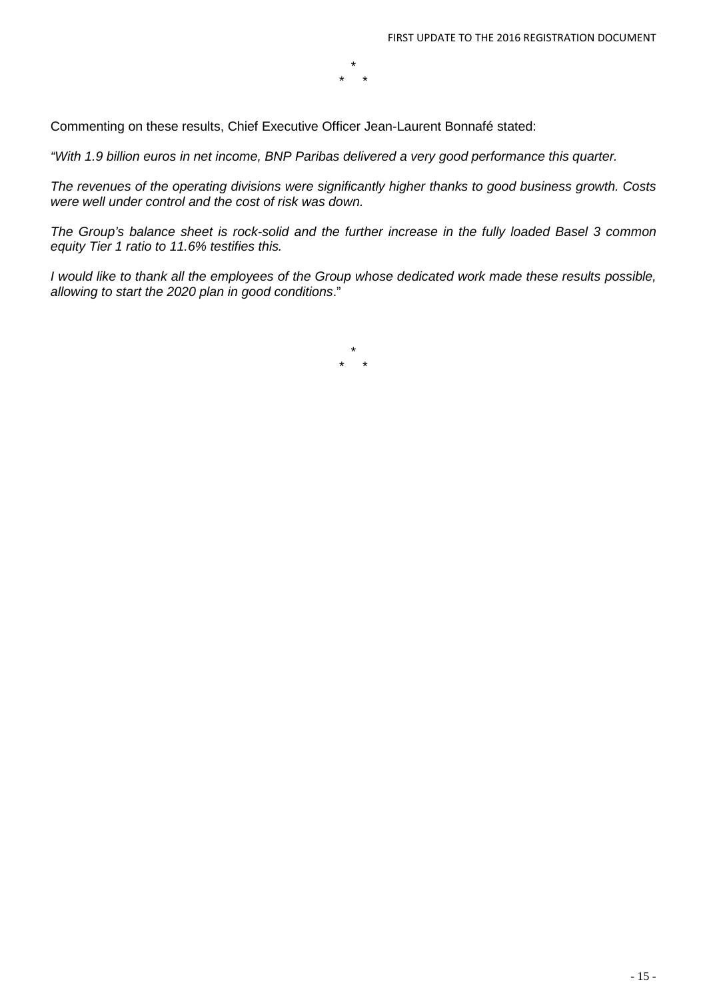\* \* \*

Commenting on these results, Chief Executive Officer Jean-Laurent Bonnafé stated:

*"With 1.9 billion euros in net income, BNP Paribas delivered a very good performance this quarter.*

*The revenues of the operating divisions were significantly higher thanks to good business growth. Costs were well under control and the cost of risk was down.*

*The Group's balance sheet is rock-solid and the further increase in the fully loaded Basel 3 common equity Tier 1 ratio to 11.6% testifies this.*

*I* would like to thank all the employees of the Group whose dedicated work made these results possible, *allowing to start the 2020 plan in good conditions*."

> \* \* \*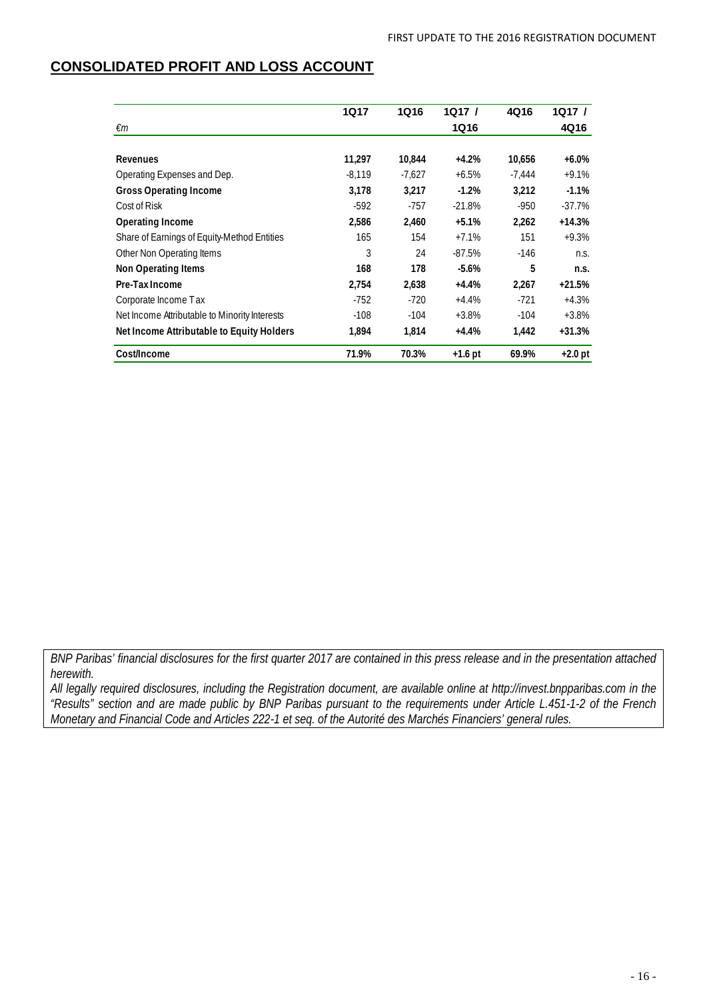### **CONSOLIDATED PROFIT AND LOSS ACCOUNT**

|                                               | 1Q17     | <b>1Q16</b> | 1Q17/       | 4Q16     | 1Q17/     |
|-----------------------------------------------|----------|-------------|-------------|----------|-----------|
| €m                                            |          |             | <b>1Q16</b> |          | 4Q16      |
|                                               |          |             |             |          |           |
| Revenues                                      | 11,297   | 10,844      | $+4.2%$     | 10,656   | $+6.0\%$  |
| Operating Expenses and Dep.                   | $-8.119$ | $-7,627$    | $+6.5%$     | $-7.444$ | $+9.1%$   |
| <b>Gross Operating Income</b>                 | 3,178    | 3,217       | $-1.2%$     | 3,212    | $-1.1%$   |
| Cost of Risk                                  | $-592$   | $-757$      | $-21.8%$    | $-950$   | $-37.7%$  |
| Operating Income                              | 2,586    | 2,460       | $+5.1%$     | 2,262    | $+14.3%$  |
| Share of Earnings of Equity-Method Entities   | 165      | 154         | $+7.1%$     | 151      | $+9.3%$   |
| Other Non Operating Items                     | 3        | 24          | $-87.5%$    | $-146$   | n.S.      |
| <b>Non Operating Items</b>                    | 168      | 178         | $-5.6\%$    | 5        | n.S.      |
| Pre-Tax Income                                | 2.754    | 2,638       | $+4.4%$     | 2,267    | $+21.5%$  |
| Corporate Income Tax                          | -752     | $-720$      | $+4.4%$     | $-721$   | $+4.3%$   |
| Net Income Attributable to Minority Interests | $-108$   | $-104$      | $+3.8%$     | $-104$   | $+3.8%$   |
| Net Income Attributable to Equity Holders     | 1,894    | 1,814       | $+4.4%$     | 1,442    | $+31.3%$  |
| Cost/Income                                   | 71.9%    | 70.3%       | $+1.6$ pt   | 69.9%    | $+2.0$ pt |

*BNP Paribas' financial disclosures for the first quarter 2017 are contained in this press release and in the presentation attached herewith.*

*All legally required disclosures, including the Registration document, are available online at http://invest.bnpparibas.com in the "Results" section and are made public by BNP Paribas pursuant to the requirements under Article L.451-1-2 of the French Monetary and Financial Code and Articles 222-1 et seq. of the Autorité des Marchés Financiers' general rules.*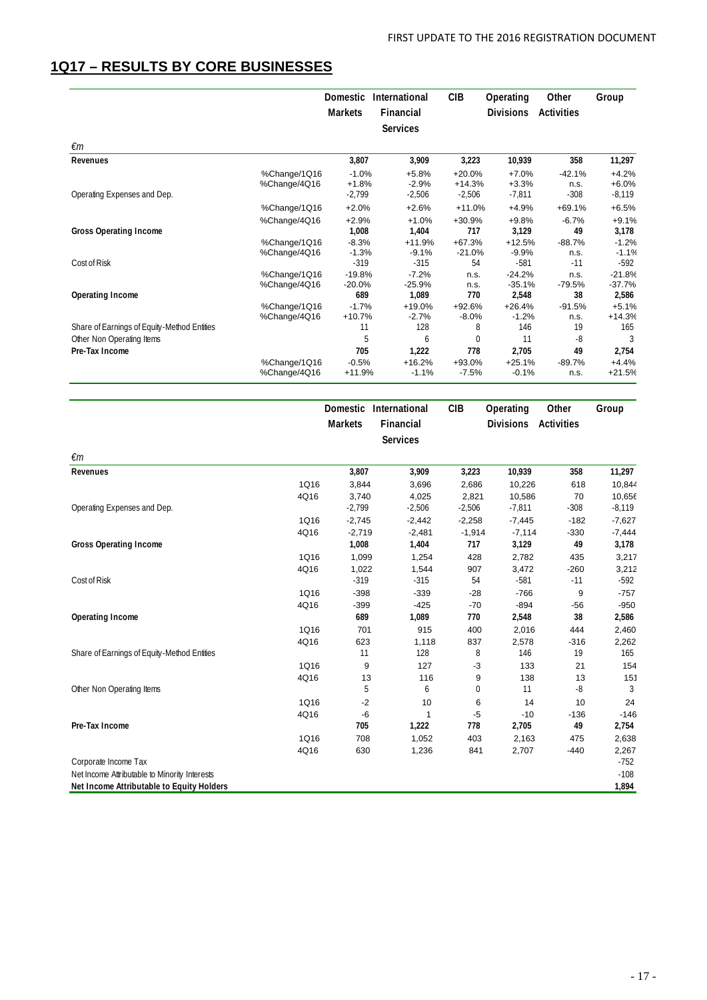### **1Q17 – RESULTS BY CORE BUSINESSES**

|                                             |                              | <b>Domestic</b>              | International                 | <b>CIB</b>                 | Operating                     | Other                     | Group                         |
|---------------------------------------------|------------------------------|------------------------------|-------------------------------|----------------------------|-------------------------------|---------------------------|-------------------------------|
|                                             |                              | <b>Markets</b>               | Financial                     |                            | <b>Divisions</b>              | <b>Activities</b>         |                               |
|                                             |                              |                              | <b>Services</b>               |                            |                               |                           |                               |
| €m                                          |                              |                              |                               |                            |                               |                           |                               |
| Revenues                                    |                              | 3,807                        | 3,909                         | 3,223                      | 10,939                        | 358                       | 11,297                        |
|                                             | %Change/1Q16<br>%Change/4Q16 | $-1.0%$<br>$+1.8%$           | $+5.8%$<br>$-2.9%$            | $+20.0%$<br>$+14.3%$       | $+7.0%$<br>$+3.3%$            | $-42.1%$<br>n.s.          | $+4.2%$<br>$+6.0%$            |
| Operating Expenses and Dep.                 |                              | $-2,799$                     | $-2,506$                      | $-2,506$                   | $-7,811$                      | $-308$                    | $-8,119$                      |
| <b>Gross Operating Income</b>               | %Change/1Q16<br>%Change/4Q16 | $+2.0%$<br>$+2.9%$<br>1,008  | $+2.6%$<br>$+1.0%$<br>1,404   | $+11.0%$<br>+30.9%<br>717  | $+4.9%$<br>$+9.8%$<br>3,129   | $+69.1%$<br>$-6.7%$<br>49 | $+6.5%$<br>$+9.1%$<br>3,178   |
| Cost of Risk                                | %Change/1Q16<br>%Change/4Q16 | $-8.3%$<br>$-1.3%$<br>$-319$ | $+11.9%$<br>$-9.1%$<br>$-315$ | $+67.3%$<br>$-21.0%$<br>54 | $+12.5%$<br>$-9.9%$<br>$-581$ | $-88.7%$<br>n.s.<br>$-11$ | $-1.2%$<br>$-1.1%$<br>$-592$  |
| Operating Income                            | %Change/1Q16<br>%Change/4Q16 | $-19.8%$<br>$-20.0%$<br>689  | $-7.2%$<br>$-25.9%$<br>1.089  | n.s.<br>n.s.<br>770        | $-24.2%$<br>$-35.1%$<br>2,548 | n.s.<br>$-79.5%$<br>38    | $-21.8%$<br>$-37.7%$<br>2,586 |
|                                             | %Change/1Q16<br>%Change/4Q16 | $-1.7%$<br>$+10.7%$          | $+19.0%$<br>$-2.7%$           | $+92.6%$<br>$-8.0%$        | $+26.4%$<br>$-1.2%$           | $-91.5%$<br>n.s.          | $+5.1%$<br>$+14.3%$           |
| Share of Earnings of Equity-Method Entities |                              | 11                           | 128                           | 8                          | 146                           | 19                        | 165                           |
| Other Non Operating Items<br>Pre-Tax Income |                              | 5<br>705                     | 6<br>1,222                    | $\Omega$<br>778            | 11<br>2.705                   | -8<br>49                  | 3<br>2,754                    |
|                                             | %Change/1Q16<br>%Change/4Q16 | $-0.5%$<br>$+11.9%$          | $+16.2%$<br>$-1.1%$           | +93.0%<br>$-7.5%$          | $+25.1%$<br>$-0.1%$           | $-89.7%$<br>n.s.          | $+4.4%$<br>$+21.5%$           |
|                                             |                              | Domestic                     | International                 | <b>CIB</b>                 | Operating                     | Other                     | Group                         |
|                                             |                              | <b>Markets</b>               | Financial                     |                            | <b>Divisions</b>              | <b>Activities</b>         |                               |

|                                               |             |          | <b>Services</b> |              |          |        |          |
|-----------------------------------------------|-------------|----------|-----------------|--------------|----------|--------|----------|
| $\epsilon$ m                                  |             |          |                 |              |          |        |          |
| Revenues                                      |             | 3,807    | 3,909           | 3,223        | 10,939   | 358    | 11,297   |
|                                               | 1Q16        | 3,844    | 3,696           | 2,686        | 10,226   | 618    | 10,844   |
|                                               | 4Q16        | 3,740    | 4,025           | 2,821        | 10,586   | 70     | 10,656   |
| Operating Expenses and Dep.                   |             | $-2,799$ | $-2,506$        | $-2,506$     | $-7,811$ | $-308$ | $-8,119$ |
|                                               | 1Q16        | $-2,745$ | $-2,442$        | $-2,258$     | $-7,445$ | $-182$ | $-7,627$ |
|                                               | 4Q16        | $-2,719$ | $-2,481$        | $-1,914$     | $-7,114$ | $-330$ | $-7,444$ |
| <b>Gross Operating Income</b>                 |             | 1,008    | 1,404           | 717          | 3,129    | 49     | 3,178    |
|                                               | 1Q16        | 1,099    | 1,254           | 428          | 2,782    | 435    | 3,217    |
|                                               | 4Q16        | 1,022    | 1,544           | 907          | 3,472    | $-260$ | 3,212    |
| Cost of Risk                                  |             | $-319$   | $-315$          | 54           | $-581$   | $-11$  | $-592$   |
|                                               | 1Q16        | $-398$   | $-339$          | $-28$        | $-766$   | 9      | $-757$   |
|                                               | 4Q16        | $-399$   | $-425$          | $-70$        | $-894$   | $-56$  | $-950$   |
| Operating Income                              |             | 689      | 1,089           | 770          | 2,548    | 38     | 2,586    |
|                                               | 1Q16        | 701      | 915             | 400          | 2,016    | 444    | 2,460    |
|                                               | 4Q16        | 623      | 1,118           | 837          | 2,578    | $-316$ | 2,262    |
| Share of Earnings of Equity-Method Entities   |             | 11       | 128             | 8            | 146      | 19     | 165      |
|                                               | 1Q16        | 9        | 127             | $-3$         | 133      | 21     | 154      |
|                                               | 4Q16        | 13       | 116             | 9            | 138      | 13     | 151      |
| Other Non Operating Items                     |             | 5        | 6               | $\mathbf{0}$ | 11       | -8     | 3        |
|                                               | 1Q16        | $-2$     | 10              | 6            | 14       | 10     | 24       |
|                                               | 4Q16        | $-6$     | $\mathbf{1}$    | $-5$         | $-10$    | $-136$ | $-146$   |
| Pre-Tax Income                                |             | 705      | 1,222           | 778          | 2,705    | 49     | 2,754    |
|                                               | <b>1Q16</b> | 708      | 1,052           | 403          | 2,163    | 475    | 2,638    |
|                                               | 4Q16        | 630      | 1,236           | 841          | 2,707    | $-440$ | 2,267    |
| Corporate Income Tax                          |             |          |                 |              |          |        | $-752$   |
| Net Income Attributable to Minority Interests |             |          |                 |              |          |        | $-108$   |
| Net Income Attributable to Equity Holders     |             |          |                 |              |          |        | 1,894    |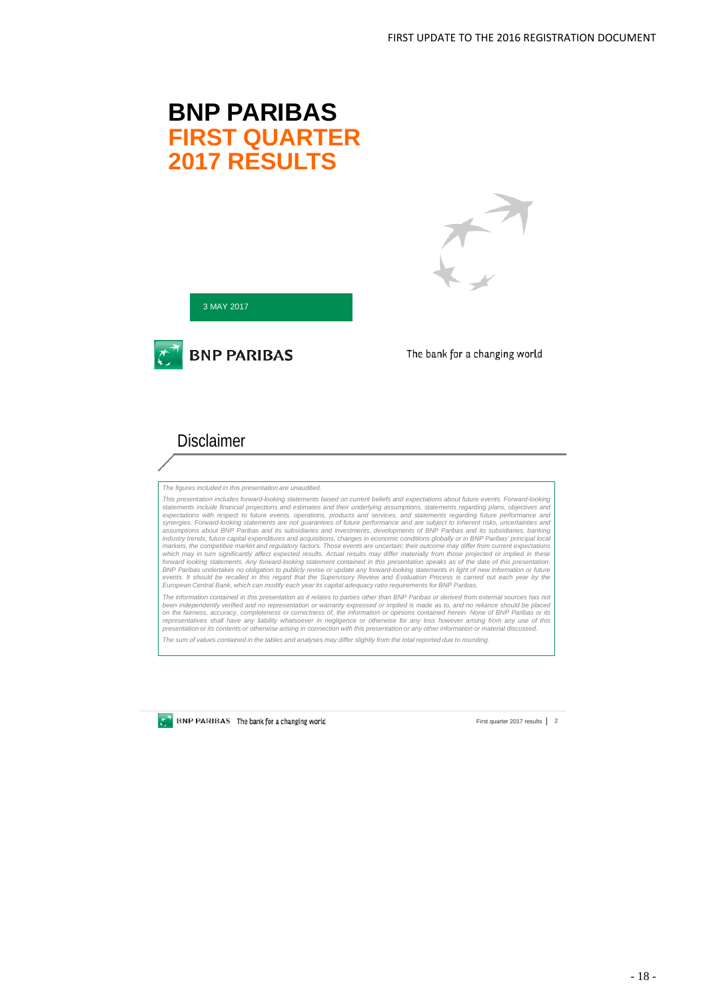# **BNP PARIBAS FIRST QUARTER 2017 RESULTS**



3 MAY 2017



The bank for a changing world

# **Disclaimer**

*The figures included in this presentation are unaudited.*

This presentation includes forward-looking statements based on current beliefs and expectations about future events, statements include financial projections and estimates and their underlying assumptions, statements regar forward looking statements. Any forward-looking statement contained in this presentation speaks as of the date of this presentation.<br>BNP Paribas undertakes no obligation to publicly revise or update any forward-looking sta *European Central Bank, which can modify each year its capital adequacy ratio requirements for BNP Paribas.*

The information contained in this presentation as it relates to parties other than BNP Paribas or derived from external sources has not been independently verified and no representation or warranty expressed or implied is made as to, and no reliance should be placec<br>on the fairness, accuracy, completeness or correctness of, the information or opinions cont

*The sum of values contained in the tables and analyses may differ slightly from the total reported due to rounding.*

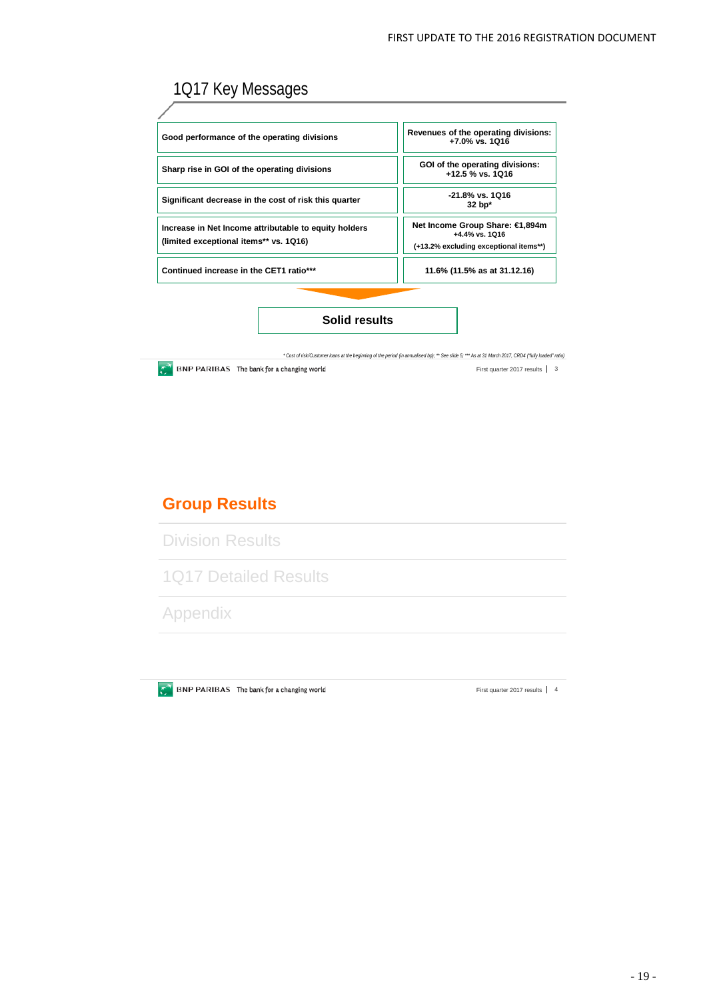# 1Q17 Key Messages

| Good performance of the operating divisions                                                     | Revenues of the operating divisions:<br>+7.0% vs. 1Q16                                         |
|-------------------------------------------------------------------------------------------------|------------------------------------------------------------------------------------------------|
| Sharp rise in GOI of the operating divisions                                                    | GOI of the operating divisions:<br>+12.5 % vs. 1Q16                                            |
| Significant decrease in the cost of risk this quarter                                           | -21.8% vs. 1Q16<br>$32$ bp <sup>*</sup>                                                        |
| Increase in Net Income attributable to equity holders<br>(limited exceptional items** vs. 1Q16) | Net Income Group Share: €1,894m<br>$+4.4\%$ vs. 1016<br>(+13.2% excluding exceptional items**) |
| Continued increase in the CET1 ratio***                                                         | 11.6% (11.5% as at 31.12.16)                                                                   |
|                                                                                                 |                                                                                                |
| Solid results                                                                                   |                                                                                                |

*\* Cost of risk/Customer loans at the beginning of the period (in annualised bp); \*\* See slide 5; \*\*\* As at 31 March 2017, CRD4 ("fully loaded" ratio)*  $\overline{C}^{\mathcal{N}}$  BNP PARIBAS The bank for a changing world First quarter 2017 results | 3

# **Group Results**

Division Results

1Q17 Detailed Results

Appendix

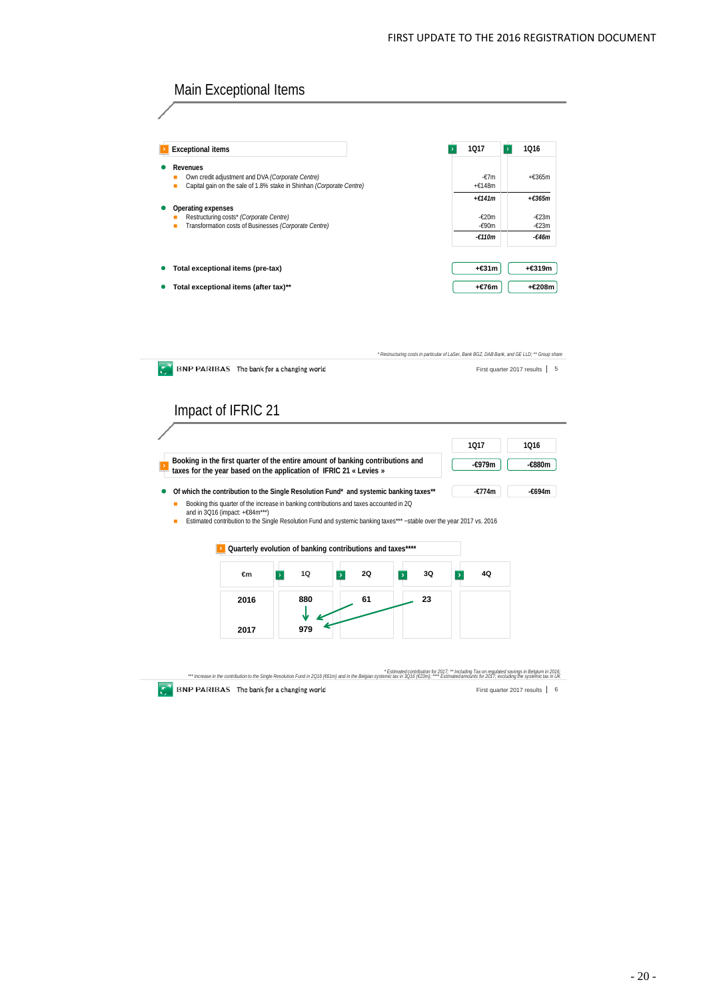

Estimated contribution for 2017; " Inchuding Tax on regulated savings in Belgium in 2016; " Increase in the contribution for 2017; " Including Tax on regulated savings in Belgium in 2016<br>Increase in the contribution for Si **BNP PARIBAS** The bank for a changing world First quarter 2017 results | 6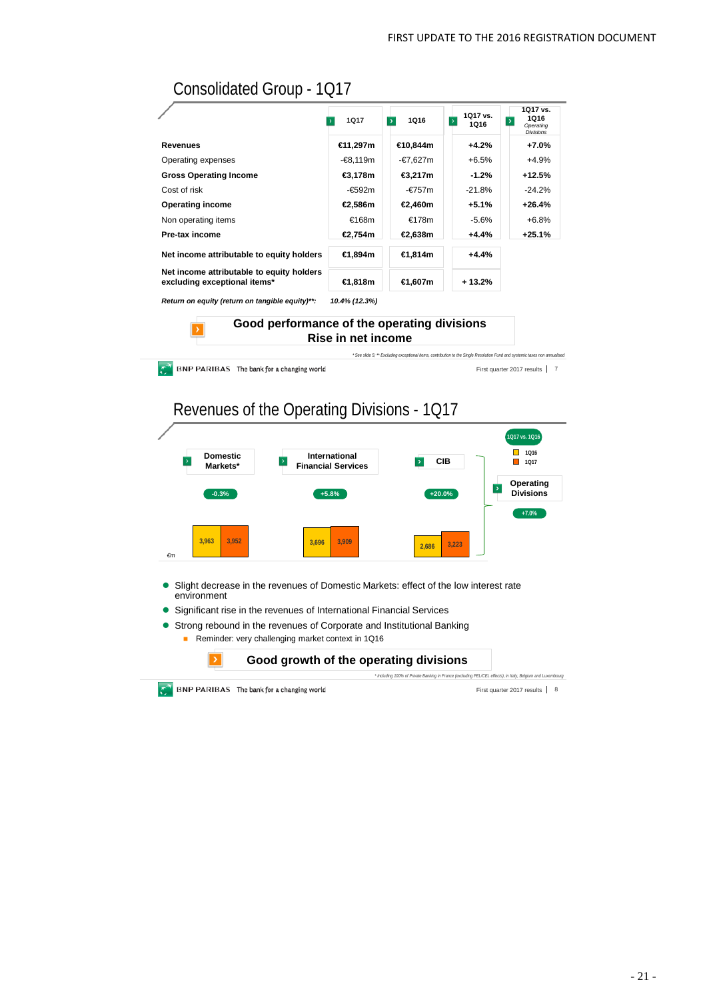# Consolidated Group - 1Q17

|                                                                           | 1017           | 1Q16<br>$\rightarrow$ | 1017 vs.<br>$\overline{\phantom{a}}$<br>1016 | 1Q17 vs.<br>1Q16<br>$\overline{\phantom{a}}$<br>Operating<br><b>Divisions</b> |
|---------------------------------------------------------------------------|----------------|-----------------------|----------------------------------------------|-------------------------------------------------------------------------------|
| <b>Revenues</b>                                                           | €11,297m       | €10.844m              | $+4.2%$                                      | +7.0%                                                                         |
| Operating expenses                                                        | -€8.119m       | -€7,627m              | $+6.5%$                                      | $+4.9%$                                                                       |
| <b>Gross Operating Income</b>                                             | €3.178m        | €3.217m               | $-1.2%$                                      | $+12.5%$                                                                      |
| Cost of risk                                                              | -€592m         | -€757m                | $-21.8%$                                     | $-24.2%$                                                                      |
| <b>Operating income</b>                                                   | €2,586m        | €2,460m               | +5.1%                                        | $+26.4%$                                                                      |
| Non operating items                                                       | €168m          | €178m                 | $-5.6%$                                      | $+6.8%$                                                                       |
| Pre-tax income                                                            | €2.754m        | €2,638m               | +4.4%                                        | $+25.1%$                                                                      |
| Net income attributable to equity holders                                 | <b>€1.894m</b> | €1,814m               | $+4.4%$                                      |                                                                               |
| Net income attributable to equity holders<br>excluding exceptional items* | €1,818m        | €1,607m               | $+13.2%$                                     |                                                                               |

*Return on equity (return on tangible equity)\*\*: 10.4% (12.3%)*

**BNP PARIBAS** The bank for a changing world

#### **Good performance of the operating divisions Rise in net income**



- 
- Strong rebound in the revenues of Corporate and Institutional Banking
	- Reminder: very challenging market context in 1Q16



 $\mathbb{C}^{\mathbb{C}}$  BNP PARIBAS The bank for a changing world

First quarter 2017 results | 8

First quarter 2017 results 7

*\* See slide 5; \*\* Excluding exceptional items, contribution to the Single Resolution Fund and systemic taxes non annualised*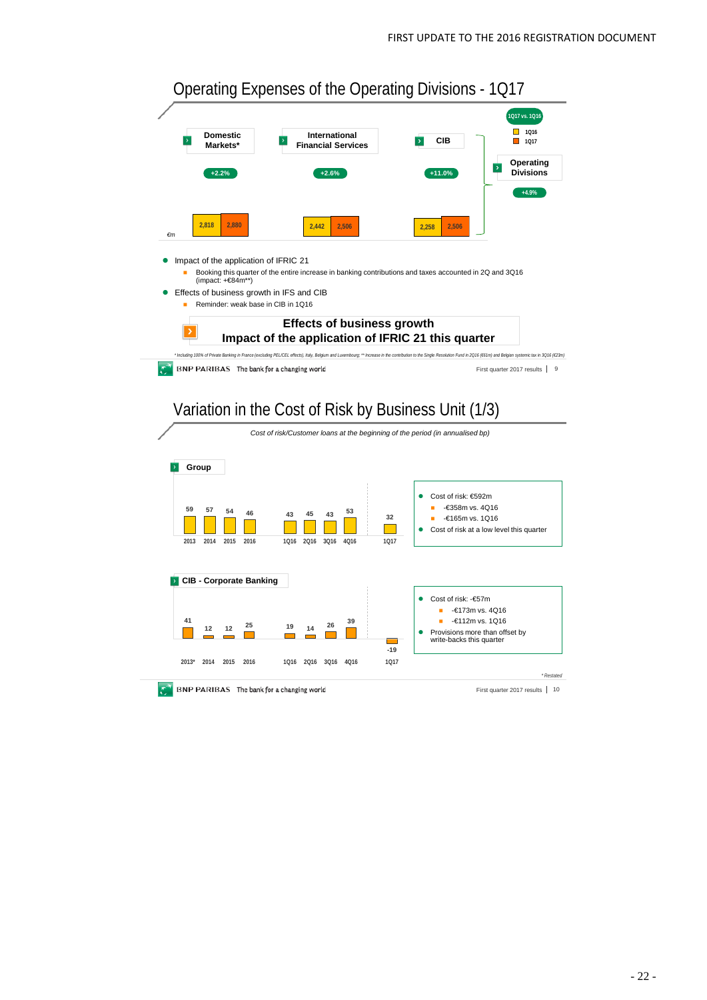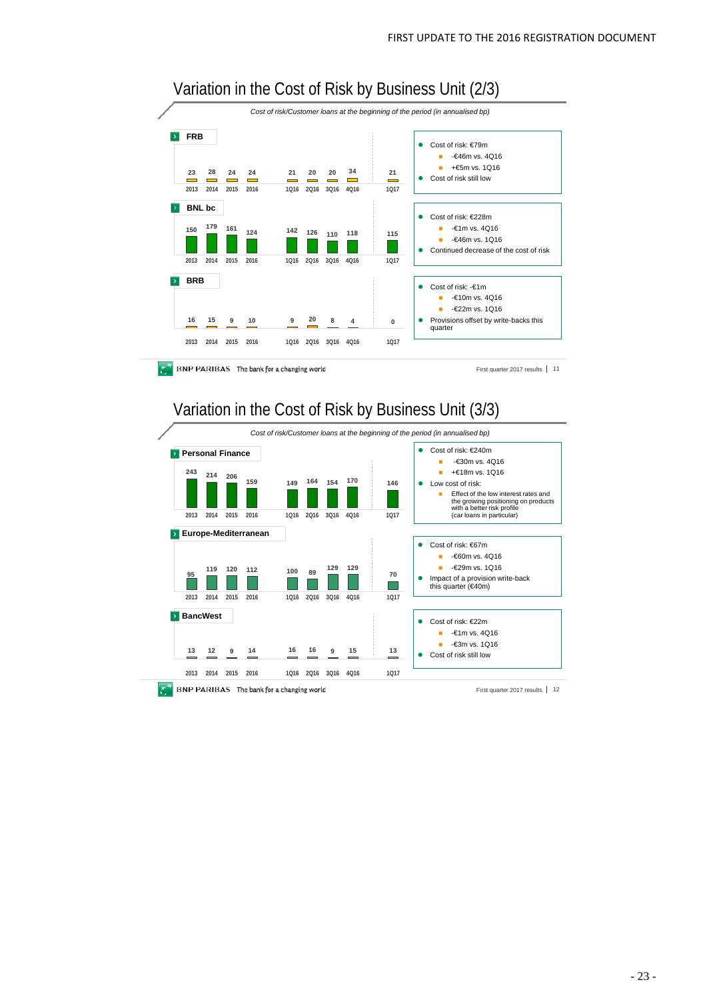

First quarter 2017 results 11



### Variation in the Cost of Risk by Business Unit (3/3)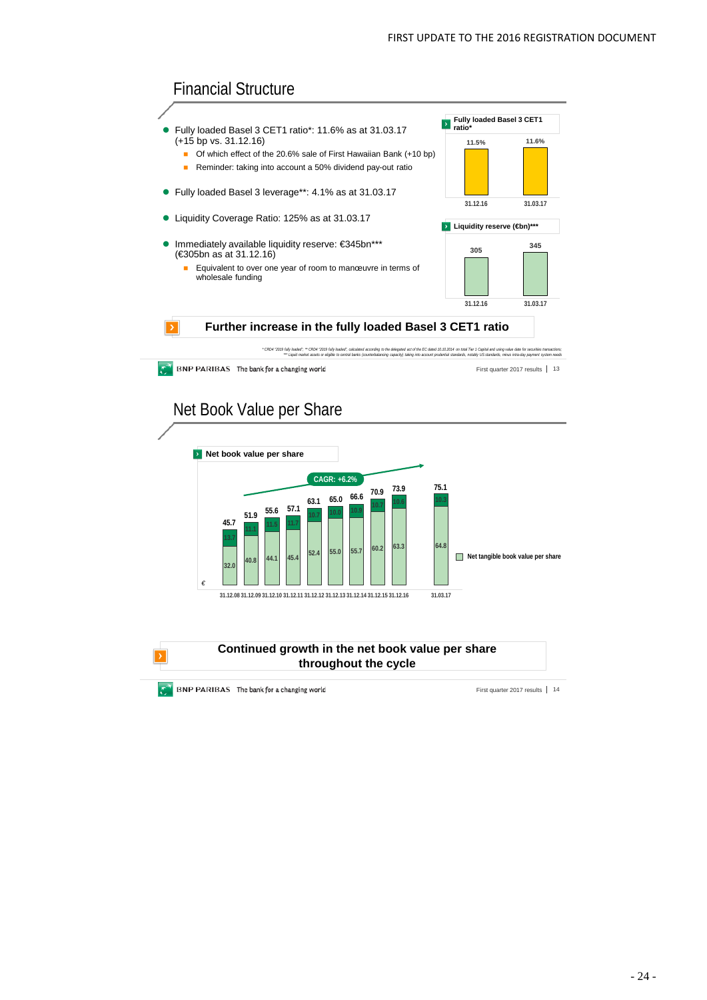





**Continued growth in the net book value per share throughout the cycle**

**BNP PARIBAS** The bank for a changing world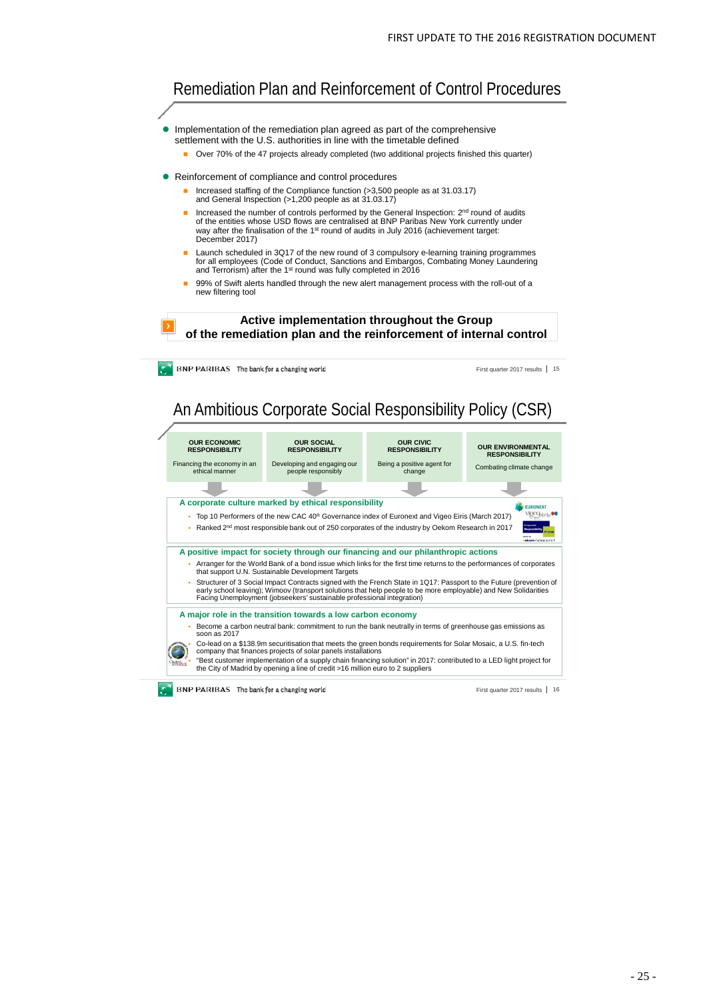# Remediation Plan and Reinforcement of Control Procedures

- Implementation of the remediation plan agreed as part of the comprehensive settlement with the U.S. authorities in line with the timetable defined
	- Over 70% of the 47 projects already completed (two additional projects finished this quarter)
- Reinforcement of compliance and control procedures
	- Increased staffing of the Compliance function (>3,500 people as at 31.03.17) and General Inspection (>1,200 people as at 31.03.17)
	- Increased the number of controls performed by the General Inspection: 2<sup>nd</sup> round of audits of the entities whose USD flows are centralised at BNP Paribas New York currently under way after the finalisation of the 1st round of audits in July 2016 (achievement target: December 2017)
	- Launch scheduled in 3Q17 of the new round of 3 compulsory e-learning training programmes for all employees (Code of Conduct, Sanctions and Embargos, Combating Money Laundering<br>and Terrorism) after the 1<sup>st</sup> round was fully completed in 2016
	- 99% of Swift alerts handled through the new alert management process with the roll-out of a new filtering tool

**Active implementation throughout the Group of the remediation plan and the reinforcement of internal control**

**BNP PARIBAS** The bank for a changing world

First quarter 2017 results 15

# An Ambitious Corporate Social Responsibility Policy (CSR)

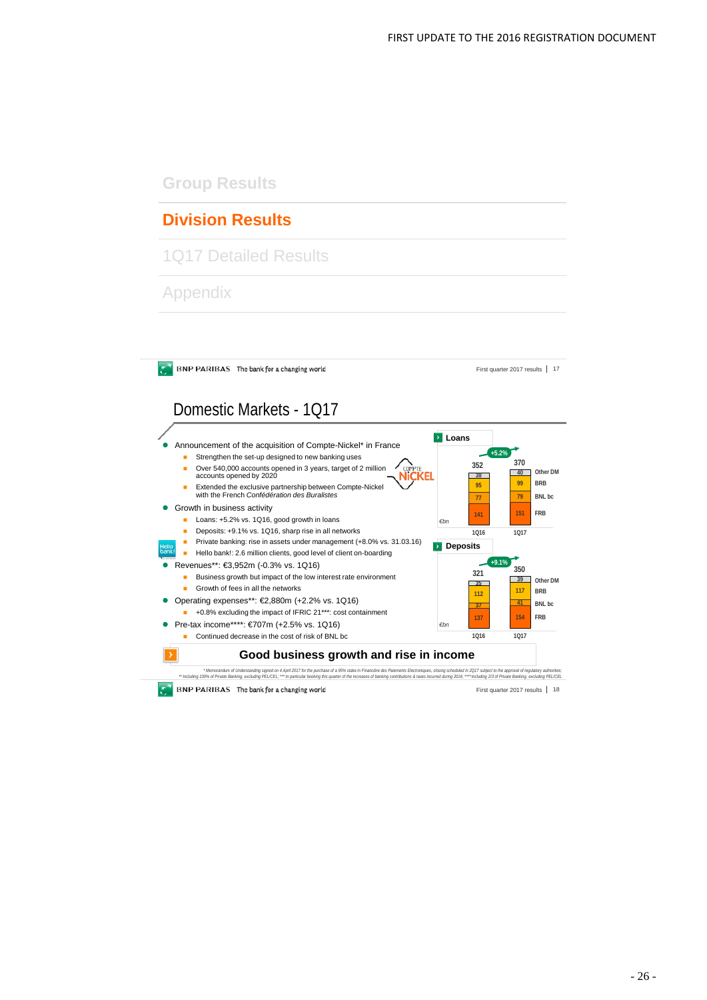## **Group Results**

# **Division Results**

1Q17 Detailed Results

Appendix

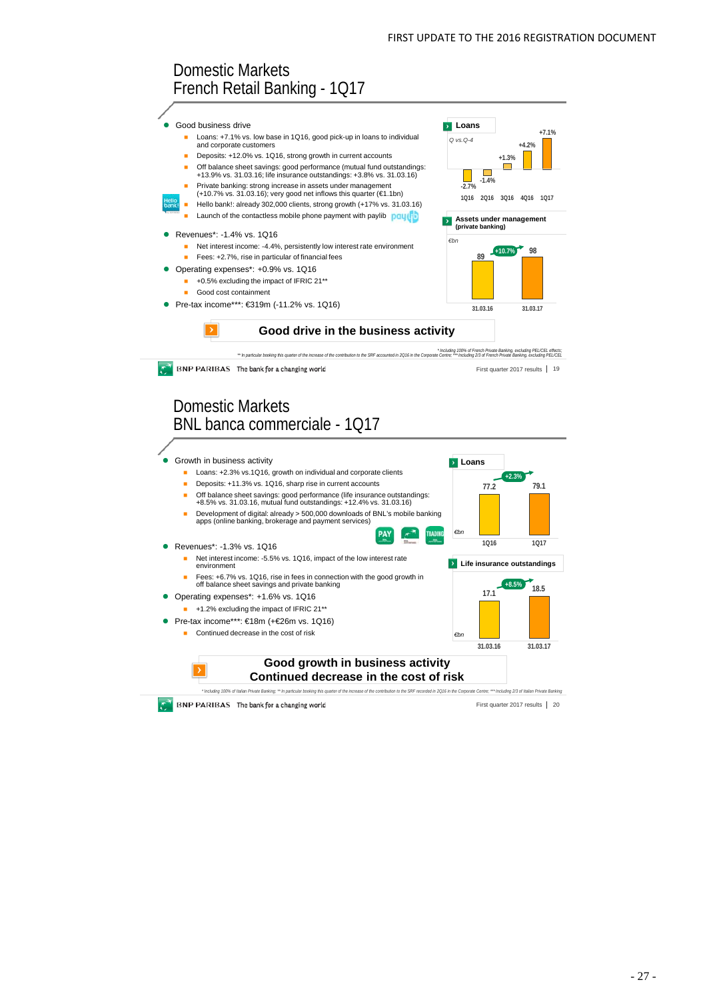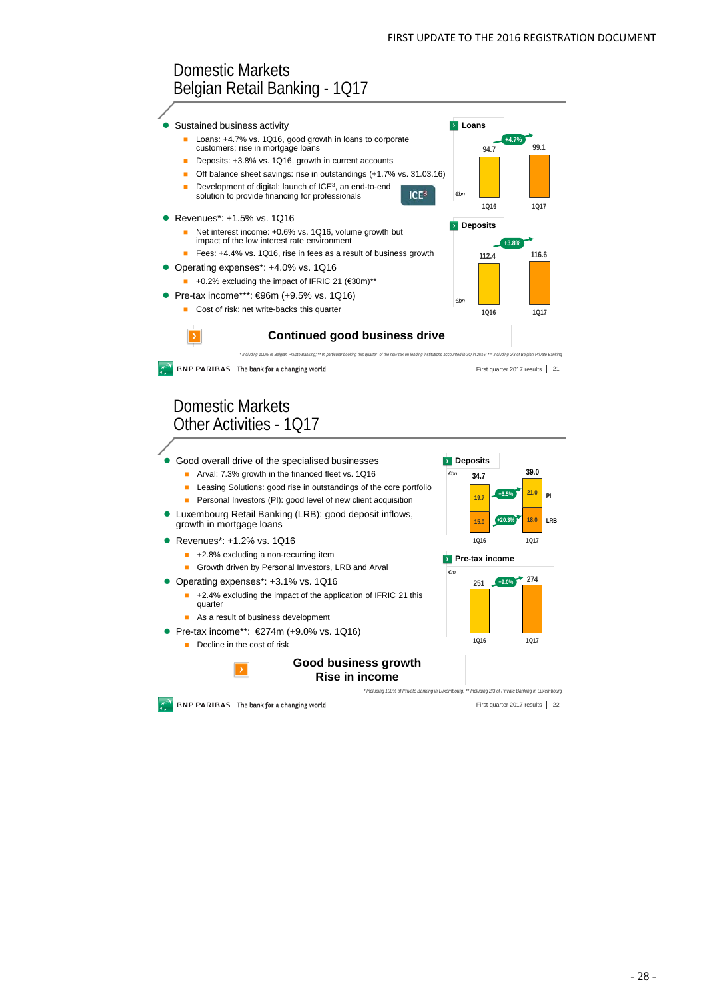**112.4 116.6**

**+3.8%**

**1Q16 1Q17**

*€bn*

 $ICF<sup>3</sup>$ 

*€bn*

**Pre-tax income**

**15.0 18.0**

**Deposits** *€bn*

**<sup>251</sup> <sup>274</sup>**

**+9.0%**

**19.7 21.0**

**34.7 39.0 +6.5%**

**1Q16 1Q17**

**+20.3%**

**LRB**

**PI**

**1Q16 1Q17**

*€m*

**Deposits** 

**Loans** 

**94.7 99.1**

**+4.7%**

**1Q16 1Q17**

# Domestic Markets Belgian Retail Banking - 1Q17



- Loans: +4.7% vs. 1Q16, good growth in loans to corporate customers; rise in mortgage loans
- Deposits: +3.8% vs. 1Q16, growth in current accounts
- Off balance sheet savings: rise in outstandings (+1.7% vs. 31.03.16)
- Development of digital: launch of ICE3, an end-to-end solution to provide financing for professionals
- **Revenues\*: +1.5% vs. 1Q16** 
	- Net interest income: +0.6% vs. 1Q16, volume growth but impact of the low interest rate environment
	- Fees: +4.4% vs. 1Q16, rise in fees as a result of business growth
- Operating expenses\*: +4.0% vs. 1Q16
- $\blacksquare$  +0.2% excluding the impact of IFRIC 21 ( $\epsilon$ 30m)\*\* Pre-tax income\*\*\*: €96m (+9.5% vs. 1Q16)
	- Cost of risk: net write-backs this quarter



\* Including 100% of Belgian Private Banking: \*\* In particular booking this quarter of the new tax on lending institutions accounted in 3Q in 2016; \*\*\* Including 2/3 of Belgian Private Banking **BNP PARIBAS** The bank for a changing world First quarter 2017 results 21

### Domestic Markets Other Activities - 1Q17



- **Arval: 7.3% growth in the financed fleet vs. 1Q16**
- **Leasing Solutions: good rise in outstandings of the core portfolio**
- **Personal Investors (PI): good level of new client acquisition** Luxembourg Retail Banking (LRB): good deposit inflows,
- growth in mortgage loans
- Revenues\*: +1.2% vs. 1Q16
	- +2.8% excluding a non-recurring item
	- Growth driven by Personal Investors, LRB and Arval
- Operating expenses\*: +3.1% vs. 1Q16
	- +2.4% excluding the impact of the application of IFRIC 21 this quarter
		- As a result of business development
- Pre-tax income\*\*: €274m (+9.0% vs. 1Q16)
	- Decline in the cost of risk

### **Good business growth Rise in income**



BNP PARIBAS The bank for a changing world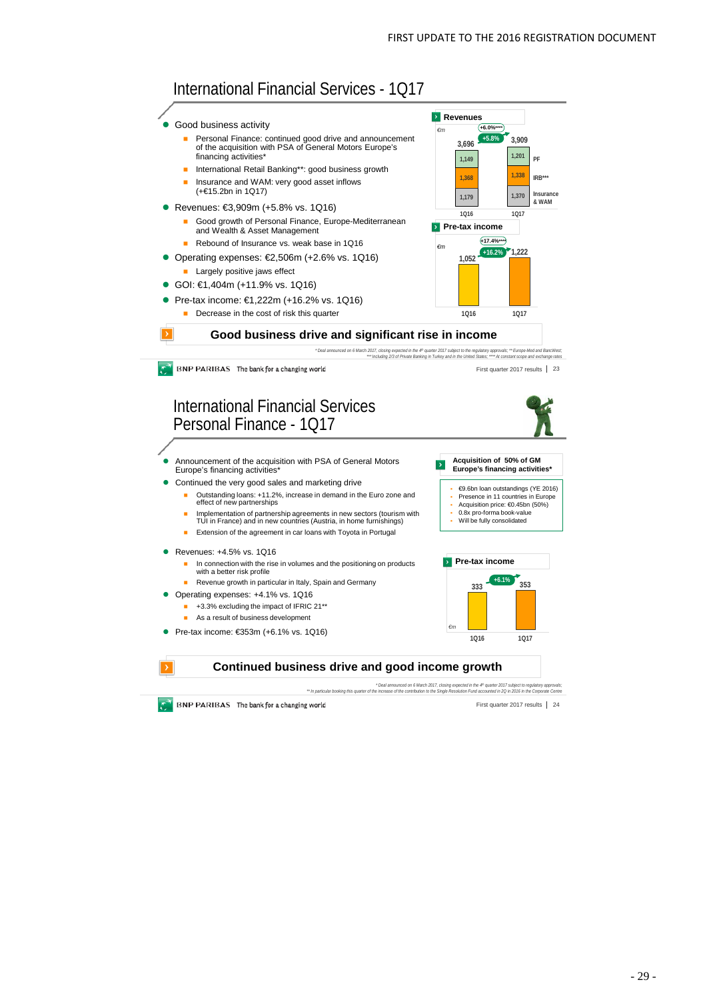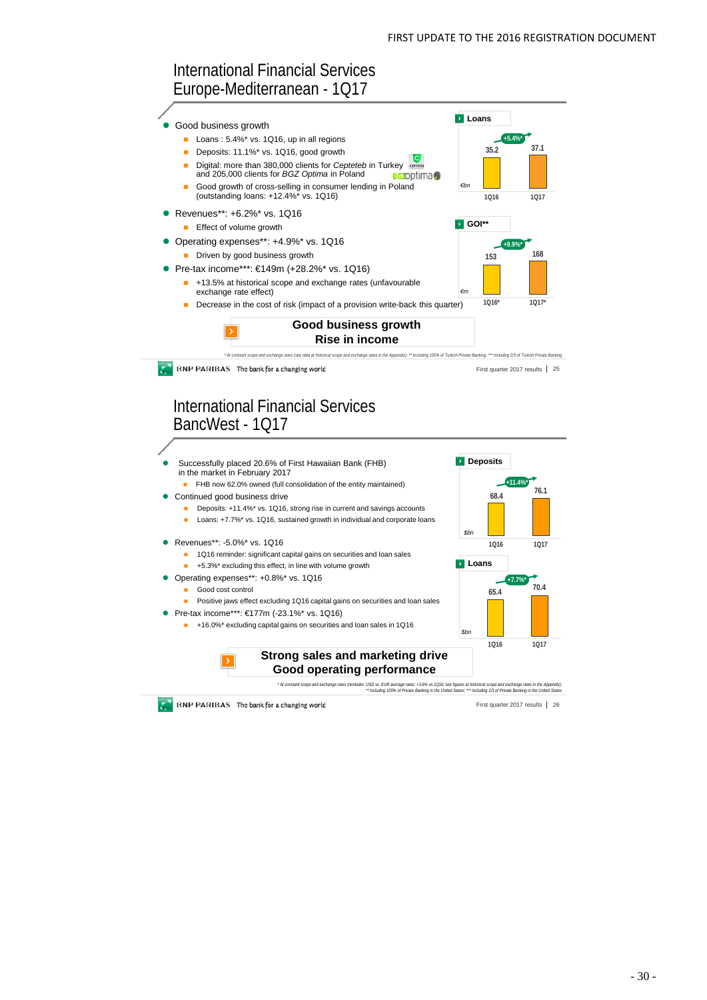### International Financial Services Europe-Mediterranean - 1Q17

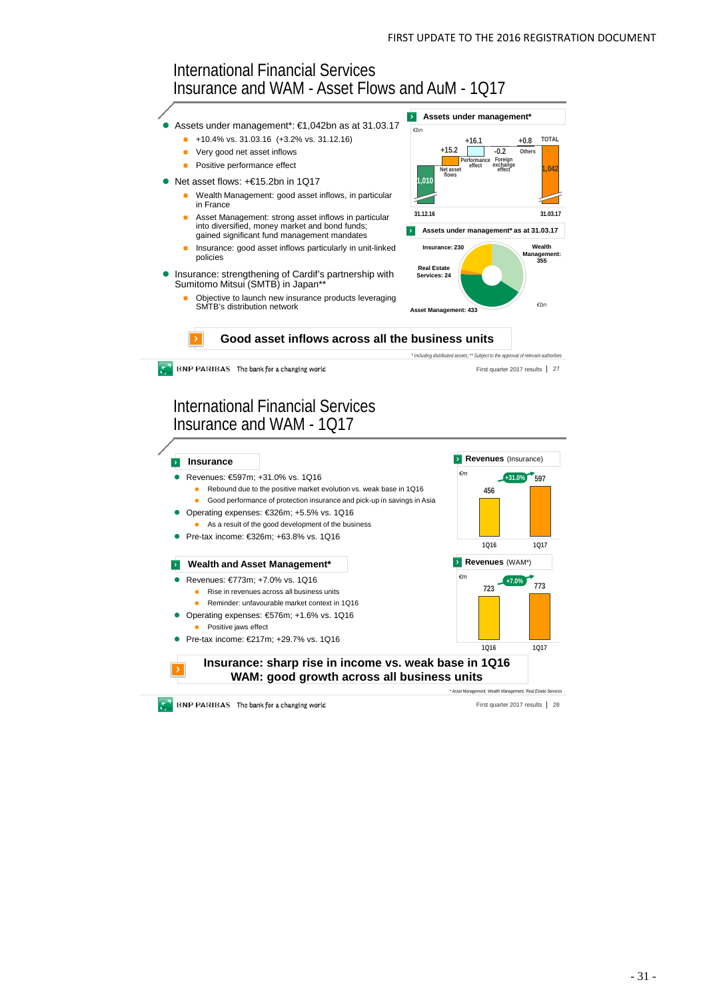

**BNP PARIBAS** The bank for a changing world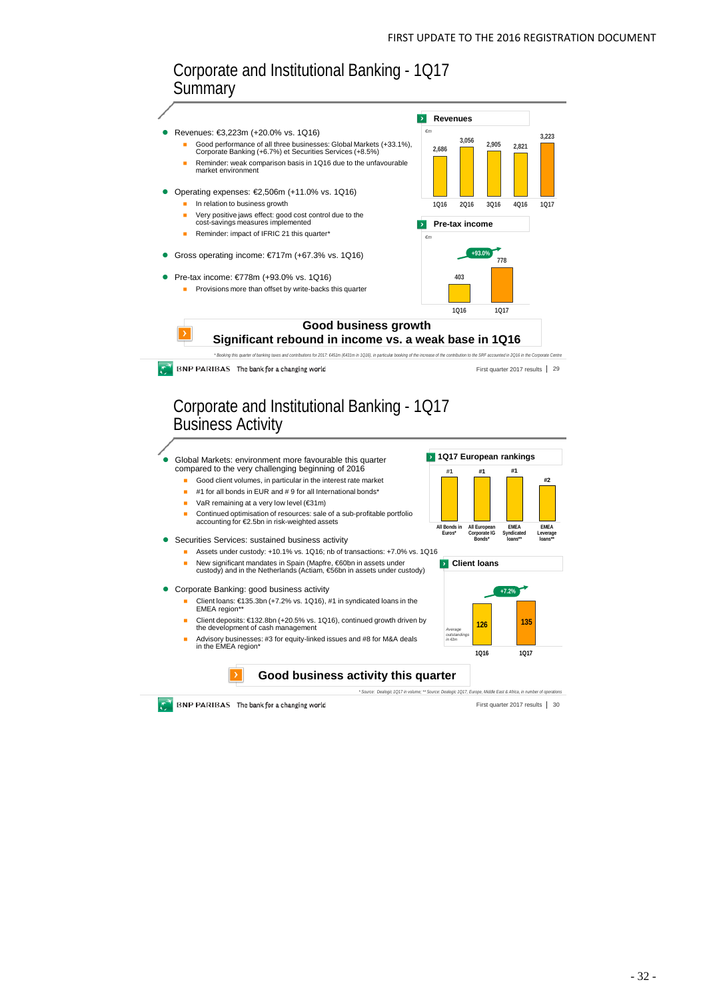

BNP PARIBAS The bank for a changing world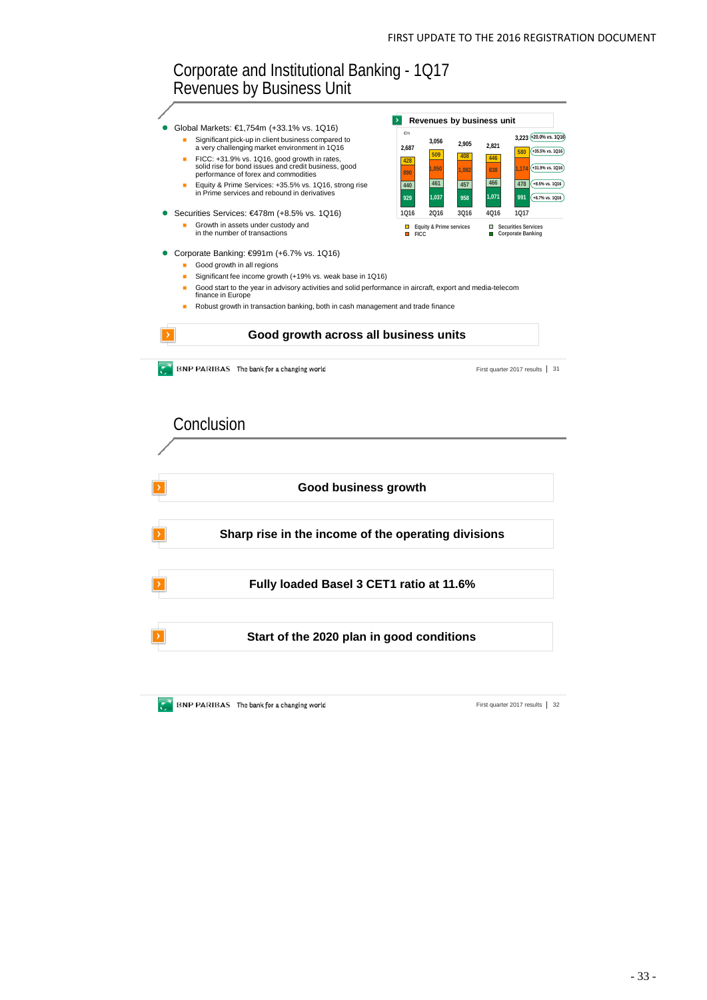### Corporate and Institutional Banking - 1Q17 Revenues by Business Unit **Revenues by business unit**  Global Markets: €1,754m (+33.1% vs. 1Q16) *€m* Significant pick-up in client business compared to **3,056 2,905 2,821 3,223 +20.0% vs. 1Q16** a very challenging market environment in 1Q16 **2,687 +35.5% vs. 1Q16 <sup>428</sup> <sup>509</sup> <sup>408</sup> <sup>446</sup> <sup>580</sup>** ■ FICC: +31.9% vs. 1Q16, good growth in rates,<br>solid rise for bond issues and credit business, good **+31.9% vs. 1Q16 <sup>890</sup> 1,050 1,082 <sup>838</sup> 1,174** performance of forex and commodities **<sup>440</sup> <sup>461</sup> <sup>457</sup> <sup>466</sup> <sup>478</sup> +8.5% vs. 1Q16** ■ Equity & Prime Services: +35.5% vs. 1Q16, strong rise<br>in Prime services and rebound in derivatives 991 (+6.7% vs. 1Q16) **929 1,037 958 1,071 991** Securities Services: €478m (+8.5% vs. 1Q16) **1Q16 2Q16 3Q16 4Q16 1Q17 Equity & Prime services** Growth in assets under custody and in the number of transactions **Figuity & Prime services**<br> **■** Corporate Banking<br>
■ Corporate Banking Corporate Banking: €991m (+6.7% vs. 1Q16) Good growth in all regions Significant fee income growth (+19% vs. weak base in 1Q16) Good start to the year in advisory activities and solid performance in aircraft, export and media-telecom finance in Europe Robust growth in transaction banking, both in cash management and trade finance **Good growth across all business units**  $\mathbb{C}^{\mathbb{Z}}$  BNP PARIBAS The bank for a changing world First quarter 2017 results 31 Conclusion **Good business growth Sharp rise in the income of the operating divisions Fully loaded Basel 3 CET1 ratio at 11.6% Start of the 2020 plan in good conditions**

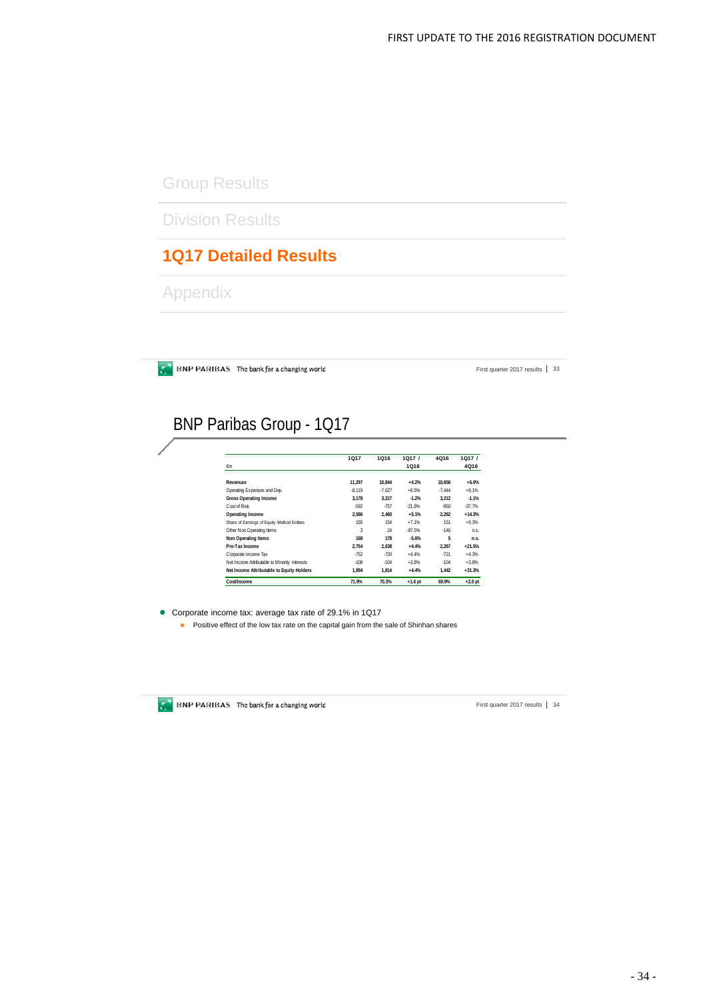# Group Results

Division Results

# **1Q17 Detailed Results**

Appendix

 $\bullet$  BNP PARIBAS The bank for a changing world

First quarter 2017 results | 33

# BNP Paribas Group - 1Q17

|                                               | 1Q17     | 1Q16     | 1Q17/     | 4Q16     | 1Q17/     |
|-----------------------------------------------|----------|----------|-----------|----------|-----------|
| $\epsilon$ m                                  |          |          | 1Q16      |          | 4Q16      |
| <b>Revenues</b>                               | 11.297   | 10.844   | $+4.2%$   | 10.656   | $+6.0%$   |
| Operating Expenses and Dep.                   | $-8.119$ | $-7.627$ | $+6.5%$   | $-7.444$ | $+9.1%$   |
| <b>Gross Operating Income</b>                 | 3.178    | 3.217    | $-1.2%$   | 3.212    | $-1.1%$   |
| Cost of Risk                                  | $-592$   | $-757$   | $-21.8%$  | $-950$   | $-37.7%$  |
| Operating Income                              | 2.586    | 2.460    | $+5.1%$   | 2.262    | $+14.3%$  |
| Share of Earnings of Equity-Method Entities   | 165      | 154      | $+7.1%$   | 151      | $+9.3%$   |
| Other Non Operating Items                     | 3        | 24       | $-87.5%$  | $-146$   | n.s.      |
| Non Operating Items                           | 168      | 178      | $-5.6%$   | 5        | n.s.      |
| Pre-Tax Income                                | 2.754    | 2.638    | $+4.4%$   | 2.267    | $+21.5%$  |
| Corporate Income Tax                          | $-752$   | $-720$   | $+4.4%$   | $-721$   | $+4.3%$   |
| Net Income Attributable to Minority Interests | $-108$   | $-104$   | $+3.8%$   | $-104$   | $+3.8%$   |
| Net Income Attributable to Equity Holders     | 1.894    | 1.814    | $+4.4%$   | 1.442    | $+31.3%$  |
| Cost/Income                                   | 71.9%    | 70.3%    | $+1.6$ pt | 69.9%    | $+2.0$ pt |

Corporate income tax: average tax rate of 29.1% in 1Q17

**Positive effect of the low tax rate on the capital gain from the sale of Shinhan shares** 



 $\mathbb{C}^{\mathbb{N}}$  BNP PARIBAS The bank for a changing world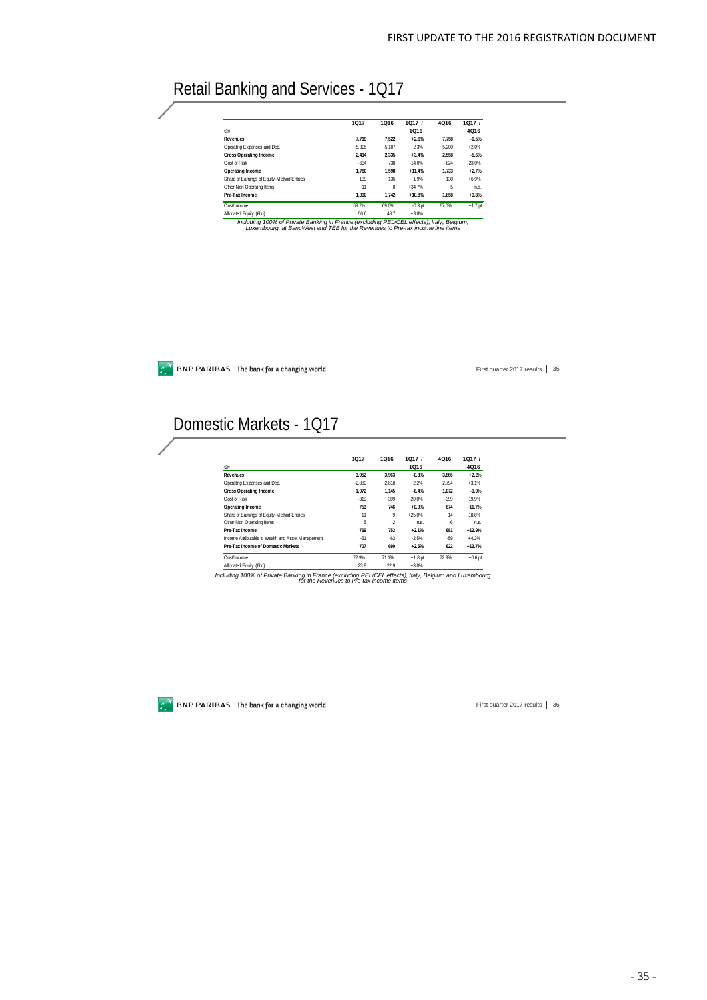# Retail Banking and Services - 1Q17

|                                             | 1Q17     | 1Q16     | 1017/     | 4Q16     | 1Q17/     |
|---------------------------------------------|----------|----------|-----------|----------|-----------|
| $\epsilon$ m                                |          |          | 1Q16      |          | 4Q16      |
| <b>Revenues</b>                             | 7.719    | 7.522    | $+2.6%$   | 7.758    | $-0.5%$   |
| Operating Expenses and Dep.                 | $-5.305$ | $-5.187$ | $+2.3%$   | $-5.200$ | $+2.0%$   |
| Gross Operating Income                      | 2.414    | 2.335    | $+3.4%$   | 2.558    | $-5.6%$   |
| Cost of Risk                                | $-634$   | $-738$   | $-14.0%$  | $-824$   | $-23.0%$  |
| Operating Income                            | 1.780    | 1.598    | $+11.4%$  | 1.733    | $+2.7%$   |
| Share of Earnings of Equity-Method Entities | 139      | 136      | $+1.9%$   | 130      | $+6.9%$   |
| Other Non Operating Items                   | 11       | 8        | $+34.7%$  | -5       | n.s.      |
| Pre-Tax Income                              | 1.930    | 1.742    | $+10.8%$  | 1.858    | $+3.8%$   |
| Cost/Income                                 | 68.7%    | 69.0%    | $-0.3$ pt | 67.0%    | $+1.7$ pt |
| Allocated Earthy (Chn)                      | 50 A     | $AB$ $7$ | $+3.80$   |          |           |

50.6 . 48.7 . 3.8%<br>Including 100% of Private Banking in France (excluding EEL/CEL effects), Italy, Belgium.<br>Luxembourg, at BancWest and TEB for the Revenues to Pre-tax income line items

 $\overline{\mathcal{L}}$  BNP PARIBAS The bank for a changing world

First quarter 2017 results | 35

# Domestic Markets - 1Q17

|                                                    | 1017     | 1Q16     | 1Q17/     | 4Q16     | 1Q17 /    |
|----------------------------------------------------|----------|----------|-----------|----------|-----------|
| $\epsilon$ m                                       |          |          | 1Q16      |          | 4Q16      |
| Revenues                                           | 3.952    | 3.963    | $-0.3%$   | 3.866    | $+2.2%$   |
| Operating Expenses and Dep.                        | $-2.880$ | $-2.818$ | $+2.2%$   | $-2.794$ | $+3.1%$   |
| Gross Operating Income                             | 1.072    | 1.145    | $-6.4%$   | 1.072    | $-0.0%$   |
| Cost of Risk                                       | $-319$   | $-399$   | $-20.0%$  | $-399$   | $-19.9%$  |
| Operating Income                                   | 753      | 746      | $+0.9%$   | 674      | $+11.7%$  |
| Share of Earnings of Equity-Method Entities        | 11       | 9        | $+25.0%$  | 14       | $-18.8%$  |
| Other Non Operating Items                          | 5        | $-2$     | n.s.      | $-6$     | n.s.      |
| Pre-Tax Income                                     | 769      | 753      | $+2.1%$   | 681      | $+12.9%$  |
| Income Attributable to Wealth and Asset Management | $-61$    | $-63$    | $-2.5%$   | $-59$    | $+4.2%$   |
| Pre-Tax Income of Domestic Markets                 | 707      | 690      | $+2.5%$   | 622      | $+13.7%$  |
| Cost/Income                                        | 72.9%    | 71.1%    | $+1.8$ pt | 72.3%    | $+0.6$ pt |
| Allocated Equity (6bn)                             | 23.8     | 22.9     | $+3.8%$   |          |           |

*Including 100% of Private Banking in France (excluding PEL/CEL effects), Italy, Belgium and Luxembourg for the Revenues to Pre-tax income items*



 $\mathbb{C}^{\mathbb{N}}$  BNP PARIBAS The bank for a changing world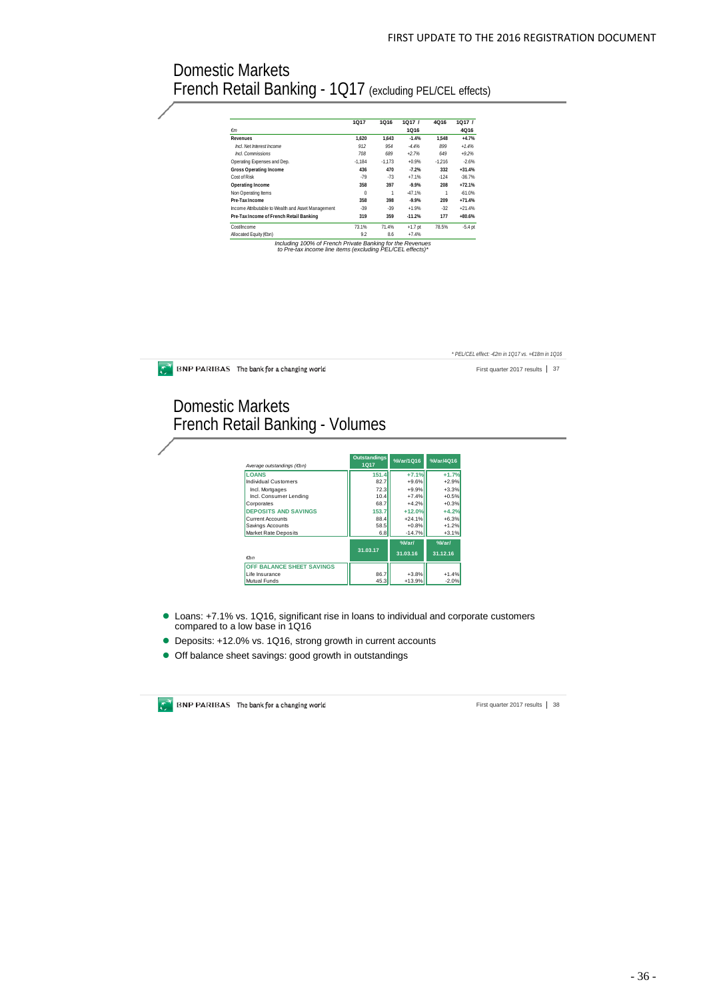*\* PEL/CEL effect: -€2m in 1Q17 vs. +€18m in 1Q16* 

## Domestic Markets French Retail Banking - 1Q17 (excluding PEL/CEL effects)

|                                                    | 1Q17     | 1Q16     | 1Q17/     | 4Q16     | 1Q17/       |
|----------------------------------------------------|----------|----------|-----------|----------|-------------|
| $\epsilon$ m                                       |          |          | 1Q16      |          | <b>4Q16</b> |
| Revenues                                           | 1.620    | 1.643    | $-1.4%$   | 1.548    | $+4.7%$     |
| Incl. Net Interest Income                          | 912      | 954      | $-4.4%$   | 899      | $+1.4%$     |
| Incl. Commissions                                  | 708      | 689      | $+2.7%$   | 649      | $+9.2%$     |
| Operating Expenses and Dep.                        | $-1.184$ | $-1.173$ | $+0.9%$   | $-1.216$ | $-2.6%$     |
| <b>Gross Operating Income</b>                      | 436      | 470      | $-7.2%$   | 332      | $+31.4%$    |
| Cost of Risk                                       | $-79$    | $-73$    | $+7.1%$   | $-124$   | $-36.7%$    |
| Operating Income                                   | 358      | 397      | $-9.9%$   | 208      | $+72.1%$    |
| Non Operating Items                                | $\Omega$ | 1        | $-47.1%$  | 1        | $-61.0%$    |
| Pre-Tax Income                                     | 358      | 398      | $-9.9%$   | 209      | $+71.4%$    |
| Income Attributable to Wealth and Asset Management | $-39$    | $-39$    | $+1.9%$   | $-32$    | $+21.4%$    |
| Pre-Tax Income of French Retail Banking            | 319      | 359      | $-11.2%$  | 177      | $+80.6%$    |
| Cost/Income                                        | 73.1%    | 71.4%    | $+1.7$ pt | 78.5%    | $-5.4$ pt   |
| Allocated Equity (€bn)                             | 9.2      | 8.6      | $+7.4%$   |          |             |

*Including 100% of French Private Banking for the Revenues to Pre-tax income line items (excluding PEL/CEL effects)\**

| BNP PARIBAS The bank for a changing world           |                     |           |           | First quarter 2017 results<br>37 |
|-----------------------------------------------------|---------------------|-----------|-----------|----------------------------------|
| Domestic Markets<br>French Retail Banking - Volumes |                     |           |           |                                  |
|                                                     | <b>Outstandings</b> |           |           |                                  |
| Average outstandings (Ebn)                          | <b>1Q17</b>         | %Var/1Q16 | %Var/4016 |                                  |
| <b>LOANS</b>                                        | 151.4               | $+7.1%$   | $+1.7%$   |                                  |
| <b>Individual Customers</b>                         | 82.7                | $+9.6%$   | $+2.9%$   |                                  |
| Incl. Mortgages                                     | 72.3                | $+9.9%$   | $+3.3%$   |                                  |
| Incl. Consumer Lending                              | 10.4                | $+7.4%$   | $+0.5%$   |                                  |
| Corporates                                          | 68.7                | $+4.2%$   | $+0.3%$   |                                  |
| <b>DEPOSITS AND SAVINGS</b>                         | 153.7               | $+12.0%$  | $+4.2%$   |                                  |
| Current Accounts                                    | 88.4                | $+24.1%$  | $+6.3%$   |                                  |
| Savings Accounts                                    | 58.5                | $+0.8%$   | $+1.2%$   |                                  |
| Market Rate Deposits                                | 6.8                 | $-14.7%$  | $+3.1%$   |                                  |
|                                                     |                     | %Var/     | %Var/     |                                  |
| $\epsilon$ bn                                       | 31.03.17            | 31.03.16  | 31.12.16  |                                  |
| OFF BALANCE SHEET SAVINGS                           |                     |           |           |                                  |
| Life Insurance                                      | 86.7                | $+3.8%$   | $+1.4%$   |                                  |
| Mutual Funds                                        | 45.3                | $+13.9%$  | $-2.0%$   |                                  |

- Loans: +7.1% vs. 1Q16, significant rise in loans to individual and corporate customers compared to a low base in 1Q16
- Deposits: +12.0% vs. 1Q16, strong growth in current accounts
- Off balance sheet savings: good growth in outstandings

**BNP PARIBAS** The bank for a changing world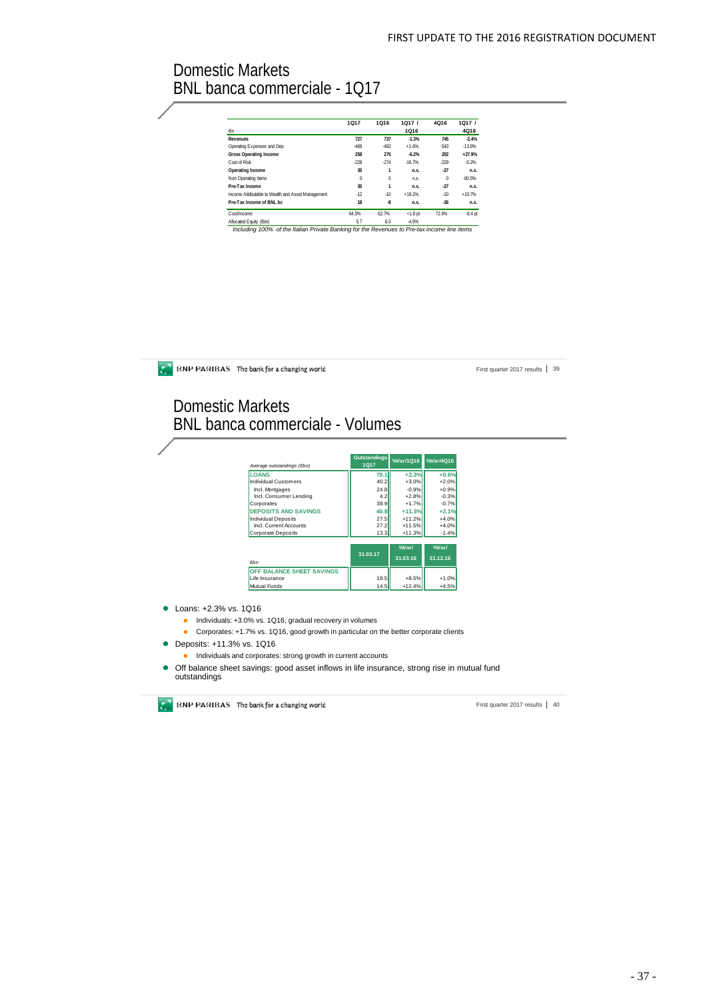## Domestic Markets BNL banca commerciale - 1Q17

|                                                    | 1017     | 1Q16     | 1Q17/     | 4Q16     | 1Q17/     |
|----------------------------------------------------|----------|----------|-----------|----------|-----------|
| €m                                                 |          |          | 1Q16      |          | 4Q16      |
| <b>Revenues</b>                                    | 727      | 737      | $-1.3%$   | 745      | $-2.4%$   |
| Operating Expenses and Dep.                        | $-469$   | $-462$   | $+1.6%$   | $-543$   | $-13.6%$  |
| <b>Gross Operating Income</b>                      | 258      | 275      | $-6.2%$   | 202      | $+27.9%$  |
| Cost of Risk                                       | $-228$   | $-274$   | $-16.7%$  | $-229$   | $-0.2%$   |
| Operating Income                                   | 30       |          | n.s.      | $-27$    | n.s.      |
| Non Operating Items                                | $\bf{0}$ | $\Omega$ | n.s.      | $\Omega$ | $-80.5%$  |
| Pre-Tax Income                                     | 30       | 1        | n.s.      | $-27$    | n.s.      |
| Income Attributable to Wealth and Asset Management | $-12$    | $-10$    | $+19.2%$  | $-10$    | $+19.7%$  |
| Pre-Tax Income of BNI bc.                          | 18       | -8       | n.s.      | $-36$    | n.s.      |
| Cost/Income                                        | 64.5%    | 62.7%    | $+1.8$ pt | 72.9%    | $-8.4$ pt |
| Allocated Equity (Ebn)                             | 5.7      | 6.0      | $-4.9%$   |          |           |

*Including 100% of the Italian Private Banking for the Revenues to Pre-tax income line items* Allocated Equity (€bn) 5.7 6.0 -4.9%

**BNP PARIBAS** The bank for a changing world

First quarter 2017 results | 39

## Domestic Markets BNL banca commerciale - Volumes

| Average outstandings (Ebn)  | <b>Outstandings</b><br>1Q17 | %Var/1016         | %Var/4Q16               |
|-----------------------------|-----------------------------|-------------------|-------------------------|
| <b>LOANS</b>                | 79.1                        | $+2.3%$           | $+0.6%$                 |
| Individual Customers        | 40.2                        | $+3.0%$           | $+2.0%$                 |
| Incl. Mortgages             | 24.8                        | $-0.9%$           | $+0.9%$                 |
| Incl. Consumer Lending      | 4.2                         | $+2.8%$           | $-0.3%$                 |
| Corporates                  | 38.9                        | $+1.7%$           | $-0.7%$                 |
| <b>DEPOSITS AND SAVINGS</b> | 40.8                        | $+11.3%$          | $+2.1%$                 |
| <b>Individual Deposits</b>  | 27.5                        | $+11.2%$          | $+4.0%$                 |
| Incl. Current Accounts      | 27.2                        | $+11.5%$          | $+4.0%$                 |
| <b>Corporate Deposits</b>   | 13.3                        | $+11.3%$          | $-1.4%$                 |
| $F$ hn                      | 31.03.17                    | %Var/<br>31.03.16 | $%$ Nar $/$<br>31.12.16 |
| OFF BALANCE SHEET SAVINGS   |                             |                   |                         |
| Life Insurance              | 18.5                        | $+8.5%$           | $+1.0%$                 |
|                             |                             |                   |                         |

● Loans: +2.3% vs. 1Q16

- Individuals: +3.0% vs. 1Q16, gradual recovery in volumes
- Corporates: +1.7% vs. 1Q16, good growth in particular on the better corporate clients
- Deposits: +11.3% vs. 1Q16
	- $\blacksquare$  Individuals and corporates: strong growth in current accounts
- Off balance sheet savings: good asset inflows in life insurance, strong rise in mutual fund outstandings

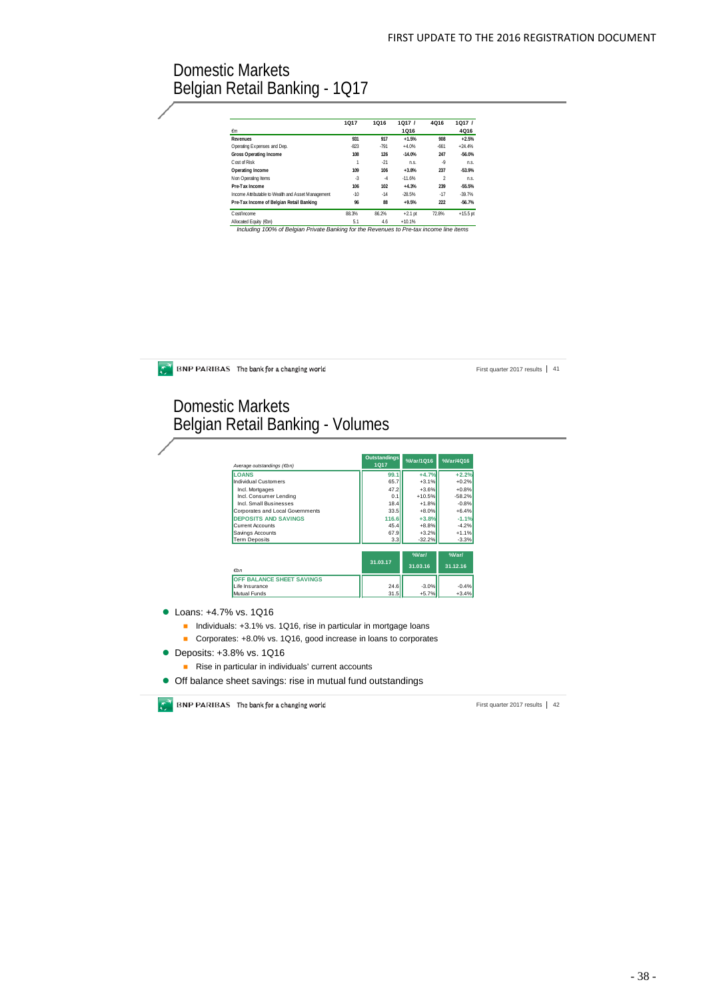## Domestic Markets Belgian Retail Banking - 1Q17

|                                                    | 1017   | 1Q16   | 1Q17/     | 4Q16          | 1Q17/      |
|----------------------------------------------------|--------|--------|-----------|---------------|------------|
| $\epsilon$ m                                       |        |        | 1Q16      |               | 4Q16       |
| <b>Revenues</b>                                    | 931    | 917    | $+1.5%$   | 908           | $+2.5%$    |
| Operating Expenses and Dep.                        | $-823$ | $-791$ | $+4.0%$   | $-661$        | $+24.4%$   |
| <b>Gross Operating Income</b>                      | 108    | 126    | $-14.0%$  | 247           | $-56.0%$   |
| Cost of Risk                                       |        | $-21$  | n.s.      | .9            | nS         |
| Operating Income                                   | 109    | 106    | $+3.8%$   | 237           | $-53.9%$   |
| Non Operating Items                                | $-3$   | $-4$   | $-11.6%$  | $\mathfrak z$ | n.s.       |
| Pre-Tax Income                                     | 106    | 102    | $+4.3%$   | 239           | $-55.5%$   |
| Income Attributable to Wealth and Asset Management | $-10$  | $-14$  | $-28.5%$  | $-17$         | $-39.7%$   |
| Pre-Tax Income of Belgian Retail Banking           | 96     | 88     | $+9.5%$   | 222           | $-56.7%$   |
| Cost/Income                                        | 88.3%  | 86.2%  | $+2.1$ pt | 72.8%         | $+15.5$ pt |
| Allocated Equity (6bn)                             | 5.1    | 4.6    | $+10.1%$  |               |            |

Domestic Markets Belgian Retail Banking - Volumes **Outstandings %Var/1Q16 %Var/4Q16** *Average*<br> $\sqrt{\frac{1}{100}}$ **LOANS 99.1 +4.7% +2.2%**

| ----------                       | .        | .        | .        |
|----------------------------------|----------|----------|----------|
| <b>Individual Customers</b>      | 65.7     | $+3.1%$  | $+0.2%$  |
| Incl. Mortgages                  | 47.2     | $+3.6%$  | $+0.8%$  |
| Incl. Consumer Lending           | 0.1      | $+10.5%$ | $-58.2%$ |
| Incl. Small Businesses           | 18.4     | $+1.8%$  | $-0.8%$  |
| Corporates and Local Governments | 33.5     | $+8.0%$  | $+6.4%$  |
| <b>DEPOSITS AND SAVINGS</b>      | 116.6    | $+3.8%$  | $-1.1%$  |
| <b>Current Accounts</b>          | 45.4     | $+8.8%$  | $-4.2%$  |
| Savings Accounts                 | 67.9     | $+3.2%$  | $+1.1%$  |
| <b>Term Deposits</b>             | 3.3      | $-32.2%$ | $-3.3%$  |
|                                  |          | %Var/    | %Var/    |
|                                  | 31.03.17 |          |          |
| $\epsilon$ <sub>bn</sub>         |          | 31.03.16 | 31.12.16 |
| OFF BALANCE SHEET SAVINGS        |          |          |          |
| Life Insurance                   | 24.6     | $-3.0%$  | $-0.4%$  |
| Mutual Funds                     | 31.5     | $+5.7%$  | $+3.4%$  |

- **Loans: +4.7% vs. 1Q16** 
	- Individuals: +3.1% vs. 1Q16, rise in particular in mortgage loans
	- Corporates: +8.0% vs. 1Q16, good increase in loans to corporates
- **Deposits: +3.8% vs. 1Q16** 
	- Rise in particular in individuals' current accounts
- Off balance sheet savings: rise in mutual fund outstandings

**BNP PARIBAS** The bank for a changing world

**BNP PARIBAS** The bank for a changing world

First quarter 2017 results | 42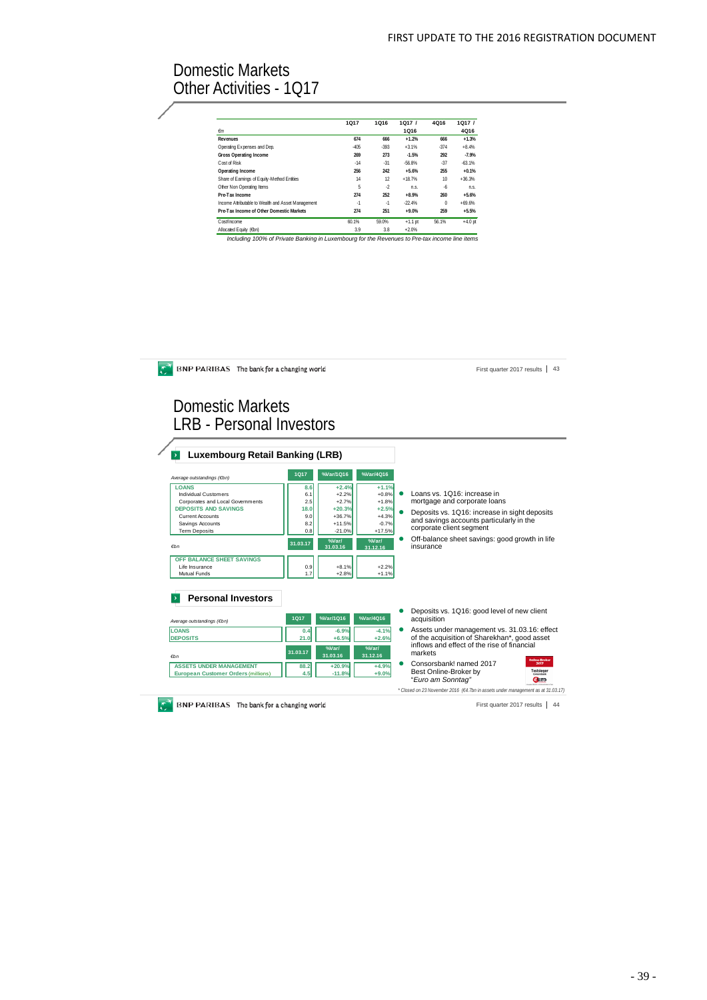# Domestic Markets Other Activities - 1Q17

|                                                    | 1Q17   | 1Q16   | 1Q17/     | 4Q16     | 1Q17/     |
|----------------------------------------------------|--------|--------|-----------|----------|-----------|
| $\epsilon$ m                                       |        |        | 1Q16      |          | 4Q16      |
| Revenues                                           | 674    | 666    | $+1.2%$   | 666      | $+1.3%$   |
| Operating Expenses and Dep.                        | $-405$ | $-393$ | $+3.1%$   | $-374$   | $+8.4%$   |
| Gross Operating Income                             | 269    | 273    | $-1.5%$   | 292      | $-7.9%$   |
| Cost of Risk                                       | $-14$  | $-31$  | -56.8%    | $-37$    | $-63.1%$  |
| Operating Income                                   | 256    | 242    | $+5.6%$   | 255      | $+0.1%$   |
| Share of Earnings of Equity-Method Entities        | 14     | 12     | $+18.7%$  | 10       | $+36.3%$  |
| Other Non Operating Items                          | 5      | $-2$   | n.s.      | $-6$     | n.s.      |
| Pre-Tax Income                                     | 274    | 252    | $+8.9%$   | 260      | $+5.6%$   |
| Income Attributable to Wealth and Asset Management | $-1$   | $-1$   | $-22.4%$  | $\Omega$ | $+69.6%$  |
| Pre-Tax Income of Other Domestic Markets           | 274    | 251    | $+9.0%$   | 259      | $+5.5%$   |
| Cost/Income                                        | 60.1%  | 59.0%  | $+1.1$ pt | 56.1%    | $+4.0$ pt |
| Allocated Equity (Ebn)                             | 3.9    | 3.8    | $+2.0%$   |          |           |

*Including 100% of Private Banking in Luxembourg for the Revenues to Pre-tax income line items* Allocated Equity (€bn) 3.9 3.8 +2.0%

| BNP PARIBAS The bank for a changing world                                                                                                                                                                                                                                                    |                                                                          |                                                                                                                          |                                                                                                                     | 43<br>First quarter 2017 results                                                                                                                                                                                                                                                                                                                                                                                      |
|----------------------------------------------------------------------------------------------------------------------------------------------------------------------------------------------------------------------------------------------------------------------------------------------|--------------------------------------------------------------------------|--------------------------------------------------------------------------------------------------------------------------|---------------------------------------------------------------------------------------------------------------------|-----------------------------------------------------------------------------------------------------------------------------------------------------------------------------------------------------------------------------------------------------------------------------------------------------------------------------------------------------------------------------------------------------------------------|
| Domestic Markets<br><b>LRB</b> - Personal Investors<br><b>Luxembourg Retail Banking (LRB)</b><br>$\rightarrow$                                                                                                                                                                               |                                                                          |                                                                                                                          |                                                                                                                     |                                                                                                                                                                                                                                                                                                                                                                                                                       |
|                                                                                                                                                                                                                                                                                              | <b>1Q17</b>                                                              | %Var/1Q16                                                                                                                | %Var/4Q16                                                                                                           |                                                                                                                                                                                                                                                                                                                                                                                                                       |
| Average outstandings (Ebn)<br><b>LOANS</b><br><b>Individual Customers</b><br>Corporates and Local Governments<br><b>DEPOSITS AND SAVINGS</b><br><b>Current Accounts</b><br>Savings Accounts<br><b>Term Deposits</b><br>$f$ hn<br>OFF BALANCE SHEET SAVINGS<br>Life Insurance<br>Mutual Funds | 8.6<br>6.1<br>2.5<br>18.0<br>9.0<br>8.2<br>0.8<br>31.03.17<br>0.9<br>1.7 | $+2.4%$<br>$+2.2%$<br>$+2.7%$<br>$+20.3%$<br>$+36.7%$<br>$+11.5%$<br>$-21.0%$<br>%Var/<br>31.03.16<br>$+8.1%$<br>$+2.8%$ | $+1.1%$<br>$+0.8%$<br>$+1.8%$<br>$+2.5%$<br>$+4.3%$<br>$-0.7%$<br>+17.5%<br>%Var/<br>31.12.16<br>$+2.2%$<br>$+1.1%$ | Loans vs. 1Q16: increase in<br>mortgage and corporate loans<br>Deposits vs. 1Q16: increase in sight deposits<br>and savings accounts particularly in the<br>corporate client segment<br>Off-balance sheet savings: good growth in life<br>insurance                                                                                                                                                                   |
| <b>Personal Investors</b><br>Average outstandings (€bn)<br><b>LOANS</b><br><b>DEPOSITS</b><br>$F$ hn<br><b>ASSETS UNDER MANAGEMENT</b><br><b>European Customer Orders (millions)</b>                                                                                                         | <b>1Q17</b><br>0.4<br>21.0<br>31.03.17<br>88.2<br>4.5                    | %Var/1Q16<br>$-6.9%$<br>$+6.5%$<br>%Var/<br>31.03.16<br>$+20.9%$<br>$-11.8%$                                             | %Var/4Q16<br>$-4.1%$<br>$+2.6%$<br>%Var/<br>31.12.16<br>$+4.9%$<br>$+9.0%$                                          | Deposits vs. 1Q16: good level of new client<br>acquisition<br>Assets under management vs. 31.03.16: effect<br>of the acquisition of Sharekhan*, good asset<br>inflows and effect of the rise of financial<br>markets<br>Consorsbank! named 2017<br>2017<br>Testsleger<br>Best Online-Broker by<br>"Euro am Sonntag"<br><b>Guro</b><br>* Closed on 23 November 2016 (E4.7bn in assets under management as at 31.03.17) |
| BNP PARIBAS The bank for a changing world                                                                                                                                                                                                                                                    |                                                                          |                                                                                                                          |                                                                                                                     | 44<br>First quarter 2017 results                                                                                                                                                                                                                                                                                                                                                                                      |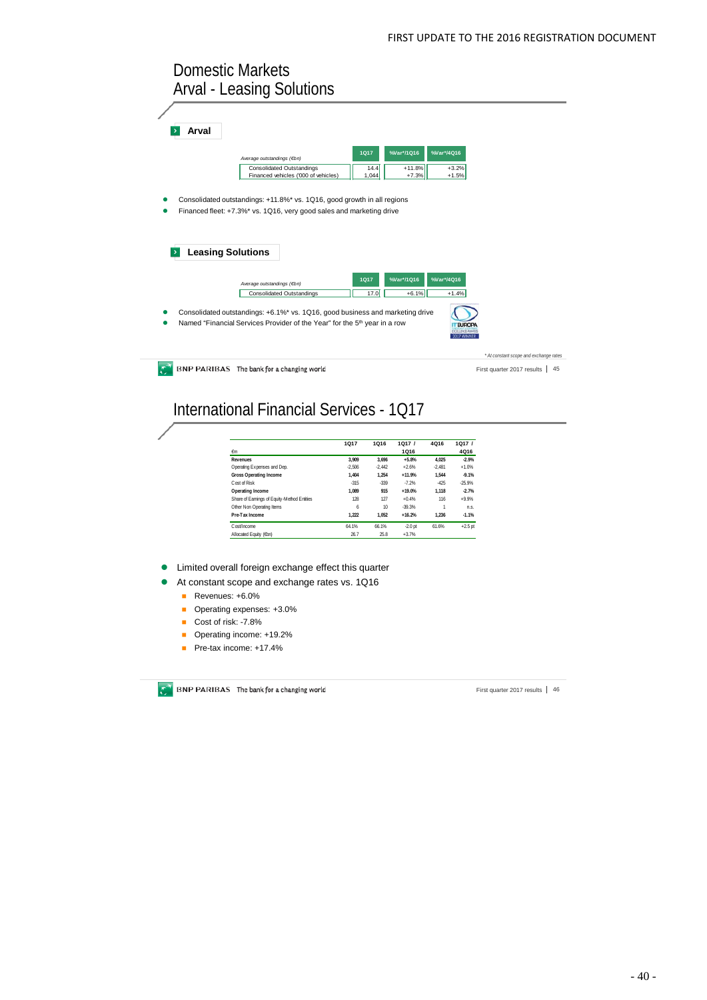## Domestic Markets Arval - Leasing Solutions

| Arval                    |                                                                                       |             |            |            |                                        |    |
|--------------------------|---------------------------------------------------------------------------------------|-------------|------------|------------|----------------------------------------|----|
|                          |                                                                                       |             |            |            |                                        |    |
|                          |                                                                                       | <b>1Q17</b> | %Var*/1Q16 | %Var*/4Q16 |                                        |    |
|                          | Average outstandings (€bn)                                                            |             |            |            |                                        |    |
|                          | <b>Consolidated Outstandings</b>                                                      | 14.4        | $+11.8%$   | $+3.2%$    |                                        |    |
|                          | Financed vehicles ('000 of vehicles)                                                  | 1,044       | $+7.3%$    | $+1.5%$    |                                        |    |
|                          |                                                                                       |             |            |            |                                        |    |
|                          | Consolidated outstandings: +11.8%* vs. 1Q16, good growth in all regions               |             |            |            |                                        |    |
|                          |                                                                                       |             |            |            |                                        |    |
|                          | Financed fleet: +7.3%* vs. 1Q16, very good sales and marketing drive                  |             |            |            |                                        |    |
|                          |                                                                                       |             |            |            |                                        |    |
|                          |                                                                                       |             |            |            |                                        |    |
|                          |                                                                                       |             |            |            |                                        |    |
|                          |                                                                                       |             |            |            |                                        |    |
| <b>Leasing Solutions</b> |                                                                                       |             |            |            |                                        |    |
|                          |                                                                                       |             |            |            |                                        |    |
|                          |                                                                                       | <b>1Q17</b> | %Var*/1Q16 | %Var*/4Q16 |                                        |    |
|                          | Average outstandings (€bn)                                                            |             |            |            |                                        |    |
|                          | <b>Consolidated Outstandings</b>                                                      | 17.0        | $+6.1%$    | $+1.4%$    |                                        |    |
|                          |                                                                                       |             |            |            |                                        |    |
|                          | Consolidated outstandings: +6.1%* vs. 1Q16, good business and marketing drive         |             |            |            |                                        |    |
|                          | Named "Financial Services Provider of the Year" for the 5 <sup>th</sup> year in a row |             |            |            |                                        |    |
|                          |                                                                                       |             |            |            |                                        |    |
|                          |                                                                                       |             |            | 7 WINNER   |                                        |    |
|                          |                                                                                       |             |            |            |                                        |    |
|                          |                                                                                       |             |            |            | * At constant scope and exchange rates |    |
|                          | BNP PARIBAS The bank for a changing world                                             |             |            |            | First quarter 2017 results             | 45 |
|                          |                                                                                       |             |            |            |                                        |    |

International Financial Services - 1Q17

|                                             | <b>1Q17</b> | 1016     | 1017/     | 4Q16     | 1Q17/     |
|---------------------------------------------|-------------|----------|-----------|----------|-----------|
| €m                                          |             |          | 1Q16      |          | 4Q16      |
| Revenues                                    | 3.909       | 3.696    | $+5.8%$   | 4.025    | $-2.9%$   |
| Operating Expenses and Dep.                 | $-2.506$    | $-2.442$ | $+2.6%$   | $-2.481$ | $+1.0%$   |
| <b>Gross Operating Income</b>               | 1.404       | 1.254    | $+11.9%$  | 1.544    | $-9.1%$   |
| Cost of Risk                                | $-315$      | $-339$   | $-7.2%$   | $-425$   | $-25.9%$  |
| Operating Income                            | 1.089       | 915      | $+19.0%$  | 1.118    | $-2.7%$   |
| Share of Earnings of Equity-Method Entities | 128         | 127      | $+0.4%$   | 116      | $+9.9%$   |
| Other Non Operating Items                   | 6           | 10       | $-39.3%$  | 1        | n.s.      |
| Pre-Tax Income                              | 1.222       | 1.052    | $+16.2%$  | 1.236    | $-1.1%$   |
| Cost/Income                                 | 64.1%       | 66.1%    | $-2.0$ pt | 61.6%    | $+2.5$ pt |
| Allocated Equity (6bn)                      | 26.7        | 25.8     | $+3.7%$   |          |           |

Limited overall foreign exchange effect this quarter

At constant scope and exchange rates vs. 1Q16

- Revenues: +6.0%
- Operating expenses: +3.0%
- Cost of risk: -7.8%
- Operating income: +19.2%
- Pre-tax income: +17.4%

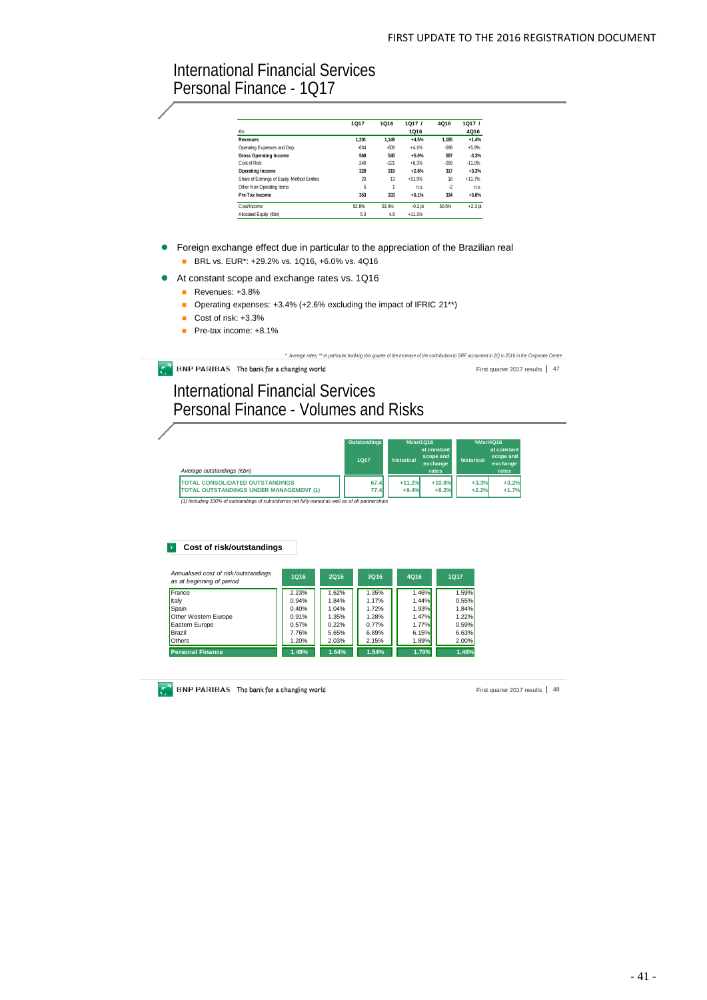## International Financial Services Personal Finance - 1Q17

|                                             | 1017     | 1016   | 1017/          | 4016    | 1017/     |
|---------------------------------------------|----------|--------|----------------|---------|-----------|
| €m                                          |          |        | 1Q16           |         | 4Q16      |
| <b>Revenues</b>                             | 1.201    | 1.149  | $+4.5%$        | 1.185   | $+1.4%$   |
| Operating Expenses and Dep.                 | $-634$   | $-609$ | $+4.1%$        | -598    | $+5.9%$   |
| Gross Operating Income                      | 568      | 540    | $+5.0%$        | 587     | $-3.3%$   |
| Cost of Risk                                | $-240$   | $-221$ | $+8.3%$        | $-269$  | $-11.0%$  |
| Operating Income                            | 328      | 319    | $+2.8%$        | 317     | $+3.3%$   |
| Share of Earnings of Equity-Method Entities | $\infty$ | 13     | $+51.9%$       | 18      | $+11.7%$  |
| Other Non Operating Items                   | 5        |        | n <sub>s</sub> | $\cdot$ | n.s.      |
| Pre-Tax Income                              | 353      | 333    | $+6.1%$        | 334     | $+5.8%$   |
| Cost/Income                                 | 52.8%    | 53.0%  | $-0.2$ pt      | 50.5%   | $+2.3$ pt |
| Allocated Equity (6bn)                      | 5.3      | 4.8    | $+11.1%$       |         |           |

- **•** Foreign exchange effect due in particular to the appreciation of the Brazilian real
	- **BRL vs. EUR\*: +29.2% vs. 1Q16, +6.0% vs. 4Q16**
- At constant scope and exchange rates vs. 1Q16
	- Revenues: +3.8%
	- Operating expenses:  $+3.4\%$  ( $+2.6\%$  excluding the impact of IFRIC 21\*\*)
	- Cost of risk: +3.3%
	- Pre-tax income: +8.1%

*\* Average rates; \*\* In particular booking this quarter of the increase of the contribution to SRF accounted in 2Q in 2016 in the Corporate Centre*

 $\widehat{C}^{\dagger}$  BNP PARIBAS The bank for a changing world

First quarter 2017 results 47

## International Financial Services Personal Finance - Volumes and Risks

|                                                                                                                                                                                                                              | <b>Outstandings</b> | %Var/1016  |                                               | %Var/4Q16  |                                               |
|------------------------------------------------------------------------------------------------------------------------------------------------------------------------------------------------------------------------------|---------------------|------------|-----------------------------------------------|------------|-----------------------------------------------|
| Average outstandings (€bn)                                                                                                                                                                                                   | 1017                | historical | at constant<br>scope and<br>exchange<br>rates | historical | at constant<br>scope and<br>exchange<br>rates |
| <b>TOTAL CONSOLIDATED OUTSTANDINGS</b>                                                                                                                                                                                       | 67.4                | $+11.2%$   | $+10.8%$                                      | $+3.3%$    | $+3.2%$                                       |
| <b>TOTAL OUTSTANDINGS UNDER MANAGEMENT (1)</b><br>$\mathcal{L}(A)$ and $\mathcal{L}(A)$ and $\mathcal{L}(A)$ are $\mathcal{L}(A)$ and $\mathcal{L}(A)$ and $\mathcal{L}(A)$ are an approximately assumed to $\mathcal{L}(A)$ | 77.4                | $+9.4%$    | $+8.2%$                                       | $+2.2%$    | $+1.7%$                                       |

*(1) Including 100% of outstandings of subsidiaries not fully owned as well as of all partnerships*

#### **Cost of risk/outstandings**

| Annualised cost of risk/outstandings<br>as at beginning of period | 1016  | 2016  | 3016  | 4Q16  | <b>1Q17</b> |
|-------------------------------------------------------------------|-------|-------|-------|-------|-------------|
| France                                                            | 2.23% | 1.62% | 1.35% | 1.46% | 1.59%       |
| Italy                                                             | 0.94% | 1.84% | 1.17% | 1.44% | 0.55%       |
| Spain                                                             | 0.40% | 1.04% | 1.72% | 1.93% | 1.84%       |
| Other Western Europe                                              | 0.91% | 1.35% | 1.28% | 1.47% | 1.22%       |
| Eastern Europe                                                    | 0.57% | 0.22% | 0.77% | 1.77% | 0.59%       |
| Brazil                                                            | 7.76% | 5.65% | 6.89% | 6.15% | 6.63%       |
| <b>Others</b>                                                     | 1.20% | 2.03% | 2.15% | 1.89% | 2.00%       |
| <b>Personal Finance</b>                                           | 1.49% | 1.64% | 1.54% | 1.70% | 1.46%       |

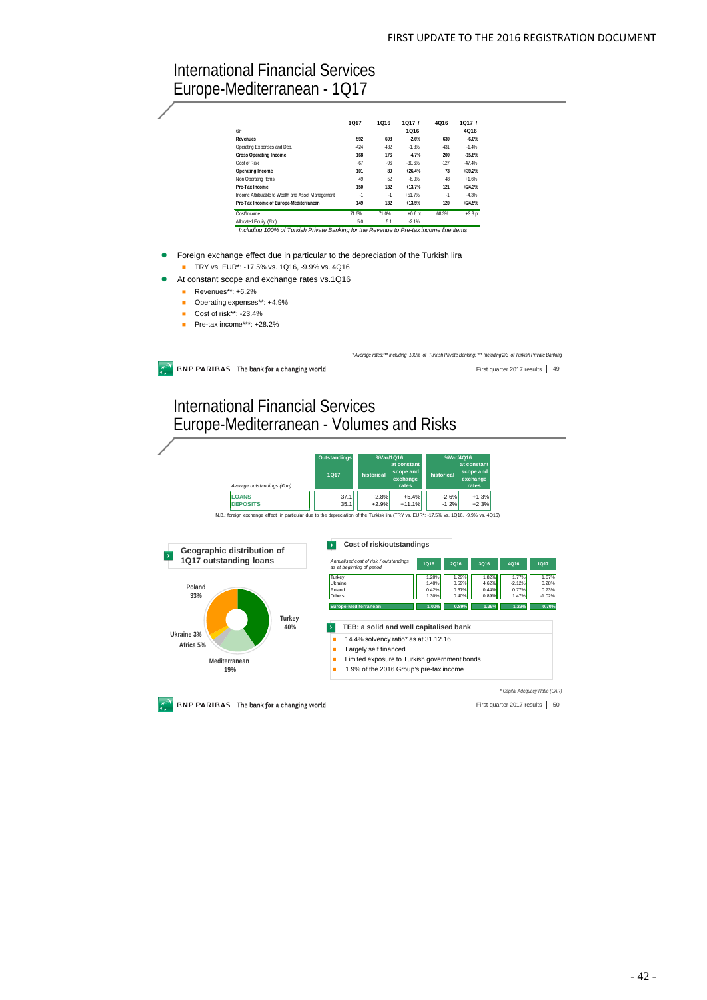## International Financial Services Europe-Mediterranean - 1Q17

|                                                    | 1017   | 1Q16   | 1Q17/     | 4Q16   | 1Q17/     |
|----------------------------------------------------|--------|--------|-----------|--------|-----------|
| $\epsilon$ m                                       |        |        | 1Q16      |        | 4Q16      |
| Revenues                                           | 592    | 608    | $-2.6%$   | 630    | $-6.0%$   |
| Operating Expenses and Dep.                        | $-424$ | $-432$ | $-1.8%$   | $-431$ | $-1.4%$   |
| <b>Gross Operating Income</b>                      | 168    | 176    | $-4.7%$   | 200    | $-15.8%$  |
| Cost of Risk                                       | $-67$  | $-96$  | $-30.6%$  | $-127$ | $-47.4%$  |
| Operating Income                                   | 101    | 80     | $+26.4%$  | 73     | $+39.2%$  |
| Non Operating Items                                | 49     | 52     | $-6.0%$   | 48     | $+1.6%$   |
| Pre-Tax Income                                     | 150    | 132    | $+13.7%$  | 121    | $+24.3%$  |
| Income Attributable to Wealth and Asset Management | $-1$   | $-1$   | $+51.7%$  | $-1$   | $-4.3%$   |
| Pre-Tax Income of Europe-Mediterranean             | 149    | 132    | $+13.5%$  | 120    | $+24.5%$  |
| Cost/Income                                        | 71.6%  | 71.0%  | $+0.6$ pt | 68.3%  | $+3.3$ pt |
| Allocated Equity (Ebn)                             | 5.0    | 5.1    | $-2.1%$   |        |           |

- **•** Foreign exchange effect due in particular to the depreciation of the Turkish lira ■ TRY vs. EUR<sup>\*</sup>: -17.5% vs. 1Q16, -9.9% vs. 4Q16
- At constant scope and exchange rates vs.1Q16
	- $\blacksquare$  Revenues\*\*: +6.2%
	- Operating expenses\*\*: +4.9%
	- Cost of risk\*\*: -23.4%
	- Pre-tax income\*\*\*: +28.2%

**BNP PARIBAS** The bank for a changing world

*\* Average rates; \*\* Including 100% of Turkish Private Banking; \*\*\* Including 2/3 of Turkish Private Banking*

First quarter 2017 results | 49

# International Financial Services Europe-Mediterranean - Volumes and Risks



**BNP PARIBAS** The bank for a changing world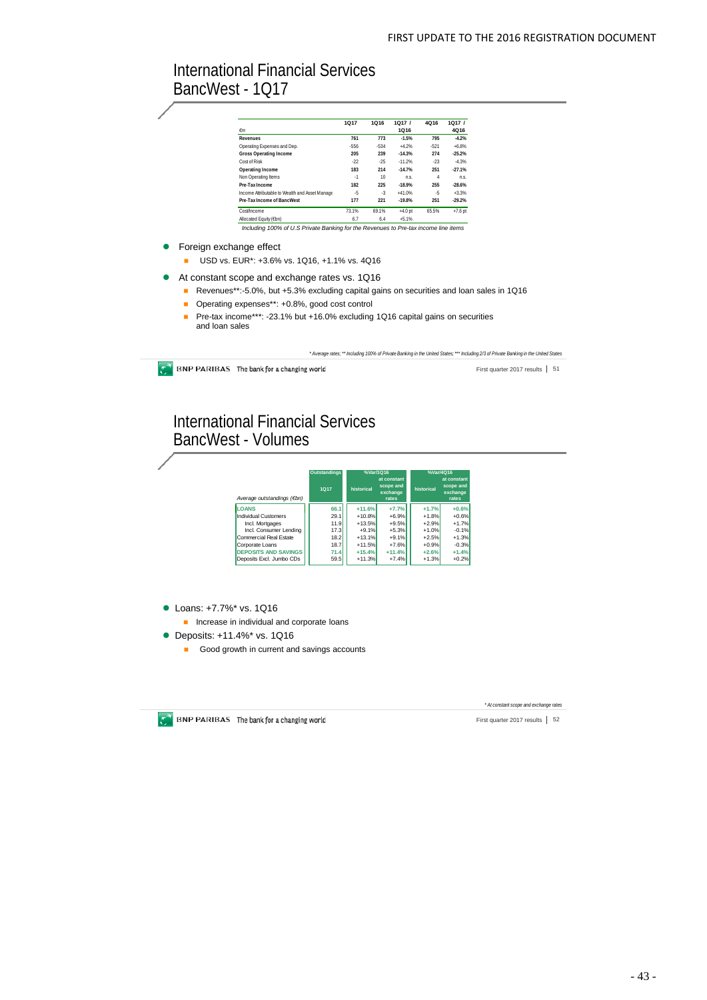## International Financial Services BancWest - 1Q17

|                                                | 1Q17      | 1016   | 1017/     | 4Q16   | 1Q17/     |
|------------------------------------------------|-----------|--------|-----------|--------|-----------|
| €m                                             |           |        | 1Q16      |        | 4Q16      |
| <b>Revenues</b>                                | 761       | 773    | $-1.5%$   | 795    | $-4.2%$   |
| Operating Expenses and Dep.                    | $-556$    | $-534$ | $+4.2%$   | $-521$ | $+6.8%$   |
| <b>Gross Operating Income</b>                  | 205       | 239    | $-14.3%$  | 274    | $-25.2%$  |
| Cost of Risk                                   | .22       | $-25$  | $-11.2%$  | $-23$  | $-4.3%$   |
| Operating Income                               | 183       | 214    | $-14.7%$  | 251    | $-27.1%$  |
| Non Operating Items                            | $\cdot$ 1 | 10     | n s.      | 4      | n.s.      |
| Pre-Tax Income                                 | 182       | 225    | $-18.9%$  | 255    | $-28.6%$  |
| Income Attributable to Wealth and Asset Manage | -5        | $-3$   | $+41.0%$  | -5     | $+3.3%$   |
| Pre-Tax Income of BancWest                     | 177       | 221    | $-19.8%$  | 251    | $-29.2%$  |
| Cost/Income                                    | 73.1%     | 69.1%  | $+4.0$ pt | 65.5%  | $+7.6$ pt |
| Allocated Equity (€bn)                         | 6.7       | 6.4    | $+5.1%$   |        |           |

• Foreign exchange effect

- USD vs. EUR\*: +3.6% vs. 1Q16, +1.1% vs. 4Q16
- At constant scope and exchange rates vs. 1Q16
	- Revenues\*\*:-5.0%, but +5.3% excluding capital gains on securities and loan sales in 1Q16
	- Operating expenses\*\*: +0.8%, good cost control
	- Pre-tax income\*\*\*: -23.1% but +16.0% excluding 1Q16 capital gains on securities and loan sales

*\* Average rates; \*\* Including 100% of Private Banking in the United States; \*\*\* Including 2/3 of Private Banking in the United States*

 $\bullet$  BNP PARIBAS The bank for a changing world

First quarter 2017 results | 51

## International Financial Services BancWest - Volumes

|                             | <b>Outstandings</b> | %Var/1016  |                                               | %Var/4016  |                                               |
|-----------------------------|---------------------|------------|-----------------------------------------------|------------|-----------------------------------------------|
| Average outstandings (€bn)  | 1017                | historical | at constant<br>scope and<br>exchange<br>rates | historical | at constant<br>scope and<br>exchange<br>rates |
| <b>LOANS</b>                | 66.1                | $+11.6%$   | $+7.7%$                                       | $+1.7%$    | $+0.6%$                                       |
| Individual Customers        | 29.1                | $+10.8%$   | $+6.9%$                                       | $+1.8%$    | $+0.6%$                                       |
| Incl. Mortgages             | 11.9                | $+13.5%$   | $+9.5%$                                       | $+2.9%$    | $+1.7%$                                       |
| Incl. Consumer Lending      | 17.3                | $+9.1%$    | $+5.3%$                                       | $+1.0%$    | $-0.1%$                                       |
| Commercial Real Estate      | 18.2                | $+13.1%$   | $+9.1%$                                       | $+2.5%$    | $+1.3%$                                       |
| Corporate Loans             | 18.7                | $+11.5%$   | $+7.6%$                                       | $+0.9%$    | $-0.3%$                                       |
| <b>DEPOSITS AND SAVINGS</b> | 71.4                | $+15.4%$   | $+11.4%$                                      | $+2.6%$    | $+1.4%$                                       |
| Deposits Excl. Jumbo CDs    | 59.5                | $+11.3%$   | $+7.4%$                                       | $+1.3%$    | $+0.2%$                                       |

● Loans: +7.7%<sup>\*</sup> vs. 1Q16

**Increase in individual and corporate loans** 

- Deposits: +11.4%<sup>\*</sup> vs. 1Q16
	- Good growth in current and savings accounts



*\* At constant scope and exchange rates*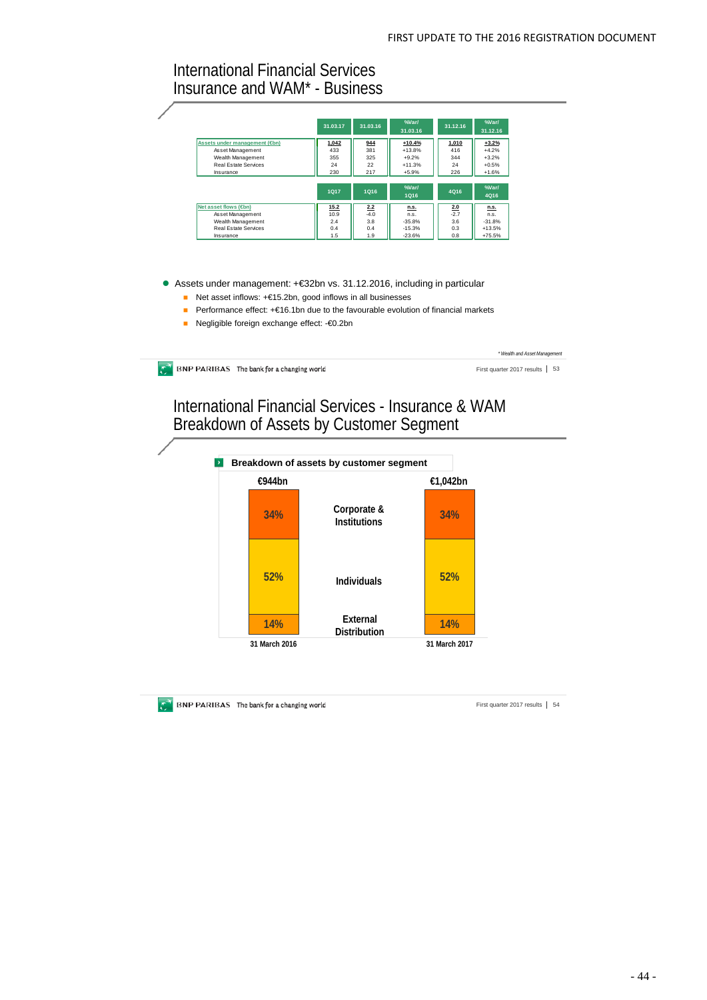## International Financial Services Insurance and WAM\* - Business

|                              | 31.03.17    | 31.03.16 | %Var/<br>31.03.16          | 31.12.16 | %Var/<br>31.12.16   |
|------------------------------|-------------|----------|----------------------------|----------|---------------------|
| Assets under management (On) | 1,042       | 944      | $+10.4%$                   | 1,010    | $+3.2%$             |
| Asset Management             | 433         | 381      | $+13.8%$                   | 416      | $+4.2%$             |
| Wealth Management            | 355         | 325      | $+9.2%$                    | 344      | $+3.2%$             |
| Real Estate Services         | 24          | 22       | $+11.3%$                   | 24       | $+0.5%$             |
| Insurance                    | 230         | 217      | $+5.9%$                    | 226      | $+1.6%$             |
|                              | <b>1Q17</b> | 1016     | $%$ Nar $/$<br><b>1Q16</b> | 4Q16     | $%$ Nar $/$<br>4Q16 |
|                              |             |          |                            |          |                     |
| Net asset flows (Om)         | 15.2        | 2.2      | n.s.                       | 2.0      | n.s.                |
| Asset Management             | 10.9        | $-4.0$   | n.S.                       | $-2.7$   | n.S.                |
| Wealth Management            | 2.4         | 3.8      | $-35.8%$                   | 3.6      | $-31.8%$            |
| Real Estate Services         | 0.4         | 0.4      | $-15.3%$                   | 0.3      | $+13.5%$            |

#### Assets under management: +€32bn vs. 31.12.2016, including in particular

- Net asset inflows: +€15.2bn, good inflows in all businesses
- Performance effect: +€16.1bn due to the favourable evolution of financial markets
- Negligible foreign exchange effect: €0.2bn

**BNP PARIBAS** The bank for a changing world

*\* Wealth and Asset Management*

First quarter 2017 results | 53

International Financial Services - Insurance & WAM Breakdown of Assets by Customer Segment



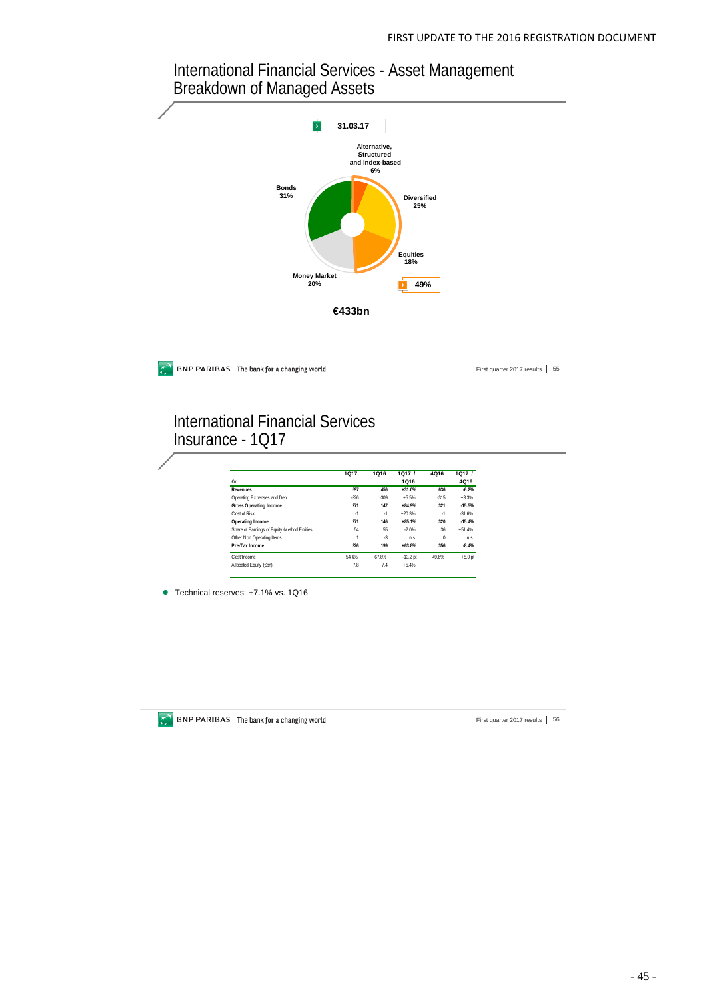## International Financial Services - Asset Management Breakdown of Managed Assets



**BNP PARIBAS** The bank for a changing world

First quarter 2017 results | 55

## International Financial Services Insurance - 1Q17

|                                             | <b>1Q17</b> | 1Q16   | 1Q17/      | 4Q16     | 1Q17/     |
|---------------------------------------------|-------------|--------|------------|----------|-----------|
| €m                                          |             |        | 1Q16       |          | 4Q16      |
| Revenues                                    | 597         | 456    | $+31.0%$   | 636      | $-6.2%$   |
| Operating Expenses and Dep.                 | $-326$      | $-309$ | $+5.5%$    | $-315$   | $+3.3%$   |
| <b>Gross Operating Income</b>               | 271         | 147    | $+84.9%$   | 321      | $-15.5%$  |
| Cost of Risk                                | $-1$        | $-1$   | $+20.3%$   | $-1$     | $-31.6%$  |
| Operating Income                            | 271         | 146    | $+85.1%$   | 320      | $-15.4%$  |
| Share of Earnings of Equity-Method Entities | 54          | 55     | $-2.0%$    | 36       | $+51.4%$  |
| Other Non Operating Items                   | 1           | $-3$   | n.s.       | $\Omega$ | n.s.      |
| Pre-Tax Income                              | 326         | 199    | $+63.8%$   | 356      | $-8.4%$   |
| Cost/Income                                 | 54.6%       | 67.8%  | $-13.2$ pt | 49.6%    | $+5.0$ pt |
| Allocated Equity (6bn)                      | 7.8         | 7.4    | $+5.4%$    |          |           |

● Technical reserves: +7.1% vs. 1Q16



**BNP PARIBAS** The bank for a changing world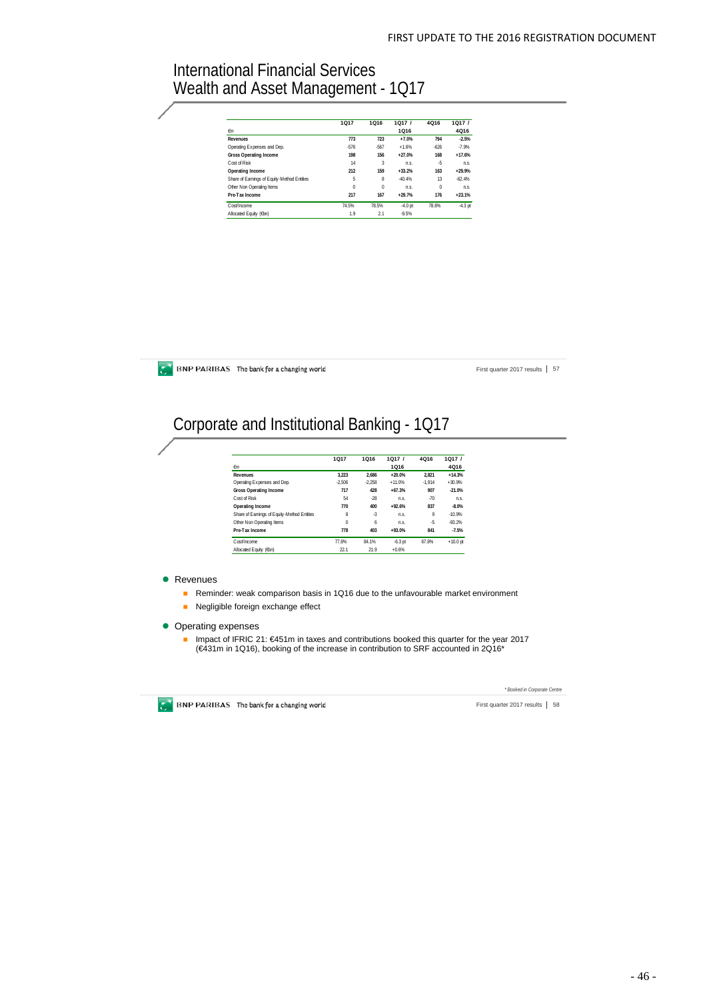## International Financial Services Wealth and Asset Management - 1Q17

|                                             | <b>1Q17</b> | 1Q16     | 1Q17/     | 4Q16   | 1Q17/     |  |
|---------------------------------------------|-------------|----------|-----------|--------|-----------|--|
| $\epsilon$ m                                |             |          | 1Q16      |        | 4Q16      |  |
| Revenues                                    | 773         | 723      | $+7.0%$   | 794    | $-2.5%$   |  |
| Operating Expenses and Dep.                 | $-576$      | $-567$   | $+1.6%$   | $-626$ | $-7.9%$   |  |
| <b>Gross Operating Income</b>               | 198         | 156      | $+27.0%$  | 168    | $+17.6%$  |  |
| Cost of Risk                                | 14          | 3        | n.s.      | -5     | n.s.      |  |
| Operating Income                            | 212         | 159      | $+33.2%$  | 163    | $+29.9%$  |  |
| Share of Earnings of Equity-Method Entities | 5           | 8        | $-40.4%$  | 13     | $-62.4%$  |  |
| Other Non Operating Items                   | 0           | $\theta$ | n.s.      | 0      | n.s.      |  |
| Pre-Tax Income                              | 217         | 167      | $+29.7%$  | 176    | $+23.1%$  |  |
| Cost/Income                                 | 74.5%       | 78.5%    | $-4.0$ pt | 78.8%  | $-4.3$ pt |  |
| Allocated Equity (6bn)                      | 1.9         | 21       | $-9.5%$   |        |           |  |

**BNP PARIBAS** The bank for a changing world

First quarter 2017 results | 57

# Corporate and Institutional Banking - 1Q17

|                                             | 1017     | <b>1Q16</b> | 1Q17/     | 4Q16     | 1Q17/      |
|---------------------------------------------|----------|-------------|-----------|----------|------------|
| €m                                          |          |             | 1Q16      |          | 4Q16       |
| Revenues                                    | 3.223    | 2.686       | $+20.0%$  | 2.821    | $+14.3%$   |
| Operating Expenses and Dep.                 | $-2.506$ | $-2.258$    | $+11.0%$  | $-1.914$ | $+30.9%$   |
| <b>Gross Operating Income</b>               | 717      | 428         | $+67.3%$  | 907      | $-21.0%$   |
| Cost of Risk                                | 54       | $-28$       | n.s.      | $-70$    | n.s.       |
| Operating Income                            | 770      | 400         | $+92.6%$  | 837      | $-8.0%$    |
| Share of Earnings of Equity-Method Entities | 8        | $-3$        | n.s.      | 9        | $-10.9%$   |
| Other Non Operating Items                   | $\Omega$ | 6           | n.s.      | $-5$     | $-93.2%$   |
| Pre-Tax Income                              | 778      | 403         | $+93.0%$  | 841      | $-7.5%$    |
| Cost/Income                                 | 77.8%    | 84.1%       | $-6.3$ pt | 67.8%    | $+10.0$ pt |
| Allocated Equity (Ebn)                      | 22.1     | 21.9        | $+0.6%$   |          |            |

**•** Revenues

- Reminder: weak comparison basis in 1Q16 due to the unfavourable market environment
- Negligible foreign exchange effect
- Operating expenses
	- Impact of IFRIC 21: €451m in taxes and contributions booked this quarter for the year 2017 (€431m in 1Q16), booking of the increase in contribution to SRF accounted in 2Q16\*



First quarter 2017 results | 58 *\* Booked in Corporate Centre*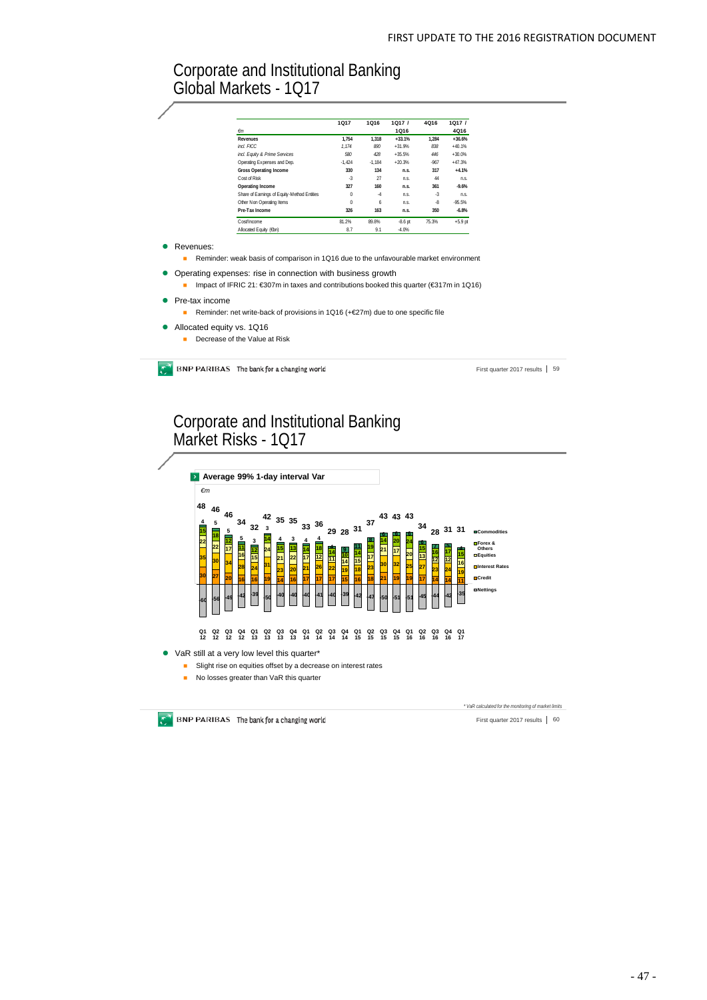## Corporate and Institutional Banking Global Markets - 1Q17

|                     |                                                                                                                                                                                                                                                                       | 1017     | 1Q16     | 1Q17/     | 4Q16   | 1Q17/     |
|---------------------|-----------------------------------------------------------------------------------------------------------------------------------------------------------------------------------------------------------------------------------------------------------------------|----------|----------|-----------|--------|-----------|
|                     | $\epsilon$ m                                                                                                                                                                                                                                                          |          |          | 1Q16      |        | 4Q16      |
|                     | Revenues                                                                                                                                                                                                                                                              | 1.754    | 1.318    | $+33.1%$  | 1.284  | $+36.6%$  |
|                     | incl. FICC.                                                                                                                                                                                                                                                           | 1.174    | 890      | $+31.9%$  | 838    | $+40.1%$  |
|                     | incl. Equity & Prime Services                                                                                                                                                                                                                                         | 580      | 428      | $+35.5%$  | 446    | $+30.0%$  |
|                     | Operating Expenses and Dep.                                                                                                                                                                                                                                           | $-1.424$ | $-1.184$ | $+20.3%$  | $-967$ | $+47.3%$  |
|                     | <b>Gross Operating Income</b>                                                                                                                                                                                                                                         | 330      | 134      | n.s.      | 317    | $+4.1%$   |
|                     | Cost of Risk                                                                                                                                                                                                                                                          | $-3$     | 27       | n.s.      | 44     | n.s.      |
|                     | <b>Operating Income</b>                                                                                                                                                                                                                                               | 327      | 160      | n.S.      | 361    | $-9.6%$   |
|                     | Share of Earnings of Equity-Method Entities                                                                                                                                                                                                                           | $\Omega$ | $-4$     | n.s.      | $-3$   | n.s.      |
|                     | Other Non Operating Items                                                                                                                                                                                                                                             | $\bf{0}$ | 6        | n.s.      | $-8$   | $-95.5%$  |
|                     | Pre-Tax Income                                                                                                                                                                                                                                                        | 326      | 163      | n.s.      | 350    | $-6.8%$   |
|                     | Cost/Income                                                                                                                                                                                                                                                           | 81.2%    | 89.8%    | $-8.6$ pt | 75.3%  | $+5.9$ pt |
|                     |                                                                                                                                                                                                                                                                       |          |          |           |        |           |
| Revenues:           | Allocated Equity (6bn)                                                                                                                                                                                                                                                | 8.7      | 9.1      | $-4.0%$   |        |           |
|                     | Reminder: weak basis of comparison in 1Q16 due to the unfavourable market environment<br>Operating expenses: rise in connection with business growth<br>Impact of IFRIC 21: $\epsilon$ 307m in taxes and contributions booked this quarter ( $\epsilon$ 317m in 1Q16) |          |          |           |        |           |
| Pre-tax income<br>п | Reminder: net write-back of provisions in 1Q16 (+€27m) due to one specific file                                                                                                                                                                                       |          |          |           |        |           |

**BNP PARIBAS** The bank for a changing world

First quarter 2017 results | 59

# Corporate and Institutional Banking Market Risks - 1Q17



- **B** Slight rise on equities offset by a decrease on interest rates
- No losses greater than VaR this quarter

*\* VaR calculated for the monitoring of market limits*

 $\mathbb{C}^{\mathbb{C}}$  BNP PARIBAS The bank for a changing world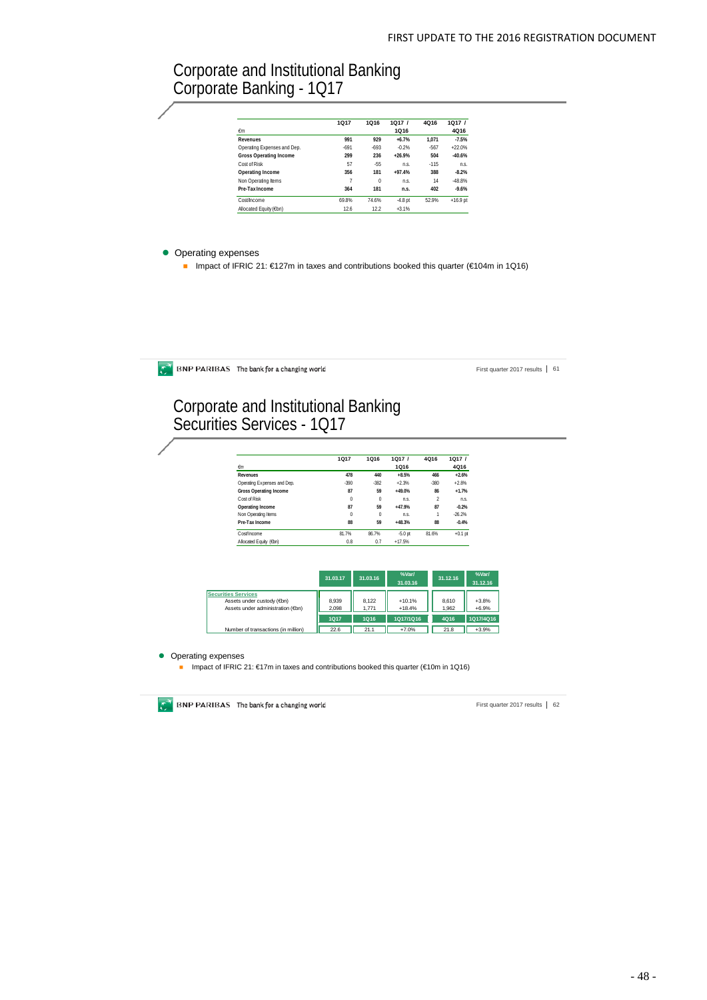## Corporate and Institutional Banking Corporate Banking - 1Q17

|                               | 1017   | 1016     | 1017/     | 4016   | 1Q17/      |  |
|-------------------------------|--------|----------|-----------|--------|------------|--|
| $\epsilon$ m                  |        |          | 1Q16      |        | 4Q16       |  |
| Revenues                      | 991    | 929      | $+6.7%$   | 1.071  | $-7.5%$    |  |
| Operating Expenses and Dep.   | $-691$ | $-693$   | $-0.2%$   | $-567$ | $+22.0%$   |  |
| <b>Gross Operating Income</b> | 299    | 236      | $+26.9%$  | 504    | $-40.6%$   |  |
| Cost of Risk                  | 57     | $-55$    | n s.      | $-115$ | n.s.       |  |
| Operating Income              | 356    | 181      | $+97.4%$  | 388    | $-8.2%$    |  |
| Non Operating Items           | 7      | $\theta$ | n.s.      | 14     | $-48.8%$   |  |
| Pre-Tax Income                | 364    | 181      | n.s.      | 402    | $-9.6%$    |  |
| Cost/Income                   | 69.8%  | 74.6%    | $-4.8$ pt | 52.9%  | $+16.9$ pt |  |
| Allocated Equity (€bn)        | 126    | 12.2     | $+3.1%$   |        |            |  |

#### • Operating expenses

■ Impact of IFRIC 21: €127m in taxes and contributions booked this quarter (€104m in 1Q16)

 $\bullet$  BNP PARIBAS The bank for a changing world

First quarter 2017 results | 61

## Corporate and Institutional Banking Securities Services - 1Q17

|                             | <b>1Q17</b> | 1Q16     | 1Q17/     | 4Q16           | 1Q17/     |
|-----------------------------|-------------|----------|-----------|----------------|-----------|
| $\epsilon$ m                |             |          | 1Q16      |                | 4Q16      |
| <b>Revenues</b>             | 478         | 440      | $+8.5%$   | 466            | $+2.6%$   |
| Operating Expenses and Dep. | $-390$      | $-382$   | $+2.3%$   | $-380$         | $+2.8%$   |
| Gross Operating Income      | 87          | 59       | $+49.0%$  | 86             | $+1.7%$   |
| Cost of Risk                | $\theta$    | $\bf{0}$ | n.s.      | $\overline{2}$ | n.s.      |
| Operating Income            | 87          | 59       | $+47.9%$  | 87             | $-0.2%$   |
| Non Operating Items         | $\theta$    | $\bf{0}$ | n.s.      | 1              | $-26.2%$  |
| Pre-Tax Income              | 88          | 59       | $+48.3%$  | 88             | $-0.4%$   |
| Cost/Income                 | 81.7%       | 86.7%    | $-5.0$ pt | 81.6%          | $+0.1$ pt |
| Allocated Equity (6bn)      | 0.8         | 0.7      | $+17.5%$  |                |           |

|                                                                                              | 31.03.17       | 31.03.16       | %Var/<br>31.03.16    | 31.12.16       | %Var/<br>31.12.16  |
|----------------------------------------------------------------------------------------------|----------------|----------------|----------------------|----------------|--------------------|
| <b>Securities Services</b><br>Assets under custody (€bn)<br>Assets under administration (On) | 8.939<br>2.098 | 8.122<br>1.771 | $+10.1%$<br>$+18.4%$ | 8.610<br>1.962 | $+3.8%$<br>$+6.9%$ |
|                                                                                              | <b>1Q17</b>    | 1Q16           | 1Q17/1Q16            | 4Q16           | 1Q17/4Q16          |
| Number of transactions (in million)                                                          | 22.6           | 21.1           | $+7.0%$              | 21.8           | $+3.9%$            |

• Operating expenses

**■** Impact of IFRIC 21: €17m in taxes and contributions booked this quarter (€10m in 1Q16)

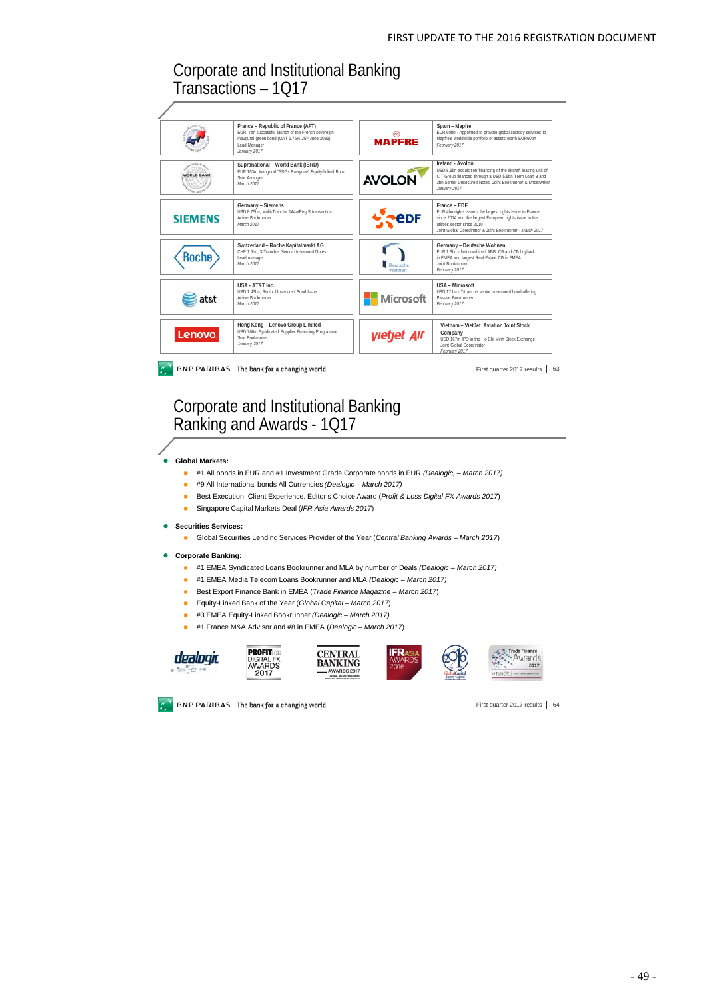## Corporate and Institutional Banking Transactions – 1Q17

|                  | France - Republic of France (AFT)<br>EUR 7bn successful launch of the French sovereign<br>inaugural green bond (OAT 1.75% 25 <sup>th</sup> June 2039)<br>Lead Manager<br>January 2017 | <b>MAPFRE</b>             | Spain - Mapfre<br>EUR 60bn - Appointed to provide global custody services to<br>Mapfre's worldwide portfolio of assets worth EUR60bn<br>February 2017                                                                            |
|------------------|---------------------------------------------------------------------------------------------------------------------------------------------------------------------------------------|---------------------------|----------------------------------------------------------------------------------------------------------------------------------------------------------------------------------------------------------------------------------|
| <b>VORLD BAN</b> | Supranational - World Bank (IBRD)<br>EUR 163m Inaugural "SDGs Everyone" Equity-linked Bond<br>Sole Arranger<br>March 2017                                                             | <b>AVOLON</b>             | Ireland - Avolon<br>USD 8.5bn acquisition financing of the aircraft leasing unit of<br>CIT Group financed through a USD 5.5bn Term Loan B and<br>3bn Senior Unsecured Notes Joint Bookrunner & Underwriter<br>January 2017       |
| <b>SIEMENS</b>   | Germany - Siemens<br>USD 8.75bn, Multi-Tranche 144a/Reg S transaction<br><b>Active Bookrunner</b><br>March 2017                                                                       | edf                       | France - EDF<br>EUR 4bn rights issue - the largest rights Issue in France<br>since 2014 and the largest European rights issue in the<br>utilities sector since 2010.<br>Joint Global Coordinator & Joint Bookrunner - March 2017 |
| Roche            | Switzerland - Roche Kapitalmarkt AG<br>CHF 1.5bn. 3-Tranche. Senior Unsecured Notes<br>Lead manager<br>March 2017                                                                     | Deutsche<br>Wohner        | Germany - Deutsche Wohnen<br>EUR 1.3bn - first combined ABB, CB and CB buyback<br>in EMEA and largest Real Estate CB in EMEA<br>Joint Bookrunner<br>February 2017                                                                |
| at&t             | USA - AT&T Inc.<br>USD 1.43bn. Senior Unsecured Bond Issue<br><b>Active Bookrunner</b><br>March 2017                                                                                  | <b>Microsoft</b>          | USA - Microsoft<br>USD 17 bn - 7-tranche senior unsecured bond offering<br>Passive Bookrunner<br>February 2017                                                                                                                   |
| Lenovo.          | Hong Kong - Lenovo Group Limited<br>USD 700m Syndicated Supplier Financing Programme<br>Sole Bookrunner<br>January 2017                                                               | <i><b>yietjet Air</b></i> | Vietnam - Viet Jet Aviation Joint Stock<br>Company<br>USD 167m IPO in the Ho Chi Minh Stock Exchange<br>Joint Global Coordinator<br>February 2017                                                                                |

Corporate and Institutional Banking Ranking and Awards - 1Q17

#### **Global Markets:**

- #1 All bonds in EUR and #1 Investment Grade Corporate bonds in EUR *(Dealogic, – March 2017)*
- #9 All International bonds All Currencies *(Dealogic – March 2017)*
- Best Execution, Client Experience, Editor's Choice Award (Profit & Loss Digital FX Awards 2017)
- Singapore Capital Markets Deal (*IFR Asia Awards 2017*)
- **Securities Services:** 
	- Global Securities Lending Services Provider of the Year (Central Banking Awards March 2017)
- **Corporate Banking:** 
	- #1 EMEA Syndicated Loans Bookrunner and MLA by number of Deals *(Dealogic – March 2017)*
	- #1 EMEA Media Telecom Loans Bookrunner and MLA *(Dealogic March 2017)*
	- **Best Export Finance Bank in EMEA (***Trade Finance Magazine March 2017***)**
	- Equity-Linked Bank of the Year (*Global Capital – March 2017*)
	- #3 EMEA Equity-Linked Bookrunner *(Dealogic – March 2017)*
	- #1 France M&A Advisor and #8 in EMEA (*Dealogic March 2017*)









**BNP PARIBAS** The bank for a changing world

**PROFIT** 

ΈX DIGITAL FX<br>AWARDS<br>**2017**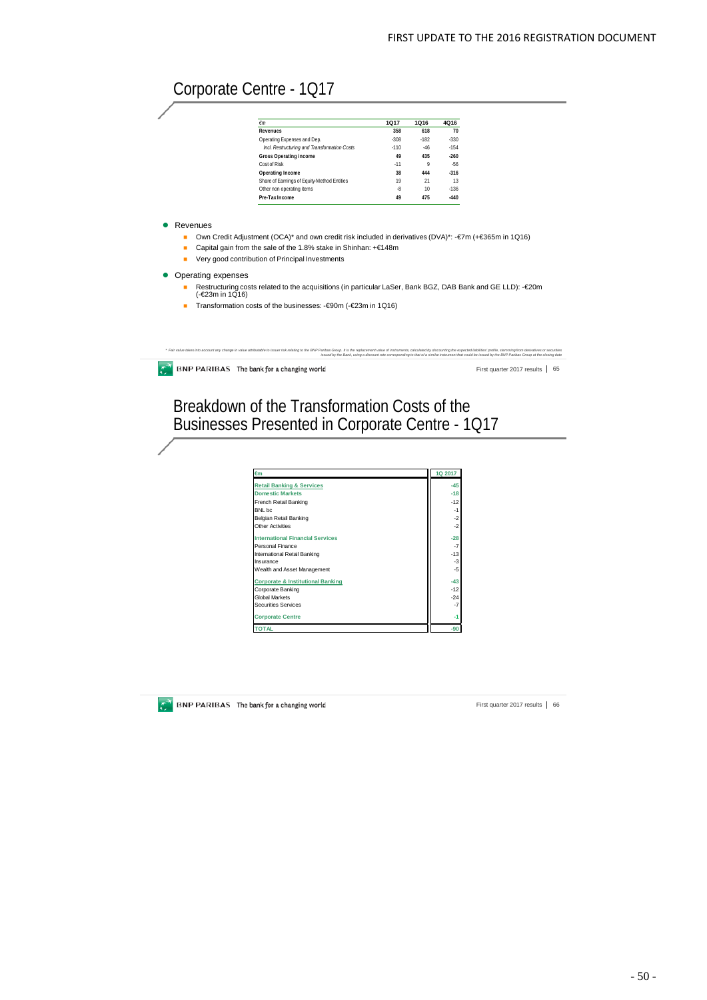# Corporate Centre - 1Q17

| €m                                           | 1017   | 1016   | 4016   |
|----------------------------------------------|--------|--------|--------|
| Revenues                                     | 358    | 618    | 70     |
| Operating Expenses and Dep.                  | $-308$ | $-182$ | $-330$ |
| Incl. Restructuring and Transformation Costs | $-110$ | $-46$  | $-154$ |
| Gross Operating income                       | 49     | 435    | $-260$ |
| Cost of Risk                                 | $-11$  | 9      | $-56$  |
| Operating Income                             | 38     | 444    | $-316$ |
| Share of Earnings of Equity-Method Entities  | 19     | 21     | 13     |
| Other non operating items                    | -8     | 10     | $-136$ |
| Pre-Tax Income                               | 49     | 475    | $-440$ |

**•** Revenues

- Own Credit Adjustment (OCA)\* and own credit risk included in derivatives (DVA)\*: -€7m (+€365m in 1Q16)
- Capital gain from the sale of the 1.8% stake in Shinhan: +€148m
- **Very good contribution of Principal Investments**
- Operating expenses
	- Restructuring costs related to the acquisitions (in particular LaSer, Bank BGZ, DAB Bank and GE LLD): -€20m (-€23m in 1Q16)
	- Transformation costs of the businesses: €90m (- €23m in 1Q16)

 $\bullet$  BNP PARIBAS The bank for a changing world

far value takes into accountary change in value attributable to issuer risk relating to the RP Parbos Grup. It is the republement value of instruments, calculate the study of a straightee build be a sumple of the BNP Parib

First quarter 2017 results | 65

## Breakdown of the Transformation Costs of the Businesses Presented in Corporate Centre - 1Q17

| €m                                           | 1Q 2017 |
|----------------------------------------------|---------|
| <b>Retail Banking &amp; Services</b>         | $-45$   |
| <b>Domestic Markets</b>                      | $-18$   |
| French Retail Banking                        | $-12$   |
| BNL bc                                       | $-1$    |
| Belgian Retail Banking                       | $-2$    |
| Other Activities                             | $-2$    |
| <b>International Financial Services</b>      | $-28$   |
| Personal Finance                             | $-7$    |
| International Retail Banking                 | $-13$   |
| Insurance                                    | -3      |
| Wealth and Asset Management                  | $-5$    |
| <b>Corporate &amp; Institutional Banking</b> | $-43$   |
| Corporate Banking                            | $-12$   |
| <b>Global Markets</b>                        | $-24$   |
| <b>Securities Services</b>                   | $-7$    |
| <b>Corporate Centre</b>                      | -1      |
| <b>TOTAL</b>                                 | $-90$   |



**EXECUTE:** BNP PARIBAS The bank for a changing world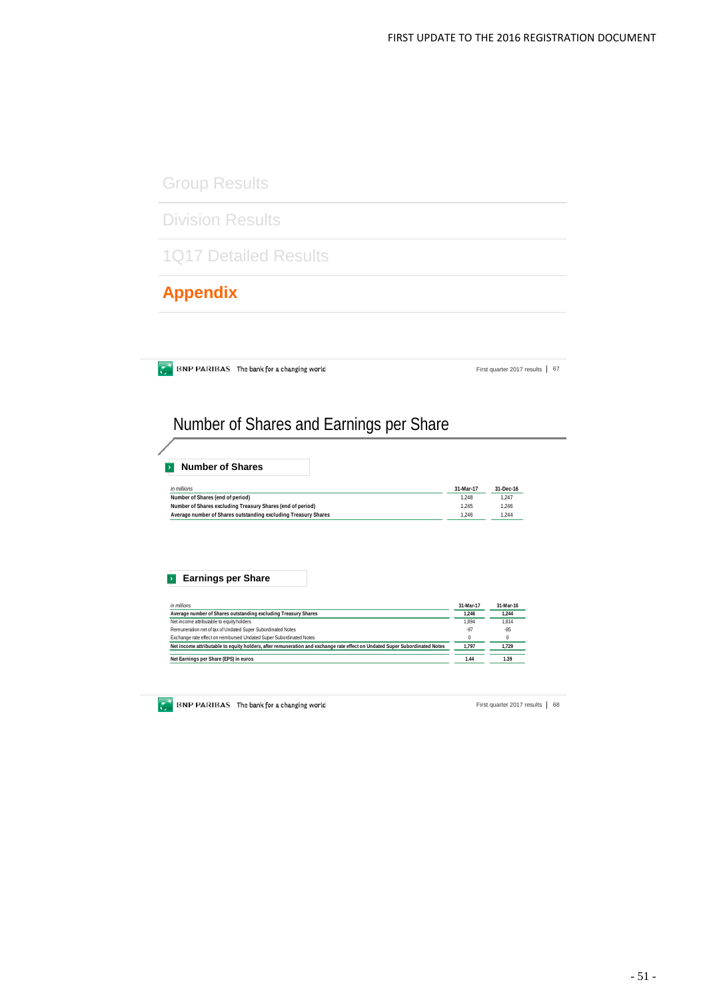Group Results

Division Results

1Q17 Detailed Results

**Appendix**

 $\bullet$  BNP PARIBAS The bank for a changing world

First quarter 2017 results | 67

# Number of Shares and Earnings per Share

| <b>Number of Shares</b>                                        |           |           |
|----------------------------------------------------------------|-----------|-----------|
| in millions                                                    | 31-Mar-17 | 31-Dec-16 |
| Number of Shares (end of period)                               | 1.248     | 1.247     |
| Number of Shares excluding Treasury Shares (end of period)     | 1.245     | 1.246     |
| Average number of Shares outstanding excluding Treasury Shares | 1.246     | 1.244     |

### **Earnings per Share**

| in millions                                                                                                                | 31-Mar-17 | 31-Mar-16 |
|----------------------------------------------------------------------------------------------------------------------------|-----------|-----------|
| Average number of Shares outstanding excluding Treasury Shares                                                             | 1.246     | 1.244     |
| Net income attributable to equity holders                                                                                  | 1.894     | 1.814     |
| Remuneration net of tax of Undated Super Subordinated Notes                                                                | .97       | $-85$     |
| Exchange rate effect on reimbursed Undated Super Subordinated Notes                                                        |           | $\theta$  |
| Net income attributable to equity holders, after remuneration and exchange rate effect on Undated Super Subordinated Notes | 1.797     | 1.729     |
| Net Earnings per Share (EPS) in euros                                                                                      | 1.44      | 1.39      |

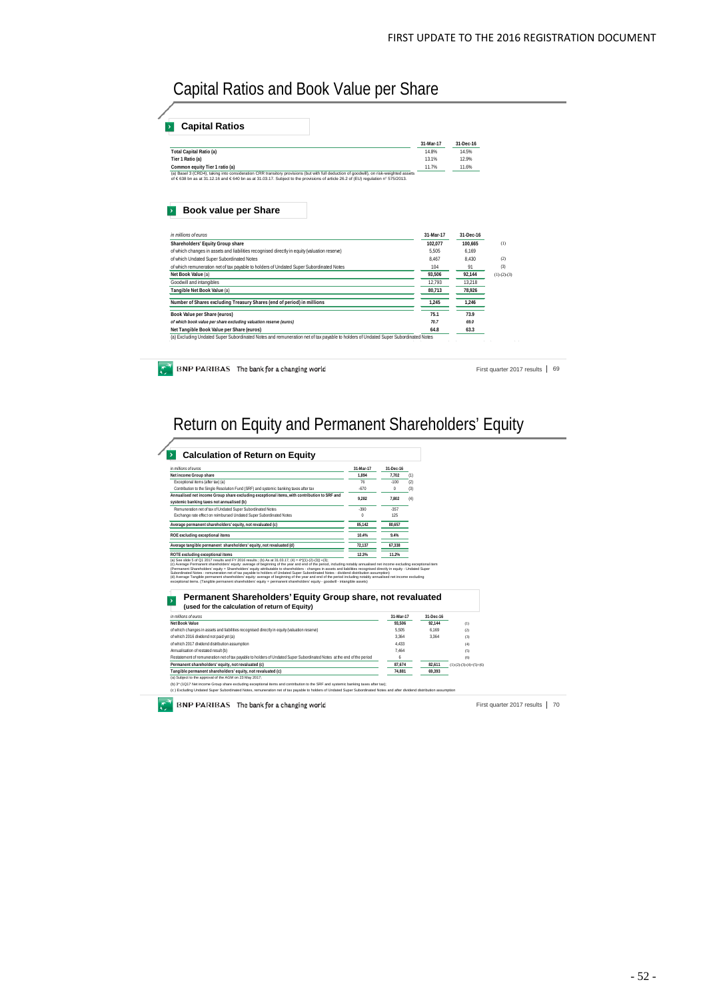Capital Ratios and Book Value per Share

|                                                                                                                                                                                                                                                                           | 31-Mar-17      | 31-Dec-16      |               |
|---------------------------------------------------------------------------------------------------------------------------------------------------------------------------------------------------------------------------------------------------------------------------|----------------|----------------|---------------|
| <b>Total Capital Ratio (a)</b>                                                                                                                                                                                                                                            | 14.8%          | 14.5%          |               |
| Tier 1 Ratio (a)<br>Common equity Tier 1 ratio (a)                                                                                                                                                                                                                        | 13.1%<br>11.7% | 12.9%<br>11.6% |               |
| (a) Basel 3 (CRD4), taking into consideration CRR transitory provisions (but with full deduction of goodwill), on risk-weighted assets<br>of €638 bn as at 31.12.16 and €640 bn as at 31.03.17. Subject to the provisions of article 26.2 of (EU) regulation n° 575/2013. |                |                |               |
| <b>Book value per Share</b><br>in millions of euros                                                                                                                                                                                                                       | 31-Mar-17      | 31-Dec-16      |               |
| Shareholders' Equity Group share                                                                                                                                                                                                                                          | 102,077        | 100,665        | (1)           |
| of which changes in assets and liabilities recognised directly in equity (valuation reserve)                                                                                                                                                                              | 5.505          | 6.169          |               |
| of which Undated Super Subordinated Notes                                                                                                                                                                                                                                 | 8.467          | 8.430          | (2)           |
| of which remuneration net of tax payable to holders of Undated Super Subordinated Notes                                                                                                                                                                                   | 104            | 91             | (3)           |
| Net Book Value (a)                                                                                                                                                                                                                                                        | 93.506         | 92.144         | $(1)-(2)-(3)$ |
| Goodwill and intangibles                                                                                                                                                                                                                                                  | 12,793         | 13,218         |               |
| Tangible Net Book Value (a)                                                                                                                                                                                                                                               | 80.713         | 78,926         |               |
| Number of Shares excluding Treasury Shares (end of period) in millions                                                                                                                                                                                                    | 1.245          | 1.246          |               |
| Book Value per Share (euros)                                                                                                                                                                                                                                              | 75.1           | 73.9           |               |
| of which book value per share excluding valuation reserve (euros)                                                                                                                                                                                                         | 70.7           | 69.0           |               |
|                                                                                                                                                                                                                                                                           | 64.8           | 63.3           |               |
| Net Tangible Book Value per Share (euros)                                                                                                                                                                                                                                 |                |                |               |
|                                                                                                                                                                                                                                                                           |                |                |               |
| (a) Excluding Undated Super Subordinated Notes and remuneration net of tax payable to holders of Undated Super Subordinated Notes                                                                                                                                         |                |                |               |

Return on Equity and Permanent Shareholders' Equity

| in millions of euros                                                                                                                                                                                                                                                                                                                                                                                                                                                                                                                                                                                                                                                                                                                                                                                                                                                                                                                                                                                                                                                                                                                                                                                                                                                                                                                                                                                                                                                                                                                                                                                                                   | 31-Mar-17 | 31-Dec-16 |     |           |                           |  |
|----------------------------------------------------------------------------------------------------------------------------------------------------------------------------------------------------------------------------------------------------------------------------------------------------------------------------------------------------------------------------------------------------------------------------------------------------------------------------------------------------------------------------------------------------------------------------------------------------------------------------------------------------------------------------------------------------------------------------------------------------------------------------------------------------------------------------------------------------------------------------------------------------------------------------------------------------------------------------------------------------------------------------------------------------------------------------------------------------------------------------------------------------------------------------------------------------------------------------------------------------------------------------------------------------------------------------------------------------------------------------------------------------------------------------------------------------------------------------------------------------------------------------------------------------------------------------------------------------------------------------------------|-----------|-----------|-----|-----------|---------------------------|--|
| Net income Group share                                                                                                                                                                                                                                                                                                                                                                                                                                                                                                                                                                                                                                                                                                                                                                                                                                                                                                                                                                                                                                                                                                                                                                                                                                                                                                                                                                                                                                                                                                                                                                                                                 | 1.894     | 7.702     |     |           |                           |  |
| Exceptional items (after tax) (a)                                                                                                                                                                                                                                                                                                                                                                                                                                                                                                                                                                                                                                                                                                                                                                                                                                                                                                                                                                                                                                                                                                                                                                                                                                                                                                                                                                                                                                                                                                                                                                                                      | 76        | $-100$    | (2) |           |                           |  |
| Contribution to the Single Resolution Fund (SRF) and systemic banking taxes after tax                                                                                                                                                                                                                                                                                                                                                                                                                                                                                                                                                                                                                                                                                                                                                                                                                                                                                                                                                                                                                                                                                                                                                                                                                                                                                                                                                                                                                                                                                                                                                  | $-670$    | n         | (3) |           |                           |  |
| Annualised net income Group share excluding exceptional items, with contribution to SRF and                                                                                                                                                                                                                                                                                                                                                                                                                                                                                                                                                                                                                                                                                                                                                                                                                                                                                                                                                                                                                                                                                                                                                                                                                                                                                                                                                                                                                                                                                                                                            |           |           |     |           |                           |  |
| systemic banking taxes not annualised (b)                                                                                                                                                                                                                                                                                                                                                                                                                                                                                                                                                                                                                                                                                                                                                                                                                                                                                                                                                                                                                                                                                                                                                                                                                                                                                                                                                                                                                                                                                                                                                                                              | 9.282     | 7.802     | (4) |           |                           |  |
| Remuneration net of tax of Undated Super Subordinated Notes                                                                                                                                                                                                                                                                                                                                                                                                                                                                                                                                                                                                                                                                                                                                                                                                                                                                                                                                                                                                                                                                                                                                                                                                                                                                                                                                                                                                                                                                                                                                                                            | $-390$    | $-357$    |     |           |                           |  |
| Exchange rate effect on reimbursed Undated Super Subordinated Notes                                                                                                                                                                                                                                                                                                                                                                                                                                                                                                                                                                                                                                                                                                                                                                                                                                                                                                                                                                                                                                                                                                                                                                                                                                                                                                                                                                                                                                                                                                                                                                    | $\bf{0}$  | 125       |     |           |                           |  |
| Average permanent shareholders' equity, not revaluated (c)                                                                                                                                                                                                                                                                                                                                                                                                                                                                                                                                                                                                                                                                                                                                                                                                                                                                                                                                                                                                                                                                                                                                                                                                                                                                                                                                                                                                                                                                                                                                                                             | 85.142    | 80.657    |     |           |                           |  |
| ROE excluding exceptional items                                                                                                                                                                                                                                                                                                                                                                                                                                                                                                                                                                                                                                                                                                                                                                                                                                                                                                                                                                                                                                                                                                                                                                                                                                                                                                                                                                                                                                                                                                                                                                                                        | 10.4%     | 9.4%      |     |           |                           |  |
| Average tangible permanent shareholders' equity, not revaluated (d)                                                                                                                                                                                                                                                                                                                                                                                                                                                                                                                                                                                                                                                                                                                                                                                                                                                                                                                                                                                                                                                                                                                                                                                                                                                                                                                                                                                                                                                                                                                                                                    | 72.137    | 67.338    |     |           |                           |  |
| ROTE excluding exceptional items                                                                                                                                                                                                                                                                                                                                                                                                                                                                                                                                                                                                                                                                                                                                                                                                                                                                                                                                                                                                                                                                                                                                                                                                                                                                                                                                                                                                                                                                                                                                                                                                       | 12.3%     | 11.2%     |     |           |                           |  |
|                                                                                                                                                                                                                                                                                                                                                                                                                                                                                                                                                                                                                                                                                                                                                                                                                                                                                                                                                                                                                                                                                                                                                                                                                                                                                                                                                                                                                                                                                                                                                                                                                                        |           |           |     |           |                           |  |
| Permanent Shareholders' Equity Group share, not revaluated<br>(used for the calculation of return of Equity)                                                                                                                                                                                                                                                                                                                                                                                                                                                                                                                                                                                                                                                                                                                                                                                                                                                                                                                                                                                                                                                                                                                                                                                                                                                                                                                                                                                                                                                                                                                           |           |           |     |           |                           |  |
|                                                                                                                                                                                                                                                                                                                                                                                                                                                                                                                                                                                                                                                                                                                                                                                                                                                                                                                                                                                                                                                                                                                                                                                                                                                                                                                                                                                                                                                                                                                                                                                                                                        |           | 31-Mar-17 |     | 31-Dec-16 |                           |  |
|                                                                                                                                                                                                                                                                                                                                                                                                                                                                                                                                                                                                                                                                                                                                                                                                                                                                                                                                                                                                                                                                                                                                                                                                                                                                                                                                                                                                                                                                                                                                                                                                                                        |           | 93.506    |     | 92.144    | (1)                       |  |
|                                                                                                                                                                                                                                                                                                                                                                                                                                                                                                                                                                                                                                                                                                                                                                                                                                                                                                                                                                                                                                                                                                                                                                                                                                                                                                                                                                                                                                                                                                                                                                                                                                        |           | 5.505     |     | 6.169     | (2)                       |  |
|                                                                                                                                                                                                                                                                                                                                                                                                                                                                                                                                                                                                                                                                                                                                                                                                                                                                                                                                                                                                                                                                                                                                                                                                                                                                                                                                                                                                                                                                                                                                                                                                                                        |           | 3.364     |     | 3.364     | (3)                       |  |
|                                                                                                                                                                                                                                                                                                                                                                                                                                                                                                                                                                                                                                                                                                                                                                                                                                                                                                                                                                                                                                                                                                                                                                                                                                                                                                                                                                                                                                                                                                                                                                                                                                        |           | 4.433     |     |           | (4)                       |  |
|                                                                                                                                                                                                                                                                                                                                                                                                                                                                                                                                                                                                                                                                                                                                                                                                                                                                                                                                                                                                                                                                                                                                                                                                                                                                                                                                                                                                                                                                                                                                                                                                                                        |           | 7.464     |     |           | (5)                       |  |
|                                                                                                                                                                                                                                                                                                                                                                                                                                                                                                                                                                                                                                                                                                                                                                                                                                                                                                                                                                                                                                                                                                                                                                                                                                                                                                                                                                                                                                                                                                                                                                                                                                        |           | 6         |     |           | (6)                       |  |
|                                                                                                                                                                                                                                                                                                                                                                                                                                                                                                                                                                                                                                                                                                                                                                                                                                                                                                                                                                                                                                                                                                                                                                                                                                                                                                                                                                                                                                                                                                                                                                                                                                        |           | 87,674    |     | 82,611    | $(1)-(2)-(3)-(4)+(5)+(6)$ |  |
|                                                                                                                                                                                                                                                                                                                                                                                                                                                                                                                                                                                                                                                                                                                                                                                                                                                                                                                                                                                                                                                                                                                                                                                                                                                                                                                                                                                                                                                                                                                                                                                                                                        |           | 74.881    |     | 69.393    |                           |  |
|                                                                                                                                                                                                                                                                                                                                                                                                                                                                                                                                                                                                                                                                                                                                                                                                                                                                                                                                                                                                                                                                                                                                                                                                                                                                                                                                                                                                                                                                                                                                                                                                                                        |           |           |     |           |                           |  |
| (a) See slide 5 of Q1 2017 results and FY 2016 results ; (b) As at 31.03.17, (4) = 4*[(1)-(2)-(3)] +(3);<br>(c) Average Permanent shareholders' equity: average of beginning of the year and end of the period, including notably annualised net income excluding exceptional item:<br>(Permanent Shareholders' equity = Shareholders' equity attributable to shareholders - changes in assets and liabilities recognised directly in equity - Undated Super<br>Subordinated Notes - remuneration net of tax payable to holders of Undated Super Subordinated Notes - dividend distribution assumption)<br>(d) Average Tangible permanent shareholders' equity: average of beginning of the year and end of the period including notably annualised net income excluding<br>exceptional items. (Tangible permanent shareholders' equity = permanent shareholders' equity - goodwill - intangible assets)<br>in millions of euros<br>Net Book Value<br>of which changes in assets and liabilities recognised directly in equity (valuation reserve)<br>of which 2016 dividend not paid yet (a)<br>of which 2017 dividend distribution assumption<br>Annualisation of restated result (b)<br>Restatement of remuneration net of tax payable to holders of Undated Super Subordinated Notes at the end of the period<br>Permanent shareholders' equity, not revaluated (c)<br>Tangible permanent shareholders' equity, not revaluated (c)<br>(a) Subject to the approval of the AGM on 23 May 2017;<br>(b) 3" (1Q17 Net income Group share excluding exceptional items and contribution to the SRF and systemic banking taxes after tax); |           |           |     |           |                           |  |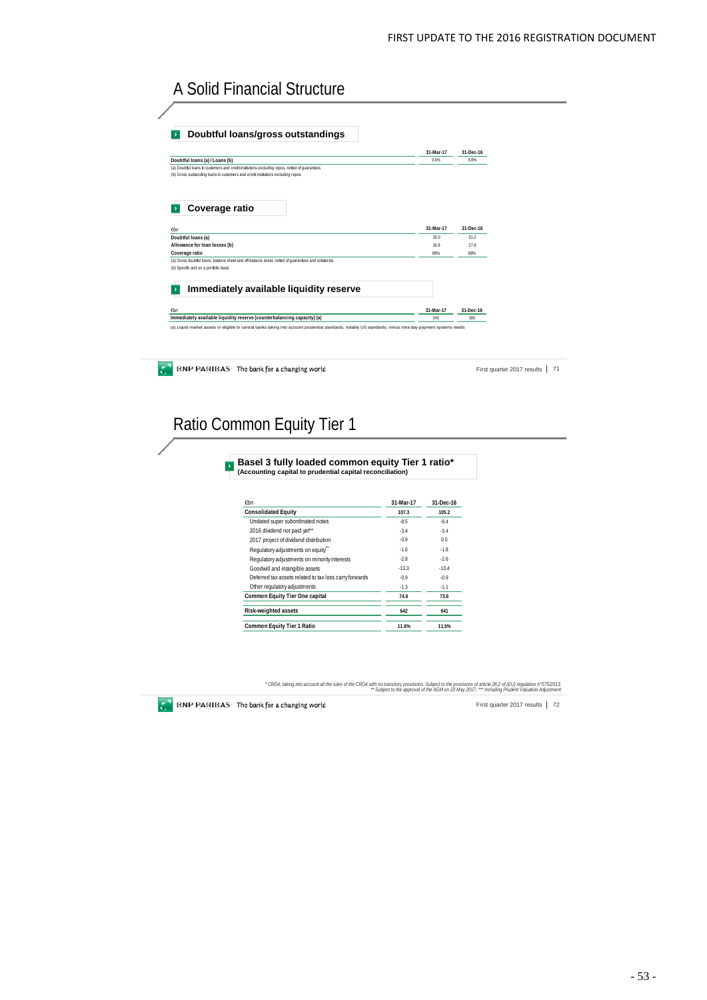# A Solid Financial Structure

| Doubtful loans/gross outstandings                                                                                                                              |           |           |           |                            |  |
|----------------------------------------------------------------------------------------------------------------------------------------------------------------|-----------|-----------|-----------|----------------------------|--|
|                                                                                                                                                                |           | 31-Mar-17 | 31-Dec-16 |                            |  |
| Doubtful Ioans (a) / Loans (b)                                                                                                                                 |           | 3.6%      | 3.8%      |                            |  |
| (a) Doubtful loans to customers and credit institutions excluding repos, netted of guarantees                                                                  |           |           |           |                            |  |
| (b) Gross outstanding loans to customers and credit institutions excluding repos                                                                               |           |           |           |                            |  |
| Coverage ratio                                                                                                                                                 |           |           |           |                            |  |
| $\n  Emb\n$                                                                                                                                                    |           | 31-Mar-17 | 31-Dec-16 |                            |  |
| Doubtful loans (a)                                                                                                                                             |           | 30.0      | 31.2      |                            |  |
| Allowance for loan losses (b)                                                                                                                                  |           | 26.8      | 27.8      |                            |  |
| Coverage ratio<br>(a) Gross doubtful loans, balance sheet and off-balance sheet, netted of quarantees and collaterals<br>(b) Specific and on a portfolio basis |           | 89%       | 89%       |                            |  |
| Immediately available liquidity reserve                                                                                                                        |           |           |           |                            |  |
| $\epsilon$ bn                                                                                                                                                  |           | 31-Mar-17 | 31-Dec-16 |                            |  |
| Immediately available liquidity reserve (counterbalancing capacity) (a)                                                                                        |           | 345       | 305       |                            |  |
| BNP PARIBAS The bank for a changing world                                                                                                                      |           |           |           | First quarter 2017 results |  |
| Ratio Common Equity Tier 1<br>Basel 3 fully loaded common equity Tier 1 ratio*                                                                                 |           |           |           |                            |  |
| (Accounting capital to prudential capital reconciliation)<br>$\not\varepsilon$ bn                                                                              | 31-Mar-17 | 31-Dec-16 |           |                            |  |
| <b>Consolidated Equity</b>                                                                                                                                     | 107.3     | 105.2     |           |                            |  |
| Undated super subordinated notes                                                                                                                               | $-8.5$    | $-8.4$    |           |                            |  |
| 2016 dividend not paid yet**                                                                                                                                   | $-3.4$    | $-3.4$    |           |                            |  |
| 2017 project of dividend distribution                                                                                                                          | $-0.9$    | 0.0       |           |                            |  |
| Regulatory adjustments on equity"                                                                                                                              | $-1.6$    | $-1.8$    |           |                            |  |
| Regulatory adjustments on minority interests                                                                                                                   | $-2.8$    | $-2.6$    |           |                            |  |
| Goodwill and intangible assets                                                                                                                                 | $-13.3$   | $-13.4$   |           |                            |  |
| Deferred tax assets related to tax loss carry forwards                                                                                                         | $-0.9$    | $-0.9$    |           |                            |  |
| Other regulatory adjustments                                                                                                                                   | $-1.3$    | $-1.1$    |           |                            |  |

**Risk-weighted assets 642 641 Common Equity Tier 1 Ratio 11.6% 11.5%**

° CRD4, taking into account all the rules of the CRD4 with no transitory provisions. Subject to the provisions of article 26.2 of (EU) regulation n°575/2013.<br>Digiect to the approval of the AGM on 23 May 2017: \*\*\* Includin

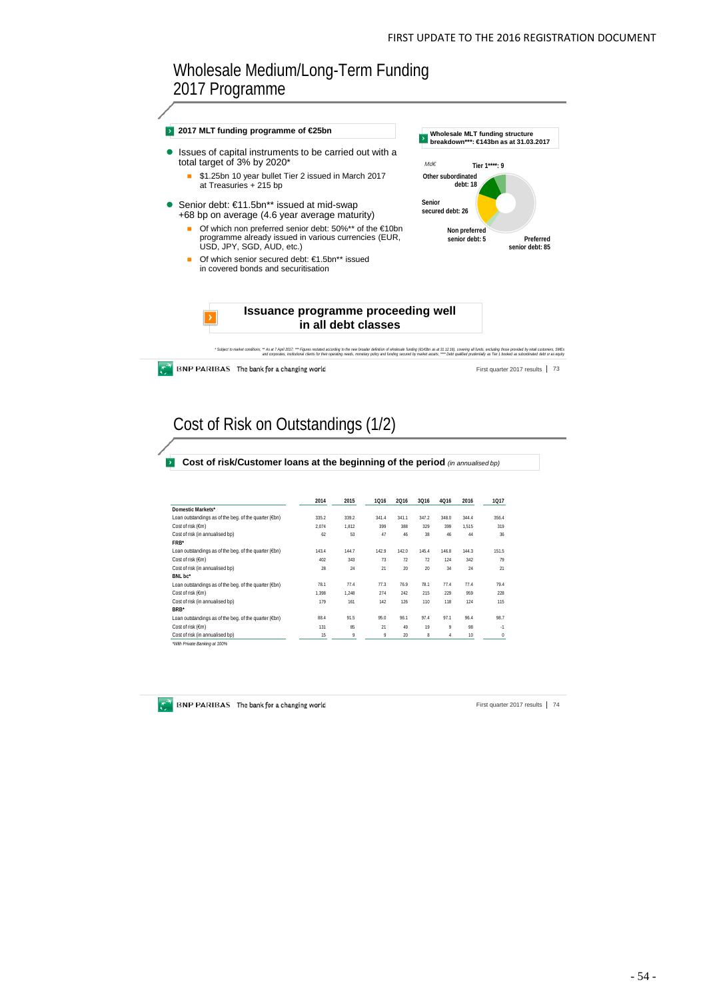## Wholesale Medium/Long-Term Funding 2017 Programme



Cost of Risk on Outstandings (1/2)

**Cost of risk/Customer loans at the beginning of the period** *(in annualised bp)*

|                                                       | 2014  | 2015  | 1016  | 2016  | 3Q16  | 4016         | 2016  | 1017  |
|-------------------------------------------------------|-------|-------|-------|-------|-------|--------------|-------|-------|
| Domestic Markets*                                     |       |       |       |       |       |              |       |       |
| Loan outstandings as of the beg. of the quarter (€bn) | 335.2 | 339.2 | 341.4 | 341.1 | 347.2 | 348.0        | 344.4 | 356.4 |
| Cost of risk (€m)                                     | 2.074 | 1.812 | 399   | 388   | 329   | 399          | 1.515 | 319   |
| Cost of risk (in annualised bp)                       | 62    | 53    | 47    | 46    | 38    | 46           | 44    | 36    |
| FRB*                                                  |       |       |       |       |       |              |       |       |
| Loan outstandings as of the beg. of the quarter (€bn) | 143.4 | 144.7 | 142.9 | 142.0 | 145.4 | 146.8        | 144.3 | 151.5 |
| Cost of risk (€m)                                     | 402   | 343   | 73    | 72    | 72    | 124          | 342   | 79    |
| Cost of risk (in annualised bp)                       | 28    | 24    | 21    | 20    | 20    | 34           | 24    | 21    |
| BNL bc*                                               |       |       |       |       |       |              |       |       |
| Loan outstandings as of the beg. of the quarter (€bn) | 78.1  | 77.4  | 77.3  | 76.9  | 78.1  | 77.4         | 77.4  | 79.4  |
| Cost of risk (€m)                                     | 1.398 | 1.248 | 274   | 242   | 215   | 229          | 959   | 228   |
| Cost of risk (in annualised bp)                       | 179   | 161   | 142   | 126   | 110   | 118          | 124   | 115   |
| BRB <sup>*</sup>                                      |       |       |       |       |       |              |       |       |
| Loan outstandings as of the beg. of the quarter (€bn) | 88.4  | 91.5  | 95.0  | 96.1  | 97.4  | 97.1         | 96.4  | 98.7  |
| Cost of risk (€m)                                     | 131   | 85    | 21    | 49    | 19    | $\mathsf{Q}$ | 98    | $-1$  |
| Cost of risk (in annualised bp)                       | 15    | 9     | 9     | 20    | 8     | 4            | 10    | 0     |
| "With Private Banking at 100%                         |       |       |       |       |       |              |       |       |

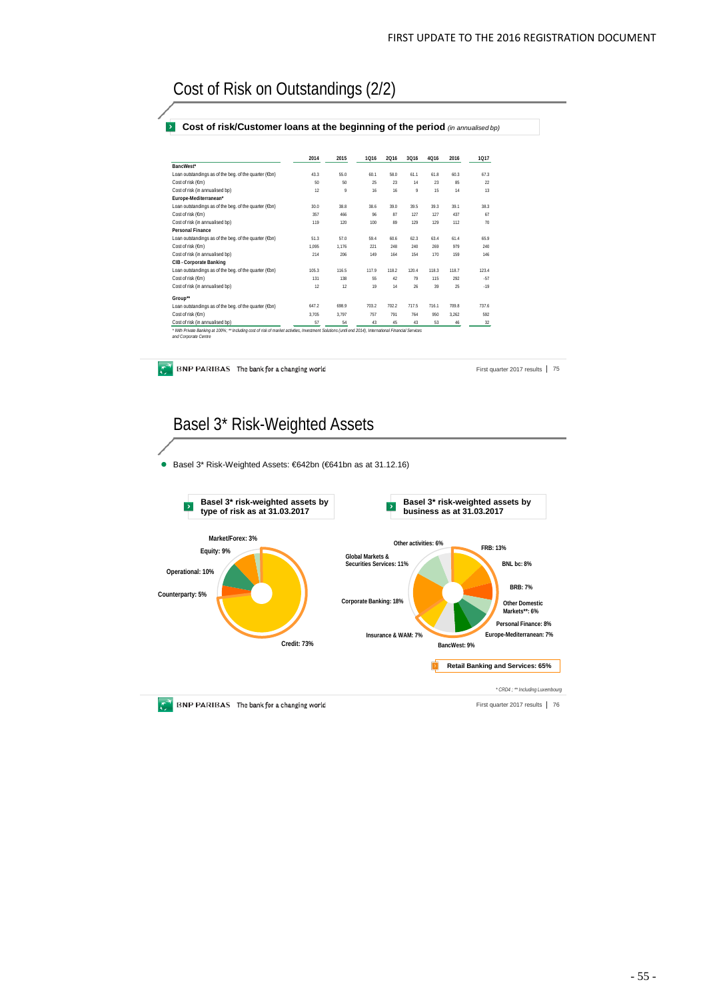# Cost of Risk on Outstandings (2/2)

#### **Cost of risk/Customer loans at the beginning of the period** *(in annualised bp)*

|                                                       | 2014  | 2015  | 1016  | 2016  | 3Q16  | 4016  | 2016  | 1017  |
|-------------------------------------------------------|-------|-------|-------|-------|-------|-------|-------|-------|
| BancWest*                                             |       |       |       |       |       |       |       |       |
| Loan outstandings as of the beg. of the quarter (€bn) | 43.3  | 55.0  | 60.1  | 58.0  | 611   | 61.8  | 60.3  | 67.3  |
| Cost of risk (Em)                                     | 50    | 50    | 25    | 23    | 14    | 23    | 85    | 22    |
| Cost of risk (in annualised bp)                       | 12    | 9     | 16    | 16    | 9     | 15    | 14    | 13    |
| Europe-Mediterranean*                                 |       |       |       |       |       |       |       |       |
| Loan outstandings as of the beg. of the quarter (€bn) | 30.0  | 38.8  | 38.6  | 39.0  | 39.5  | 39.3  | 39 1  | 383   |
| Cost of risk (€m)                                     | 357   | 466   | 96    | 87    | 127   | 127   | 437   | 67    |
| Cost of risk (in annualised bp)                       | 119   | 120   | 100   | 89    | 129   | 129   | 112   | 70    |
| Personal Finance                                      |       |       |       |       |       |       |       |       |
| Loan outstandings as of the beg. of the quarter (€bn) | 51.3  | 57.0  | 59.4  | 60.6  | 62.3  | 63.4  | 61.4  | 65.9  |
| Cost of risk (Em)                                     | 1.095 | 1.176 | 221   | 248   | 240   | 269   | 979   | 240   |
| Cost of risk (in annualised bp)                       | 214   | 206   | 149   | 164   | 154   | 170   | 159   | 146   |
| CIB - Corporate Banking                               |       |       |       |       |       |       |       |       |
| Loan outstandings as of the beg. of the quarter (€bn) | 105.3 | 116.5 | 117.9 | 118.2 | 120.4 | 118.3 | 118.7 | 123.4 |
| Cost of risk (Em)                                     | 131   | 138   | 55    | 42    | 79    | 115   | 292   | .57   |
| Cost of risk (in annualised bp)                       | 12    | 12    | 19    | 14    | 26    | 39    | 25    | $-19$ |
| Group**                                               |       |       |       |       |       |       |       |       |
| Loan outstandings as of the beg. of the quarter (€bn) | 647.2 | 6989  | 703.2 | 702.2 | 717.5 | 7161  | 709.8 | 737.6 |
| Cost of risk (Em)                                     | 3.705 | 3.797 | 757   | 791   | 764   | 950   | 3.262 | 592   |
| Cost of risk (in annualised bp)                       | 57    | 54    | 43    | 45    | 43    | 53    | 46    | 32    |

BNP PARIBAS The bank for a changing world

First quarter 2017 results | 75

# Basel 3\* Risk-Weighted Assets

Basel 3\* Risk-Weighted Assets: €642bn (€641bn as at 31.12.16)

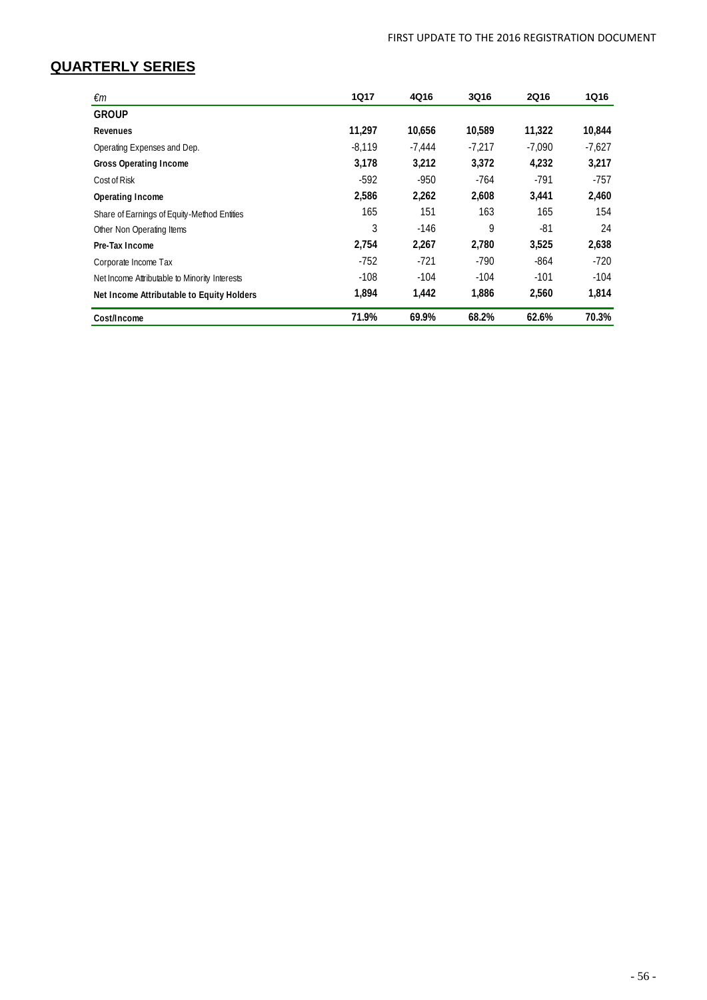## **QUARTERLY SERIES**

| €m                                            | <b>1Q17</b> | 4Q16   | 3Q16     | <b>2Q16</b> | 1Q16     |
|-----------------------------------------------|-------------|--------|----------|-------------|----------|
| <b>GROUP</b>                                  |             |        |          |             |          |
| Revenues                                      | 11.297      | 10.656 | 10.589   | 11,322      | 10,844   |
| Operating Expenses and Dep.                   | $-8.119$    | -7.444 | $-7.217$ | $-7.090$    | $-7.627$ |
| <b>Gross Operating Income</b>                 | 3,178       | 3.212  | 3.372    | 4.232       | 3.217    |
| Cost of Risk                                  | $-592$      | -950   | $-764$   | $-791$      | -757     |
| Operating Income                              | 2,586       | 2.262  | 2.608    | 3.441       | 2,460    |
| Share of Earnings of Equity-Method Entities   | 165         | 151    | 163      | 165         | 154      |
| Other Non Operating Items                     | 3           | $-146$ | 9        | $-81$       | 24       |
| Pre-Tax Income                                | 2.754       | 2,267  | 2.780    | 3,525       | 2,638    |
| Corporate Income Tax                          | $-752$      | $-721$ | $-790$   | $-864$      | $-720$   |
| Net Income Attributable to Minority Interests | $-108$      | $-104$ | $-104$   | $-101$      | $-104$   |
| Net Income Attributable to Equity Holders     | 1,894       | 1,442  | 1,886    | 2,560       | 1,814    |
| Cost/Income                                   | 71.9%       | 69.9%  | 68.2%    | 62.6%       | 70.3%    |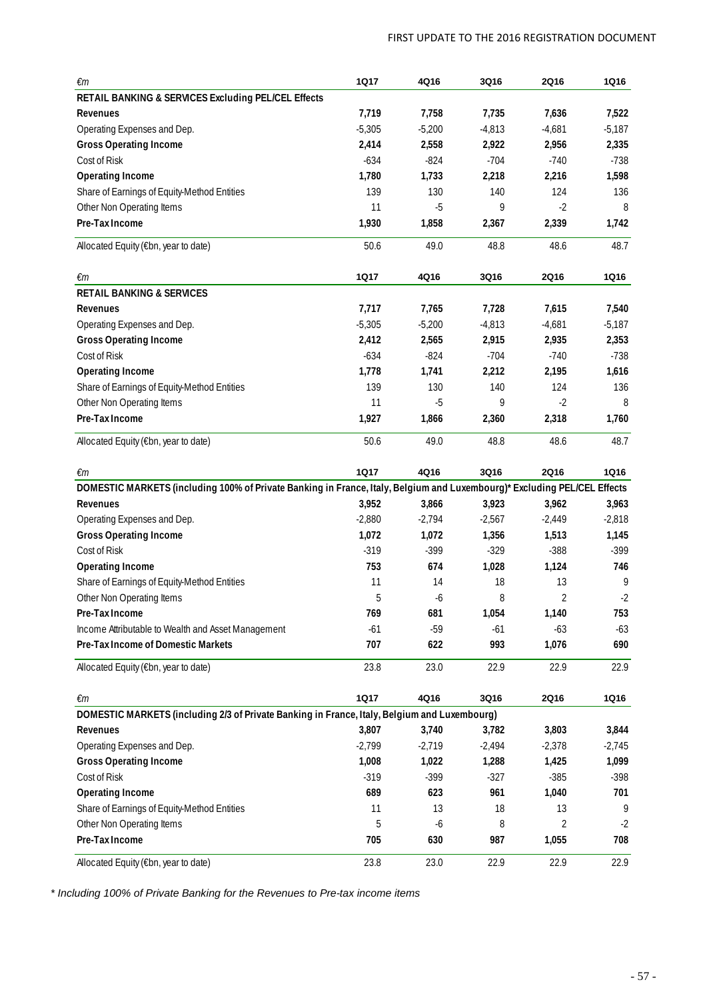| €m                                                                                                                       | <b>1Q17</b> | 4Q16     | 3Q16     | <b>2Q16</b>    | <b>1Q16</b> |
|--------------------------------------------------------------------------------------------------------------------------|-------------|----------|----------|----------------|-------------|
| RETAIL BANKING & SERVICES Excluding PEL/CEL Effects                                                                      |             |          |          |                |             |
| Revenues                                                                                                                 | 7,719       | 7,758    | 7,735    | 7,636          | 7,522       |
| Operating Expenses and Dep.                                                                                              | $-5,305$    | $-5,200$ | $-4,813$ | $-4,681$       | $-5,187$    |
| <b>Gross Operating Income</b>                                                                                            | 2,414       | 2,558    | 2,922    | 2,956          | 2,335       |
| Cost of Risk                                                                                                             | $-634$      | $-824$   | $-704$   | $-740$         | $-738$      |
| <b>Operating Income</b>                                                                                                  | 1,780       | 1,733    | 2,218    | 2,216          | 1,598       |
| Share of Earnings of Equity-Method Entities                                                                              | 139         | 130      | 140      | 124            | 136         |
| Other Non Operating Items                                                                                                | 11          | $-5$     | 9        | $-2$           | 8           |
| Pre-Tax Income                                                                                                           | 1,930       | 1,858    | 2,367    | 2,339          | 1,742       |
| Allocated Equity (€bn, year to date)                                                                                     | 50.6        | 49.0     | 48.8     | 48.6           | 48.7        |
| €m                                                                                                                       | <b>1Q17</b> | 4Q16     | 3Q16     | 2Q16           | <b>1Q16</b> |
| <b>RETAIL BANKING &amp; SERVICES</b>                                                                                     |             |          |          |                |             |
| Revenues                                                                                                                 | 7,717       | 7,765    | 7,728    | 7,615          | 7,540       |
| Operating Expenses and Dep.                                                                                              | $-5,305$    | $-5,200$ | $-4,813$ | $-4,681$       | $-5,187$    |
| <b>Gross Operating Income</b>                                                                                            | 2,412       | 2,565    | 2,915    | 2,935          | 2,353       |
| Cost of Risk                                                                                                             | $-634$      | $-824$   | $-704$   | $-740$         | $-738$      |
| <b>Operating Income</b>                                                                                                  | 1,778       | 1,741    | 2,212    | 2,195          | 1,616       |
| Share of Earnings of Equity-Method Entities                                                                              | 139         | 130      | 140      | 124            | 136         |
| Other Non Operating Items                                                                                                | 11          | $-5$     | 9        | $-2$           | 8           |
| Pre-Tax Income                                                                                                           | 1,927       | 1,866    | 2,360    | 2,318          | 1,760       |
| Allocated Equity (€bn, year to date)                                                                                     | 50.6        | 49.0     | 48.8     | 48.6           | 48.7        |
| €m                                                                                                                       | <b>1Q17</b> | 4Q16     | 3Q16     | 2Q16           | <b>1Q16</b> |
| DOMESTIC MARKETS (including 100% of Private Banking in France, Italy, Belgium and Luxembourg)* Excluding PEL/CEL Effects |             |          |          |                |             |
| Revenues                                                                                                                 | 3,952       | 3,866    | 3,923    | 3,962          | 3,963       |
| Operating Expenses and Dep.                                                                                              | $-2,880$    | $-2,794$ | $-2,567$ | $-2,449$       | $-2,818$    |
| <b>Gross Operating Income</b>                                                                                            | 1,072       | 1,072    | 1,356    | 1,513          | 1,145       |
| Cost of Risk                                                                                                             | $-319$      | $-399$   | $-329$   | $-388$         | $-399$      |
| <b>Operating Income</b>                                                                                                  | 753         | 674      | 1,028    | 1,124          | 746         |
| Share of Earnings of Equity-Method Entities                                                                              | 11          | 14       | 18       | 13             | 9           |
| Other Non Operating Items                                                                                                | 5           | -6       | 8        | $\overline{2}$ | -2          |
| Pre-Tax Income                                                                                                           | 769         | 681      | 1,054    | 1,140          | 753         |
| Income Attributable to Wealth and Asset Management                                                                       | $-61$       | $-59$    | $-61$    | $-63$          | $-63$       |
| Pre-Tax Income of Domestic Markets                                                                                       | 707         | 622      | 993      | 1,076          | 690         |
| Allocated Equity (€bn, year to date)                                                                                     | 23.8        | 23.0     | 22.9     | 22.9           | 22.9        |
| $\epsilon$ m                                                                                                             | <b>1Q17</b> | 4Q16     | 3Q16     | 2Q16           | <b>1Q16</b> |
| DOMESTIC MARKETS (including 2/3 of Private Banking in France, Italy, Belgium and Luxembourg)                             |             |          |          |                |             |
| Revenues                                                                                                                 | 3,807       | 3,740    | 3,782    | 3,803          | 3,844       |
| Operating Expenses and Dep.                                                                                              | $-2,799$    | $-2,719$ | $-2,494$ | $-2,378$       | $-2,745$    |
| <b>Gross Operating Income</b>                                                                                            | 1,008       | 1,022    | 1,288    | 1,425          | 1,099       |
| Cost of Risk                                                                                                             | $-319$      | $-399$   | $-327$   | $-385$         | $-398$      |
| <b>Operating Income</b>                                                                                                  | 689         | 623      | 961      | 1,040          | 701         |
| Share of Earnings of Equity-Method Entities                                                                              | 11          | 13       | 18       | 13             | 9           |
| Other Non Operating Items                                                                                                | 5           | -6       | 8        | 2              | $-2$        |
| Pre-Tax Income                                                                                                           | 705         | 630      | 987      | 1,055          | 708         |
| Allocated Equity (€bn, year to date)                                                                                     | 23.8        | 23.0     | 22.9     | 22.9           | 22.9        |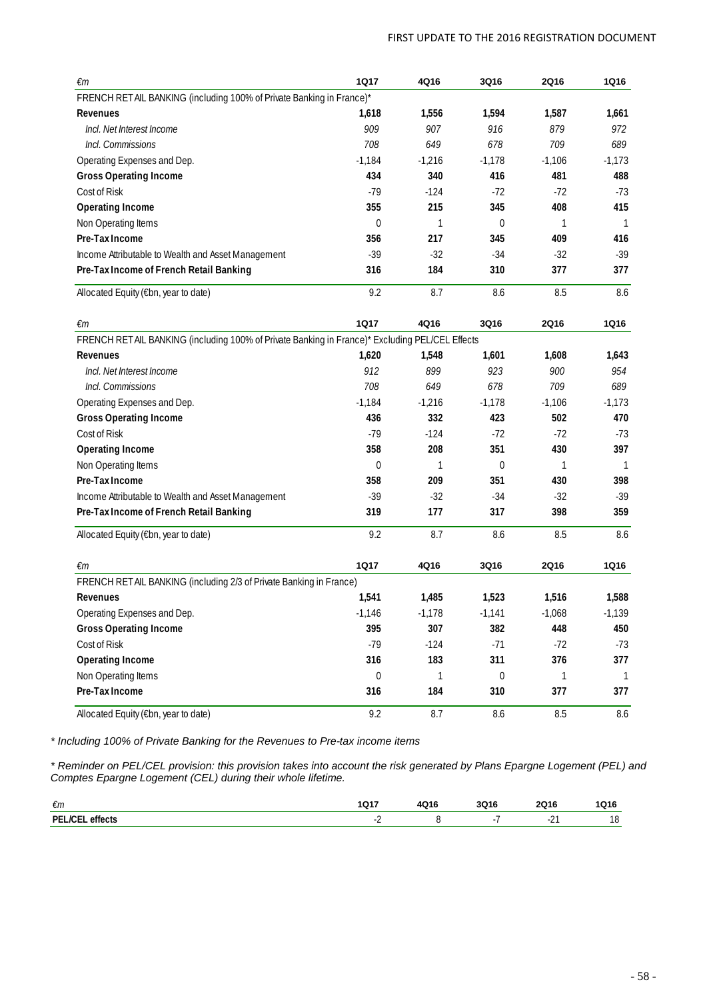| €m                                                                                             | <b>1Q17</b> | 4Q16     | 3Q16             | <b>2Q16</b> | 1Q16           |
|------------------------------------------------------------------------------------------------|-------------|----------|------------------|-------------|----------------|
| FRENCH RETAIL BANKING (including 100% of Private Banking in France)*                           |             |          |                  |             |                |
| Revenues                                                                                       | 1,618       | 1,556    | 1,594            | 1,587       | 1,661          |
| Incl. Net Interest Income                                                                      | 909         | 907      | 916              | 879         | 972            |
| Incl. Commissions                                                                              | 708         | 649      | 678              | 709         | 689            |
| Operating Expenses and Dep.                                                                    | $-1,184$    | $-1,216$ | $-1,178$         | $-1,106$    | $-1,173$       |
| <b>Gross Operating Income</b>                                                                  | 434         | 340      | 416              | 481         | 488            |
| Cost of Risk                                                                                   | $-79$       | $-124$   | $-72$            | $-72$       | $-73$          |
| <b>Operating Income</b>                                                                        | 355         | 215      | 345              | 408         | 415            |
| Non Operating Items                                                                            | 0           | 1        | $\overline{0}$   | 1           | -1             |
| Pre-Tax Income                                                                                 | 356         | 217      | 345              | 409         | 416            |
| Income Attributable to Wealth and Asset Management                                             | $-39$       | -32      | $-34$            | $-32$       | $-39$          |
| Pre-Tax Income of French Retail Banking                                                        | 316         | 184      | 310              | 377         | 377            |
| Allocated Equity (€bn, year to date)                                                           | 9.2         | 8.7      | 8.6              | 8.5         | 8.6            |
| €m                                                                                             | <b>1Q17</b> | 4Q16     | 3Q16             | <b>2Q16</b> | <b>1Q16</b>    |
| FRENCH RETAIL BANKING (including 100% of Private Banking in France)* Excluding PEL/CEL Effects |             |          |                  |             |                |
| Revenues                                                                                       | 1,620       | 1,548    | 1,601            | 1,608       | 1,643          |
| Incl. Net Interest Income                                                                      | 912         | 899      | 923              | 900         | 954            |
| Incl. Commissions                                                                              | 708         | 649      | 678              | 709         | 689            |
| Operating Expenses and Dep.                                                                    | $-1,184$    | $-1,216$ | $-1,178$         | $-1,106$    | $-1,173$       |
| <b>Gross Operating Income</b>                                                                  | 436         | 332      | 423              | 502         | 470            |
| Cost of Risk                                                                                   | $-79$       | $-124$   | $-72$            | $-72$       | $-73$          |
| <b>Operating Income</b>                                                                        | 358         | 208      | 351              | 430         | 397            |
| Non Operating Items                                                                            | 0           | 1        | 0                | 1           | -1             |
| Pre-Tax Income                                                                                 | 358         | 209      | 351              | 430         | 398            |
| Income Attributable to Wealth and Asset Management                                             | $-39$       | $-32$    | $-34$            | $-32$       | $-39$          |
| Pre-Tax Income of French Retail Banking                                                        | 319         | 177      | 317              | 398         | 359            |
| Allocated Equity (€bn, year to date)                                                           | 9.2         | 8.7      | 8.6              | 8.5         | 8.6            |
| €m                                                                                             | <b>1Q17</b> | 4Q16     | 3Q16             | <b>2Q16</b> | <b>1Q16</b>    |
| FRENCH RETAIL BANKING (including 2/3 of Private Banking in France)                             |             |          |                  |             |                |
| Revenues                                                                                       | 1,541       | 1,485    | 1,523            | 1,516       | 1,588          |
| Operating Expenses and Dep.                                                                    | $-1,146$    | $-1,178$ | $-1,141$         | $-1,068$    | $-1,139$       |
| <b>Gross Operating Income</b>                                                                  | 395         | 307      | 382              | 448         | 450            |
| Cost of Risk                                                                                   | $-79$       | $-124$   | $-71$            | $-72$       | $-73$          |
| Operating Income                                                                               | 316         | 183      | 311              | 376         | 377            |
| Non Operating Items                                                                            | 0           | 1        | $\boldsymbol{0}$ | 1           | $\overline{1}$ |
| Pre-Tax Income                                                                                 | 316         | 184      | 310              | 377         | 377            |
| Allocated Equity (€bn, year to date)                                                           | 9.2         | 8.7      | $8.6\,$          | $8.5\,$     | $8.6\,$        |

*\* Reminder on PEL/CEL provision: this provision takes into account the risk generated by Plans Epargne Logement (PEL) and Comptes Epargne Logement (CEL) during their whole lifetime.*

| €m                                                             | 4047<br>, ושו | <b>1Q16</b> | 3Q16 | <b>2Q16</b> | IQ16      |
|----------------------------------------------------------------|---------------|-------------|------|-------------|-----------|
| $\overline{\phantom{a}}$<br>DEI<br>effects<br>$^{\prime}$<br>. |               |             |      | <u>_</u>    | 10<br>. O |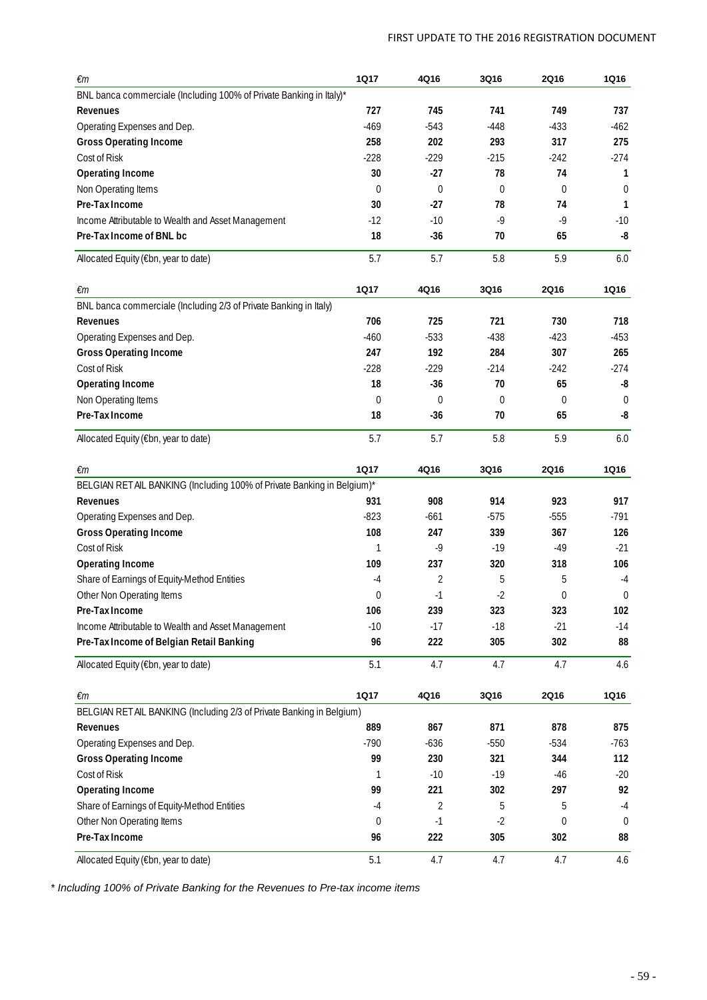| €m                                                                      | <b>1Q17</b> | 4Q16             | 3Q16             | <b>2Q16</b>  | 1Q16         |
|-------------------------------------------------------------------------|-------------|------------------|------------------|--------------|--------------|
| BNL banca commerciale (Including 100% of Private Banking in Italy)*     |             |                  |                  |              |              |
| Revenues                                                                | 727         | 745              | 741              | 749          | 737          |
| Operating Expenses and Dep.                                             | $-469$      | $-543$           | $-448$           | $-433$       | $-462$       |
| <b>Gross Operating Income</b>                                           | 258         | 202              | 293              | 317          | 275          |
| Cost of Risk                                                            | $-228$      | $-229$           | $-215$           | $-242$       | $-274$       |
| <b>Operating Income</b>                                                 | 30          | $-27$            | 78               | 74           | 1            |
| Non Operating Items                                                     | 0           | $\mathbf 0$      | $\mathbf 0$      | $\mathbf{0}$ | $\Omega$     |
| Pre-Tax Income                                                          | 30          | $-27$            | 78               | 74           | 1            |
| Income Attributable to Wealth and Asset Management                      | $-12$       | $-10$            | $-9$             | $-9$         | $-10$        |
| Pre-Tax Income of BNL bc                                                | 18          | $-36$            | 70               | 65           | -8           |
| Allocated Equity (€bn, year to date)                                    | 5.7         | 5.7              | 5.8              | 5.9          | 6.0          |
| €m                                                                      | <b>1Q17</b> | 4Q16             | 3Q16             | <b>2Q16</b>  | <b>1Q16</b>  |
| BNL banca commerciale (Including 2/3 of Private Banking in Italy)       |             |                  |                  |              |              |
| Revenues                                                                | 706         | 725              | 721              | 730          | 718          |
| Operating Expenses and Dep.                                             | $-460$      | $-533$           | $-438$           | $-423$       | $-453$       |
| <b>Gross Operating Income</b>                                           | 247         | 192              | 284              | 307          | 265          |
| Cost of Risk                                                            | $-228$      | $-229$           | $-214$           | $-242$       | $-274$       |
| <b>Operating Income</b>                                                 | 18          | $-36$            | 70               | 65           | -8           |
| Non Operating Items                                                     | 0           | $\boldsymbol{0}$ | $\boldsymbol{0}$ | $\mathbf{0}$ | $\mathbf 0$  |
| Pre-Tax Income                                                          | 18          | $-36$            | 70               | 65           | -8           |
| Allocated Equity (€bn, year to date)                                    | 5.7         | 5.7              | 5.8              | 5.9          | 6.0          |
| €m                                                                      | <b>1Q17</b> | 4Q16             | 3Q16             | <b>2Q16</b>  | <b>1Q16</b>  |
| BELGIAN RET AIL BANKING (Including 100% of Private Banking in Belgium)* |             |                  |                  |              |              |
| Revenues                                                                | 931         | 908              | 914              | 923          | 917          |
| Operating Expenses and Dep.                                             | $-823$      | $-661$           | $-575$           | $-555$       | $-791$       |
| <b>Gross Operating Income</b>                                           | 108         | 247              | 339              | 367          | 126          |
| Cost of Risk                                                            | 1           | $-9$             | $-19$            | $-49$        | $-21$        |
| <b>Operating Income</b>                                                 | 109         | 237              | 320              | 318          | 106          |
| Share of Earnings of Equity-Method Entities                             | -4          | 2                | 5                | 5            | $-4$         |
| Other Non Operating Items                                               | 0           | $-1$             | -2               | 0            | 0            |
| Pre-Tax Income                                                          | 106         | 239              | 323              | 323          | 102          |
| Income Attributable to Wealth and Asset Management                      | $-10$       | $-17$            | $-18$            | $-21$        | $-14$        |
| Pre-Tax Income of Belgian Retail Banking                                | 96          | 222              | 305              | 302          | 88           |
| Allocated Equity (€bn, year to date)                                    | 5.1         | 4.7              | 4.7              | 4.7          | 4.6          |
| €m                                                                      | <b>1Q17</b> | 4Q16             | 3Q16             | <b>2Q16</b>  | <b>1Q16</b>  |
| BELGIAN RETAIL BANKING (Including 2/3 of Private Banking in Belgium)    |             |                  |                  |              |              |
| Revenues                                                                | 889         | 867              | 871              | 878          | 875          |
| Operating Expenses and Dep.                                             | $-790$      | $-636$           | $-550$           | $-534$       | -763         |
| <b>Gross Operating Income</b>                                           | 99          | 230              | 321              | 344          | 112          |
| Cost of Risk                                                            | 1           | $-10$            | $-19$            | $-46$        | $-20$        |
| Operating Income                                                        | 99          | 221              | 302              | 297          | 92           |
| Share of Earnings of Equity-Method Entities                             | $-4$        | 2                | 5                | 5            | $-4$         |
| Other Non Operating Items                                               | 0           | $-1$             | $-2$             | $\mathbf 0$  | $\mathbf{0}$ |
| Pre-Tax Income                                                          | 96          | 222              | 305              | 302          | 88           |
| Allocated Equity (€bn, year to date)                                    | 5.1         | 4.7              | 4.7              | 4.7          | 4.6          |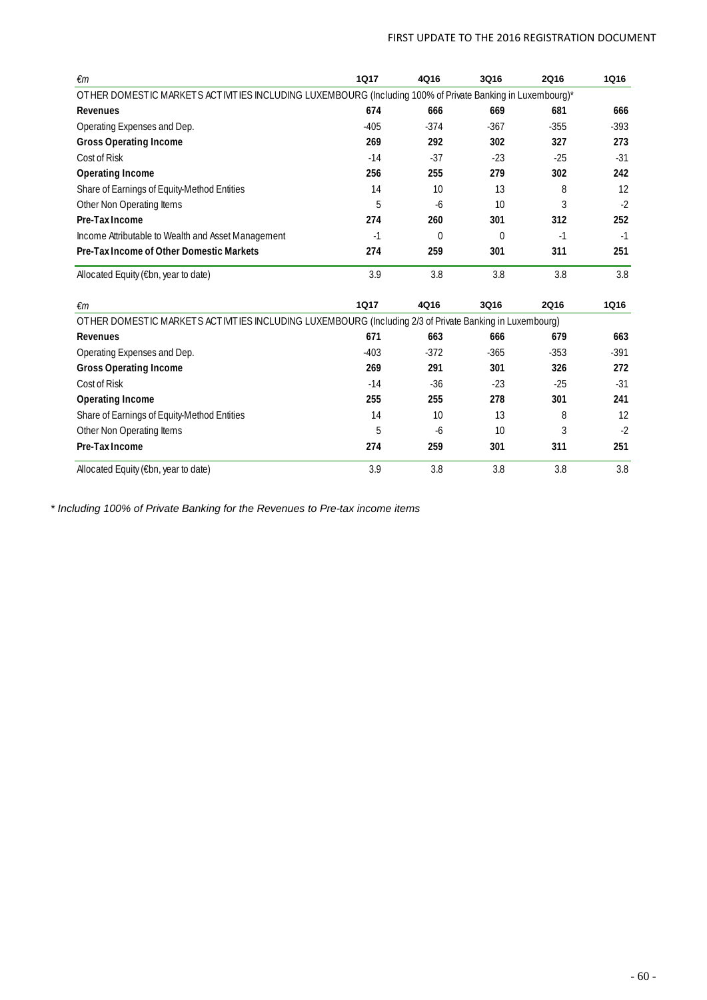### FIRST UPDATE TO THE 2016 REGISTRATION DOCUMENT

| €m                                                                                                        | <b>1Q17</b> | 4Q16         | 3Q16         | <b>2Q16</b> | <b>1Q16</b> |
|-----------------------------------------------------------------------------------------------------------|-------------|--------------|--------------|-------------|-------------|
| OTHER DOMESTIC MARKETS ACTIVITIES INCLUDING LUXEMBOURG (Including 100% of Private Banking in Luxembourg)* |             |              |              |             |             |
| <b>Revenues</b>                                                                                           | 674         | 666          | 669          | 681         | 666         |
| Operating Expenses and Dep.                                                                               | $-405$      | $-374$       | $-367$       | $-355$      | $-393$      |
| <b>Gross Operating Income</b>                                                                             | 269         | 292          | 302          | 327         | 273         |
| Cost of Risk                                                                                              | $-14$       | $-37$        | $-23$        | $-25$       | $-31$       |
| <b>Operating Income</b>                                                                                   | 256         | 255          | 279          | 302         | 242         |
| Share of Earnings of Equity-Method Entities                                                               | 14          | 10           | 13           | 8           | 12          |
| Other Non Operating Items                                                                                 | 5           | $-6$         | 10           | 3           | $-2$        |
| Pre-Tax Income                                                                                            | 274         | 260          | 301          | 312         | 252         |
| Income Attributable to Wealth and Asset Management                                                        | $-1$        | $\mathbf{0}$ | $\mathbf{0}$ | $-1$        | $-1$        |
| Pre-Tax Income of Other Domestic Markets                                                                  | 274         | 259          | 301          | 311         | 251         |
| Allocated Equity (€bn, year to date)                                                                      | 3.9         | 3.8          | 3.8          | 3.8         | 3.8         |
| €m                                                                                                        | <b>1Q17</b> | 4Q16         | 3Q16         | 2Q16        | 1Q16        |
| OTHER DOMESTIC MARKETS ACTIVITIES INCLUDING LUXEMBOURG (Including 2/3 of Private Banking in Luxembourg)   |             |              |              |             |             |
| <b>Revenues</b>                                                                                           | 671         | 663          | 666          | 679         | 663         |
| Operating Expenses and Dep.                                                                               | $-403$      | $-372$       | $-365$       | $-353$      | $-391$      |
| <b>Gross Operating Income</b>                                                                             | 269         | 291          | 301          | 326         | 272         |
| Cost of Risk                                                                                              | $-14$       | $-36$        | $-23$        | $-25$       | $-31$       |
| <b>Operating Income</b>                                                                                   | 255         | 255          | 278          | 301         | 241         |
| Share of Earnings of Equity-Method Entities                                                               | 14          | 10           | 13           | 8           | 12          |
| Other Non Operating Items                                                                                 | 5           | $-6$         | 10           | 3           | $-2$        |
| Pre-Tax Income                                                                                            | 274         | 259          | 301          | 311         | 251         |
| Allocated Equity (€bn, year to date)                                                                      | 3.9         | 3.8          | 3.8          | 3.8         | 3.8         |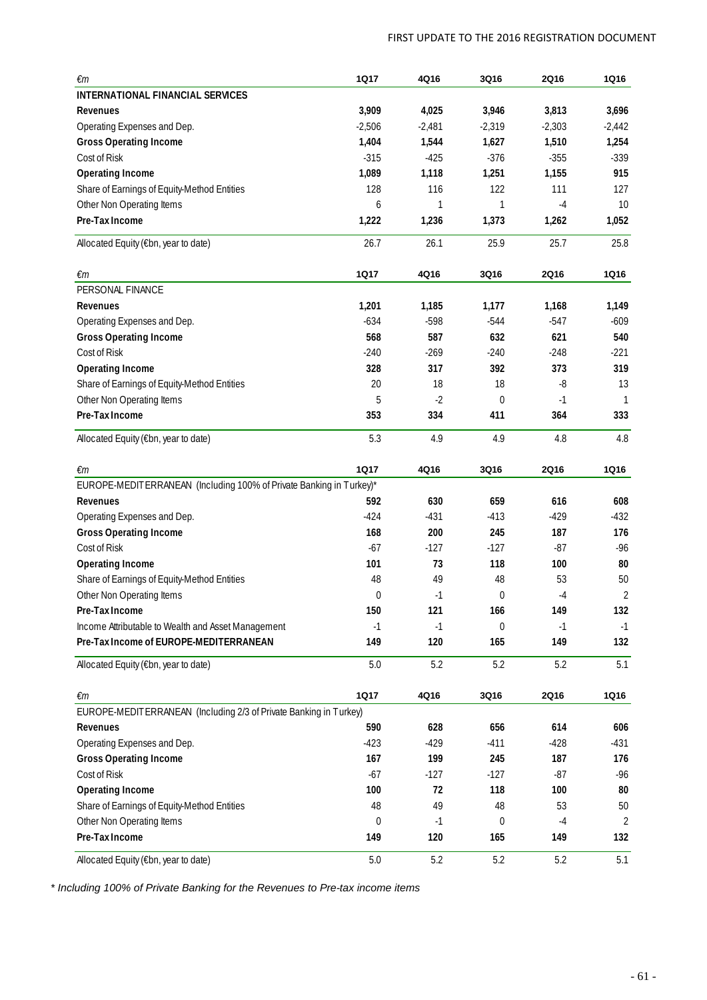| €m                                                                  | <b>1Q17</b> | 4Q16     | 3Q16        | <b>2Q16</b> | <b>1Q16</b>    |
|---------------------------------------------------------------------|-------------|----------|-------------|-------------|----------------|
| INTERNATIONAL FINANCIAL SERVICES                                    |             |          |             |             |                |
| Revenues                                                            | 3,909       | 4,025    | 3,946       | 3,813       | 3,696          |
| Operating Expenses and Dep.                                         | $-2,506$    | $-2,481$ | $-2,319$    | $-2,303$    | $-2,442$       |
| <b>Gross Operating Income</b>                                       | 1,404       | 1,544    | 1,627       | 1,510       | 1,254          |
| Cost of Risk                                                        | $-315$      | $-425$   | $-376$      | $-355$      | $-339$         |
| <b>Operating Income</b>                                             | 1,089       | 1,118    | 1,251       | 1,155       | 915            |
| Share of Earnings of Equity-Method Entities                         | 128         | 116      | 122         | 111         | 127            |
| Other Non Operating Items                                           | 6           | 1        | 1           | $-4$        | 10             |
| Pre-Tax Income                                                      | 1,222       | 1,236    | 1,373       | 1,262       | 1,052          |
| Allocated Equity (€bn, year to date)                                | 26.7        | 26.1     | 25.9        | 25.7        | 25.8           |
| €m                                                                  | <b>1Q17</b> | 4Q16     | 3Q16        | <b>2Q16</b> | <b>1Q16</b>    |
| PERSONAL FINANCE                                                    |             |          |             |             |                |
| <b>Revenues</b>                                                     | 1,201       | 1,185    | 1,177       | 1.168       | 1,149          |
| Operating Expenses and Dep.                                         | $-634$      | $-598$   | $-544$      | $-547$      | $-609$         |
| <b>Gross Operating Income</b>                                       | 568         | 587      | 632         | 621         | 540            |
| Cost of Risk                                                        | $-240$      | $-269$   | $-240$      | $-248$      | $-221$         |
| <b>Operating Income</b>                                             | 328         | 317      | 392         | 373         | 319            |
| Share of Earnings of Equity-Method Entities                         | 20          | 18       | 18          | -8          | 13             |
| Other Non Operating Items                                           | 5           | $-2$     | $\mathbf 0$ | $-1$        | $\mathbf{1}$   |
| Pre-Tax Income                                                      | 353         | 334      | 411         | 364         | 333            |
| Allocated Equity (€bn, year to date)                                | 5.3         | 4.9      | 4.9         | 4.8         | 4.8            |
| $\epsilon$ m                                                        | 1Q17        | 4Q16     | 3Q16        | 2Q16        | <b>1Q16</b>    |
| EUROPE-MEDITERRANEAN (Including 100% of Private Banking in Turkey)* |             |          |             |             |                |
| Revenues                                                            | 592         | 630      | 659         | 616         | 608            |
| Operating Expenses and Dep.                                         | $-424$      | $-431$   | $-413$      | $-429$      | $-432$         |
| <b>Gross Operating Income</b>                                       | 168         | 200      | 245         | 187         | 176            |
| Cost of Risk                                                        | $-67$       | $-127$   | $-127$      | $-87$       | $-96$          |
| <b>Operating Income</b>                                             | 101         | 73       | 118         | 100         | 80             |
| Share of Earnings of Equity-Method Entities                         | 48          | 49       | 48          | 53          | 50             |
| Other Non Operating Items                                           | $\mathbf 0$ | $-1$     | 0           | -4          | $\overline{c}$ |
| Pre-Tax Income                                                      | 150         | 121      | 166         | 149         | 132            |
| Income Attributable to Wealth and Asset Management                  | -1          | $-1$     | $\theta$    | $-1$        | $-1$           |
| Pre-Tax Income of EUROPE-MEDITERRANEAN                              | 149         | 120      | 165         | 149         | 132            |
| Allocated Equity (€bn, year to date)                                | 5.0         | 5.2      | 5.2         | 5.2         | 5.1            |
| €m                                                                  | <b>1Q17</b> | 4Q16     | 3Q16        | 2Q16        | <b>1Q16</b>    |
| EUROPE-MEDITERRANEAN (Including 2/3 of Private Banking in Turkey)   |             |          |             |             |                |
| Revenues                                                            | 590         | 628      | 656         | 614         | 606            |
| Operating Expenses and Dep.                                         | $-423$      | $-429$   | $-411$      | $-428$      | $-431$         |
| <b>Gross Operating Income</b>                                       | 167         | 199      | 245         | 187         | 176            |
| Cost of Risk                                                        | $-67$       | $-127$   | $-127$      | $-87$       | $-96$          |
| <b>Operating Income</b>                                             | 100         | 72       | 118         | 100         | 80             |
| Share of Earnings of Equity-Method Entities                         | 48          | 49       | 48          | 53          | 50             |
| Other Non Operating Items                                           | 0           | $-1$     | 0           | $-4$        | 2              |
| Pre-Tax Income                                                      | 149         | 120      | 165         | 149         | 132            |
| Allocated Equity (€bn, year to date)                                | $5.0\,$     | 5.2      | 5.2         | 5.2         | 5.1            |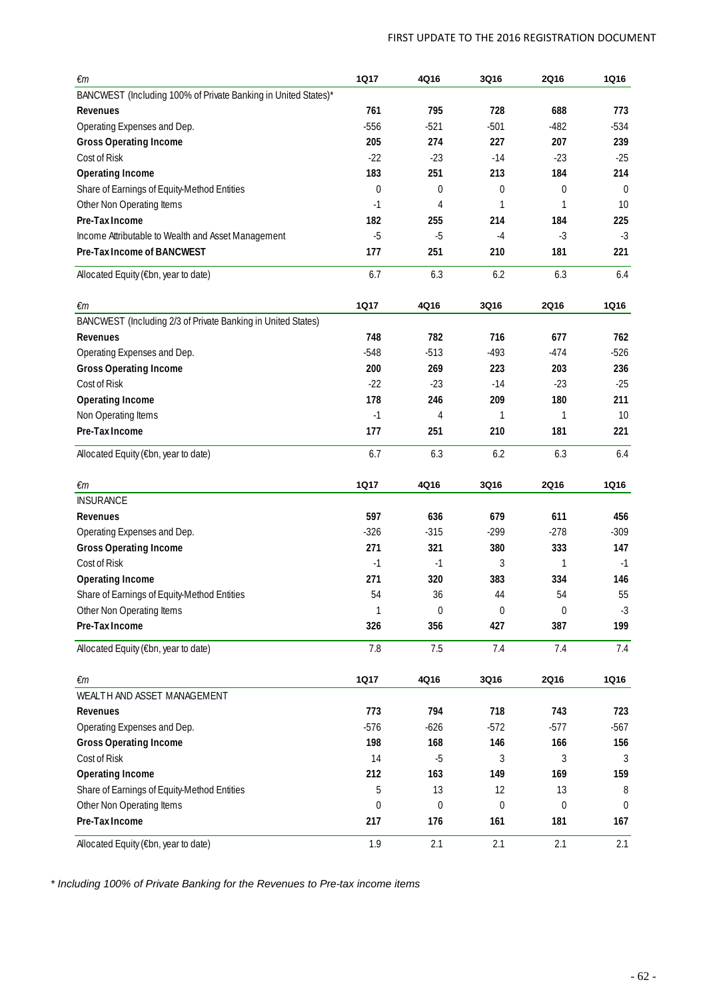| €m                                                             | <b>1Q17</b> | 4Q16   | 3Q16   | <b>2Q16</b>      | <b>1Q16</b>  |
|----------------------------------------------------------------|-------------|--------|--------|------------------|--------------|
| BANCWEST (Including 100% of Private Banking in United States)* |             |        |        |                  |              |
| <b>Revenues</b>                                                | 761         | 795    | 728    | 688              | 773          |
| Operating Expenses and Dep.                                    | $-556$      | $-521$ | $-501$ | $-482$           | $-534$       |
| <b>Gross Operating Income</b>                                  | 205         | 274    | 227    | 207              | 239          |
| Cost of Risk                                                   | $-22$       | $-23$  | $-14$  | $-23$            | $-25$        |
| <b>Operating Income</b>                                        | 183         | 251    | 213    | 184              | 214          |
| Share of Earnings of Equity-Method Entities                    | $\mathbf 0$ | 0      | 0      | $\Omega$         | $\Omega$     |
| Other Non Operating Items                                      | $-1$        | 4      | 1      | 1                | 10           |
| Pre-Tax Income                                                 | 182         | 255    | 214    | 184              | 225          |
| Income Attributable to Wealth and Asset Management             | $-5$        | $-5$   | $-4$   | $-3$             | $-3$         |
| Pre-Tax Income of BANCWEST                                     | 177         | 251    | 210    | 181              | 221          |
| Allocated Equity (€bn, year to date)                           | 6.7         | 6.3    | 6.2    | 6.3              | 6.4          |
| €m                                                             | <b>1Q17</b> | 4Q16   | 3Q16   | <b>2Q16</b>      | <b>1Q16</b>  |
| BANCWEST (Including 2/3 of Private Banking in United States)   |             |        |        |                  |              |
| <b>Revenues</b>                                                | 748         | 782    | 716    | 677              | 762          |
| Operating Expenses and Dep.                                    | $-548$      | $-513$ | $-493$ | $-474$           | $-526$       |
| <b>Gross Operating Income</b>                                  | 200         | 269    | 223    | 203              | 236          |
| Cost of Risk                                                   | $-22$       | $-23$  | $-14$  | $-23$            | $-25$        |
| <b>Operating Income</b>                                        | 178         | 246    | 209    | 180              | 211          |
| Non Operating Items                                            | $-1$        | 4      | 1      | 1                | 10           |
| Pre-Tax Income                                                 | 177         | 251    | 210    | 181              | 221          |
| Allocated Equity (€bn, year to date)                           | 6.7         | 6.3    | 6.2    | 6.3              | 6.4          |
| €m                                                             | <b>1Q17</b> | 4Q16   | 3Q16   | <b>2Q16</b>      | <b>1Q16</b>  |
| <b>INSURANCE</b>                                               |             |        |        |                  |              |
| Revenues                                                       | 597         | 636    | 679    | 611              | 456          |
| Operating Expenses and Dep.                                    | $-326$      | $-315$ | $-299$ | $-278$           | $-309$       |
| <b>Gross Operating Income</b>                                  | 271         | 321    | 380    | 333              | 147          |
| Cost of Risk                                                   | $-1$        | $-1$   | 3      | 1                | $-1$         |
| <b>Operating Income</b>                                        | 271         | 320    | 383    | 334              | 146          |
| Share of Earnings of Equity-Method Entities                    | 54          | 36     | 44     | 54               | 55           |
| Other Non Operating Items                                      | 1           | 0      | 0      | $\boldsymbol{0}$ | $-3$         |
| Pre-Tax Income                                                 | 326         | 356    | 427    | 387              | 199          |
| Allocated Equity (€bn, year to date)                           | 7.8         | 7.5    | 7.4    | 7.4              | 7.4          |
| $\epsilon$ m                                                   | <b>1Q17</b> | 4Q16   | 3Q16   | <b>2Q16</b>      | <b>1Q16</b>  |
| WEALTH AND ASSET MANAGEMENT                                    |             |        |        |                  |              |
| Revenues                                                       | 773         | 794    | 718    | 743              | 723          |
| Operating Expenses and Dep.                                    | $-576$      | $-626$ | $-572$ | $-577$           | $-567$       |
| <b>Gross Operating Income</b>                                  | 198         | 168    | 146    | 166              | 156          |
| Cost of Risk                                                   | 14          | $-5$   | 3      | 3                | 3            |
| <b>Operating Income</b>                                        | 212         | 163    | 149    | 169              | 159          |
| Share of Earnings of Equity-Method Entities                    | 5           | 13     | 12     | 13               | 8            |
| Other Non Operating Items                                      | 0           | 0      | 0      | 0                | $\mathbf{0}$ |
| Pre-Tax Income                                                 | 217         | 176    | 161    | 181              | 167          |
| Allocated Equity (€bn, year to date)                           | 1.9         | 2.1    | 2.1    | 2.1              | 2.1          |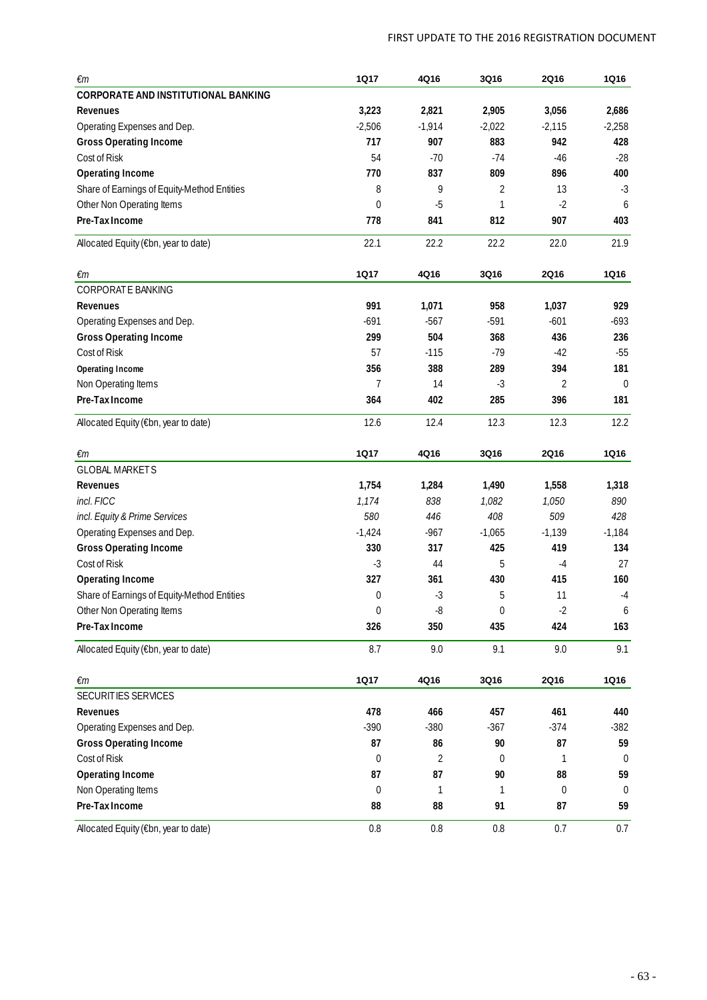| €m                                          | 1Q17           | 4Q16     | 3Q16             | <b>2Q16</b>      | <b>1Q16</b>    |
|---------------------------------------------|----------------|----------|------------------|------------------|----------------|
| CORPORATE AND INSTITUTIONAL BANKING         |                |          |                  |                  |                |
| Revenues                                    | 3,223          | 2,821    | 2,905            | 3,056            | 2,686          |
| Operating Expenses and Dep.                 | $-2,506$       | $-1,914$ | $-2,022$         | $-2,115$         | $-2,258$       |
| <b>Gross Operating Income</b>               | 717            | 907      | 883              | 942              | 428            |
| Cost of Risk                                | 54             | $-70$    | $-74$            | $-46$            | $-28$          |
| <b>Operating Income</b>                     | 770            | 837      | 809              | 896              | 400            |
| Share of Earnings of Equity-Method Entities | 8              | 9        | 2                | 13               | $-3$           |
| Other Non Operating Items                   | $\mathbf 0$    | $-5$     | 1                | $-2$             | 6              |
| Pre-Tax Income                              | 778            | 841      | 812              | 907              | 403            |
| Allocated Equity (€bn, year to date)        | 22.1           | 22.2     | 22.2             | 22.0             | 21.9           |
| $\epsilon$ m                                | <b>1Q17</b>    | 4Q16     | 3Q16             | <b>2Q16</b>      | <b>1Q16</b>    |
| <b>CORPORATE BANKING</b>                    |                |          |                  |                  |                |
| Revenues                                    | 991            | 1,071    | 958              | 1,037            | 929            |
| Operating Expenses and Dep.                 | $-691$         | $-567$   | $-591$           | $-601$           | $-693$         |
| <b>Gross Operating Income</b>               | 299            | 504      | 368              | 436              | 236            |
| Cost of Risk                                | 57             | $-115$   | $-79$            | $-42$            | $-55$          |
| Operating Income                            | 356            | 388      | 289              | 394              | 181            |
| Non Operating Items                         | 7              | 14       | $-3$             | 2                | $\mathbf 0$    |
| Pre-Tax Income                              | 364            | 402      | 285              | 396              | 181            |
| Allocated Equity (€bn, year to date)        | 12.6           | 12.4     | 12.3             | 12.3             | 12.2           |
| €m                                          | <b>1Q17</b>    | 4Q16     | 3Q16             | 2Q16             | <b>1Q16</b>    |
| <b>GLOBAL MARKETS</b>                       |                |          |                  |                  |                |
| Revenues                                    | 1,754          | 1,284    | 1,490            | 1,558            | 1,318          |
| incl. FICC                                  | 1,174          | 838      | 1,082            | 1,050            | 890            |
| incl. Equity & Prime Services               | 580            | 446      | 408              | 509              | 428            |
| Operating Expenses and Dep.                 | $-1,424$       | $-967$   | $-1,065$         | $-1,139$         | $-1,184$       |
| <b>Gross Operating Income</b>               | 330            | 317      | 425              | 419              | 134            |
| Cost of Risk                                | $-3$           | 44       | 5                | $-4$             | 27             |
| <b>Operating Income</b>                     | 327            | 361      | 430              | 415              | 160            |
| Share of Earnings of Equity-Method Entities | 0              | $-3$     | 5                | 11               | $-4$           |
| Other Non Operating Items                   | 0              | -8       | $\boldsymbol{0}$ | $-2$             | 6              |
| Pre-Tax Income                              | 326            | 350      | 435              | 424              | 163            |
| Allocated Equity (€bn, year to date)        | 8.7            | 9.0      | 9.1              | 9.0              | 9.1            |
| $\epsilon$ m                                | <b>1Q17</b>    | 4Q16     | 3Q16             | <b>2Q16</b>      | <b>1Q16</b>    |
| SECURITIES SERVICES                         |                |          |                  |                  |                |
| <b>Revenues</b>                             | 478            | 466      | 457              | 461              | 440            |
| Operating Expenses and Dep.                 | $-390$         | $-380$   | $-367$           | $-374$           | $-382$         |
| <b>Gross Operating Income</b>               | 87             | 86       | 90               | 87               | 59             |
| Cost of Risk                                | $\overline{0}$ | 2        | 0                | 1                | $\overline{0}$ |
| <b>Operating Income</b>                     | 87             | 87       | 90               | 88               | 59             |
| Non Operating Items                         | $\overline{0}$ | 1        | 1                | $\boldsymbol{0}$ | $\mathbf 0$    |
| Pre-Tax Income                              | 88             | 88       | 91               | 87               | 59             |
| Allocated Equity (€bn, year to date)        | $0.8\,$        | $0.8\,$  | 0.8              | 0.7              | 0.7            |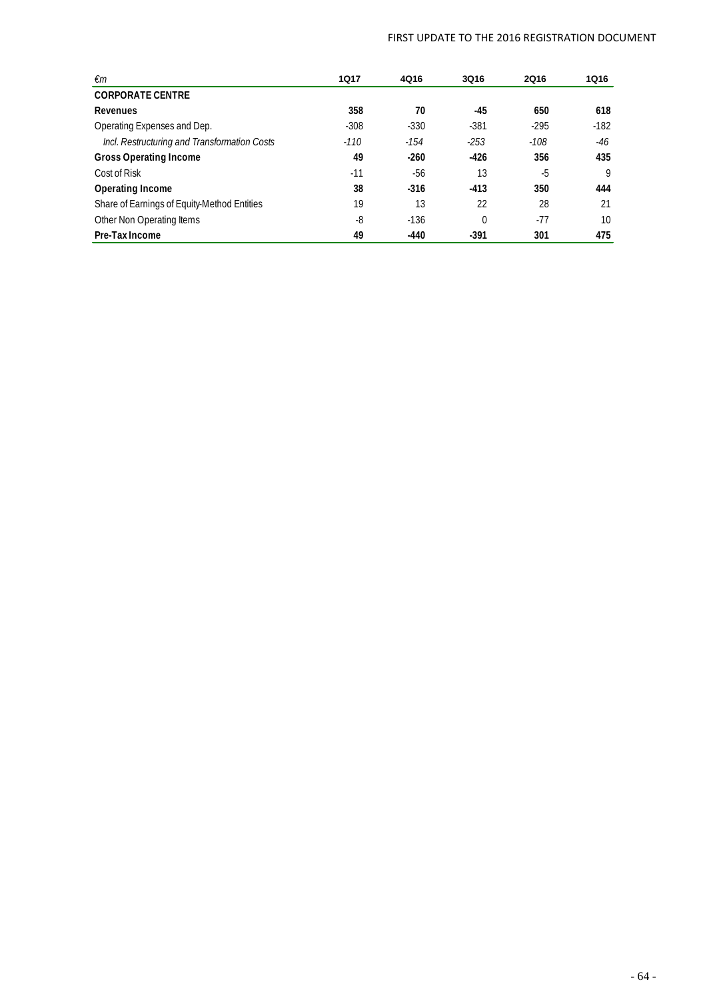### FIRST UPDATE TO THE 2016 REGISTRATION DOCUMENT

| €m                                           | 1Q17   | 4Q16   | 3Q16     | <b>2Q16</b> | 1Q16   |
|----------------------------------------------|--------|--------|----------|-------------|--------|
| <b>CORPORATE CENTRE</b>                      |        |        |          |             |        |
| Revenues                                     | 358    | 70     | -45      | 650         | 618    |
| Operating Expenses and Dep.                  | $-308$ | $-330$ | $-381$   | $-295$      | $-182$ |
| Incl. Restructuring and Transformation Costs | $-110$ | $-154$ | $-253$   | $-108$      | -46    |
| <b>Gross Operating Income</b>                | 49     | $-260$ | -426     | 356         | 435    |
| Cost of Risk                                 | $-11$  | -56    | 13       | -5          | 9      |
| Operating Income                             | 38     | $-316$ | $-413$   | 350         | 444    |
| Share of Earnings of Equity-Method Entities  | 19     | 13     | 22       | 28          | 21     |
| Other Non Operating Items                    | -8     | $-136$ | $\Omega$ | $-77$       | 10     |
| Pre-Tax Income                               | 49     | -440   | $-391$   | 301         | 475    |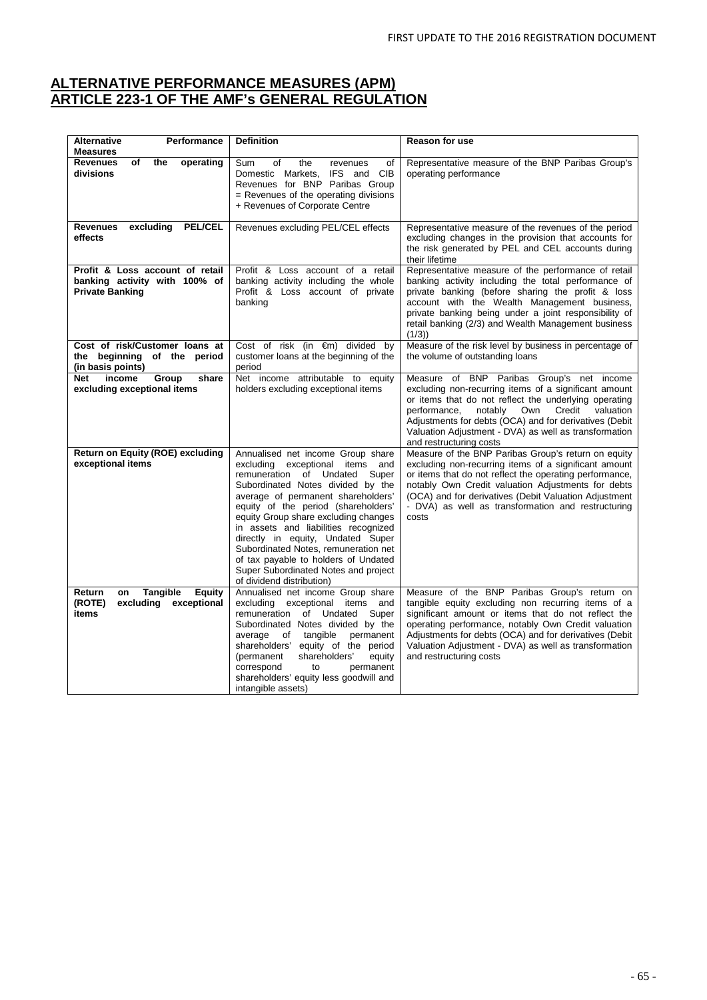### **ALTERNATIVE PERFORMANCE MEASURES (APM) ARTICLE 223-1 OF THE AMF's GENERAL REGULATION**

| <b>Alternative</b><br>Performance<br><b>Measures</b>                                       | <b>Definition</b>                                                                                                                                                                                                                                                                                                                                                                                                                                                                                                | Reason for use                                                                                                                                                                                                                                                                                                                                                     |
|--------------------------------------------------------------------------------------------|------------------------------------------------------------------------------------------------------------------------------------------------------------------------------------------------------------------------------------------------------------------------------------------------------------------------------------------------------------------------------------------------------------------------------------------------------------------------------------------------------------------|--------------------------------------------------------------------------------------------------------------------------------------------------------------------------------------------------------------------------------------------------------------------------------------------------------------------------------------------------------------------|
| <b>Revenues</b><br>the<br>operating<br>of<br>divisions                                     | of<br>the<br>Sum<br>οf<br>revenues<br>Domestic Markets,<br>IFS and CIB<br>Revenues for BNP Paribas Group<br>= Revenues of the operating divisions<br>+ Revenues of Corporate Centre                                                                                                                                                                                                                                                                                                                              | Representative measure of the BNP Paribas Group's<br>operating performance                                                                                                                                                                                                                                                                                         |
| <b>Revenues</b><br>excluding<br><b>PEL/CEL</b><br>effects                                  | Revenues excluding PEL/CEL effects                                                                                                                                                                                                                                                                                                                                                                                                                                                                               | Representative measure of the revenues of the period<br>excluding changes in the provision that accounts for<br>the risk generated by PEL and CEL accounts during<br>their lifetime                                                                                                                                                                                |
| Profit & Loss account of retail<br>banking activity with 100% of<br><b>Private Banking</b> | Profit & Loss account of a retail<br>banking activity including the whole<br>Profit & Loss account of private<br>banking                                                                                                                                                                                                                                                                                                                                                                                         | Representative measure of the performance of retail<br>banking activity including the total performance of<br>private banking (before sharing the profit & loss<br>account with the Wealth Management business,<br>private banking being under a joint responsibility of<br>retail banking (2/3) and Wealth Management business<br>(1/3)                           |
| Cost of risk/Customer loans at<br>the beginning of the period<br>(in basis points)         | Cost of risk (in €m) divided by<br>customer loans at the beginning of the<br>period                                                                                                                                                                                                                                                                                                                                                                                                                              | Measure of the risk level by business in percentage of<br>the volume of outstanding loans                                                                                                                                                                                                                                                                          |
| income<br>Group<br>share<br>Net<br>excluding exceptional items                             | Net income attributable to equity<br>holders excluding exceptional items                                                                                                                                                                                                                                                                                                                                                                                                                                         | Measure of BNP Paribas Group's net income<br>excluding non-recurring items of a significant amount<br>or items that do not reflect the underlying operating<br>performance,<br>notably<br>Own<br>Credit<br>valuation<br>Adjustments for debts (OCA) and for derivatives (Debit<br>Valuation Adjustment - DVA) as well as transformation<br>and restructuring costs |
| <b>Return on Equity (ROE) excluding</b><br>exceptional items                               | Annualised net income Group share<br>excluding<br>exceptional<br>items<br>and<br>remuneration<br>of Undated<br>Super<br>Subordinated Notes divided by the<br>average of permanent shareholders'<br>equity of the period (shareholders'<br>equity Group share excluding changes<br>in assets and liabilities recognized<br>directly in equity, Undated Super<br>Subordinated Notes, remuneration net<br>of tax payable to holders of Undated<br>Super Subordinated Notes and project<br>of dividend distribution) | Measure of the BNP Paribas Group's return on equity<br>excluding non-recurring items of a significant amount<br>or items that do not reflect the operating performance,<br>notably Own Credit valuation Adjustments for debts<br>(OCA) and for derivatives (Debit Valuation Adjustment<br>- DVA) as well as transformation and restructuring<br>costs              |
| Return<br><b>Tangible</b><br>Equity<br>on<br>(ROTE)<br>excluding<br>exceptional<br>items   | Annualised net income Group share<br>excluding<br>exceptional items<br>and<br>remuneration<br>of Undated<br>Super<br>Subordinated Notes divided by the<br>average<br>tangible<br>permanent<br>of<br>shareholders' equity of the period<br>shareholders'<br>(permanent<br>equity<br>correspond<br>permanent<br>to<br>shareholders' equity less goodwill and<br>intangible assets)                                                                                                                                 | Measure of the BNP Paribas Group's return on<br>tangible equity excluding non recurring items of a<br>significant amount or items that do not reflect the<br>operating performance, notably Own Credit valuation<br>Adjustments for debts (OCA) and for derivatives (Debit<br>Valuation Adjustment - DVA) as well as transformation<br>and restructuring costs     |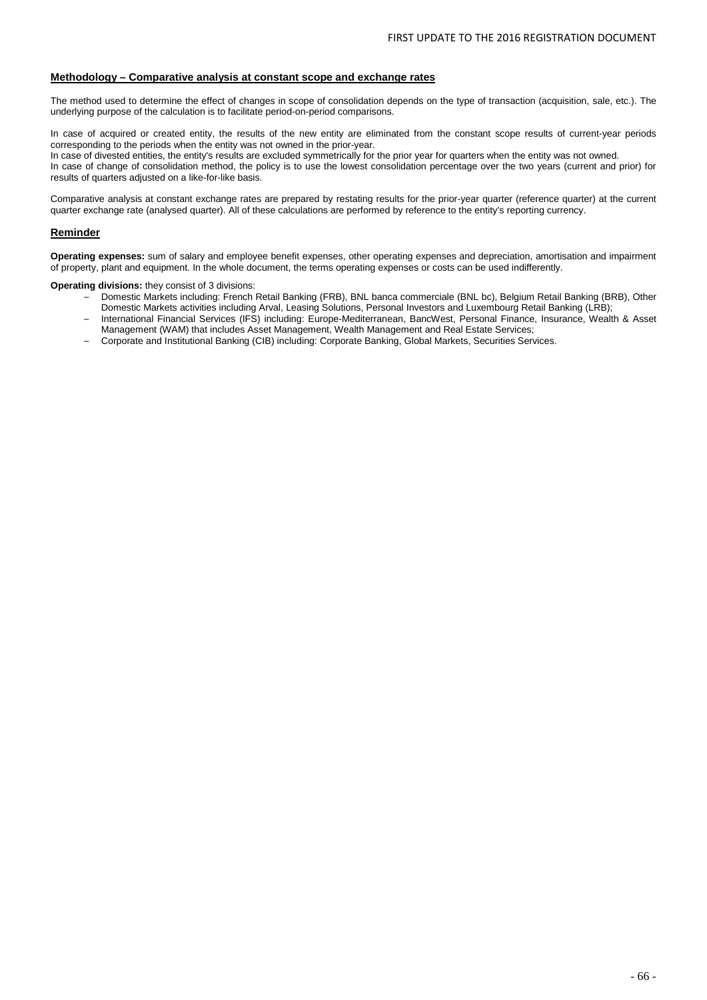#### **Methodology – Comparative analysis at constant scope and exchange rates**

The method used to determine the effect of changes in scope of consolidation depends on the type of transaction (acquisition, sale, etc.). The underlying purpose of the calculation is to facilitate period-on-period comparisons.

In case of acquired or created entity, the results of the new entity are eliminated from the constant scope results of current-year periods corresponding to the periods when the entity was not owned in the prior-year.

In case of divested entities, the entity's results are excluded symmetrically for the prior year for quarters when the entity was not owned. In case of change of consolidation method, the policy is to use the lowest consolidation percentage over the two years (current and prior) for results of quarters adjusted on a like-for-like basis.

Comparative analysis at constant exchange rates are prepared by restating results for the prior-year quarter (reference quarter) at the current quarter exchange rate (analysed quarter). All of these calculations are performed by reference to the entity's reporting currency.

#### **Reminder**

**Operating expenses:** sum of salary and employee benefit expenses, other operating expenses and depreciation, amortisation and impairment of property, plant and equipment. In the whole document, the terms operating expenses or costs can be used indifferently.

**Operating divisions:** they consist of 3 divisions:

- Domestic Markets including: French Retail Banking (FRB), BNL banca commerciale (BNL bc), Belgium Retail Banking (BRB), Other Domestic Markets activities including Arval, Leasing Solutions, Personal Investors and Luxembourg Retail Banking (LRB);
- International Financial Services (IFS) including: Europe-Mediterranean, BancWest, Personal Finance, Insurance, Wealth & Asset Management (WAM) that includes Asset Management, Wealth Management and Real Estate Services;
- Corporate and Institutional Banking (CIB) including: Corporate Banking, Global Markets, Securities Services.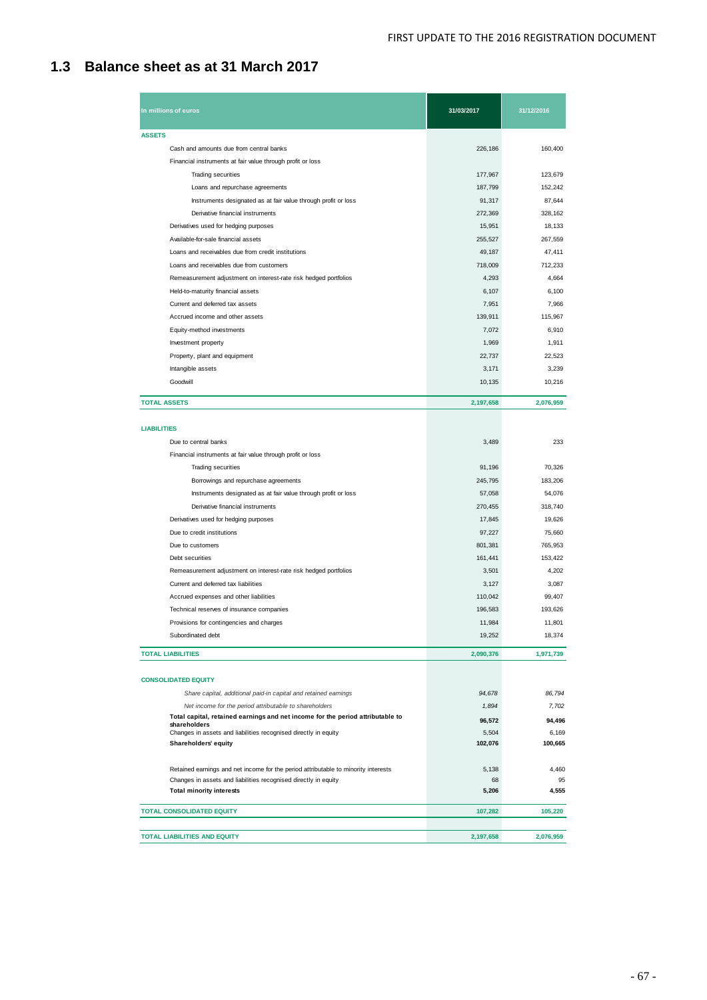## **1.3 Balance sheet as at 31 March 2017**

| In millions of euros                                                                           | 31/03/2017       | 31/12/2016       |
|------------------------------------------------------------------------------------------------|------------------|------------------|
| <b>ASSETS</b>                                                                                  |                  |                  |
| Cash and amounts due from central banks                                                        | 226,186          | 160,400          |
| Financial instruments at fair value through profit or loss                                     |                  |                  |
| <b>Trading securities</b>                                                                      | 177,967          | 123,679          |
| Loans and repurchase agreements                                                                | 187,799          | 152,242          |
| Instruments designated as at fair value through profit or loss                                 | 91,317           | 87,644           |
| Derivative financial instruments                                                               | 272,369          | 328,162          |
| Derivatives used for hedging purposes                                                          | 15,951           | 18,133           |
| Available-for-sale financial assets                                                            | 255,527          | 267,559          |
| Loans and receivables due from credit institutions                                             | 49,187           | 47,411           |
| Loans and receivables due from customers                                                       | 718,009          | 712,233          |
| Remeasurement adjustment on interest-rate risk hedged portfolios                               | 4,293            | 4,664            |
| Held-to-maturity financial assets                                                              | 6,107            | 6,100            |
| Current and deferred tax assets                                                                | 7,951            | 7,966            |
| Accrued income and other assets                                                                | 139,911          | 115,967          |
| Equity-method investments                                                                      | 7,072            | 6,910            |
| Investment property                                                                            | 1,969            | 1,911            |
| Property, plant and equipment                                                                  | 22,737           | 22,523           |
| Intangible assets                                                                              | 3,171            | 3,239            |
| Goodwill                                                                                       | 10,135           | 10,216           |
| <b>TOTAL ASSETS</b>                                                                            | 2,197,658        | 2,076,959        |
|                                                                                                |                  |                  |
| <b>LIABILITIES</b>                                                                             |                  |                  |
| Due to central banks                                                                           | 3,489            | 233              |
| Financial instruments at fair value through profit or loss                                     |                  |                  |
| Trading securities                                                                             | 91,196           | 70,326           |
| Borrowings and repurchase agreements                                                           | 245,795          | 183,206          |
| Instruments designated as at fair value through profit or loss                                 | 57,058           | 54,076           |
| Derivative financial instruments                                                               | 270,455          | 318,740          |
| Derivatives used for hedging purposes<br>Due to credit institutions                            | 17,845<br>97,227 | 19,626<br>75,660 |
| Due to customers                                                                               | 801,381          | 765,953          |
| Debt securities                                                                                | 161,441          | 153,422          |
| Remeasurement adjustment on interest-rate risk hedged portfolios                               | 3,501            | 4,202            |
| Current and deferred tax liabilities                                                           | 3,127            | 3,087            |
| Accrued expenses and other liabilities                                                         | 110,042          | 99,407           |
| Technical reserves of insurance companies                                                      | 196.583          | 193,626          |
| Provisions for contingencies and charges                                                       | 11,984           | 11,801           |
| Subordinated debt                                                                              | 19,252           | 18,374           |
| <b>TOTAL LIABILITIES</b>                                                                       | 2,090,376        | 1,971,739        |
|                                                                                                |                  |                  |
| <b>CONSOLIDATED EQUITY</b>                                                                     |                  |                  |
| Share capital, additional paid-in capital and retained eamings                                 | 94,678           | 86,794           |
| Net income for the period attributable to shareholders                                         | 1,894            | 7,702            |
| Total capital, retained earnings and net income for the period attributable to<br>shareholders | 96,572           | 94,496           |
| Changes in assets and liabilities recognised directly in equity                                | 5,504            | 6,169            |
| Shareholders' equity                                                                           | 102,076          | 100,665          |
| Retained earnings and net income for the period attributable to minority interests             | 5,138            | 4,460            |
| Changes in assets and liabilities recognised directly in equity                                | 68               | 95               |
| <b>Total minority interests</b>                                                                | 5,206            | 4,555            |
| <b>TOTAL CONSOLIDATED EQUITY</b>                                                               | 107,282          | 105,220          |
|                                                                                                |                  |                  |
| <b>TOTAL LIABILITIES AND EQUITY</b>                                                            | 2,197,658        | 2,076,959        |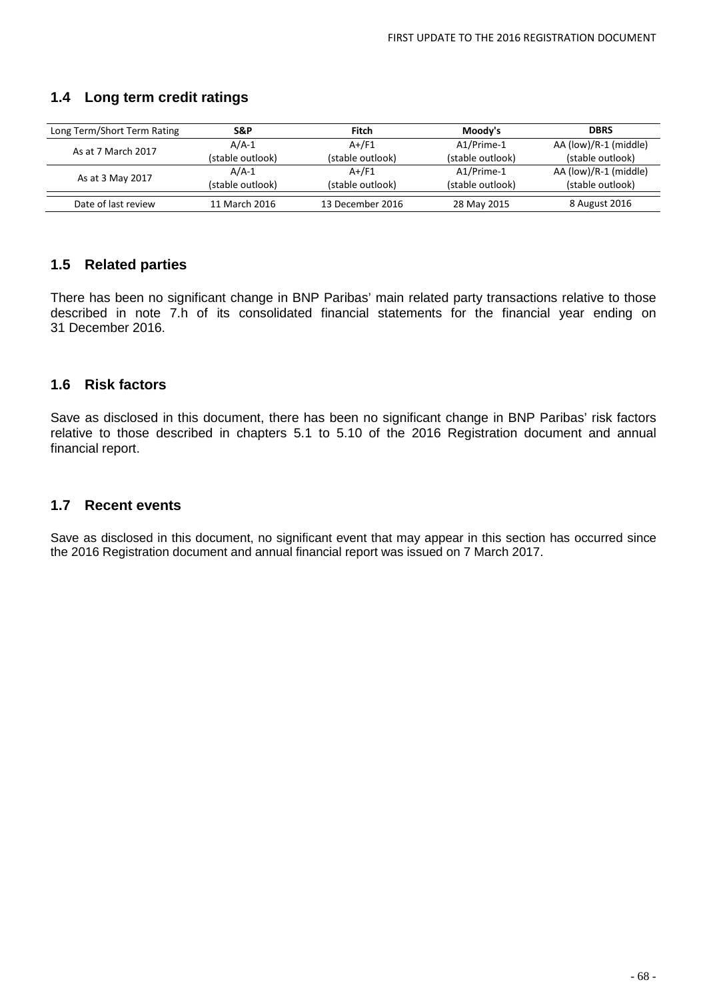## **1.4 Long term credit ratings**

| Long Term/Short Term Rating                              | S&P              | Fitch            | Moody's          | <b>DBRS</b>           |
|----------------------------------------------------------|------------------|------------------|------------------|-----------------------|
| As at 7 March 2017                                       | $A/A-1$          | $A+$ /F1         | A1/Prime-1       | AA (low)/R-1 (middle) |
|                                                          | (stable outlook) | (stable outlook) | (stable outlook) | (stable outlook)      |
|                                                          | $A/A-1$          | $A+$ /F1         | A1/Prime-1       | AA (low)/R-1 (middle) |
| As at 3 May 2017<br>(stable outlook)<br>(stable outlook) |                  | (stable outlook) | (stable outlook) |                       |
|                                                          |                  |                  |                  |                       |
| Date of last review                                      | 11 March 2016    | 13 December 2016 | 28 May 2015      | 8 August 2016         |

### **1.5 Related parties**

There has been no significant change in BNP Paribas' main related party transactions relative to those described in note 7.h of its consolidated financial statements for the financial year ending on 31 December 2016.

### **1.6 Risk factors**

Save as disclosed in this document, there has been no significant change in BNP Paribas' risk factors relative to those described in chapters 5.1 to 5.10 of the 2016 Registration document and annual financial report.

### **1.7 Recent events**

Save as disclosed in this document, no significant event that may appear in this section has occurred since the 2016 Registration document and annual financial report was issued on 7 March 2017.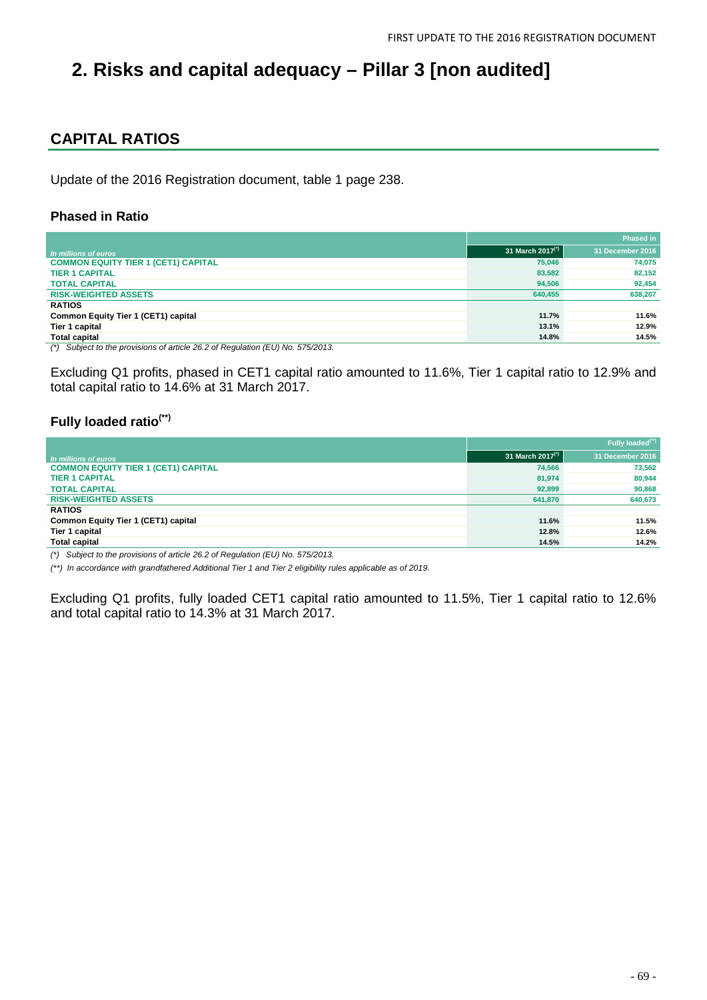# **2. Risks and capital adequacy – Pillar 3 [non audited]**

## **CAPITAL RATIOS**

Update of the 2016 Registration document, table 1 page 238.

### **Phased in Ratio**

|                                                                                         |                              | <b>Phased in</b> |
|-----------------------------------------------------------------------------------------|------------------------------|------------------|
| In millions of euros                                                                    | 31 March 2017 <sup>(*)</sup> | 31 December 2016 |
| <b>COMMON EQUITY TIER 1 (CET1) CAPITAL</b>                                              | 75.046                       | 74.075           |
| <b>TIER 1 CAPITAL</b>                                                                   | 83,582                       | 82.152           |
| <b>TOTAL CAPITAL</b>                                                                    | 94.506                       | 92.454           |
| <b>RISK-WEIGHTED ASSETS</b>                                                             | 640,455                      | 638,207          |
| <b>RATIOS</b>                                                                           |                              |                  |
| Common Equity Tier 1 (CET1) capital                                                     | 11.7%                        | 11.6%            |
| Tier 1 capital                                                                          | 13.1%                        | 12.9%            |
| <b>Total capital</b>                                                                    | 14.8%                        | 14.5%            |
| $\frac{1}{2}$ Cubicat to the provisions of orticle 36.3 of Dequiption (EU) No. 575/0013 |                              |                  |

*(\*) Subject to the provisions of article 26.2 of Regulation (EU) No. 575/2013.*

Excluding Q1 profits, phased in CET1 capital ratio amounted to 11.6%, Tier 1 capital ratio to 12.9% and total capital ratio to 14.6% at 31 March 2017.

### **Fully loaded ratio(\*\*)**

|                                            |                     | Fully loaded <sup>(**)</sup> |
|--------------------------------------------|---------------------|------------------------------|
| In millions of euros                       | 31 March 2017 $(2)$ | 31 December 2016             |
| <b>COMMON EQUITY TIER 1 (CET1) CAPITAL</b> | 74,566              | 73.562                       |
| <b>TIER 1 CAPITAL</b>                      | 81,974              | 80,944                       |
| <b>TOTAL CAPITAL</b>                       | 92,899              | 90.868                       |
| <b>RISK-WEIGHTED ASSETS</b>                | 641,870             | 640,673                      |
| <b>RATIOS</b>                              |                     |                              |
| Common Equity Tier 1 (CET1) capital        | 11.6%               | 11.5%                        |
| Tier 1 capital                             | 12.8%               | 12.6%                        |
| <b>Total capital</b>                       | 14.5%               | 14.2%                        |

*(\*) Subject to the provisions of article 26.2 of Regulation (EU) No. 575/2013.*

*(\*\*) In accordance with grandfathered Additional Tier 1 and Tier 2 eligibility rules applicable as of 2019.*

Excluding Q1 profits, fully loaded CET1 capital ratio amounted to 11.5%, Tier 1 capital ratio to 12.6% and total capital ratio to 14.3% at 31 March 2017.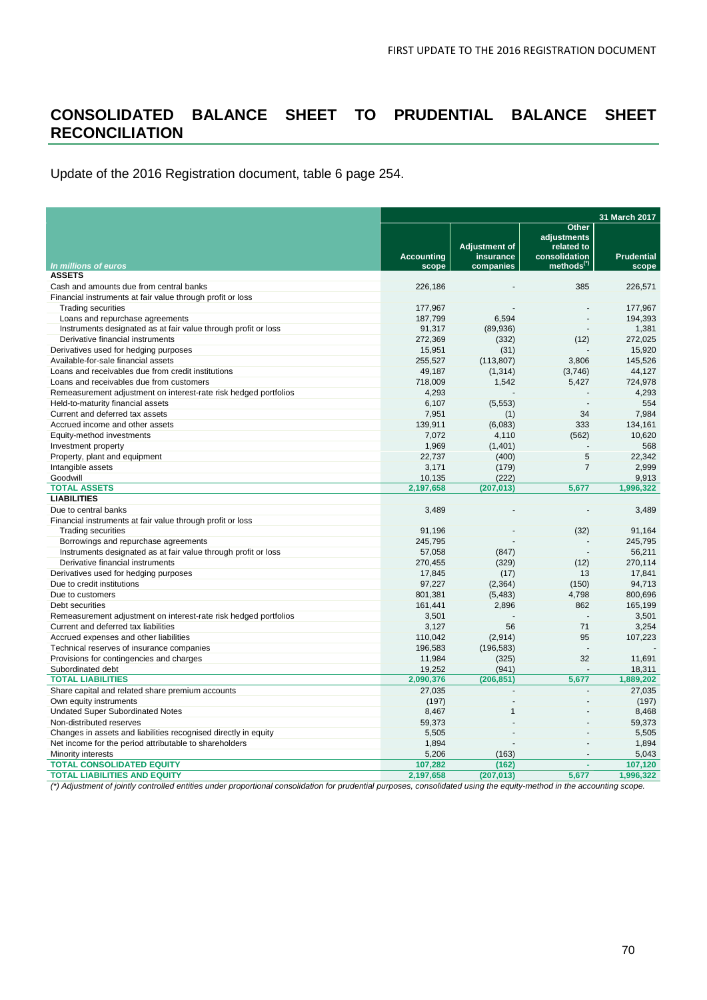## **CONSOLIDATED BALANCE SHEET TO PRUDENTIAL BALANCE SHEET RECONCILIATION**

Update of the 2016 Registration document, table 6 page 254.

|                                                                  | 31 March 2017              |                                                |                                                                               |                            |  |
|------------------------------------------------------------------|----------------------------|------------------------------------------------|-------------------------------------------------------------------------------|----------------------------|--|
| In millions of euros                                             | <b>Accounting</b><br>scope | <b>Adjustment of</b><br>insurance<br>companies | Other<br>adjustments<br>related to<br>consolidation<br>methods <sup>(*)</sup> | <b>Prudential</b><br>scope |  |
| <b>ASSETS</b>                                                    |                            |                                                |                                                                               |                            |  |
| Cash and amounts due from central banks                          | 226,186                    |                                                | 385                                                                           | 226,571                    |  |
| Financial instruments at fair value through profit or loss       |                            |                                                |                                                                               |                            |  |
| <b>Trading securities</b>                                        | 177.967                    |                                                |                                                                               | 177.967                    |  |
| Loans and repurchase agreements                                  | 187,799                    | 6,594                                          |                                                                               | 194,393                    |  |
| Instruments designated as at fair value through profit or loss   | 91,317                     | (89,936)                                       |                                                                               | 1,381                      |  |
| Derivative financial instruments                                 | 272,369                    | (332)                                          | (12)                                                                          | 272,025                    |  |
| Derivatives used for hedging purposes                            | 15,951                     | (31)                                           |                                                                               | 15.920                     |  |
| Available-for-sale financial assets                              | 255,527                    | (113, 807)                                     | 3,806                                                                         | 145,526                    |  |
| Loans and receivables due from credit institutions               | 49,187                     | (1, 314)                                       | (3,746)                                                                       | 44,127                     |  |
| Loans and receivables due from customers                         | 718,009                    | 1,542                                          | 5,427                                                                         | 724,978                    |  |
| Remeasurement adjustment on interest-rate risk hedged portfolios | 4,293                      |                                                |                                                                               | 4.293                      |  |
| Held-to-maturity financial assets                                | 6,107                      | (5, 553)                                       |                                                                               | 554                        |  |
| Current and deferred tax assets                                  |                            |                                                | 34                                                                            | 7,984                      |  |
| Accrued income and other assets                                  | 7,951<br>139,911           | (1)<br>(6,083)                                 | 333                                                                           | 134,161                    |  |
|                                                                  | 7,072                      | 4,110                                          |                                                                               | 10,620                     |  |
| Equity-method investments                                        | 1,969                      |                                                | (562)                                                                         | 568                        |  |
| Investment property                                              | 22,737                     | (1,401)<br>(400)                               | 5                                                                             | 22,342                     |  |
| Property, plant and equipment                                    |                            |                                                | $\overline{7}$                                                                | 2.999                      |  |
| Intangible assets                                                | 3,171                      | (179)                                          |                                                                               |                            |  |
| Goodwill<br><b>TOTAL ASSETS</b>                                  | 10,135<br>2,197,658        | (222)                                          |                                                                               | 9,913<br>1,996,322         |  |
| <b>LIABILITIES</b>                                               |                            | (207, 013)                                     | 5,677                                                                         |                            |  |
| Due to central banks                                             |                            |                                                |                                                                               | 3,489                      |  |
|                                                                  | 3,489                      |                                                |                                                                               |                            |  |
| Financial instruments at fair value through profit or loss       |                            |                                                |                                                                               | 91.164                     |  |
| <b>Trading securities</b>                                        | 91,196<br>245,795          |                                                | (32)                                                                          | 245,795                    |  |
| Borrowings and repurchase agreements                             | 57,058                     |                                                |                                                                               | 56,211                     |  |
| Instruments designated as at fair value through profit or loss   |                            | (847)                                          |                                                                               | 270,114                    |  |
| Derivative financial instruments                                 | 270,455                    | (329)                                          | (12)                                                                          |                            |  |
| Derivatives used for hedging purposes                            | 17,845                     | (17)                                           | 13                                                                            | 17,841                     |  |
| Due to credit institutions                                       | 97,227                     | (2, 364)                                       | (150)                                                                         | 94,713                     |  |
| Due to customers                                                 | 801,381                    | (5,483)                                        | 4,798<br>862                                                                  | 800,696                    |  |
| Debt securities                                                  | 161,441                    | 2,896                                          |                                                                               | 165.199                    |  |
| Remeasurement adjustment on interest-rate risk hedged portfolios | 3,501                      |                                                |                                                                               | 3,501                      |  |
| Current and deferred tax liabilities                             | 3,127                      | 56                                             | 71                                                                            | 3,254                      |  |
| Accrued expenses and other liabilities                           | 110,042                    | (2,914)                                        | 95                                                                            | 107,223                    |  |
| Technical reserves of insurance companies                        | 196,583                    | (196, 583)                                     |                                                                               |                            |  |
| Provisions for contingencies and charges                         | 11,984                     | (325)                                          | 32                                                                            | 11,691                     |  |
| Subordinated debt                                                | 19,252                     | (941)                                          |                                                                               | 18,311                     |  |
| <b>TOTAL LIABILITIES</b>                                         | 2,090,376                  | (206, 851)                                     | 5,677                                                                         | 1.889.202                  |  |
| Share capital and related share premium accounts                 | 27,035                     |                                                |                                                                               | 27,035                     |  |
| Own equity instruments                                           | (197)                      |                                                |                                                                               | (197)                      |  |
| <b>Undated Super Subordinated Notes</b>                          | 8,467                      | 1                                              |                                                                               | 8,468                      |  |
| Non-distributed reserves                                         | 59,373                     |                                                |                                                                               | 59.373                     |  |
| Changes in assets and liabilities recognised directly in equity  | 5,505                      |                                                |                                                                               | 5,505                      |  |
| Net income for the period attributable to shareholders           | 1,894                      |                                                |                                                                               | 1,894                      |  |
| Minority interests                                               | 5,206                      | (163)                                          |                                                                               | 5,043                      |  |
| <b>TOTAL CONSOLIDATED EQUITY</b>                                 | 107,282                    | (162)                                          | ÷.                                                                            | 107,120                    |  |
| <b>TOTAL LIABILITIES AND EQUITY</b>                              | 2,197,658                  | (207, 013)                                     | 5,677                                                                         | 1,996,322                  |  |

*(\*) Adjustment of jointly controlled entities under proportional consolidation for prudential purposes, consolidated using the equity-method in the accounting scope.*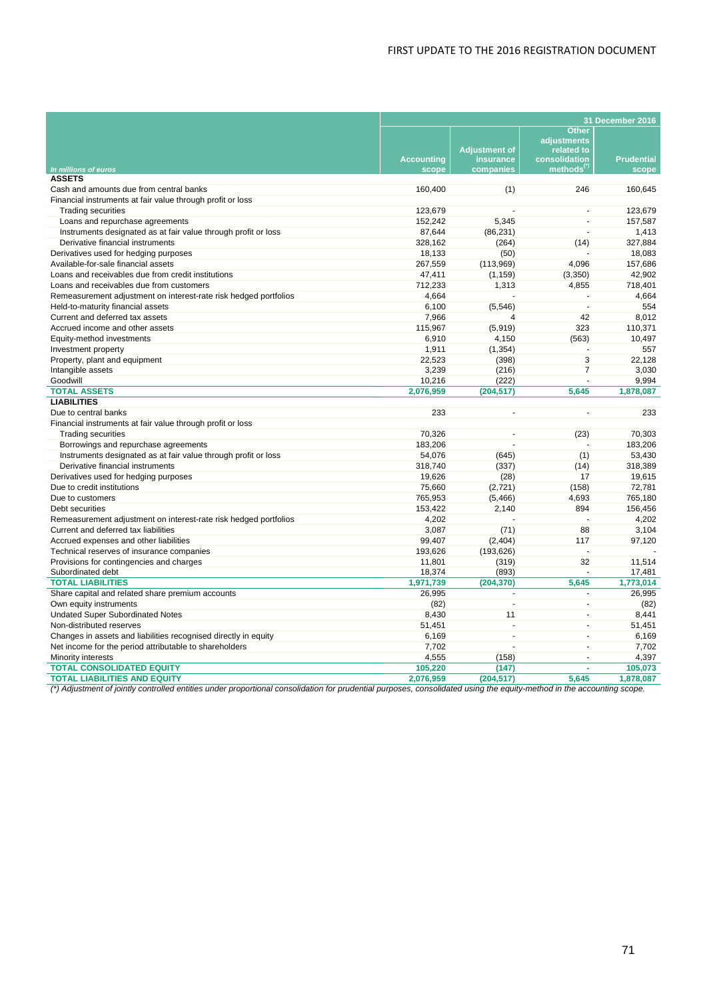### FIRST UPDATE TO THE 2016 REGISTRATION DOCUMENT

|                                                                  | 31 December 2016           |                        |                                         |                   |
|------------------------------------------------------------------|----------------------------|------------------------|-----------------------------------------|-------------------|
|                                                                  |                            |                        | Other                                   |                   |
|                                                                  |                            |                        | adjustments                             |                   |
|                                                                  |                            | <b>Adjustment of</b>   | related to                              |                   |
|                                                                  | <b>Accounting</b><br>scope | insurance<br>companies | consolidation<br>methods <sup>(*)</sup> | <b>Prudential</b> |
| In millions of euros<br><b>ASSETS</b>                            |                            |                        |                                         | scope             |
| Cash and amounts due from central banks                          | 160,400                    | (1)                    | 246                                     | 160,645           |
| Financial instruments at fair value through profit or loss       |                            |                        |                                         |                   |
| <b>Trading securities</b>                                        | 123.679                    |                        | ä,                                      | 123.679           |
| Loans and repurchase agreements                                  | 152,242                    | 5,345                  | ä,                                      | 157,587           |
| Instruments designated as at fair value through profit or loss   | 87,644                     | (86, 231)              | $\sim$                                  | 1,413             |
| Derivative financial instruments                                 | 328,162                    | (264)                  | (14)                                    | 327,884           |
| Derivatives used for hedging purposes                            | 18,133                     | (50)                   |                                         | 18.083            |
| Available-for-sale financial assets                              | 267,559                    | (113,969)              | 4,096                                   | 157,686           |
| Loans and receivables due from credit institutions               | 47,411                     | (1, 159)               | (3,350)                                 | 42,902            |
| Loans and receivables due from customers                         | 712,233                    | 1,313                  | 4,855                                   | 718,401           |
| Remeasurement adjustment on interest-rate risk hedged portfolios | 4,664                      |                        |                                         | 4,664             |
| Held-to-maturity financial assets                                | 6,100                      | (5, 546)               |                                         | 554               |
| Current and deferred tax assets                                  | 7,966                      | 4                      | 42                                      | 8,012             |
| Accrued income and other assets                                  | 115,967                    | (5,919)                | 323                                     | 110,371           |
| Equity-method investments                                        | 6.910                      | 4.150                  | (563)                                   | 10.497            |
| Investment property                                              | 1,911                      | (1, 354)               |                                         | 557               |
| Property, plant and equipment                                    | 22,523                     | (398)                  | 3                                       | 22.128            |
| Intangible assets                                                | 3,239                      | (216)                  | $\overline{7}$                          | 3,030             |
| Goodwill                                                         | 10,216                     | (222)                  | ä,                                      | 9,994             |
| <b>TOTAL ASSETS</b>                                              | 2,076,959                  | (204, 517)             | 5,645                                   | 1,878,087         |
| <b>LIABILITIES</b>                                               |                            |                        |                                         |                   |
| Due to central banks                                             | 233                        | $\blacksquare$         | ä,                                      | 233               |
| Financial instruments at fair value through profit or loss       |                            |                        |                                         |                   |
| <b>Trading securities</b>                                        | 70,326                     | $\blacksquare$         | (23)                                    | 70.303            |
| Borrowings and repurchase agreements                             | 183,206                    | ÷.                     |                                         | 183,206           |
| Instruments designated as at fair value through profit or loss   | 54,076                     | (645)                  | (1)                                     | 53,430            |
| Derivative financial instruments                                 | 318,740                    | (337)                  | (14)                                    | 318,389           |
| Derivatives used for hedging purposes                            | 19.626                     | (28)                   | 17                                      | 19.615            |
| Due to credit institutions                                       | 75,660                     | (2, 721)               | (158)                                   | 72,781            |
| Due to customers                                                 | 765,953                    | (5,466)                | 4,693                                   | 765,180           |
| Debt securities                                                  | 153,422                    | 2,140                  | 894                                     | 156,456           |
| Remeasurement adjustment on interest-rate risk hedged portfolios | 4,202                      |                        |                                         | 4,202             |
| Current and deferred tax liabilities                             | 3,087                      | (71)                   | 88                                      | 3,104             |
| Accrued expenses and other liabilities                           | 99,407                     | (2,404)                | 117                                     | 97,120            |
| Technical reserves of insurance companies                        | 193,626                    | (193, 626)             | $\sim$                                  |                   |
| Provisions for contingencies and charges                         | 11,801                     | (319)                  | 32                                      | 11,514            |
| Subordinated debt                                                | 18,374                     | (893)                  | $\overline{a}$                          | 17,481            |
| <b>TOTAL LIABILITIES</b>                                         | 1,971,739                  | (204, 370)             | 5,645                                   | 1,773,014         |
| Share capital and related share premium accounts                 | 26,995                     | ÷                      | $\overline{a}$                          | 26,995            |
| Own equity instruments                                           | (82)                       | L.                     | ä,                                      | (82)              |
| <b>Undated Super Subordinated Notes</b>                          | 8.430                      | 11                     | ä,                                      | 8.441             |
| Non-distributed reserves                                         | 51,451                     |                        | ä,                                      | 51,451            |
| Changes in assets and liabilities recognised directly in equity  | 6,169                      | $\blacksquare$         | $\mathbf{r}$                            | 6,169             |
| Net income for the period attributable to shareholders           | 7,702                      | L.                     | ÷                                       | 7,702             |
| Minority interests                                               | 4,555                      | (158)                  | ÷                                       | 4,397             |
| <b>TOTAL CONSOLIDATED EQUITY</b>                                 | 105,220                    | (147)                  | ä,                                      | 105,073           |
| <b>TOTAL LIABILITIES AND EQUITY</b>                              | 2,076,959                  | (204, 517)             | 5.645                                   | 1,878,087         |

*(\*) Adjustment of jointly controlled entities under proportional consolidation for prudential purposes, consolidated using the equity-method in the accounting scope.*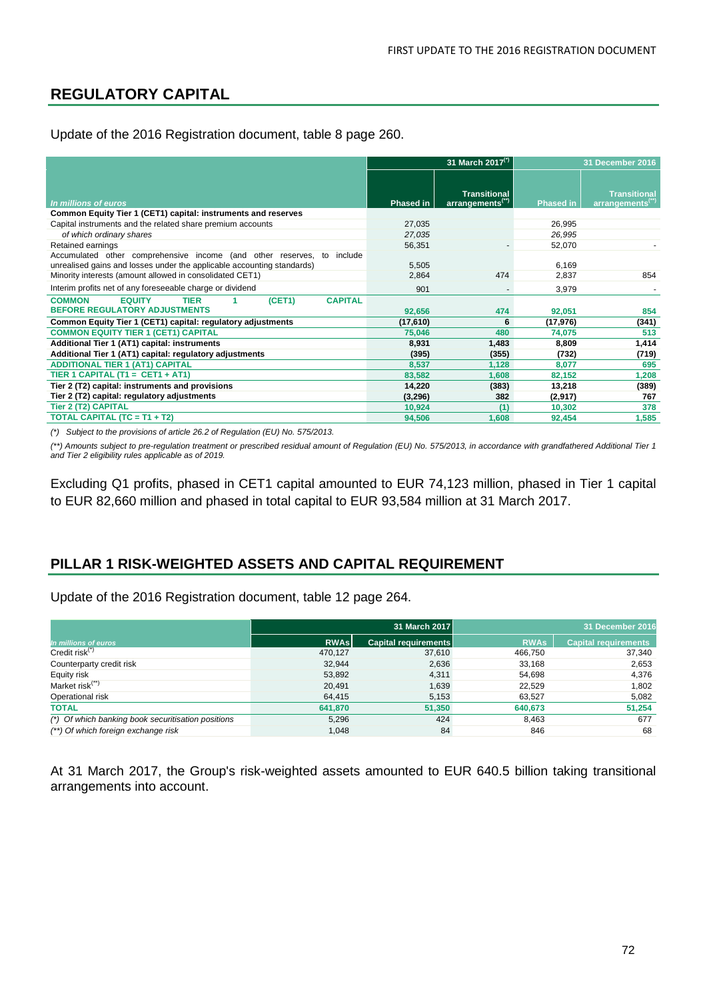# **REGULATORY CAPITAL**

Update of the 2016 Registration document, table 8 page 260.

|                                                                                                                                                     | 31 March 2017 <sup>(*)</sup> |                                                     | 31 December 2016 |                                             |
|-----------------------------------------------------------------------------------------------------------------------------------------------------|------------------------------|-----------------------------------------------------|------------------|---------------------------------------------|
| In millions of euros                                                                                                                                | <b>Phased in</b>             | <b>Transitional</b><br>arrangements <sup>(**)</sup> | <b>Phased in</b> | Transitional<br>arrangements <sup>(")</sup> |
| Common Equity Tier 1 (CET1) capital: instruments and reserves                                                                                       |                              |                                                     |                  |                                             |
| Capital instruments and the related share premium accounts                                                                                          | 27,035                       |                                                     | 26,995           |                                             |
| of which ordinary shares                                                                                                                            | 27,035                       |                                                     | 26,995           |                                             |
| Retained earnings                                                                                                                                   | 56,351                       |                                                     | 52,070           |                                             |
| Accumulated other comprehensive income (and other reserves,<br>to include<br>unrealised gains and losses under the applicable accounting standards) | 5,505                        |                                                     | 6,169            |                                             |
| Minority interests (amount allowed in consolidated CET1)                                                                                            | 2,864                        | 474                                                 | 2,837            | 854                                         |
| Interim profits net of any foreseeable charge or dividend                                                                                           | 901                          | ٠                                                   | 3,979            |                                             |
| <b>CAPITAL</b><br><b>EQUITY</b><br><b>TIER</b><br>(CET1)<br><b>COMMON</b><br><b>BEFORE REGULATORY ADJUSTMENTS</b>                                   | 92,656                       | 474                                                 | 92,051           | 854                                         |
| Common Equity Tier 1 (CET1) capital: regulatory adjustments                                                                                         | (17,610)                     | 6                                                   | (17,976)         | (341)                                       |
| <b>COMMON EQUITY TIER 1 (CET1) CAPITAL</b>                                                                                                          | 75,046                       | 480                                                 | 74,075           | 513                                         |
| Additional Tier 1 (AT1) capital: instruments                                                                                                        | 8,931                        | 1,483                                               | 8,809            | 1,414                                       |
| Additional Tier 1 (AT1) capital: regulatory adjustments                                                                                             | (395)                        | (355)                                               | (732)            | (719)                                       |
| <b>ADDITIONAL TIER 1 (AT1) CAPITAL</b>                                                                                                              | 8,537                        | 1,128                                               | 8,077            | 695                                         |
| TIER 1 CAPITAL (T1 = CET1 + AT1)                                                                                                                    | 83,582                       | 1,608                                               | 82,152           | 1,208                                       |
| Tier 2 (T2) capital: instruments and provisions                                                                                                     | 14,220                       | (383)                                               | 13,218           | (389)                                       |
| Tier 2 (T2) capital: regulatory adjustments                                                                                                         | (3, 296)                     | 382                                                 | (2,917)          | 767                                         |
| <b>Tier 2 (T2) CAPITAL</b>                                                                                                                          | 10,924                       | (1)                                                 | 10,302           | 378                                         |
| TOTAL CAPITAL (TC = T1 + T2)                                                                                                                        | 94,506                       | 1,608                                               | 92,454           | 1,585                                       |

*(\*) Subject to the provisions of article 26.2 of Regulation (EU) No. 575/2013.*

*(\*\*) Amounts subject to pre-regulation treatment or prescribed residual amount of Regulation (EU) No. 575/2013, in accordance with grandfathered Additional Tier 1 and Tier 2 eligibility rules applicable as of 2019.*

Excluding Q1 profits, phased in CET1 capital amounted to EUR 74,123 million, phased in Tier 1 capital to EUR 82,660 million and phased in total capital to EUR 93,584 million at 31 March 2017.

## **PILLAR 1 RISK-WEIGHTED ASSETS AND CAPITAL REQUIREMENT**

Update of the 2016 Registration document, table 12 page 264.

|                                                    |             | 31 March 2017        | 31 December 2016 |                             |  |
|----------------------------------------------------|-------------|----------------------|------------------|-----------------------------|--|
| In millions of euros                               | <b>RWAs</b> | Capital requirements | <b>RWAs</b>      | <b>Capital requirements</b> |  |
| Credit risk $(7)$                                  | 470.127     | 37,610               | 466,750          | 37,340                      |  |
| Counterparty credit risk                           | 32,944      | 2,636                | 33,168           | 2,653                       |  |
| Equity risk                                        | 53,892      | 4.311                | 54,698           | 4,376                       |  |
| Market risk <sup>(**)</sup>                        | 20,491      | 1,639                | 22,529           | 1,802                       |  |
| Operational risk                                   | 64,415      | 5,153                | 63,527           | 5,082                       |  |
| <b>TOTAL</b>                                       | 641,870     | 51,350               | 640,673          | 51,254                      |  |
| (*) Of which banking book securitisation positions | 5,296       | 424                  | 8,463            | 677                         |  |
| (**) Of which foreign exchange risk                | 1.048       | 84                   | 846              | 68                          |  |

At 31 March 2017, the Group's risk-weighted assets amounted to EUR 640.5 billion taking transitional arrangements into account.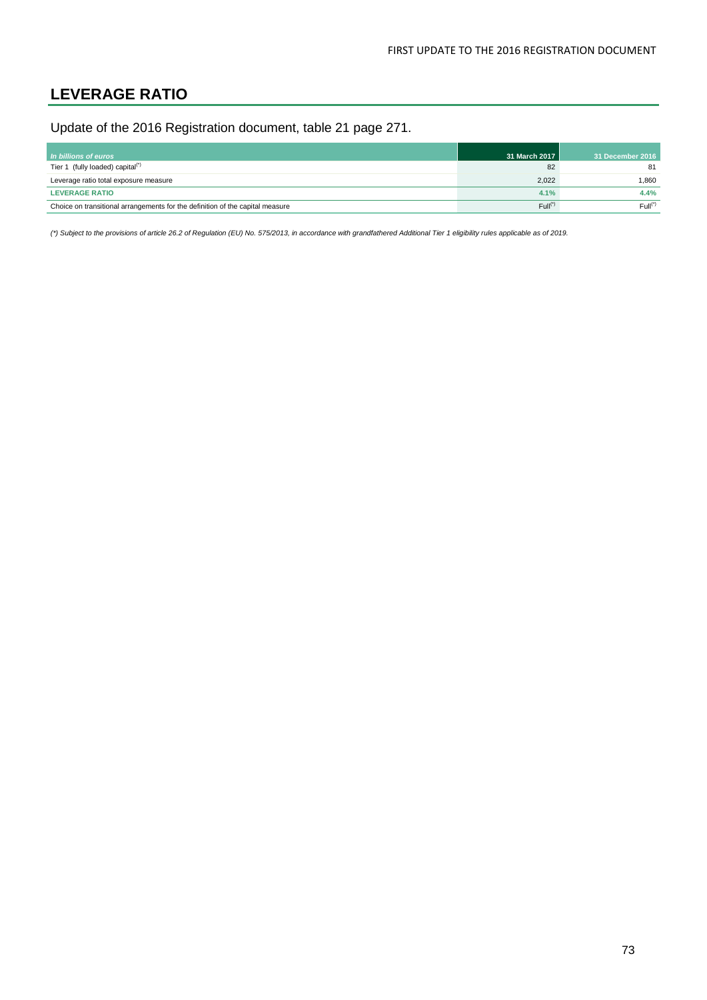## **LEVERAGE RATIO**

Update of the 2016 Registration document, table 21 page 271.

| In billions of euros                                                          | 31 March 2017       | 31 December 2016 |
|-------------------------------------------------------------------------------|---------------------|------------------|
| Tier 1 (fully loaded) capital <sup>(*)</sup>                                  | 82                  | 81               |
| Leverage ratio total exposure measure                                         | 2.022               | 1.860            |
| <b>LEVERAGE RATIO</b>                                                         | 4.1%                | 4.4%             |
| Choice on transitional arrangements for the definition of the capital measure | Full <sup>(7)</sup> | $Full(*)$        |

*(\*) Subject to the provisions of article 26.2 of Regulation (EU) No. 575/2013, in accordance with grandfathered Additional Tier 1 eligibility rules applicable as of 2019.*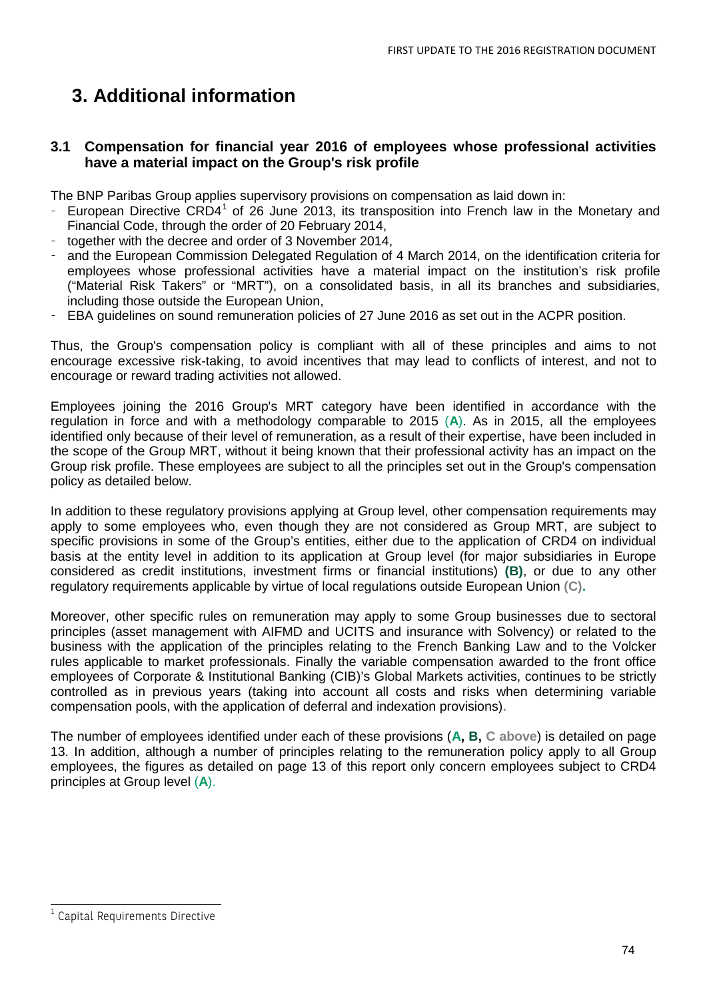## **3. Additional information**

### **3.1 Compensation for financial year 2016 of employees whose professional activities have a material impact on the Group's risk profile**

The BNP Paribas Group applies supervisory provisions on compensation as laid down in:

- European Directive CRD4<sup>[1](#page-13-0)</sup> of 26 June 2013, its transposition into French law in the Monetary and Financial Code, through the order of 20 February 2014,
- together with the decree and order of 3 November 2014,
- and the European Commission Delegated Regulation of 4 March 2014, on the identification criteria for employees whose professional activities have a material impact on the institution's risk profile ("Material Risk Takers" or "MRT"), on a consolidated basis, in all its branches and subsidiaries, including those outside the European Union,
- EBA guidelines on sound remuneration policies of 27 June 2016 as set out in the ACPR position.

Thus, the Group's compensation policy is compliant with all of these principles and aims to not encourage excessive risk-taking, to avoid incentives that may lead to conflicts of interest, and not to encourage or reward trading activities not allowed.

Employees joining the 2016 Group's MRT category have been identified in accordance with the regulation in force and with a methodology comparable to 2015 (**A**). As in 2015, all the employees identified only because of their level of remuneration, as a result of their expertise, have been included in the scope of the Group MRT, without it being known that their professional activity has an impact on the Group risk profile. These employees are subject to all the principles set out in the Group's compensation policy as detailed below.

In addition to these regulatory provisions applying at Group level, other compensation requirements may apply to some employees who, even though they are not considered as Group MRT, are subject to specific provisions in some of the Group's entities, either due to the application of CRD4 on individual basis at the entity level in addition to its application at Group level (for major subsidiaries in Europe considered as credit institutions, investment firms or financial institutions) **(B)**, or due to any other regulatory requirements applicable by virtue of local regulations outside European Union **(C).**

Moreover, other specific rules on remuneration may apply to some Group businesses due to sectoral principles (asset management with AIFMD and UCITS and insurance with Solvency) or related to the business with the application of the principles relating to the French Banking Law and to the Volcker rules applicable to market professionals. Finally the variable compensation awarded to the front office employees of Corporate & Institutional Banking (CIB)'s Global Markets activities, continues to be strictly controlled as in previous years (taking into account all costs and risks when determining variable compensation pools, with the application of deferral and indexation provisions)**.**

The number of employees identified under each of these provisions (**A, B, C above**) is detailed on page 13. In addition, although a number of principles relating to the remuneration policy apply to all Group employees, the figures as detailed on page 13 of this report only concern employees subject to CRD4 principles at Group level (**A**).

<span id="page-73-0"></span>Capital Requirements Directive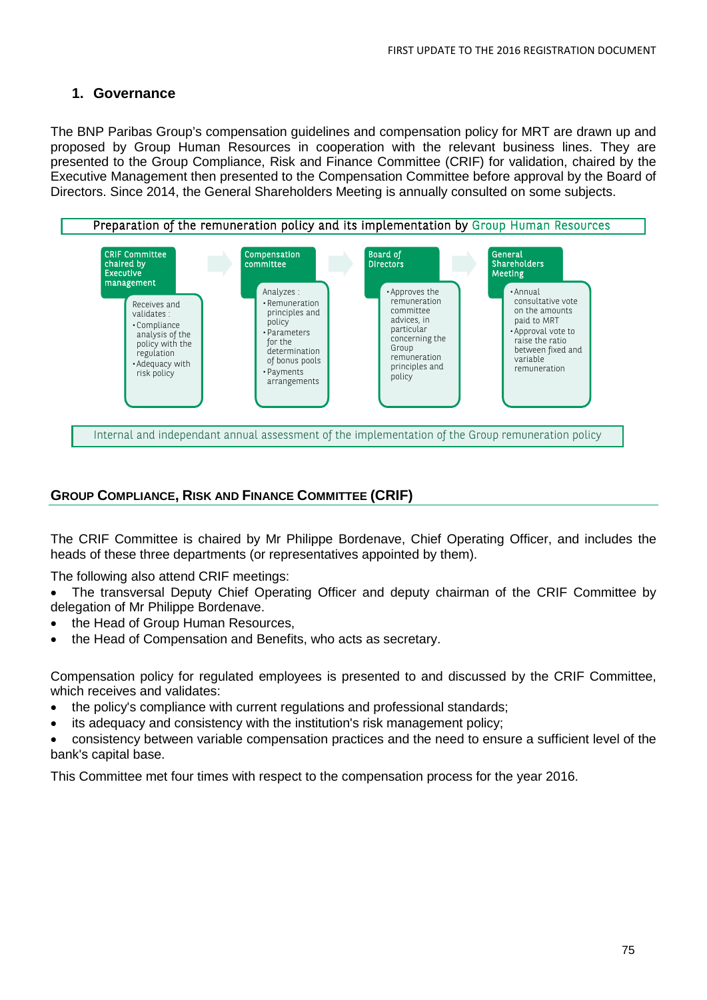## **1. Governance**

The BNP Paribas Group's compensation guidelines and compensation policy for MRT are drawn up and proposed by Group Human Resources in cooperation with the relevant business lines. They are presented to the Group Compliance, Risk and Finance Committee (CRIF) for validation, chaired by the Executive Management then presented to the Compensation Committee before approval by the Board of Directors. Since 2014, the General Shareholders Meeting is annually consulted on some subjects.



### **GROUP COMPLIANCE, RISK AND FINANCE COMMITTEE (CRIF)**

The CRIF Committee is chaired by Mr Philippe Bordenave, Chief Operating Officer, and includes the heads of these three departments (or representatives appointed by them).

The following also attend CRIF meetings:

- The transversal Deputy Chief Operating Officer and deputy chairman of the CRIF Committee by delegation of Mr Philippe Bordenave.
- the Head of Group Human Resources,
- the Head of Compensation and Benefits, who acts as secretary.

Compensation policy for regulated employees is presented to and discussed by the CRIF Committee, which receives and validates:

- the policy's compliance with current regulations and professional standards;
- its adequacy and consistency with the institution's risk management policy;
- consistency between variable compensation practices and the need to ensure a sufficient level of the bank's capital base.

This Committee met four times with respect to the compensation process for the year 2016.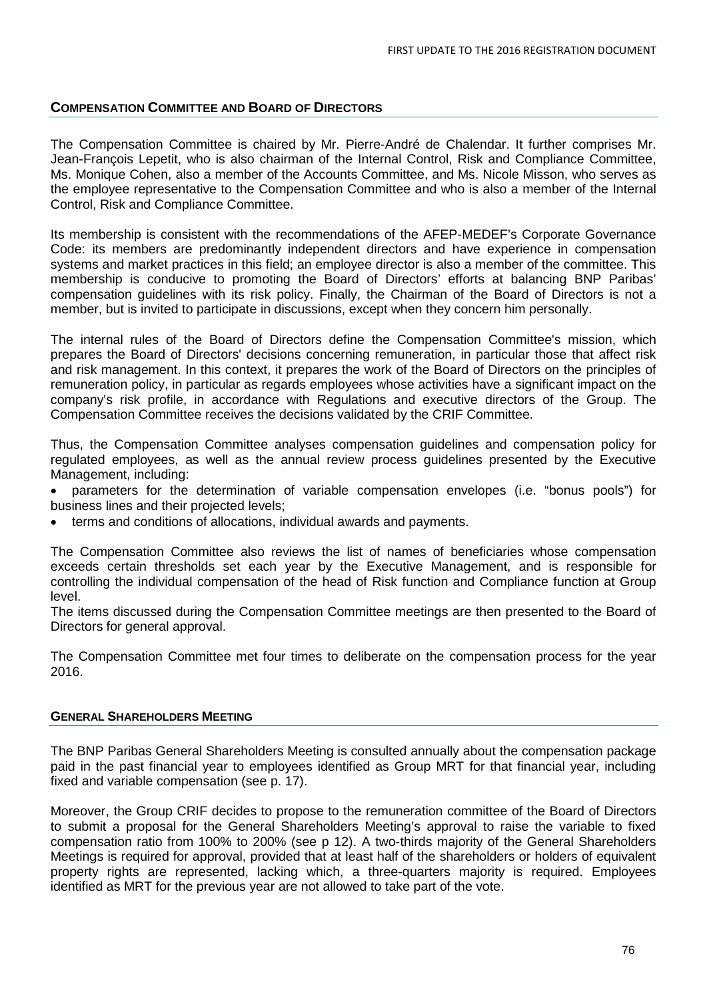#### **COMPENSATION COMMITTEE AND BOARD OF DIRECTORS**

The Compensation Committee is chaired by Mr. Pierre-André de Chalendar. It further comprises Mr. Jean-François Lepetit, who is also chairman of the Internal Control, Risk and Compliance Committee, Ms. Monique Cohen, also a member of the Accounts Committee, and Ms. Nicole Misson, who serves as the employee representative to the Compensation Committee and who is also a member of the Internal Control, Risk and Compliance Committee.

Its membership is consistent with the recommendations of the AFEP-MEDEF's Corporate Governance Code: its members are predominantly independent directors and have experience in compensation systems and market practices in this field; an employee director is also a member of the committee. This membership is conducive to promoting the Board of Directors' efforts at balancing BNP Paribas' compensation guidelines with its risk policy. Finally, the Chairman of the Board of Directors is not a member, but is invited to participate in discussions, except when they concern him personally.

The internal rules of the Board of Directors define the Compensation Committee's mission, which prepares the Board of Directors' decisions concerning remuneration, in particular those that affect risk and risk management. In this context, it prepares the work of the Board of Directors on the principles of remuneration policy, in particular as regards employees whose activities have a significant impact on the company's risk profile, in accordance with Regulations and executive directors of the Group. The Compensation Committee receives the decisions validated by the CRIF Committee.

Thus, the Compensation Committee analyses compensation guidelines and compensation policy for regulated employees, as well as the annual review process guidelines presented by the Executive Management, including:

- parameters for the determination of variable compensation envelopes (i.e. "bonus pools") for business lines and their projected levels;
- terms and conditions of allocations, individual awards and payments.

The Compensation Committee also reviews the list of names of beneficiaries whose compensation exceeds certain thresholds set each year by the Executive Management, and is responsible for controlling the individual compensation of the head of Risk function and Compliance function at Group level.

The items discussed during the Compensation Committee meetings are then presented to the Board of Directors for general approval.

The Compensation Committee met four times to deliberate on the compensation process for the year 2016.

#### **GENERAL SHAREHOLDERS MEETING**

The BNP Paribas General Shareholders Meeting is consulted annually about the compensation package paid in the past financial year to employees identified as Group MRT for that financial year, including fixed and variable compensation (see p. 17).

Moreover, the Group CRIF decides to propose to the remuneration committee of the Board of Directors to submit a proposal for the General Shareholders Meeting's approval to raise the variable to fixed compensation ratio from 100% to 200% (see p 12). A two-thirds majority of the General Shareholders Meetings is required for approval, provided that at least half of the shareholders or holders of equivalent property rights are represented, lacking which, a three-quarters majority is required. Employees identified as MRT for the previous year are not allowed to take part of the vote.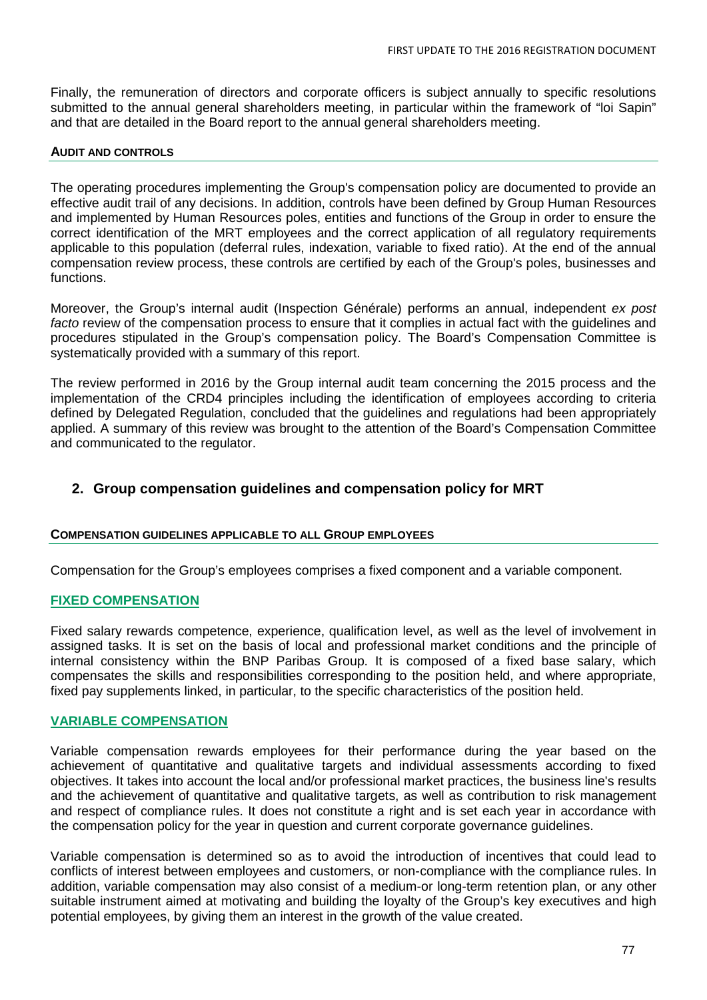Finally, the remuneration of directors and corporate officers is subject annually to specific resolutions submitted to the annual general shareholders meeting, in particular within the framework of "loi Sapin" and that are detailed in the Board report to the annual general shareholders meeting.

#### **AUDIT AND CONTROLS**

The operating procedures implementing the Group's compensation policy are documented to provide an effective audit trail of any decisions. In addition, controls have been defined by Group Human Resources and implemented by Human Resources poles, entities and functions of the Group in order to ensure the correct identification of the MRT employees and the correct application of all regulatory requirements applicable to this population (deferral rules, indexation, variable to fixed ratio). At the end of the annual compensation review process, these controls are certified by each of the Group's poles, businesses and functions.

Moreover, the Group's internal audit (Inspection Générale) performs an annual, independent *ex post facto* review of the compensation process to ensure that it complies in actual fact with the guidelines and procedures stipulated in the Group's compensation policy. The Board's Compensation Committee is systematically provided with a summary of this report.

The review performed in 2016 by the Group internal audit team concerning the 2015 process and the implementation of the CRD4 principles including the identification of employees according to criteria defined by Delegated Regulation, concluded that the guidelines and regulations had been appropriately applied. A summary of this review was brought to the attention of the Board's Compensation Committee and communicated to the regulator.

## **2. Group compensation guidelines and compensation policy for MRT**

#### **COMPENSATION GUIDELINES APPLICABLE TO ALL GROUP EMPLOYEES**

Compensation for the Group's employees comprises a fixed component and a variable component.

#### **FIXED COMPENSATION**

Fixed salary rewards competence, experience, qualification level, as well as the level of involvement in assigned tasks. It is set on the basis of local and professional market conditions and the principle of internal consistency within the BNP Paribas Group. It is composed of a fixed base salary, which compensates the skills and responsibilities corresponding to the position held, and where appropriate, fixed pay supplements linked, in particular, to the specific characteristics of the position held.

#### **VARIABLE COMPENSATION**

Variable compensation rewards employees for their performance during the year based on the achievement of quantitative and qualitative targets and individual assessments according to fixed objectives. It takes into account the local and/or professional market practices, the business line's results and the achievement of quantitative and qualitative targets, as well as contribution to risk management and respect of compliance rules. It does not constitute a right and is set each year in accordance with the compensation policy for the year in question and current corporate governance guidelines.

Variable compensation is determined so as to avoid the introduction of incentives that could lead to conflicts of interest between employees and customers, or non-compliance with the compliance rules. In addition, variable compensation may also consist of a medium-or long-term retention plan, or any other suitable instrument aimed at motivating and building the loyalty of the Group's key executives and high potential employees, by giving them an interest in the growth of the value created.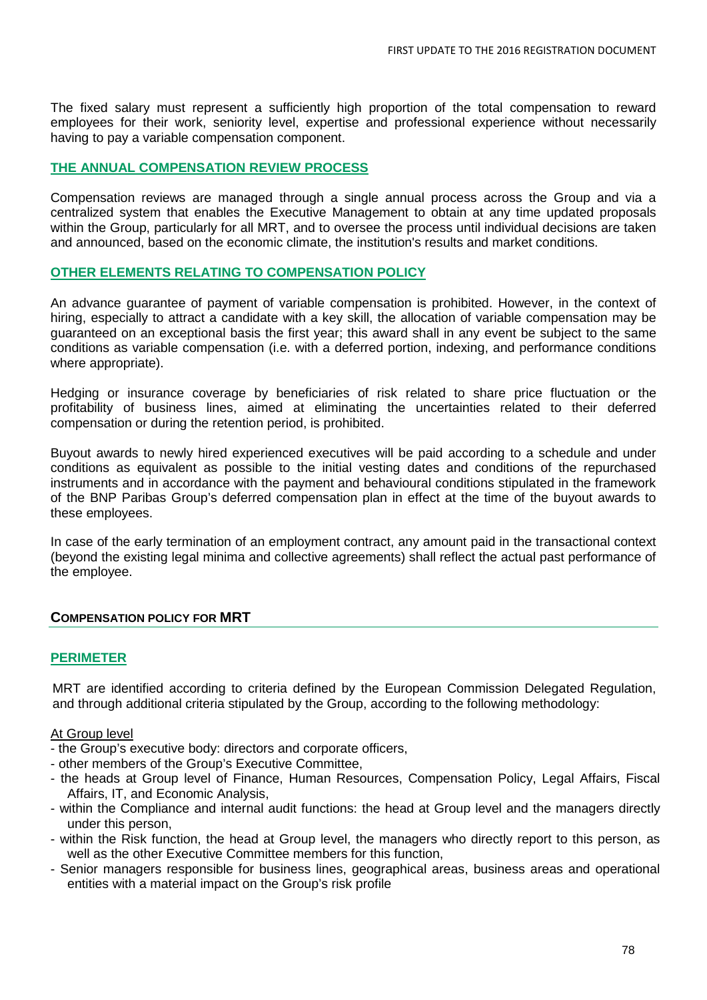The fixed salary must represent a sufficiently high proportion of the total compensation to reward employees for their work, seniority level, expertise and professional experience without necessarily having to pay a variable compensation component.

#### **THE ANNUAL COMPENSATION REVIEW PROCESS**

Compensation reviews are managed through a single annual process across the Group and via a centralized system that enables the Executive Management to obtain at any time updated proposals within the Group, particularly for all MRT, and to oversee the process until individual decisions are taken and announced, based on the economic climate, the institution's results and market conditions.

#### **OTHER ELEMENTS RELATING TO COMPENSATION POLICY**

An advance guarantee of payment of variable compensation is prohibited. However, in the context of hiring, especially to attract a candidate with a key skill, the allocation of variable compensation may be guaranteed on an exceptional basis the first year; this award shall in any event be subject to the same conditions as variable compensation (i.e. with a deferred portion, indexing, and performance conditions where appropriate).

Hedging or insurance coverage by beneficiaries of risk related to share price fluctuation or the profitability of business lines, aimed at eliminating the uncertainties related to their deferred compensation or during the retention period, is prohibited.

Buyout awards to newly hired experienced executives will be paid according to a schedule and under conditions as equivalent as possible to the initial vesting dates and conditions of the repurchased instruments and in accordance with the payment and behavioural conditions stipulated in the framework of the BNP Paribas Group's deferred compensation plan in effect at the time of the buyout awards to these employees.

In case of the early termination of an employment contract, any amount paid in the transactional context (beyond the existing legal minima and collective agreements) shall reflect the actual past performance of the employee.

#### **COMPENSATION POLICY FOR MRT**

#### **PERIMETER**

MRT are identified according to criteria defined by the European Commission Delegated Regulation, and through additional criteria stipulated by the Group, according to the following methodology:

#### At Group level

- the Group's executive body: directors and corporate officers,
- other members of the Group's Executive Committee,
- the heads at Group level of Finance, Human Resources, Compensation Policy, Legal Affairs, Fiscal Affairs, IT, and Economic Analysis,
- within the Compliance and internal audit functions: the head at Group level and the managers directly under this person,
- within the Risk function, the head at Group level, the managers who directly report to this person, as well as the other Executive Committee members for this function,
- Senior managers responsible for business lines, geographical areas, business areas and operational entities with a material impact on the Group's risk profile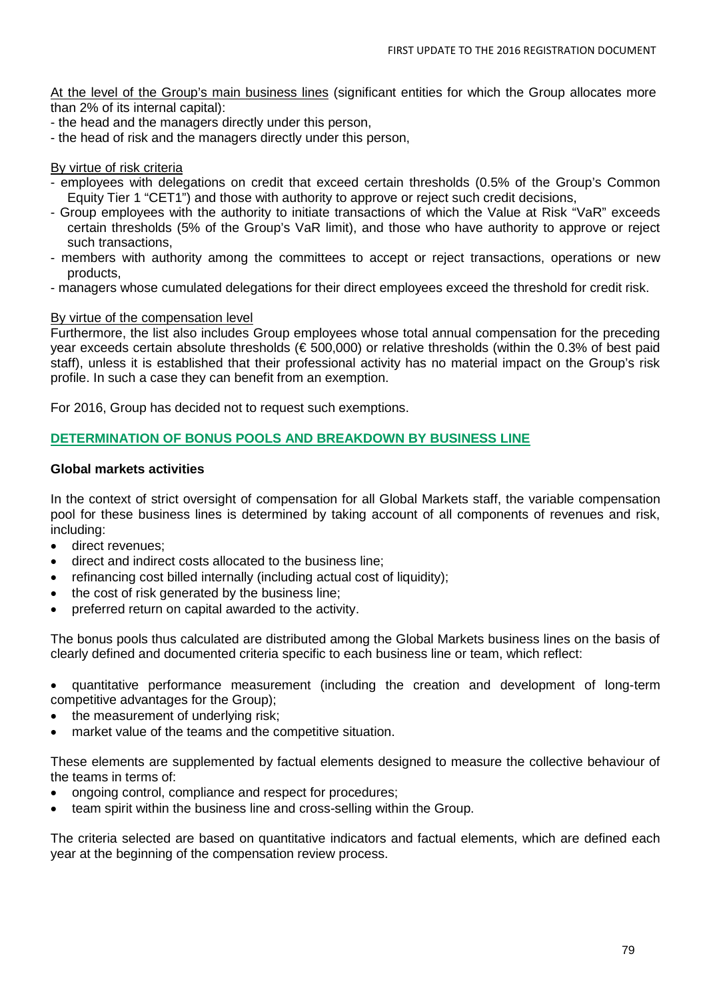At the level of the Group's main business lines (significant entities for which the Group allocates more than 2% of its internal capital):

- the head and the managers directly under this person,
- the head of risk and the managers directly under this person,

#### By virtue of risk criteria

- employees with delegations on credit that exceed certain thresholds (0.5% of the Group's Common Equity Tier 1 "CET1") and those with authority to approve or reject such credit decisions,
- Group employees with the authority to initiate transactions of which the Value at Risk "VaR" exceeds certain thresholds (5% of the Group's VaR limit), and those who have authority to approve or reject such transactions,
- members with authority among the committees to accept or reject transactions, operations or new products,
- managers whose cumulated delegations for their direct employees exceed the threshold for credit risk.

#### By virtue of the compensation level

Furthermore, the list also includes Group employees whose total annual compensation for the preceding year exceeds certain absolute thresholds (€ 500,000) or relative thresholds (within the 0.3% of best paid staff), unless it is established that their professional activity has no material impact on the Group's risk profile. In such a case they can benefit from an exemption.

For 2016, Group has decided not to request such exemptions.

#### **DETERMINATION OF BONUS POOLS AND BREAKDOWN BY BUSINESS LINE**

#### **Global markets activities**

In the context of strict oversight of compensation for all Global Markets staff, the variable compensation pool for these business lines is determined by taking account of all components of revenues and risk, including:

- direct revenues;
- direct and indirect costs allocated to the business line;
- refinancing cost billed internally (including actual cost of liquidity);
- the cost of risk generated by the business line:
- preferred return on capital awarded to the activity.

The bonus pools thus calculated are distributed among the Global Markets business lines on the basis of clearly defined and documented criteria specific to each business line or team, which reflect:

• quantitative performance measurement (including the creation and development of long-term competitive advantages for the Group);

- the measurement of underlying risk;
- market value of the teams and the competitive situation.

These elements are supplemented by factual elements designed to measure the collective behaviour of the teams in terms of:

- ongoing control, compliance and respect for procedures;
- team spirit within the business line and cross-selling within the Group.

The criteria selected are based on quantitative indicators and factual elements, which are defined each year at the beginning of the compensation review process.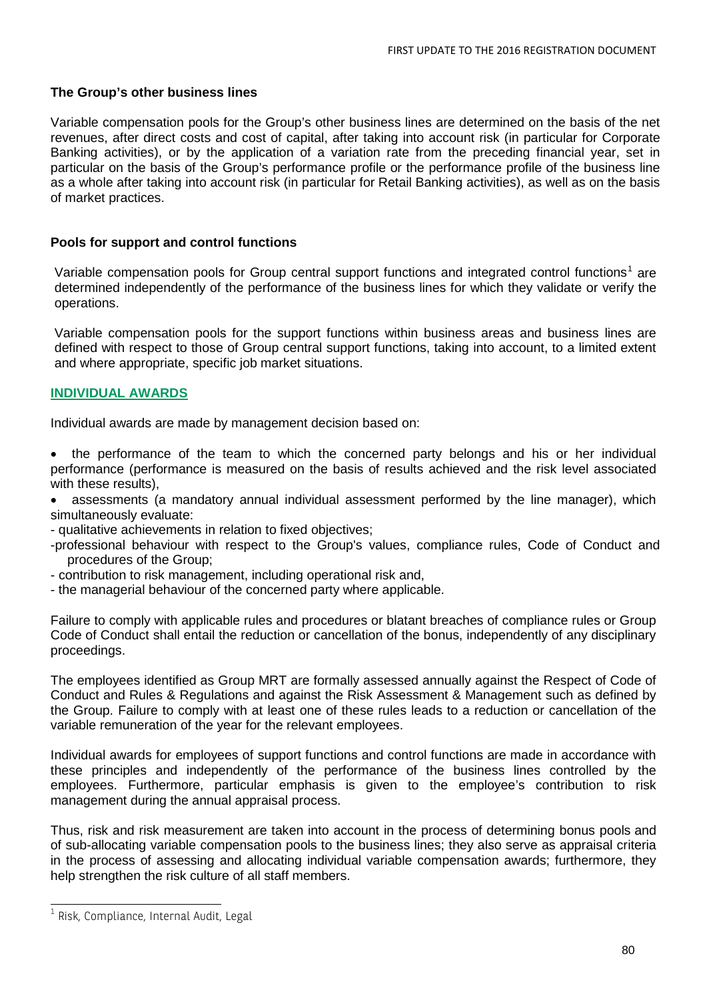#### **The Group's other business lines**

Variable compensation pools for the Group's other business lines are determined on the basis of the net revenues, after direct costs and cost of capital, after taking into account risk (in particular for Corporate Banking activities), or by the application of a variation rate from the preceding financial year, set in particular on the basis of the Group's performance profile or the performance profile of the business line as a whole after taking into account risk (in particular for Retail Banking activities), as well as on the basis of market practices.

#### **Pools for support and control functions**

Variable compensation pools for Group central support functions and integrated control functions<sup>[1](#page-73-0)</sup> are determined independently of the performance of the business lines for which they validate or verify the operations.

Variable compensation pools for the support functions within business areas and business lines are defined with respect to those of Group central support functions, taking into account, to a limited extent and where appropriate, specific job market situations.

#### **INDIVIDUAL AWARDS**

Individual awards are made by management decision based on:

- the performance of the team to which the concerned party belongs and his or her individual performance (performance is measured on the basis of results achieved and the risk level associated with these results),
- assessments (a mandatory annual individual assessment performed by the line manager), which simultaneously evaluate:
- qualitative achievements in relation to fixed objectives;
- -professional behaviour with respect to the Group's values, compliance rules, Code of Conduct and procedures of the Group;
- contribution to risk management, including operational risk and,
- the managerial behaviour of the concerned party where applicable.

Failure to comply with applicable rules and procedures or blatant breaches of compliance rules or Group Code of Conduct shall entail the reduction or cancellation of the bonus, independently of any disciplinary proceedings.

The employees identified as Group MRT are formally assessed annually against the Respect of Code of Conduct and Rules & Regulations and against the Risk Assessment & Management such as defined by the Group. Failure to comply with at least one of these rules leads to a reduction or cancellation of the variable remuneration of the year for the relevant employees.

Individual awards for employees of support functions and control functions are made in accordance with these principles and independently of the performance of the business lines controlled by the employees. Furthermore, particular emphasis is given to the employee's contribution to risk management during the annual appraisal process.

Thus, risk and risk measurement are taken into account in the process of determining bonus pools and of sub-allocating variable compensation pools to the business lines; they also serve as appraisal criteria in the process of assessing and allocating individual variable compensation awards; furthermore, they help strengthen the risk culture of all staff members.

<span id="page-79-0"></span> $1$  Risk, Compliance, Internal Audit, Legal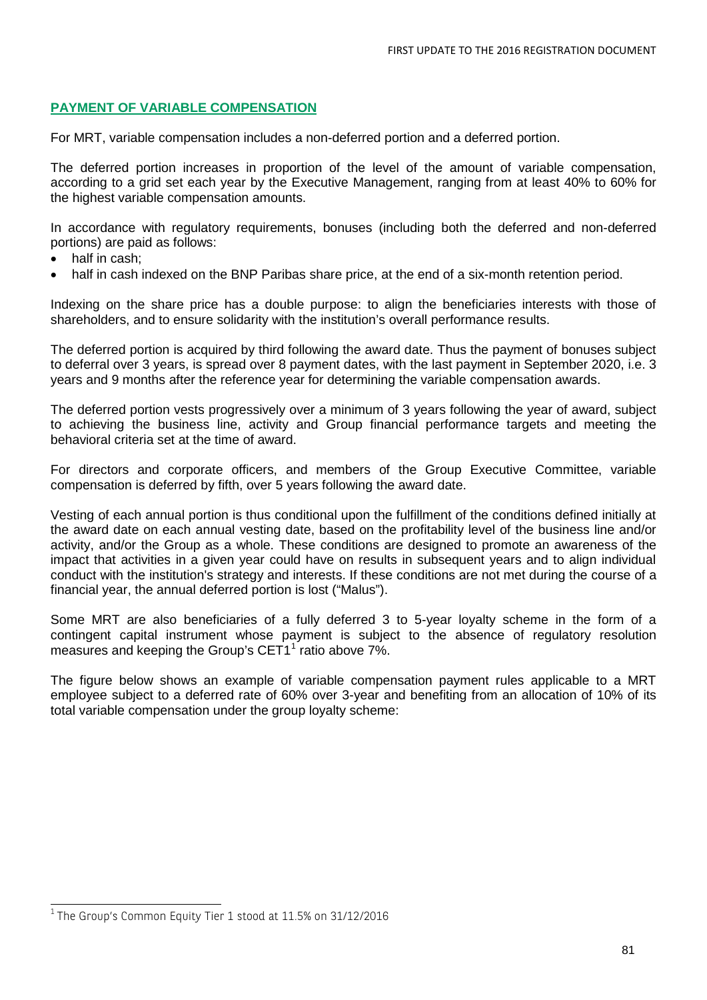### **PAYMENT OF VARIABLE COMPENSATION**

For MRT, variable compensation includes a non-deferred portion and a deferred portion.

The deferred portion increases in proportion of the level of the amount of variable compensation, according to a grid set each year by the Executive Management, ranging from at least 40% to 60% for the highest variable compensation amounts.

In accordance with regulatory requirements, bonuses (including both the deferred and non-deferred portions) are paid as follows:

- half in cash:
- half in cash indexed on the BNP Paribas share price, at the end of a six-month retention period.

Indexing on the share price has a double purpose: to align the beneficiaries interests with those of shareholders, and to ensure solidarity with the institution's overall performance results.

The deferred portion is acquired by third following the award date. Thus the payment of bonuses subject to deferral over 3 years, is spread over 8 payment dates, with the last payment in September 2020, i.e. 3 years and 9 months after the reference year for determining the variable compensation awards.

The deferred portion vests progressively over a minimum of 3 years following the year of award, subject to achieving the business line, activity and Group financial performance targets and meeting the behavioral criteria set at the time of award.

For directors and corporate officers, and members of the Group Executive Committee, variable compensation is deferred by fifth, over 5 years following the award date.

Vesting of each annual portion is thus conditional upon the fulfillment of the conditions defined initially at the award date on each annual vesting date, based on the profitability level of the business line and/or activity, and/or the Group as a whole. These conditions are designed to promote an awareness of the impact that activities in a given year could have on results in subsequent years and to align individual conduct with the institution's strategy and interests. If these conditions are not met during the course of a financial year, the annual deferred portion is lost ("Malus").

Some MRT are also beneficiaries of a fully deferred 3 to 5-year loyalty scheme in the form of a contingent capital instrument whose payment is subject to the absence of regulatory resolution measures and keeping the Group's CET[1](#page-79-0)<sup>1</sup> ratio above 7%.

The figure below shows an example of variable compensation payment rules applicable to a MRT employee subject to a deferred rate of 60% over 3-year and benefiting from an allocation of 10% of its total variable compensation under the group loyalty scheme:

<sup>1</sup> The Group's Common Equity Tier 1 stood at 11.5% on 31/12/2016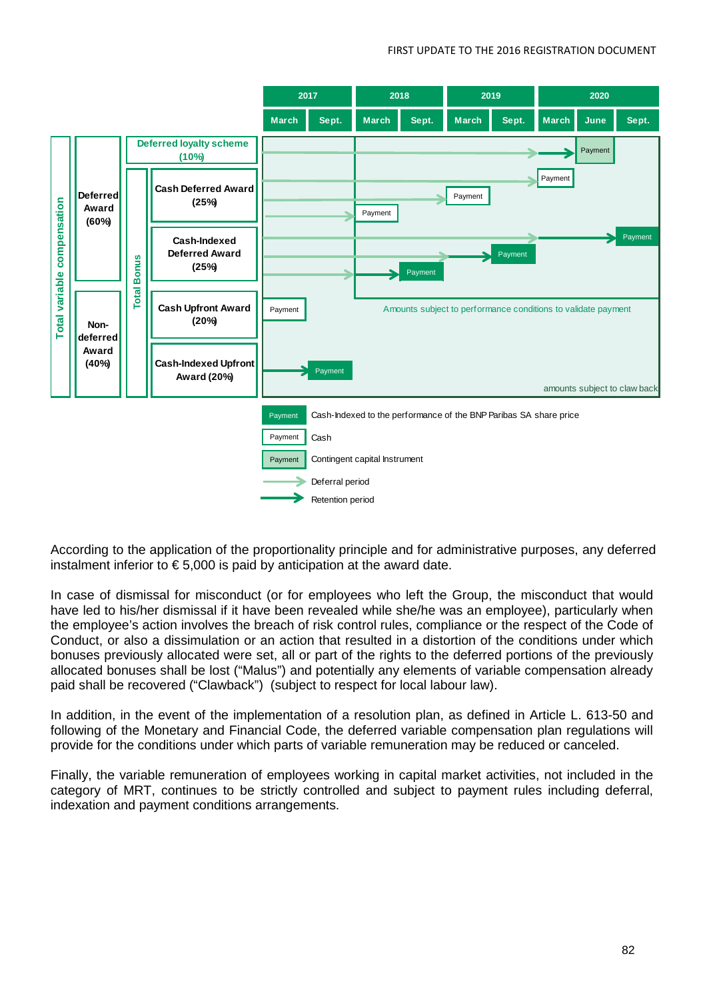

According to the application of the proportionality principle and for administrative purposes, any deferred instalment inferior to  $\epsilon$  5,000 is paid by anticipation at the award date.

In case of dismissal for misconduct (or for employees who left the Group, the misconduct that would have led to his/her dismissal if it have been revealed while she/he was an employee), particularly when the employee's action involves the breach of risk control rules, compliance or the respect of the Code of Conduct, or also a dissimulation or an action that resulted in a distortion of the conditions under which bonuses previously allocated were set, all or part of the rights to the deferred portions of the previously allocated bonuses shall be lost ("Malus") and potentially any elements of variable compensation already paid shall be recovered ("Clawback") (subject to respect for local labour law).

In addition, in the event of the implementation of a resolution plan, as defined in Article L. 613-50 and following of the Monetary and Financial Code, the deferred variable compensation plan regulations will provide for the conditions under which parts of variable remuneration may be reduced or canceled.

Finally, the variable remuneration of employees working in capital market activities, not included in the category of MRT, continues to be strictly controlled and subject to payment rules including deferral, indexation and payment conditions arrangements.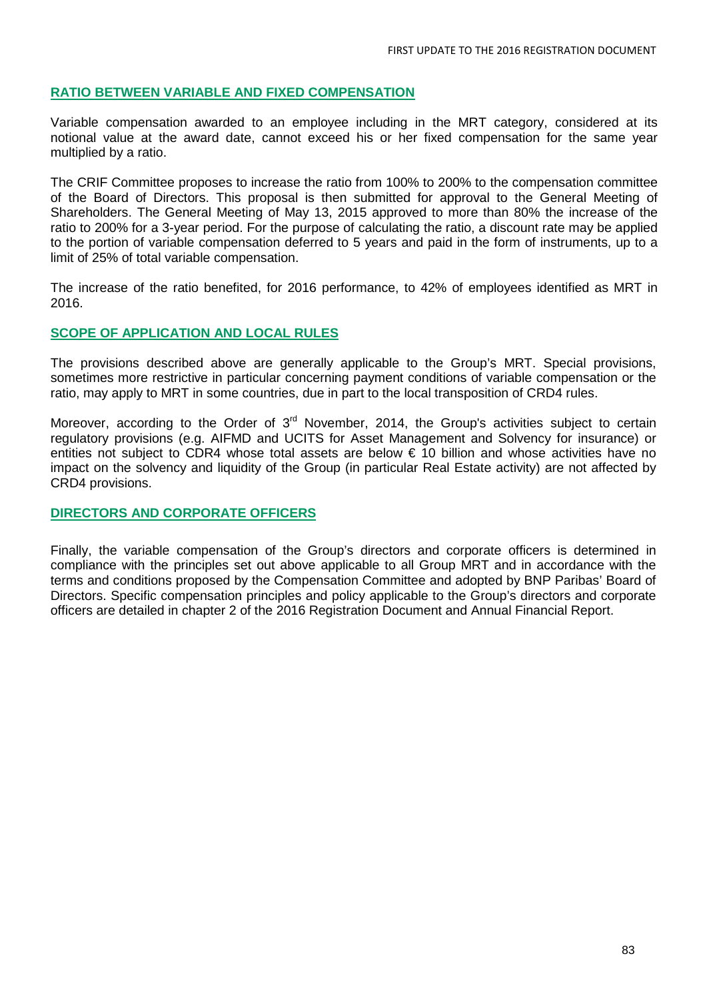#### **RATIO BETWEEN VARIABLE AND FIXED COMPENSATION**

Variable compensation awarded to an employee including in the MRT category, considered at its notional value at the award date, cannot exceed his or her fixed compensation for the same year multiplied by a ratio.

The CRIF Committee proposes to increase the ratio from 100% to 200% to the compensation committee of the Board of Directors. This proposal is then submitted for approval to the General Meeting of Shareholders. The General Meeting of May 13, 2015 approved to more than 80% the increase of the ratio to 200% for a 3-year period. For the purpose of calculating the ratio, a discount rate may be applied to the portion of variable compensation deferred to 5 years and paid in the form of instruments, up to a limit of 25% of total variable compensation.

The increase of the ratio benefited, for 2016 performance, to 42% of employees identified as MRT in 2016.

#### **SCOPE OF APPLICATION AND LOCAL RULES**

The provisions described above are generally applicable to the Group's MRT. Special provisions, sometimes more restrictive in particular concerning payment conditions of variable compensation or the ratio, may apply to MRT in some countries, due in part to the local transposition of CRD4 rules.

Moreover, according to the Order of 3<sup>rd</sup> November, 2014, the Group's activities subject to certain regulatory provisions (e.g. AIFMD and UCITS for Asset Management and Solvency for insurance) or entities not subject to CDR4 whose total assets are below € 10 billion and whose activities have no impact on the solvency and liquidity of the Group (in particular Real Estate activity) are not affected by CRD4 provisions.

#### **DIRECTORS AND CORPORATE OFFICERS**

Finally, the variable compensation of the Group's directors and corporate officers is determined in compliance with the principles set out above applicable to all Group MRT and in accordance with the terms and conditions proposed by the Compensation Committee and adopted by BNP Paribas' Board of Directors. Specific compensation principles and policy applicable to the Group's directors and corporate officers are detailed in chapter 2 of the 2016 Registration Document and Annual Financial Report.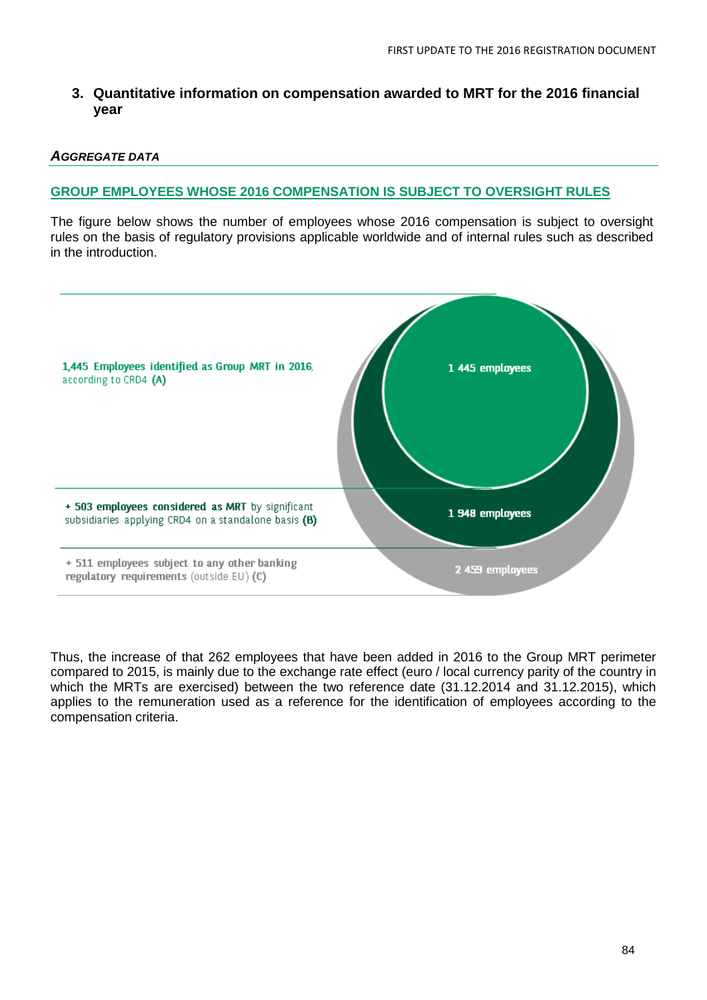## **3. Quantitative information on compensation awarded to MRT for the 2016 financial year**

#### *AGGREGATE DATA*

### **GROUP EMPLOYEES WHOSE 2016 COMPENSATION IS SUBJECT TO OVERSIGHT RULES**

The figure below shows the number of employees whose 2016 compensation is subject to oversight rules on the basis of regulatory provisions applicable worldwide and of internal rules such as described in the introduction.



Thus, the increase of that 262 employees that have been added in 2016 to the Group MRT perimeter compared to 2015, is mainly due to the exchange rate effect (euro / local currency parity of the country in which the MRTs are exercised) between the two reference date (31.12.2014 and 31.12.2015), which applies to the remuneration used as a reference for the identification of employees according to the compensation criteria.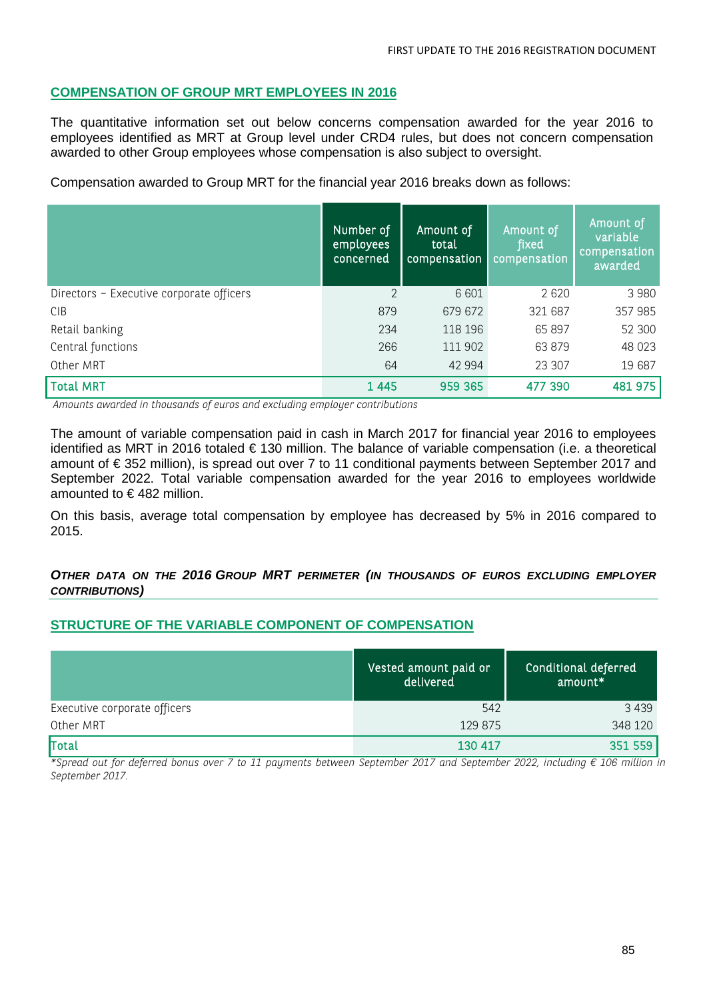#### **COMPENSATION OF GROUP MRT EMPLOYEES IN 2016**

The quantitative information set out below concerns compensation awarded for the year 2016 to employees identified as MRT at Group level under CRD4 rules, but does not concern compensation awarded to other Group employees whose compensation is also subject to oversight.

Compensation awarded to Group MRT for the financial year 2016 breaks down as follows:

|                                          | Number of<br>employees<br>concerned | Amount of<br>total<br>compensation | Amount of<br>fixed<br>compensation | Amount of<br>variable<br>compensation<br>awarded |
|------------------------------------------|-------------------------------------|------------------------------------|------------------------------------|--------------------------------------------------|
| Directors - Executive corporate officers | $\overline{2}$                      | 6 601                              | 2 6 2 0                            | 3 9 8 0                                          |
| <b>CIB</b>                               | 879                                 | 679 672                            | 321 687                            | 357 985                                          |
| Retail banking                           | 234                                 | 118 196                            | 65 897                             | 52 300                                           |
| Central functions                        | 266                                 | 111 902                            | 63 879                             | 48 0 23                                          |
| Other MRT                                | 64                                  | 42 994                             | 23 307                             | 19 687                                           |
| <b>Total MRT</b>                         | 1 4 4 5                             | 959 365                            | 477 390                            | 481 975                                          |

*Amounts awarded in thousands of euros and excluding employer contributions*

The amount of variable compensation paid in cash in March 2017 for financial year 2016 to employees identified as MRT in 2016 totaled € 130 million. The balance of variable compensation (i.e. a theoretical amount of € 352 million), is spread out over 7 to 11 conditional payments between September 2017 and September 2022. Total variable compensation awarded for the year 2016 to employees worldwide amounted to € 482 million.

On this basis, average total compensation by employee has decreased by 5% in 2016 compared to 2015.

#### *OTHER DATA ON THE 2016 GROUP MRT PERIMETER (IN THOUSANDS OF EUROS EXCLUDING EMPLOYER CONTRIBUTIONS)*

## **STRUCTURE OF THE VARIABLE COMPONENT OF COMPENSATION**

|                              | Vested amount paid or<br>delivered | Conditional deferred<br>amount* |
|------------------------------|------------------------------------|---------------------------------|
| Executive corporate officers | 542                                | 3 4 3 9                         |
| Other MRT                    | 129 875                            | 348 120                         |
| Total                        | 130 417                            | 351 559                         |

*\*Spread out for deferred bonus over 7 to 11 payments between September 2017 and September 2022, including € 106 million in September 2017.*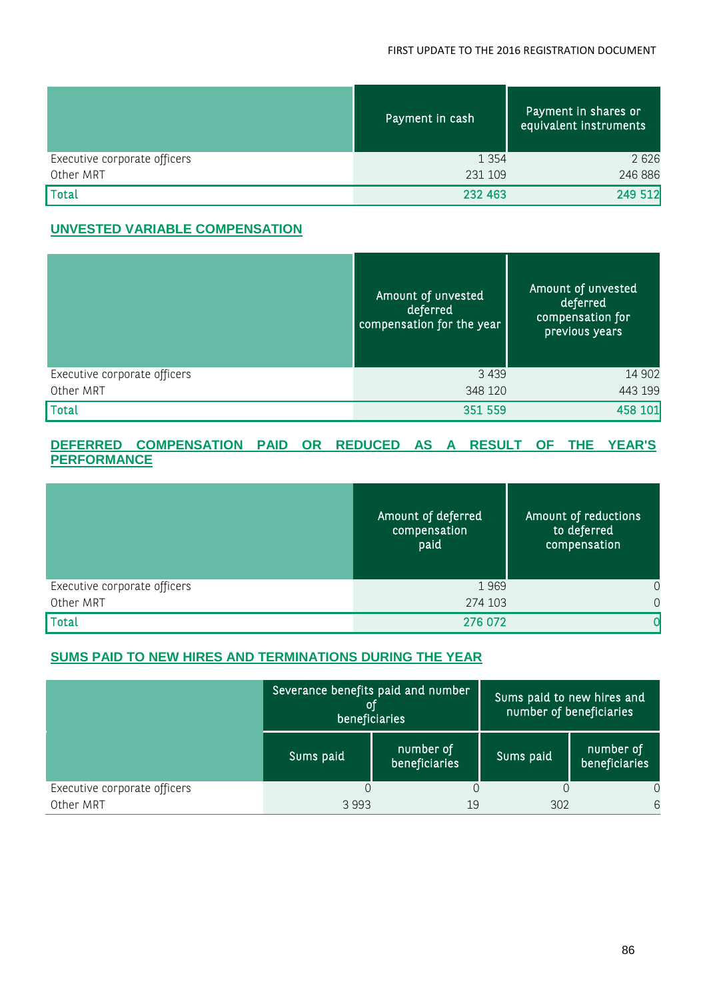#### FIRST UPDATE TO THE 2016 REGISTRATION DOCUMENT

|                              | Payment in cash | Payment in shares or<br>equivalent instruments |
|------------------------------|-----------------|------------------------------------------------|
| Executive corporate officers | 1 3 5 4         | 2626                                           |
| Other MRT                    | 231 109         | 246 886                                        |
| Total                        | 232 463         | 249 512                                        |

## **UNVESTED VARIABLE COMPENSATION**

|                              | Amount of unvested<br>deferred<br>compensation for the year | Amount of unvested<br>deferred<br>compensation for<br>previous years |
|------------------------------|-------------------------------------------------------------|----------------------------------------------------------------------|
| Executive corporate officers | 3 4 3 9                                                     | 14 902                                                               |
| Other MRT                    | 348 120                                                     | 443 199                                                              |
| Total                        | 351 559                                                     | 458 101                                                              |

#### **DEFERRED COMPENSATION PAID OR REDUCED AS A RESULT OF THE YEAR'S PERFORMANCE**

|                              | Amount of deferred<br>compensation<br>paid | Amount of reductions<br>to deferred<br>compensation |
|------------------------------|--------------------------------------------|-----------------------------------------------------|
| Executive corporate officers | 1969                                       | $\overline{0}$                                      |
| Other MRT                    | 274 103                                    | $\Omega$                                            |
| <b>Total</b>                 | 276 072                                    |                                                     |

## **SUMS PAID TO NEW HIRES AND TERMINATIONS DURING THE YEAR**

|                              | Severance benefits paid and number<br>01<br>beneficiaries |                            | Sums paid to new hires and<br>number of beneficiaries |                            |
|------------------------------|-----------------------------------------------------------|----------------------------|-------------------------------------------------------|----------------------------|
|                              | Sums paid                                                 | number of<br>beneficiaries | Sums paid                                             | number of<br>beneficiaries |
| Executive corporate officers |                                                           |                            |                                                       | 0                          |
| Other MRT                    | 3993                                                      | 19                         | 302                                                   | 6                          |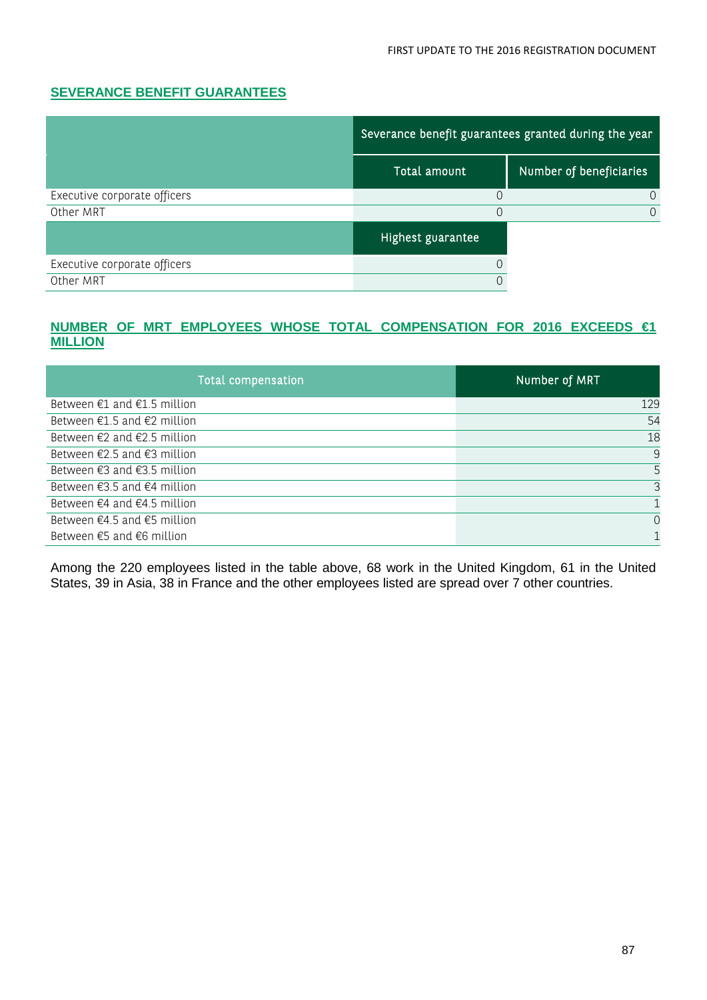## **SEVERANCE BENEFIT GUARANTEES**

|                              | Severance benefit guarantees granted during the year |                         |  |
|------------------------------|------------------------------------------------------|-------------------------|--|
|                              | Total amount                                         | Number of beneficiaries |  |
| Executive corporate officers |                                                      |                         |  |
| Other MRT                    |                                                      |                         |  |
|                              | Highest guarantee                                    |                         |  |
| Executive corporate officers |                                                      |                         |  |
| Other MRT                    |                                                      |                         |  |

#### **NUMBER OF MRT EMPLOYEES WHOSE TOTAL COMPENSATION FOR 2016 EXCEEDS €1 MILLION**

| <b>Total compensation</b>                       | Number of MRT |
|-------------------------------------------------|---------------|
| Between $E1$ and $E1.5$ million                 | 129           |
| Between €1.5 and €2 million                     | 54            |
| Between $\epsilon$ 2 and $\epsilon$ 2.5 million | 18            |
| Between $\epsilon$ 2.5 and $\epsilon$ 3 million | 9             |
| Between $\epsilon$ 3 and $\epsilon$ 3.5 million |               |
| Between $\epsilon$ 3.5 and $\epsilon$ 4 million | 3             |
| Between $\epsilon$ 4 and $\epsilon$ 4.5 million |               |
| Between $\epsilon$ 4.5 and $\epsilon$ 5 million | $\Omega$      |
| Between $\epsilon$ 5 and $\epsilon$ 6 million   |               |

Among the 220 employees listed in the table above, 68 work in the United Kingdom, 61 in the United States, 39 in Asia, 38 in France and the other employees listed are spread over 7 other countries.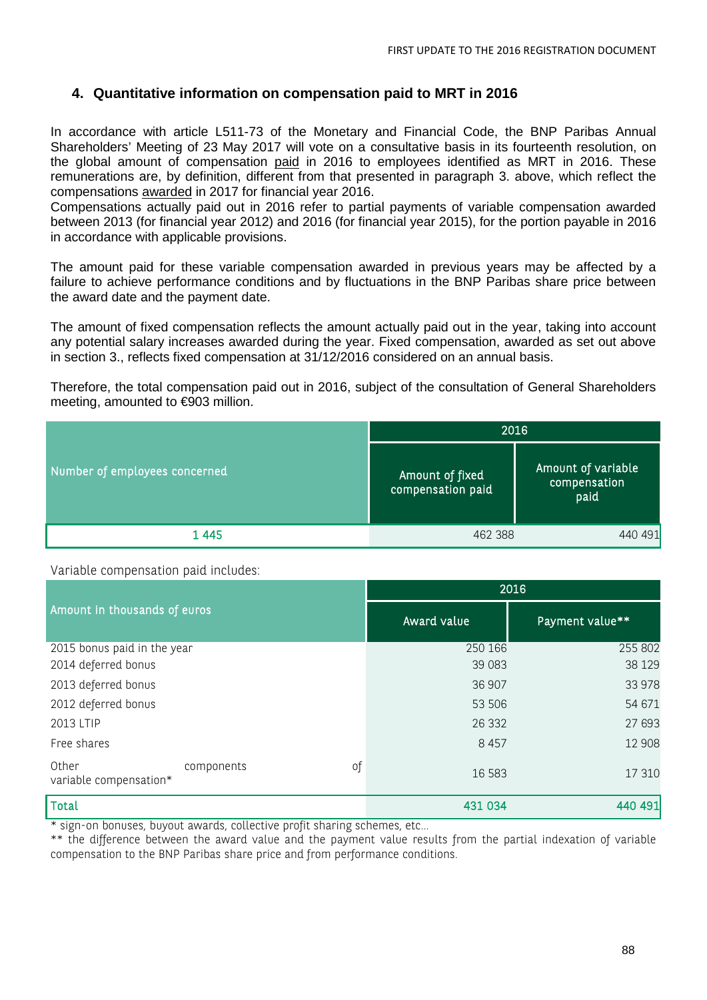## **4. Quantitative information on compensation paid to MRT in 2016**

In accordance with article L511-73 of the Monetary and Financial Code, the BNP Paribas Annual Shareholders' Meeting of 23 May 2017 will vote on a consultative basis in its fourteenth resolution, on the global amount of compensation paid in 2016 to employees identified as MRT in 2016. These remunerations are, by definition, different from that presented in paragraph 3. above, which reflect the compensations awarded in 2017 for financial year 2016.

Compensations actually paid out in 2016 refer to partial payments of variable compensation awarded between 2013 (for financial year 2012) and 2016 (for financial year 2015), for the portion payable in 2016 in accordance with applicable provisions.

The amount paid for these variable compensation awarded in previous years may be affected by a failure to achieve performance conditions and by fluctuations in the BNP Paribas share price between the award date and the payment date.

The amount of fixed compensation reflects the amount actually paid out in the year, taking into account any potential salary increases awarded during the year. Fixed compensation, awarded as set out above in section 3., reflects fixed compensation at 31/12/2016 considered on an annual basis.

Therefore, the total compensation paid out in 2016, subject of the consultation of General Shareholders meeting, amounted to €903 million.

|                               | 2016                                 |                                            |  |
|-------------------------------|--------------------------------------|--------------------------------------------|--|
| Number of employees concerned | Amount of fixed<br>compensation paid | Amount of variable<br>compensation<br>paid |  |
| 1445                          | 462 388                              | 440 491                                    |  |

Variable compensation paid includes:

|                                                            | 2016        |                 |  |
|------------------------------------------------------------|-------------|-----------------|--|
| Amount in thousands of euros                               | Award value | Payment value** |  |
| 2015 bonus paid in the year                                | 250 166     | 255 802         |  |
| 2014 deferred bonus                                        | 39 083      | 38 1 29         |  |
| 2013 deferred bonus                                        | 36 907      | 33 978          |  |
| 2012 deferred bonus                                        | 53 506      | 54 671          |  |
| 2013 LTIP                                                  | 26 3 32     | 27 693          |  |
| Free shares                                                | 8 4 5 7     | 12 908          |  |
| Other<br>$\circ$ f<br>components<br>variable compensation* | 16 5 83     | 17 310          |  |
| <b>Total</b>                                               | 431 034     | 440 491         |  |

\* sign-on bonuses, buyout awards, collective profit sharing schemes, etc…

\*\* the difference between the award value and the payment value results from the partial indexation of variable compensation to the BNP Paribas share price and from performance conditions.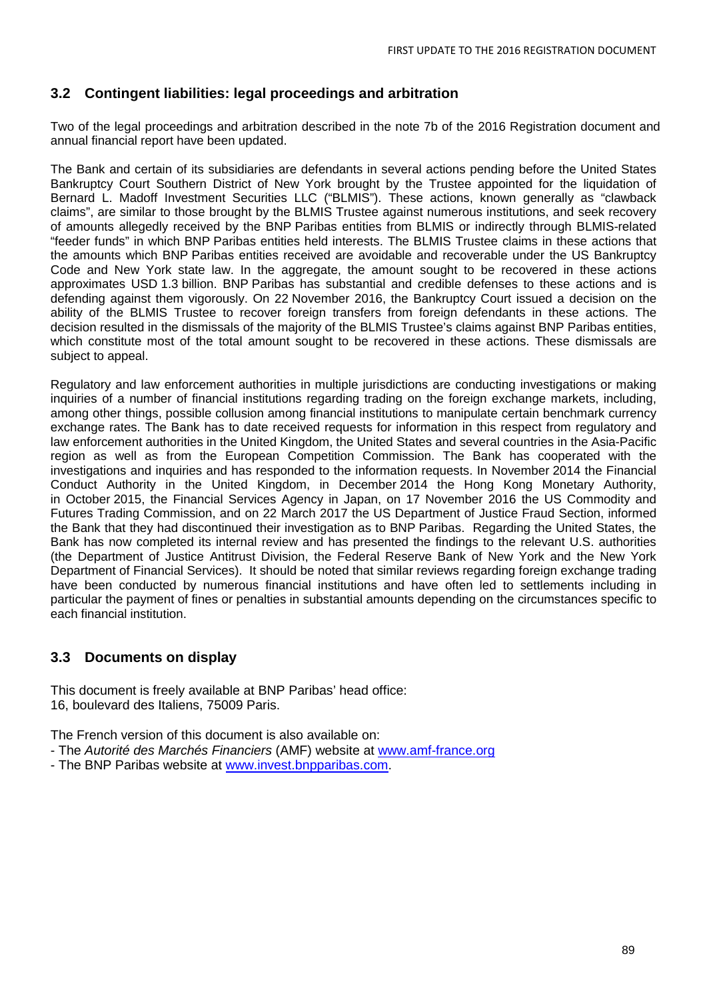## **3.2 Contingent liabilities: legal proceedings and arbitration**

Two of the legal proceedings and arbitration described in the note 7b of the 2016 Registration document and annual financial report have been updated.

The Bank and certain of its subsidiaries are defendants in several actions pending before the United States Bankruptcy Court Southern District of New York brought by the Trustee appointed for the liquidation of Bernard L. Madoff Investment Securities LLC ("BLMIS"). These actions, known generally as "clawback claims", are similar to those brought by the BLMIS Trustee against numerous institutions, and seek recovery of amounts allegedly received by the BNP Paribas entities from BLMIS or indirectly through BLMIS-related "feeder funds" in which BNP Paribas entities held interests. The BLMIS Trustee claims in these actions that the amounts which BNP Paribas entities received are avoidable and recoverable under the US Bankruptcy Code and New York state law. In the aggregate, the amount sought to be recovered in these actions approximates USD 1.3 billion. BNP Paribas has substantial and credible defenses to these actions and is defending against them vigorously. On 22 November 2016, the Bankruptcy Court issued a decision on the ability of the BLMIS Trustee to recover foreign transfers from foreign defendants in these actions. The decision resulted in the dismissals of the majority of the BLMIS Trustee's claims against BNP Paribas entities, which constitute most of the total amount sought to be recovered in these actions. These dismissals are subject to appeal.

Regulatory and law enforcement authorities in multiple jurisdictions are conducting investigations or making inquiries of a number of financial institutions regarding trading on the foreign exchange markets, including, among other things, possible collusion among financial institutions to manipulate certain benchmark currency exchange rates. The Bank has to date received requests for information in this respect from regulatory and law enforcement authorities in the United Kingdom, the United States and several countries in the Asia-Pacific region as well as from the European Competition Commission. The Bank has cooperated with the investigations and inquiries and has responded to the information requests. In November 2014 the Financial Conduct Authority in the United Kingdom, in December 2014 the Hong Kong Monetary Authority, in October 2015, the Financial Services Agency in Japan, on 17 November 2016 the US Commodity and Futures Trading Commission, and on 22 March 2017 the US Department of Justice Fraud Section, informed the Bank that they had discontinued their investigation as to BNP Paribas. Regarding the United States, the Bank has now completed its internal review and has presented the findings to the relevant U.S. authorities (the Department of Justice Antitrust Division, the Federal Reserve Bank of New York and the New York Department of Financial Services). It should be noted that similar reviews regarding foreign exchange trading have been conducted by numerous financial institutions and have often led to settlements including in particular the payment of fines or penalties in substantial amounts depending on the circumstances specific to each financial institution.

## **3.3 Documents on display**

This document is freely available at BNP Paribas' head office: 16, boulevard des Italiens, 75009 Paris.

The French version of this document is also available on:

- The *Autorité des Marchés Financiers* (AMF) website at [www.amf-france.org](http://www.amf-france.org/)
- The BNP Paribas website at [www.invest.bnpparibas.com.](http://www.invest.bnpparibas.com/)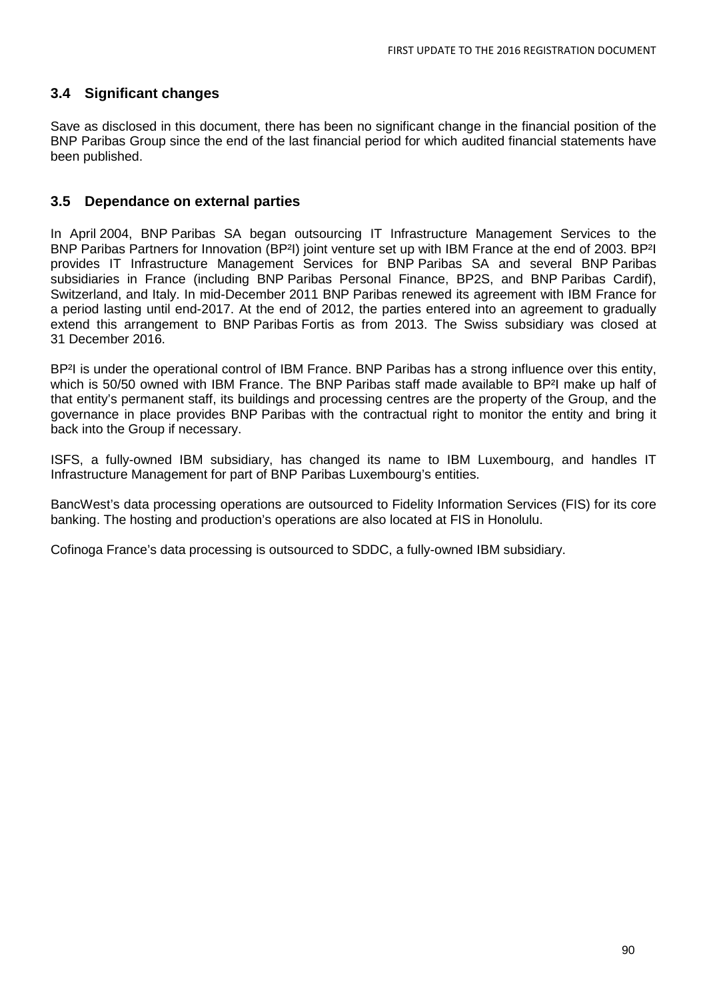## **3.4 Significant changes**

Save as disclosed in this document, there has been no significant change in the financial position of the BNP Paribas Group since the end of the last financial period for which audited financial statements have been published.

### **3.5 Dependance on external parties**

In April 2004, BNP Paribas SA began outsourcing IT Infrastructure Management Services to the BNP Paribas Partners for Innovation (BP²I) joint venture set up with IBM France at the end of 2003. BP²I provides IT Infrastructure Management Services for BNP Paribas SA and several BNP Paribas subsidiaries in France (including BNP Paribas Personal Finance, BP2S, and BNP Paribas Cardif), Switzerland, and Italy. In mid-December 2011 BNP Paribas renewed its agreement with IBM France for a period lasting until end-2017. At the end of 2012, the parties entered into an agreement to gradually extend this arrangement to BNP Paribas Fortis as from 2013. The Swiss subsidiary was closed at 31 December 2016.

BP<sup>2</sup>I is under the operational control of IBM France. BNP Paribas has a strong influence over this entity, which is 50/50 owned with IBM France. The BNP Paribas staff made available to BP<sup>2</sup>I make up half of that entity's permanent staff, its buildings and processing centres are the property of the Group, and the governance in place provides BNP Paribas with the contractual right to monitor the entity and bring it back into the Group if necessary.

ISFS, a fully-owned IBM subsidiary, has changed its name to IBM Luxembourg, and handles IT Infrastructure Management for part of BNP Paribas Luxembourg's entities.

BancWest's data processing operations are outsourced to Fidelity Information Services (FIS) for its core banking. The hosting and production's operations are also located at FIS in Honolulu.

Cofinoga France's data processing is outsourced to SDDC, a fully-owned IBM subsidiary.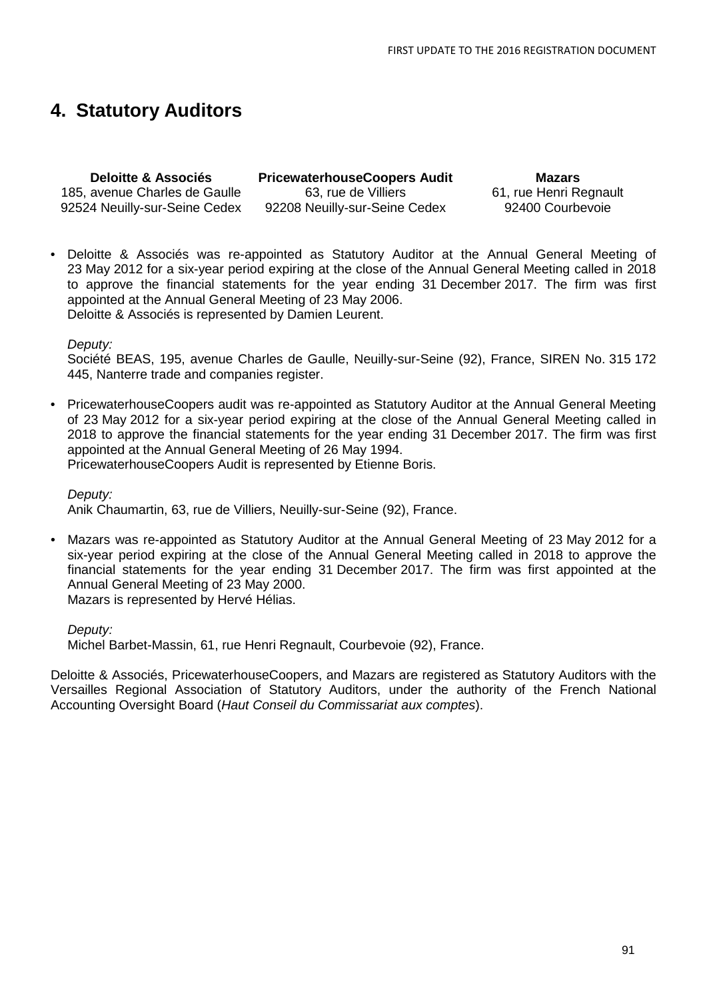## **4. Statutory Auditors**

**Deloitte & Associés** 185, avenue Charles de Gaulle 92524 Neuilly-sur-Seine Cedex **PricewaterhouseCoopers Audit** 63, rue de Villiers 92208 Neuilly-sur-Seine Cedex

**Mazars** 61, rue Henri Regnault 92400 Courbevoie

• Deloitte & Associés was re-appointed as Statutory Auditor at the Annual General Meeting of 23 May 2012 for a six-year period expiring at the close of the Annual General Meeting called in 2018 to approve the financial statements for the year ending 31 December 2017. The firm was first appointed at the Annual General Meeting of 23 May 2006. Deloitte & Associés is represented by Damien Leurent.

#### *Deputy:*

Société BEAS, 195, avenue Charles de Gaulle, Neuilly-sur-Seine (92), France, SIREN No. 315 172 445, Nanterre trade and companies register.

• PricewaterhouseCoopers audit was re-appointed as Statutory Auditor at the Annual General Meeting of 23 May 2012 for a six-year period expiring at the close of the Annual General Meeting called in 2018 to approve the financial statements for the year ending 31 December 2017. The firm was first appointed at the Annual General Meeting of 26 May 1994.

PricewaterhouseCoopers Audit is represented by Etienne Boris.

*Deputy:*

Anik Chaumartin, 63, rue de Villiers, Neuilly-sur-Seine (92), France.

• Mazars was re-appointed as Statutory Auditor at the Annual General Meeting of 23 May 2012 for a six-year period expiring at the close of the Annual General Meeting called in 2018 to approve the financial statements for the year ending 31 December 2017. The firm was first appointed at the Annual General Meeting of 23 May 2000.

Mazars is represented by Hervé Hélias.

*Deputy:*

Michel Barbet-Massin, 61, rue Henri Regnault, Courbevoie (92), France.

Deloitte & Associés, PricewaterhouseCoopers, and Mazars are registered as Statutory Auditors with the Versailles Regional Association of Statutory Auditors, under the authority of the French National Accounting Oversight Board (*Haut Conseil du Commissariat aux comptes*).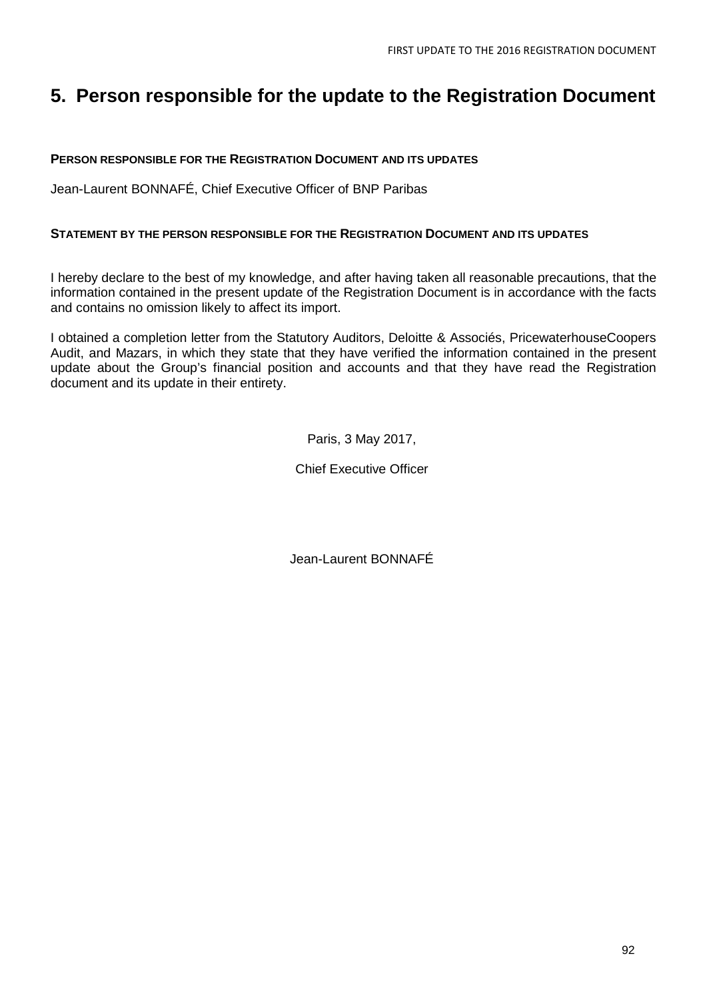## **5. Person responsible for the update to the Registration Document**

#### **PERSON RESPONSIBLE FOR THE REGISTRATION DOCUMENT AND ITS UPDATES**

Jean-Laurent BONNAFÉ, Chief Executive Officer of BNP Paribas

#### **STATEMENT BY THE PERSON RESPONSIBLE FOR THE REGISTRATION DOCUMENT AND ITS UPDATES**

I hereby declare to the best of my knowledge, and after having taken all reasonable precautions, that the information contained in the present update of the Registration Document is in accordance with the facts and contains no omission likely to affect its import.

I obtained a completion letter from the Statutory Auditors, Deloitte & Associés, PricewaterhouseCoopers Audit, and Mazars, in which they state that they have verified the information contained in the present update about the Group's financial position and accounts and that they have read the Registration document and its update in their entirety.

Paris, 3 May 2017,

Chief Executive Officer

Jean-Laurent BONNAFÉ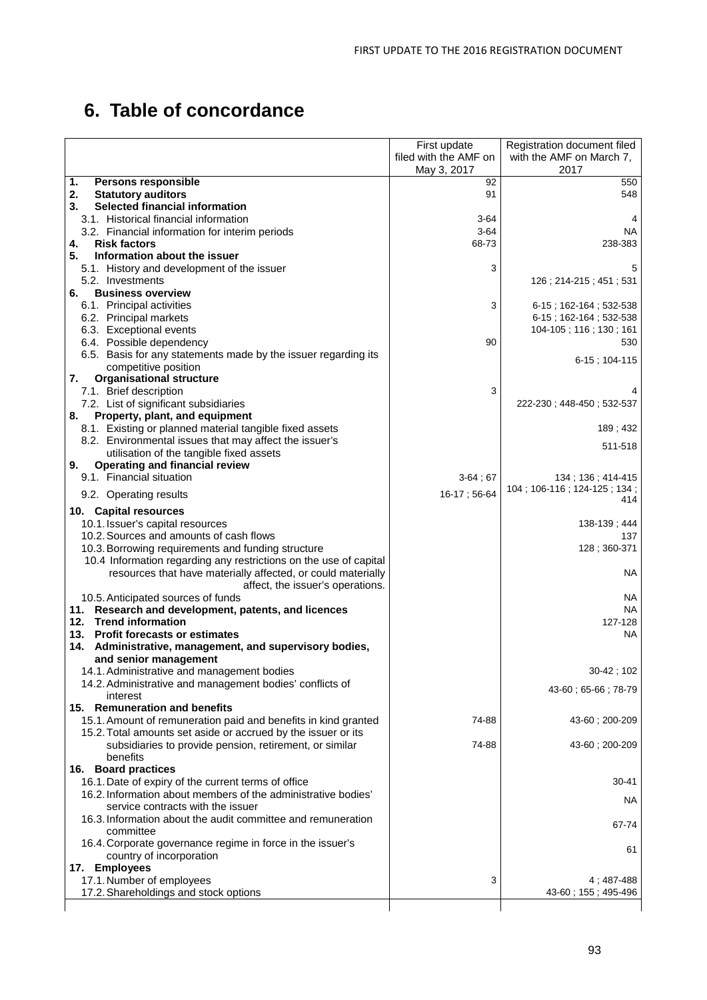# **6. Table of concordance**

|                                                                   | First update          | Registration document filed        |
|-------------------------------------------------------------------|-----------------------|------------------------------------|
|                                                                   |                       |                                    |
|                                                                   | filed with the AMF on | with the AMF on March 7,           |
|                                                                   | May 3, 2017           | 2017                               |
| 1.<br><b>Persons responsible</b>                                  | 92                    | 550                                |
| 2.<br><b>Statutory auditors</b>                                   | 91                    | 548                                |
| 3.<br>Selected financial information                              |                       |                                    |
| 3.1. Historical financial information                             | 3-64                  | 4                                  |
| 3.2. Financial information for interim periods                    | $3-64$                | <b>NA</b>                          |
| <b>Risk factors</b>                                               | 68-73                 | 238-383                            |
| 4.                                                                |                       |                                    |
| 5.<br>Information about the issuer                                |                       |                                    |
| 5.1. History and development of the issuer                        | 3                     | 5                                  |
| 5.2. Investments                                                  |                       | 126; 214-215; 451; 531             |
| <b>Business overview</b><br>6.                                    |                       |                                    |
| 6.1. Principal activities                                         | 3                     | $6-15$ ; 162-164; 532-538          |
| 6.2. Principal markets                                            |                       | 6 15 ; 162 164 ; 532 538           |
| 6.3. Exceptional events                                           |                       | 104-105; 116; 130; 161             |
| 6.4. Possible dependency                                          | 90                    | 530                                |
|                                                                   |                       |                                    |
| 6.5. Basis for any statements made by the issuer regarding its    |                       | $6-15$ ; 104-115                   |
| competitive position                                              |                       |                                    |
| <b>Organisational structure</b><br>7.                             |                       |                                    |
| 7.1. Brief description                                            | 3                     |                                    |
| 7.2. List of significant subsidiaries                             |                       | 222-230; 448-450; 532-537          |
| Property, plant, and equipment<br>8.                              |                       |                                    |
| 8.1. Existing or planned material tangible fixed assets           |                       | 189; 432                           |
| 8.2. Environmental issues that may affect the issuer's            |                       |                                    |
| utilisation of the tangible fixed assets                          |                       | 511-518                            |
| <b>Operating and financial review</b><br>9.                       |                       |                                    |
| 9.1. Financial situation                                          |                       |                                    |
|                                                                   | $3-64;67$             | 134 ; 136 ; 414-415                |
| 9.2. Operating results                                            | 16-17; 56-64          | 104; 106-116; 124-125; 134;<br>414 |
|                                                                   |                       |                                    |
| 10. Capital resources                                             |                       |                                    |
| 10.1. Issuer's capital resources                                  |                       | 138-139; 444                       |
| 10.2. Sources and amounts of cash flows                           |                       | 137                                |
| 10.3. Borrowing requirements and funding structure                |                       | 128; 360-371                       |
| 10.4 Information regarding any restrictions on the use of capital |                       |                                    |
| resources that have materially affected, or could materially      |                       | NА                                 |
| affect, the issuer's operations.                                  |                       |                                    |
| 10.5. Anticipated sources of funds                                |                       | NA                                 |
| 11. Research and development, patents, and licences               |                       | NА                                 |
| <b>Trend information</b><br>12.                                   |                       | 127-128                            |
| 13. Profit forecasts or estimates                                 |                       | <b>NA</b>                          |
|                                                                   |                       |                                    |
| 14. Administrative, management, and supervisory bodies,           |                       |                                    |
| and senior management                                             |                       |                                    |
| 14.1. Administrative and management bodies                        |                       | 30-42; 102                         |
| 14.2. Administrative and management bodies' conflicts of          |                       | 43-60; 65-66; 78-79                |
| interest                                                          |                       |                                    |
| 15. Remuneration and benefits                                     |                       |                                    |
| 15.1. Amount of remuneration paid and benefits in kind granted    | 74-88                 | 43-60 : 200-209                    |
| 15.2. Total amounts set aside or accrued by the issuer or its     |                       |                                    |
| subsidiaries to provide pension, retirement, or similar           | 74-88                 | 43-60; 200-209                     |
| benefits                                                          |                       |                                    |
|                                                                   |                       |                                    |
| 16. Board practices                                               |                       |                                    |
| 16.1. Date of expiry of the current terms of office               |                       | $30 - 41$                          |
| 16.2. Information about members of the administrative bodies'     |                       | NA.                                |
| service contracts with the issuer                                 |                       |                                    |
| 16.3. Information about the audit committee and remuneration      |                       |                                    |
| committee                                                         |                       | 67-74                              |
| 16.4. Corporate governance regime in force in the issuer's        |                       |                                    |
| country of incorporation                                          |                       | 61                                 |
| 17. Employees                                                     |                       |                                    |
|                                                                   | 3                     |                                    |
| 17.1. Number of employees                                         |                       | 4 ; 487-488                        |
| 17.2. Shareholdings and stock options                             |                       | 43 60 ; 155 ; 495 496              |
|                                                                   |                       |                                    |